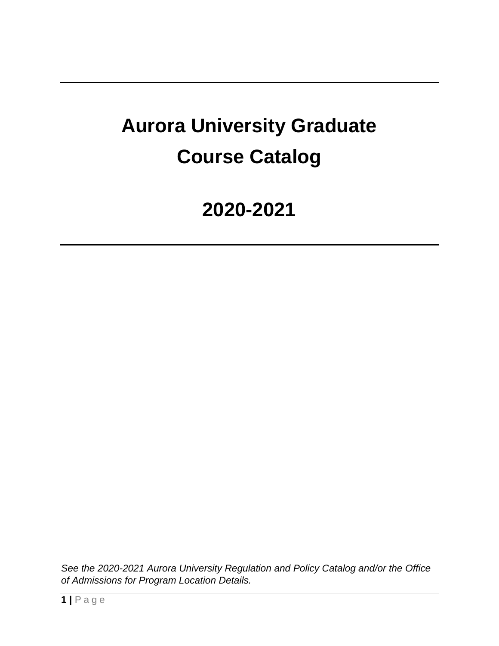# **Aurora University Graduate Course Catalog**

# **2020-2021**

*See the 2020-2021 Aurora University Regulation and Policy Catalog and/or the Office of Admissions for Program Location Details.*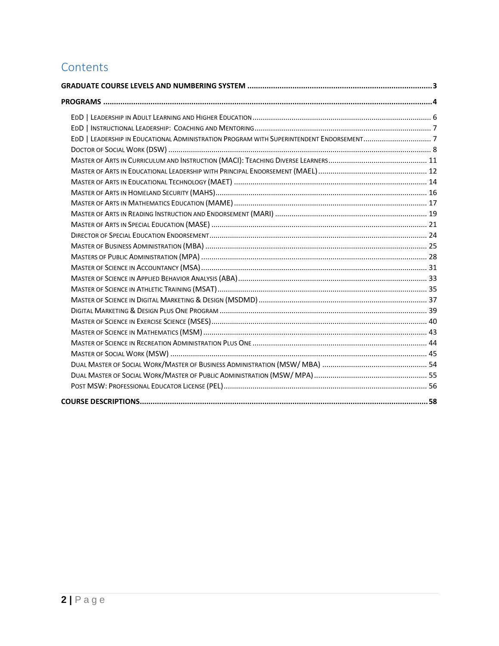# **Contents**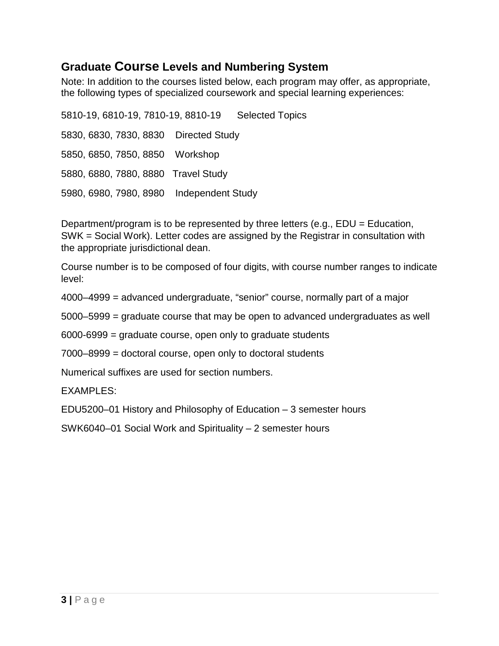### <span id="page-2-0"></span>**Graduate Course Levels and Numbering System**

Note: In addition to the courses listed below, each program may offer, as appropriate, the following types of specialized coursework and special learning experiences:

5810-19, 6810-19, 7810-19, 8810-19 Selected Topics 5830, 6830, 7830, 8830 Directed Study 5850, 6850, 7850, 8850 Workshop 5880, 6880, 7880, 8880 Travel Study 5980, 6980, 7980, 8980 Independent Study

Department/program is to be represented by three letters (e.g., EDU = Education, SWK = Social Work). Letter codes are assigned by the Registrar in consultation with the appropriate jurisdictional dean.

Course number is to be composed of four digits, with course number ranges to indicate level:

4000–4999 = advanced undergraduate, "senior" course, normally part of a major

5000–5999 = graduate course that may be open to advanced undergraduates as well

6000-6999 = graduate course, open only to graduate students

7000–8999 = doctoral course, open only to doctoral students

Numerical suffixes are used for section numbers.

EXAMPLES:

EDU5200–01 History and Philosophy of Education – 3 semester hours

SWK6040–01 Social Work and Spirituality – 2 semester hours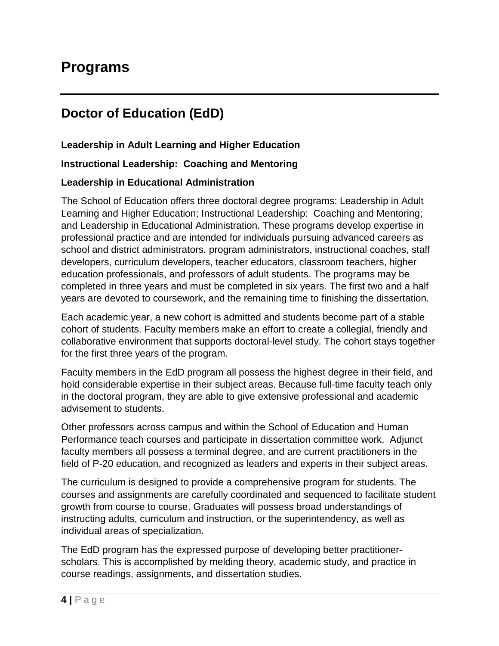# <span id="page-3-0"></span>**Programs**

# **Doctor of Education (EdD)**

#### **Leadership in Adult Learning and Higher Education**

#### **Instructional Leadership: Coaching and Mentoring**

#### **Leadership in Educational Administration**

The School of Education offers three doctoral degree programs: Leadership in Adult Learning and Higher Education; Instructional Leadership: Coaching and Mentoring; and Leadership in Educational Administration. These programs develop expertise in professional practice and are intended for individuals pursuing advanced careers as school and district administrators, program administrators, instructional coaches, staff developers, curriculum developers, teacher educators, classroom teachers, higher education professionals, and professors of adult students. The programs may be completed in three years and must be completed in six years. The first two and a half years are devoted to coursework, and the remaining time to finishing the dissertation.

Each academic year, a new cohort is admitted and students become part of a stable cohort of students. Faculty members make an effort to create a collegial, friendly and collaborative environment that supports doctoral-level study. The cohort stays together for the first three years of the program.

Faculty members in the EdD program all possess the highest degree in their field, and hold considerable expertise in their subject areas. Because full-time faculty teach only in the doctoral program, they are able to give extensive professional and academic advisement to students.

Other professors across campus and within the School of Education and Human Performance teach courses and participate in dissertation committee work. Adjunct faculty members all possess a terminal degree, and are current practitioners in the field of P-20 education, and recognized as leaders and experts in their subject areas.

The curriculum is designed to provide a comprehensive program for students. The courses and assignments are carefully coordinated and sequenced to facilitate student growth from course to course. Graduates will possess broad understandings of instructing adults, curriculum and instruction, or the superintendency, as well as individual areas of specialization.

The EdD program has the expressed purpose of developing better practitionerscholars. This is accomplished by melding theory, academic study, and practice in course readings, assignments, and dissertation studies.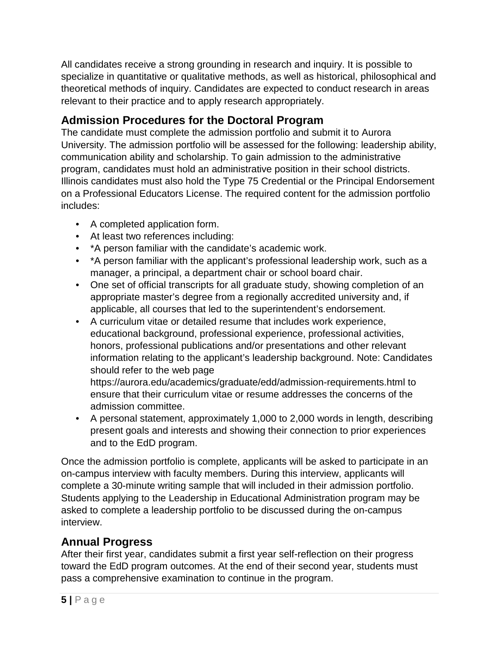All candidates receive a strong grounding in research and inquiry. It is possible to specialize in quantitative or qualitative methods, as well as historical, philosophical and theoretical methods of inquiry. Candidates are expected to conduct research in areas relevant to their practice and to apply research appropriately.

### **Admission Procedures for the Doctoral Program**

The candidate must complete the admission portfolio and submit it to Aurora University. The admission portfolio will be assessed for the following: leadership ability, communication ability and scholarship. To gain admission to the administrative program, candidates must hold an administrative position in their school districts. Illinois candidates must also hold the Type 75 Credential or the Principal Endorsement on a Professional Educators License. The required content for the admission portfolio includes:

- A completed application form.
- At least two references including:
- \*A person familiar with the candidate's academic work.
- \*A person familiar with the applicant's professional leadership work, such as a manager, a principal, a department chair or school board chair.
- One set of official transcripts for all graduate study, showing completion of an appropriate master's degree from a regionally accredited university and, if applicable, all courses that led to the superintendent's endorsement.
- A curriculum vitae or detailed resume that includes work experience, educational background, professional experience, professional activities, honors, professional publications and/or presentations and other relevant information relating to the applicant's leadership background. Note: Candidates should refer to the web page

https://aurora.edu/academics/graduate/edd/admission-requirements.html to ensure that their curriculum vitae or resume addresses the concerns of the admission committee.

• A personal statement, approximately 1,000 to 2,000 words in length, describing present goals and interests and showing their connection to prior experiences and to the EdD program.

Once the admission portfolio is complete, applicants will be asked to participate in an on-campus interview with faculty members. During this interview, applicants will complete a 30-minute writing sample that will included in their admission portfolio. Students applying to the Leadership in Educational Administration program may be asked to complete a leadership portfolio to be discussed during the on-campus interview.

### **Annual Progress**

After their first year, candidates submit a first year self-reflection on their progress toward the EdD program outcomes. At the end of their second year, students must pass a comprehensive examination to continue in the program.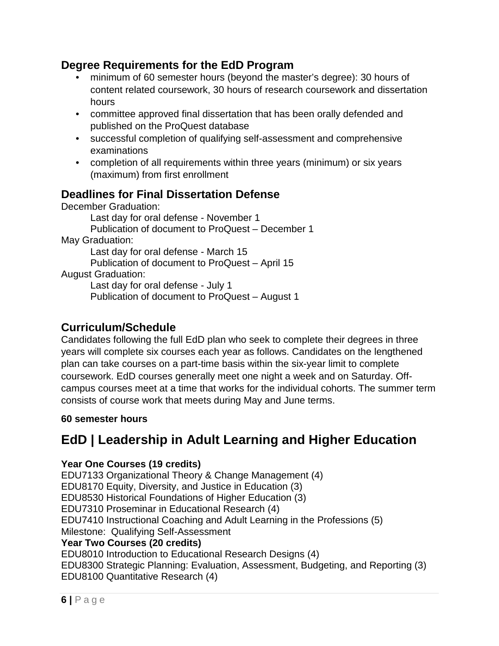#### **Degree Requirements for the EdD Program**

- minimum of 60 semester hours (beyond the master's degree): 30 hours of content related coursework, 30 hours of research coursework and dissertation hours
- committee approved final dissertation that has been orally defended and published on the ProQuest database
- successful completion of qualifying self-assessment and comprehensive examinations
- completion of all requirements within three years (minimum) or six years (maximum) from first enrollment

### **Deadlines for Final Dissertation Defense**

December Graduation: Last day for oral defense - November 1 Publication of document to ProQuest – December 1 May Graduation: Last day for oral defense - March 15 Publication of document to ProQuest – April 15 August Graduation: Last day for oral defense - July 1 Publication of document to ProQuest – August 1

#### **Curriculum/Schedule**

Candidates following the full EdD plan who seek to complete their degrees in three years will complete six courses each year as follows. Candidates on the lengthened plan can take courses on a part-time basis within the six-year limit to complete coursework. EdD courses generally meet one night a week and on Saturday. Offcampus courses meet at a time that works for the individual cohorts. The summer term consists of course work that meets during May and June terms.

#### **60 semester hours**

# <span id="page-5-0"></span>**EdD | Leadership in Adult Learning and Higher Education**

#### **Year One Courses (19 credits)**

EDU7133 Organizational Theory & Change Management (4) EDU8170 Equity, Diversity, and Justice in Education (3) EDU8530 Historical Foundations of Higher Education (3) EDU7310 Proseminar in Educational Research (4) EDU7410 Instructional Coaching and Adult Learning in the Professions (5) Milestone: Qualifying Self-Assessment **Year Two Courses (20 credits)** EDU8010 Introduction to Educational Research Designs (4)

EDU8300 Strategic Planning: Evaluation, Assessment, Budgeting, and Reporting (3) EDU8100 Quantitative Research (4)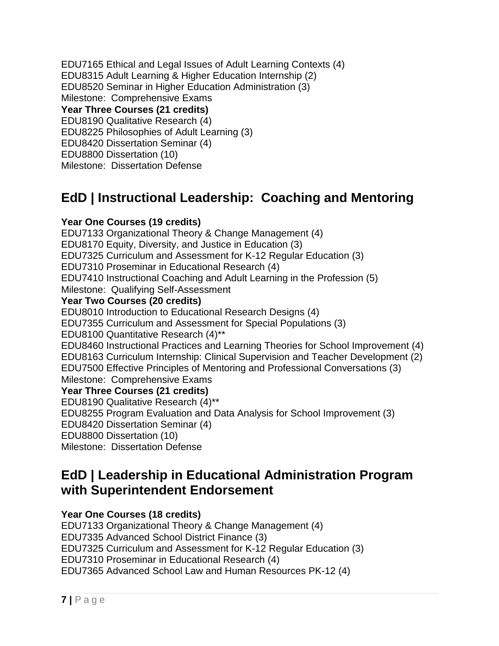EDU7165 Ethical and Legal Issues of Adult Learning Contexts (4) EDU8315 Adult Learning & Higher Education Internship (2) EDU8520 Seminar in Higher Education Administration (3) Milestone: Comprehensive Exams **Year Three Courses (21 credits)** EDU8190 Qualitative Research (4) EDU8225 Philosophies of Adult Learning (3) EDU8420 Dissertation Seminar (4) EDU8800 Dissertation (10) Milestone: Dissertation Defense

# <span id="page-6-0"></span>**EdD | Instructional Leadership: Coaching and Mentoring**

#### **Year One Courses (19 credits)**

EDU7133 Organizational Theory & Change Management (4) EDU8170 Equity, Diversity, and Justice in Education (3) EDU7325 Curriculum and Assessment for K-12 Regular Education (3) EDU7310 Proseminar in Educational Research (4) EDU7410 Instructional Coaching and Adult Learning in the Profession (5) Milestone: Qualifying Self-Assessment **Year Two Courses (20 credits)** EDU8010 Introduction to Educational Research Designs (4) EDU7355 Curriculum and Assessment for Special Populations (3) EDU8100 Quantitative Research (4)\*\* EDU8460 Instructional Practices and Learning Theories for School Improvement (4) EDU8163 Curriculum Internship: Clinical Supervision and Teacher Development (2) EDU7500 Effective Principles of Mentoring and Professional Conversations (3) Milestone: Comprehensive Exams **Year Three Courses (21 credits)** EDU8190 Qualitative Research (4)\*\* EDU8255 Program Evaluation and Data Analysis for School Improvement (3) EDU8420 Dissertation Seminar (4) EDU8800 Dissertation (10) Milestone: Dissertation Defense

### <span id="page-6-1"></span>**EdD | Leadership in Educational Administration Program with Superintendent Endorsement**

#### **Year One Courses (18 credits)**

EDU7133 Organizational Theory & Change Management (4) EDU7335 Advanced School District Finance (3) EDU7325 Curriculum and Assessment for K-12 Regular Education (3) EDU7310 Proseminar in Educational Research (4) EDU7365 Advanced School Law and Human Resources PK-12 (4)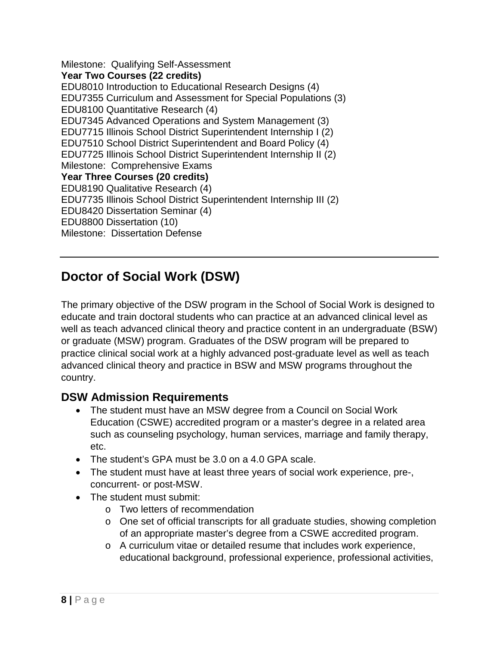Milestone: Qualifying Self-Assessment **Year Two Courses (22 credits)** EDU8010 Introduction to Educational Research Designs (4) EDU7355 Curriculum and Assessment for Special Populations (3) EDU8100 Quantitative Research (4) EDU7345 Advanced Operations and System Management (3) EDU7715 Illinois School District Superintendent Internship I (2) EDU7510 School District Superintendent and Board Policy (4) EDU7725 Illinois School District Superintendent Internship II (2) Milestone: Comprehensive Exams **Year Three Courses (20 credits)** EDU8190 Qualitative Research (4) EDU7735 Illinois School District Superintendent Internship III (2) EDU8420 Dissertation Seminar (4) EDU8800 Dissertation (10) Milestone: Dissertation Defense

# <span id="page-7-0"></span>**Doctor of Social Work (DSW)**

The primary objective of the DSW program in the School of Social Work is designed to educate and train doctoral students who can practice at an advanced clinical level as well as teach advanced clinical theory and practice content in an undergraduate (BSW) or graduate (MSW) program. Graduates of the DSW program will be prepared to practice clinical social work at a highly advanced post-graduate level as well as teach advanced clinical theory and practice in BSW and MSW programs throughout the country.

### **DSW Admission Requirements**

- The student must have an MSW degree from a Council on Social Work Education (CSWE) accredited program or a master's degree in a related area such as counseling psychology, human services, marriage and family therapy, etc.
- The student's GPA must be 3.0 on a 4.0 GPA scale.
- The student must have at least three years of social work experience, pre-, concurrent- or post-MSW.
- The student must submit:
	- o Two letters of recommendation
	- o One set of official transcripts for all graduate studies, showing completion of an appropriate master's degree from a CSWE accredited program.
	- o A curriculum vitae or detailed resume that includes work experience, educational background, professional experience, professional activities,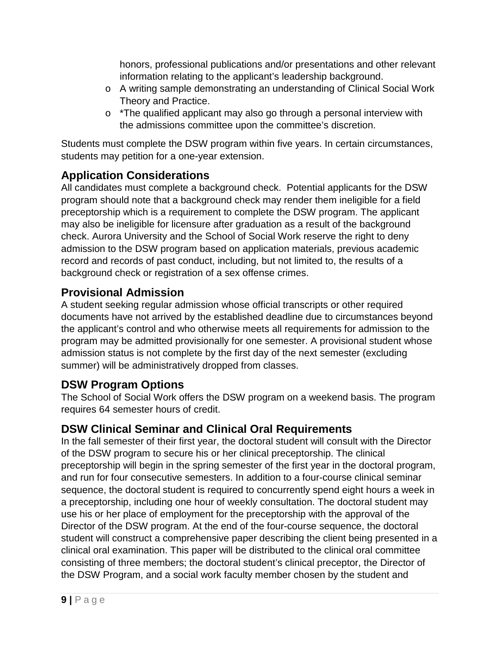honors, professional publications and/or presentations and other relevant information relating to the applicant's leadership background.

- o A writing sample demonstrating an understanding of Clinical Social Work Theory and Practice.
- o \*The qualified applicant may also go through a personal interview with the admissions committee upon the committee's discretion.

Students must complete the DSW program within five years. In certain circumstances, students may petition for a one-year extension.

### **Application Considerations**

All candidates must complete a background check. Potential applicants for the DSW program should note that a background check may render them ineligible for a field preceptorship which is a requirement to complete the DSW program. The applicant may also be ineligible for licensure after graduation as a result of the background check. Aurora University and the School of Social Work reserve the right to deny admission to the DSW program based on application materials, previous academic record and records of past conduct, including, but not limited to, the results of a background check or registration of a sex offense crimes.

### **Provisional Admission**

A student seeking regular admission whose official transcripts or other required documents have not arrived by the established deadline due to circumstances beyond the applicant's control and who otherwise meets all requirements for admission to the program may be admitted provisionally for one semester. A provisional student whose admission status is not complete by the first day of the next semester (excluding summer) will be administratively dropped from classes.

### **DSW Program Options**

The School of Social Work offers the DSW program on a weekend basis. The program requires 64 semester hours of credit.

### **DSW Clinical Seminar and Clinical Oral Requirements**

In the fall semester of their first year, the doctoral student will consult with the Director of the DSW program to secure his or her clinical preceptorship. The clinical preceptorship will begin in the spring semester of the first year in the doctoral program, and run for four consecutive semesters. In addition to a four-course clinical seminar sequence, the doctoral student is required to concurrently spend eight hours a week in a preceptorship, including one hour of weekly consultation. The doctoral student may use his or her place of employment for the preceptorship with the approval of the Director of the DSW program. At the end of the four-course sequence, the doctoral student will construct a comprehensive paper describing the client being presented in a clinical oral examination. This paper will be distributed to the clinical oral committee consisting of three members; the doctoral student's clinical preceptor, the Director of the DSW Program, and a social work faculty member chosen by the student and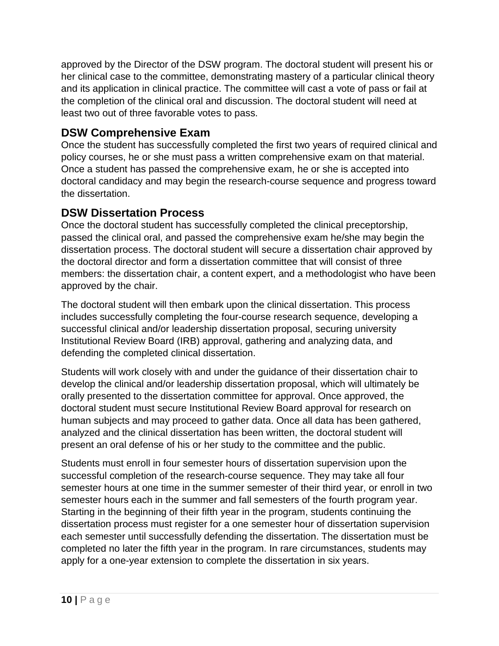approved by the Director of the DSW program. The doctoral student will present his or her clinical case to the committee, demonstrating mastery of a particular clinical theory and its application in clinical practice. The committee will cast a vote of pass or fail at the completion of the clinical oral and discussion. The doctoral student will need at least two out of three favorable votes to pass.

#### **DSW Comprehensive Exam**

Once the student has successfully completed the first two years of required clinical and policy courses, he or she must pass a written comprehensive exam on that material. Once a student has passed the comprehensive exam, he or she is accepted into doctoral candidacy and may begin the research-course sequence and progress toward the dissertation.

#### **DSW Dissertation Process**

Once the doctoral student has successfully completed the clinical preceptorship, passed the clinical oral, and passed the comprehensive exam he/she may begin the dissertation process. The doctoral student will secure a dissertation chair approved by the doctoral director and form a dissertation committee that will consist of three members: the dissertation chair, a content expert, and a methodologist who have been approved by the chair.

The doctoral student will then embark upon the clinical dissertation. This process includes successfully completing the four-course research sequence, developing a successful clinical and/or leadership dissertation proposal, securing university Institutional Review Board (IRB) approval, gathering and analyzing data, and defending the completed clinical dissertation.

Students will work closely with and under the guidance of their dissertation chair to develop the clinical and/or leadership dissertation proposal, which will ultimately be orally presented to the dissertation committee for approval. Once approved, the doctoral student must secure Institutional Review Board approval for research on human subjects and may proceed to gather data. Once all data has been gathered, analyzed and the clinical dissertation has been written, the doctoral student will present an oral defense of his or her study to the committee and the public.

Students must enroll in four semester hours of dissertation supervision upon the successful completion of the research-course sequence. They may take all four semester hours at one time in the summer semester of their third year, or enroll in two semester hours each in the summer and fall semesters of the fourth program year. Starting in the beginning of their fifth year in the program, students continuing the dissertation process must register for a one semester hour of dissertation supervision each semester until successfully defending the dissertation. The dissertation must be completed no later the fifth year in the program. In rare circumstances, students may apply for a one-year extension to complete the dissertation in six years.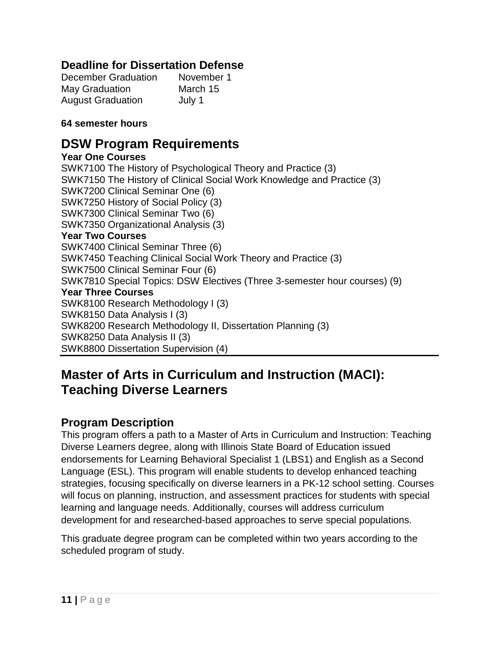### **Deadline for Dissertation Defense**

| <b>December Graduation</b> | November 1 |
|----------------------------|------------|
| May Graduation             | March 15   |
| <b>August Graduation</b>   | July 1     |

#### **64 semester hours**

### **DSW Program Requirements**

#### **Year One Courses**

SWK7100 The History of Psychological Theory and Practice (3) SWK7150 The History of Clinical Social Work Knowledge and Practice (3) SWK7200 Clinical Seminar One (6) SWK7250 History of Social Policy (3) SWK7300 Clinical Seminar Two (6) SWK7350 Organizational Analysis (3) **Year Two Courses** SWK7400 Clinical Seminar Three (6) SWK7450 Teaching Clinical Social Work Theory and Practice (3) SWK7500 Clinical Seminar Four (6) SWK7810 Special Topics: DSW Electives (Three 3-semester hour courses) (9) **Year Three Courses** SWK8100 Research Methodology I (3) SWK8150 Data Analysis I (3) SWK8200 Research Methodology II, Dissertation Planning (3) SWK8250 Data Analysis II (3) SWK8800 Dissertation Supervision (4)

# <span id="page-10-0"></span>**Master of Arts in Curriculum and Instruction (MACI): Teaching Diverse Learners**

#### **Program Description**

This program offers a path to a Master of Arts in Curriculum and Instruction: Teaching Diverse Learners degree, along with Illinois State Board of Education issued endorsements for Learning Behavioral Specialist 1 (LBS1) and English as a Second Language (ESL). This program will enable students to develop enhanced teaching strategies, focusing specifically on diverse learners in a PK-12 school setting. Courses will focus on planning, instruction, and assessment practices for students with special learning and language needs. Additionally, courses will address curriculum development for and researched-based approaches to serve special populations.

This graduate degree program can be completed within two years according to the scheduled program of study.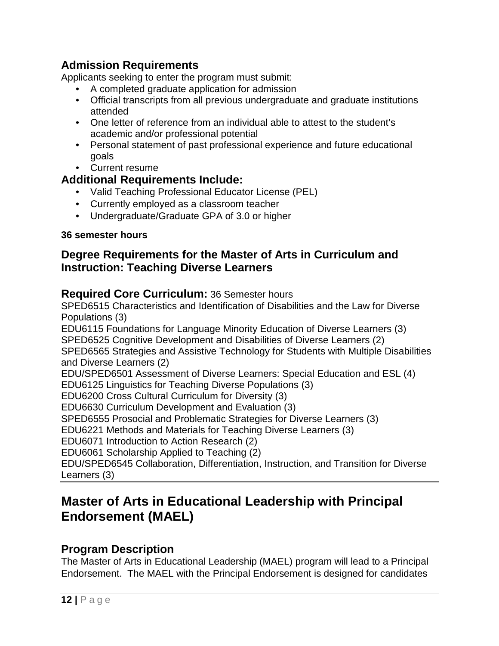### **Admission Requirements**

Applicants seeking to enter the program must submit:

- A completed graduate application for admission
- Official transcripts from all previous undergraduate and graduate institutions attended
- One letter of reference from an individual able to attest to the student's academic and/or professional potential
- Personal statement of past professional experience and future educational goals
- Current resume

#### **Additional Requirements Include:**

- Valid Teaching Professional Educator License (PEL)
- Currently employed as a classroom teacher
- Undergraduate/Graduate GPA of 3.0 or higher

#### **36 semester hours**

#### **Degree Requirements for the Master of Arts in Curriculum and Instruction: Teaching Diverse Learners**

#### **Required Core Curriculum:** 36 Semester hours

SPED6515 Characteristics and Identification of Disabilities and the Law for Diverse Populations (3) EDU6115 Foundations for Language Minority Education of Diverse Learners (3) SPED6525 Cognitive Development and Disabilities of Diverse Learners (2) SPED6565 Strategies and Assistive Technology for Students with Multiple Disabilities and Diverse Learners (2) EDU/SPED6501 Assessment of Diverse Learners: Special Education and ESL (4) EDU6125 Linguistics for Teaching Diverse Populations (3) EDU6200 Cross Cultural Curriculum for Diversity (3) EDU6630 Curriculum Development and Evaluation (3) SPED6555 Prosocial and Problematic Strategies for Diverse Learners (3) EDU6221 Methods and Materials for Teaching Diverse Learners (3) EDU6071 Introduction to Action Research (2) EDU6061 Scholarship Applied to Teaching (2) EDU/SPED6545 Collaboration, Differentiation, Instruction, and Transition for Diverse Learners (3)

# <span id="page-11-0"></span>**Master of Arts in Educational Leadership with Principal Endorsement (MAEL)**

#### **Program Description**

The Master of Arts in Educational Leadership (MAEL) program will lead to a Principal Endorsement. The MAEL with the Principal Endorsement is designed for candidates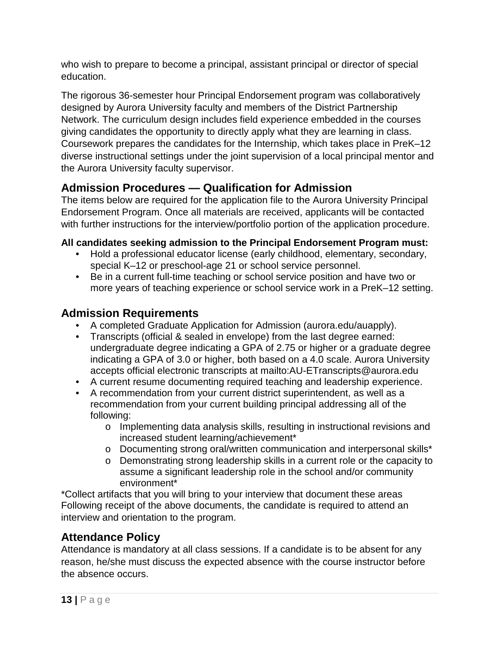who wish to prepare to become a principal, assistant principal or director of special education.

The rigorous 36-semester hour Principal Endorsement program was collaboratively designed by Aurora University faculty and members of the District Partnership Network. The curriculum design includes field experience embedded in the courses giving candidates the opportunity to directly apply what they are learning in class. Coursework prepares the candidates for the Internship, which takes place in PreK–12 diverse instructional settings under the joint supervision of a local principal mentor and the Aurora University faculty supervisor.

### **Admission Procedures — Qualification for Admission**

The items below are required for the application file to the Aurora University Principal Endorsement Program. Once all materials are received, applicants will be contacted with further instructions for the interview/portfolio portion of the application procedure.

#### **All candidates seeking admission to the Principal Endorsement Program must:**

- Hold a professional educator license (early childhood, elementary, secondary, special K–12 or preschool-age 21 or school service personnel.
- Be in a current full-time teaching or school service position and have two or more years of teaching experience or school service work in a PreK–12 setting.

### **Admission Requirements**

- A completed Graduate Application for Admission (aurora.edu/auapply).
- Transcripts (official & sealed in envelope) from the last degree earned: undergraduate degree indicating a GPA of 2.75 or higher or a graduate degree indicating a GPA of 3.0 or higher, both based on a 4.0 scale. Aurora University accepts official electronic transcripts at mailto:AU-ETranscripts@aurora.edu
- A current resume documenting required teaching and leadership experience.
- A recommendation from your current district superintendent, as well as a recommendation from your current building principal addressing all of the following:
	- o Implementing data analysis skills, resulting in instructional revisions and increased student learning/achievement\*
	- o Documenting strong oral/written communication and interpersonal skills\*
	- o Demonstrating strong leadership skills in a current role or the capacity to assume a significant leadership role in the school and/or community environment\*

\*Collect artifacts that you will bring to your interview that document these areas Following receipt of the above documents, the candidate is required to attend an interview and orientation to the program.

### **Attendance Policy**

Attendance is mandatory at all class sessions. If a candidate is to be absent for any reason, he/she must discuss the expected absence with the course instructor before the absence occurs.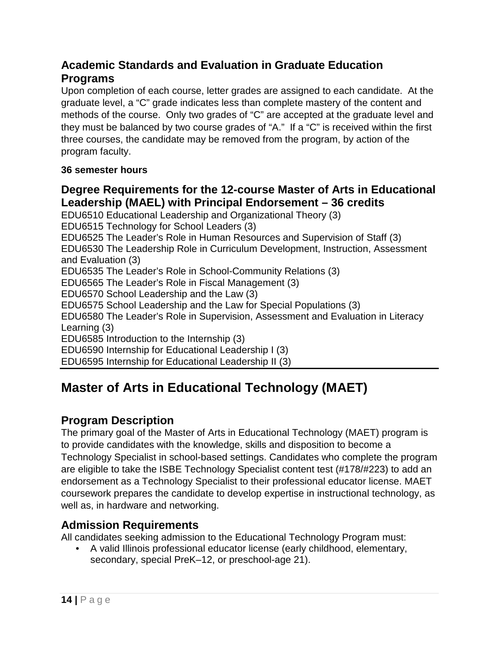### **Academic Standards and Evaluation in Graduate Education Programs**

Upon completion of each course, letter grades are assigned to each candidate. At the graduate level, a "C" grade indicates less than complete mastery of the content and methods of the course. Only two grades of "C" are accepted at the graduate level and they must be balanced by two course grades of "A." If a "C" is received within the first three courses, the candidate may be removed from the program, by action of the program faculty.

#### **36 semester hours**

### **Degree Requirements for the 12-course Master of Arts in Educational Leadership (MAEL) with Principal Endorsement – 36 credits**

EDU6510 Educational Leadership and Organizational Theory (3) EDU6515 Technology for School Leaders (3) EDU6525 The Leader's Role in Human Resources and Supervision of Staff (3) EDU6530 The Leadership Role in Curriculum Development, Instruction, Assessment and Evaluation (3) EDU6535 The Leader's Role in School-Community Relations (3) EDU6565 The Leader's Role in Fiscal Management (3) EDU6570 School Leadership and the Law (3) EDU6575 School Leadership and the Law for Special Populations (3) EDU6580 The Leader's Role in Supervision, Assessment and Evaluation in Literacy Learning (3) EDU6585 Introduction to the Internship (3) EDU6590 Internship for Educational Leadership I (3) EDU6595 Internship for Educational Leadership II (3)

# <span id="page-13-0"></span>**Master of Arts in Educational Technology (MAET)**

### **Program Description**

The primary goal of the Master of Arts in Educational Technology (MAET) program is to provide candidates with the knowledge, skills and disposition to become a Technology Specialist in school-based settings. Candidates who complete the program are eligible to take the ISBE Technology Specialist content test (#178/#223) to add an endorsement as a Technology Specialist to their professional educator license. MAET coursework prepares the candidate to develop expertise in instructional technology, as well as, in hardware and networking.

#### **Admission Requirements**

All candidates seeking admission to the Educational Technology Program must:

• A valid Illinois professional educator license (early childhood, elementary, secondary, special PreK–12, or preschool-age 21).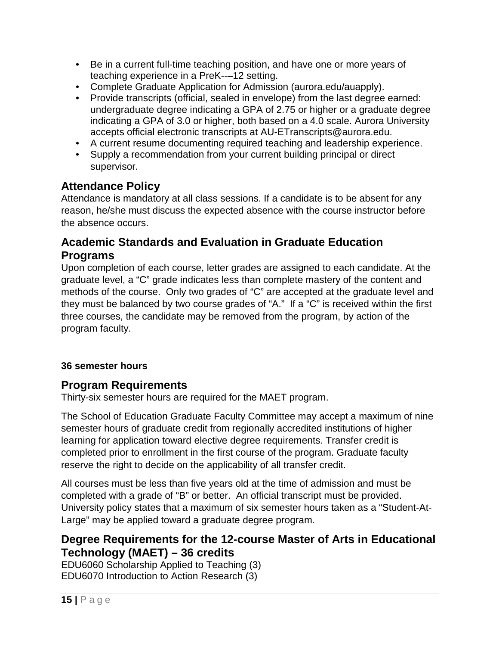- Be in a current full-time teaching position, and have one or more years of teaching experience in a PreK--–12 setting.
- Complete Graduate Application for Admission (aurora.edu/auapply).
- Provide transcripts (official, sealed in envelope) from the last degree earned: undergraduate degree indicating a GPA of 2.75 or higher or a graduate degree indicating a GPA of 3.0 or higher, both based on a 4.0 scale. Aurora University accepts official electronic transcripts at AU-ETranscripts@aurora.edu.
- A current resume documenting required teaching and leadership experience.
- Supply a recommendation from your current building principal or direct supervisor.

### **Attendance Policy**

Attendance is mandatory at all class sessions. If a candidate is to be absent for any reason, he/she must discuss the expected absence with the course instructor before the absence occurs.

### **Academic Standards and Evaluation in Graduate Education Programs**

Upon completion of each course, letter grades are assigned to each candidate. At the graduate level, a "C" grade indicates less than complete mastery of the content and methods of the course. Only two grades of "C" are accepted at the graduate level and they must be balanced by two course grades of "A." If a "C" is received within the first three courses, the candidate may be removed from the program, by action of the program faculty.

#### **36 semester hours**

### **Program Requirements**

Thirty-six semester hours are required for the MAET program.

The School of Education Graduate Faculty Committee may accept a maximum of nine semester hours of graduate credit from regionally accredited institutions of higher learning for application toward elective degree requirements. Transfer credit is completed prior to enrollment in the first course of the program. Graduate faculty reserve the right to decide on the applicability of all transfer credit.

All courses must be less than five years old at the time of admission and must be completed with a grade of "B" or better. An official transcript must be provided. University policy states that a maximum of six semester hours taken as a "Student-At-Large" may be applied toward a graduate degree program.

### **Degree Requirements for the 12-course Master of Arts in Educational Technology (MAET) – 36 credits**

EDU6060 Scholarship Applied to Teaching (3) EDU6070 Introduction to Action Research (3)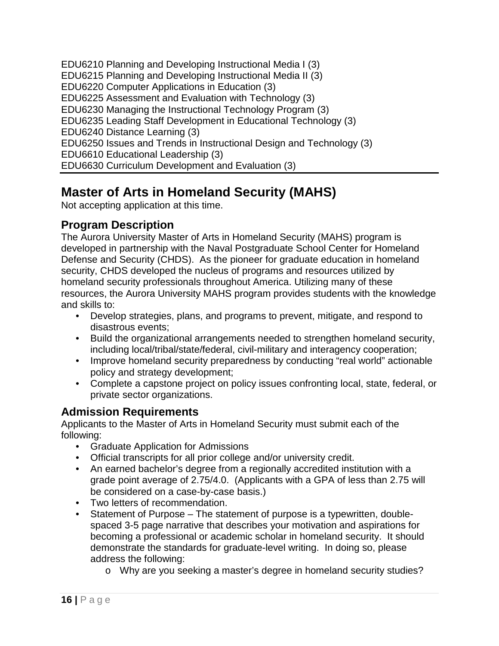EDU6210 Planning and Developing Instructional Media I (3) EDU6215 Planning and Developing Instructional Media II (3) EDU6220 Computer Applications in Education (3) EDU6225 Assessment and Evaluation with Technology (3) EDU6230 Managing the Instructional Technology Program (3) EDU6235 Leading Staff Development in Educational Technology (3) EDU6240 Distance Learning (3) EDU6250 Issues and Trends in Instructional Design and Technology (3) EDU6610 Educational Leadership (3) EDU6630 Curriculum Development and Evaluation (3)

# <span id="page-15-0"></span>**Master of Arts in Homeland Security (MAHS)**

Not accepting application at this time.

### **Program Description**

The Aurora University Master of Arts in Homeland Security (MAHS) program is developed in partnership with the Naval Postgraduate School Center for Homeland Defense and Security (CHDS). As the pioneer for graduate education in homeland security, CHDS developed the nucleus of programs and resources utilized by homeland security professionals throughout America. Utilizing many of these resources, the Aurora University MAHS program provides students with the knowledge and skills to:

- Develop strategies, plans, and programs to prevent, mitigate, and respond to disastrous events;
- Build the organizational arrangements needed to strengthen homeland security, including local/tribal/state/federal, civil-military and interagency cooperation;
- Improve homeland security preparedness by conducting "real world" actionable policy and strategy development;
- Complete a capstone project on policy issues confronting local, state, federal, or private sector organizations.

### **Admission Requirements**

Applicants to the Master of Arts in Homeland Security must submit each of the following:

- Graduate Application for Admissions
- Official transcripts for all prior college and/or university credit.
- An earned bachelor's degree from a regionally accredited institution with a grade point average of 2.75/4.0. (Applicants with a GPA of less than 2.75 will be considered on a case-by-case basis.)
- Two letters of recommendation.
- Statement of Purpose The statement of purpose is a typewritten, doublespaced 3-5 page narrative that describes your motivation and aspirations for becoming a professional or academic scholar in homeland security. It should demonstrate the standards for graduate-level writing. In doing so, please address the following:
	- o Why are you seeking a master's degree in homeland security studies?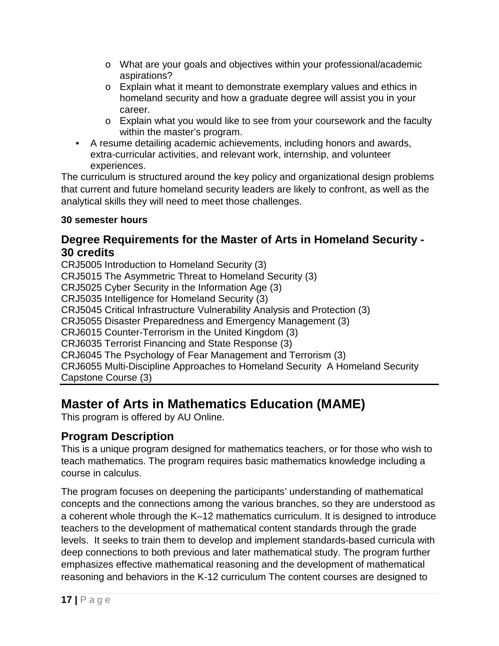- o What are your goals and objectives within your professional/academic aspirations?
- o Explain what it meant to demonstrate exemplary values and ethics in homeland security and how a graduate degree will assist you in your career.
- o Explain what you would like to see from your coursework and the faculty within the master's program.
- A resume detailing academic achievements, including honors and awards, extra-curricular activities, and relevant work, internship, and volunteer experiences.

The curriculum is structured around the key policy and organizational design problems that current and future homeland security leaders are likely to confront, as well as the analytical skills they will need to meet those challenges.

#### **30 semester hours**

#### **Degree Requirements for the Master of Arts in Homeland Security - 30 credits**

CRJ5005 Introduction to Homeland Security (3) CRJ5015 The Asymmetric Threat to Homeland Security (3) CRJ5025 Cyber Security in the Information Age (3) CRJ5035 Intelligence for Homeland Security (3) CRJ5045 Critical Infrastructure Vulnerability Analysis and Protection (3) CRJ5055 Disaster Preparedness and Emergency Management (3) CRJ6015 Counter-Terrorism in the United Kingdom (3) CRJ6035 Terrorist Financing and State Response (3) CRJ6045 The Psychology of Fear Management and Terrorism (3) CRJ6055 Multi-Discipline Approaches to Homeland Security A Homeland Security Capstone Course (3)

# <span id="page-16-0"></span>**Master of Arts in Mathematics Education (MAME)**

This program is offered by AU Online.

### **Program Description**

This is a unique program designed for mathematics teachers, or for those who wish to teach mathematics. The program requires basic mathematics knowledge including a course in calculus.

The program focuses on deepening the participants' understanding of mathematical concepts and the connections among the various branches, so they are understood as a coherent whole through the K–12 mathematics curriculum. It is designed to introduce teachers to the development of mathematical content standards through the grade levels. It seeks to train them to develop and implement standards-based curricula with deep connections to both previous and later mathematical study. The program further emphasizes effective mathematical reasoning and the development of mathematical reasoning and behaviors in the K-12 curriculum The content courses are designed to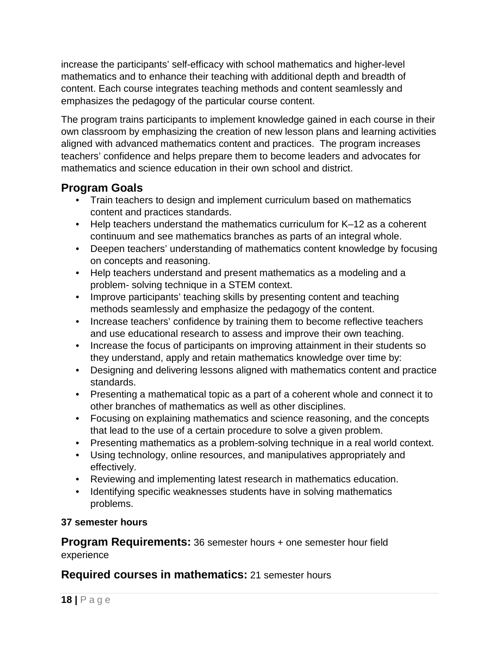increase the participants' self-efficacy with school mathematics and higher-level mathematics and to enhance their teaching with additional depth and breadth of content. Each course integrates teaching methods and content seamlessly and emphasizes the pedagogy of the particular course content.

The program trains participants to implement knowledge gained in each course in their own classroom by emphasizing the creation of new lesson plans and learning activities aligned with advanced mathematics content and practices. The program increases teachers' confidence and helps prepare them to become leaders and advocates for mathematics and science education in their own school and district.

#### **Program Goals**

- Train teachers to design and implement curriculum based on mathematics content and practices standards.
- Help teachers understand the mathematics curriculum for K–12 as a coherent continuum and see mathematics branches as parts of an integral whole.
- Deepen teachers' understanding of mathematics content knowledge by focusing on concepts and reasoning.
- Help teachers understand and present mathematics as a modeling and a problem- solving technique in a STEM context.
- Improve participants' teaching skills by presenting content and teaching methods seamlessly and emphasize the pedagogy of the content.
- Increase teachers' confidence by training them to become reflective teachers and use educational research to assess and improve their own teaching.
- Increase the focus of participants on improving attainment in their students so they understand, apply and retain mathematics knowledge over time by:
- Designing and delivering lessons aligned with mathematics content and practice standards.
- Presenting a mathematical topic as a part of a coherent whole and connect it to other branches of mathematics as well as other disciplines.
- Focusing on explaining mathematics and science reasoning, and the concepts that lead to the use of a certain procedure to solve a given problem.
- Presenting mathematics as a problem-solving technique in a real world context.
- Using technology, online resources, and manipulatives appropriately and effectively.
- Reviewing and implementing latest research in mathematics education.
- Identifying specific weaknesses students have in solving mathematics problems.

#### **37 semester hours**

**Program Requirements:** 36 semester hours + one semester hour field experience

#### **Required courses in mathematics:** 21 semester hours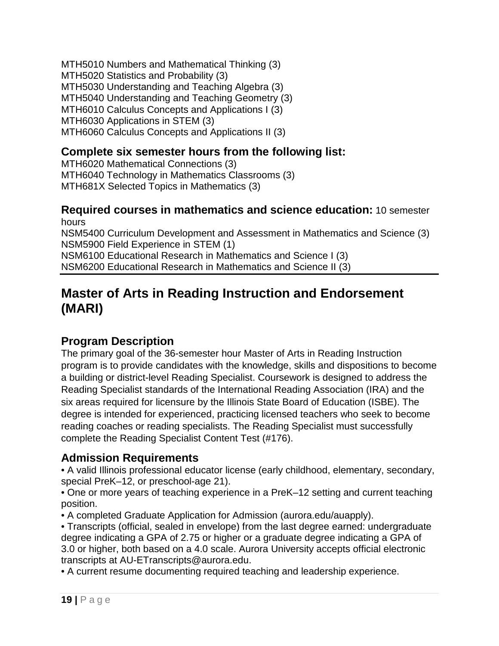MTH5010 Numbers and Mathematical Thinking (3) MTH5020 Statistics and Probability (3) MTH5030 Understanding and Teaching Algebra (3) MTH5040 Understanding and Teaching Geometry (3) MTH6010 Calculus Concepts and Applications I (3) MTH6030 Applications in STEM (3) MTH6060 Calculus Concepts and Applications II (3)

### **Complete six semester hours from the following list:**

MTH6020 Mathematical Connections (3) MTH6040 Technology in Mathematics Classrooms (3) MTH681X Selected Topics in Mathematics (3)

#### **Required courses in mathematics and science education:** 10 semester hours

NSM5400 Curriculum Development and Assessment in Mathematics and Science (3) NSM5900 Field Experience in STEM (1) NSM6100 Educational Research in Mathematics and Science I (3)

NSM6200 Educational Research in Mathematics and Science II (3)

## <span id="page-18-0"></span>**Master of Arts in Reading Instruction and Endorsement (MARI)**

### **Program Description**

The primary goal of the 36-semester hour Master of Arts in Reading Instruction program is to provide candidates with the knowledge, skills and dispositions to become a building or district-level Reading Specialist. Coursework is designed to address the Reading Specialist standards of the International Reading Association (IRA) and the six areas required for licensure by the Illinois State Board of Education (ISBE). The degree is intended for experienced, practicing licensed teachers who seek to become reading coaches or reading specialists. The Reading Specialist must successfully complete the Reading Specialist Content Test (#176).

### **Admission Requirements**

• A valid Illinois professional educator license (early childhood, elementary, secondary, special PreK–12, or preschool-age 21).

• One or more years of teaching experience in a PreK–12 setting and current teaching position.

• A completed Graduate Application for Admission (aurora.edu/auapply).

• Transcripts (official, sealed in envelope) from the last degree earned: undergraduate degree indicating a GPA of 2.75 or higher or a graduate degree indicating a GPA of 3.0 or higher, both based on a 4.0 scale. Aurora University accepts official electronic transcripts at AU-ETranscripts@aurora.edu.

• A current resume documenting required teaching and leadership experience.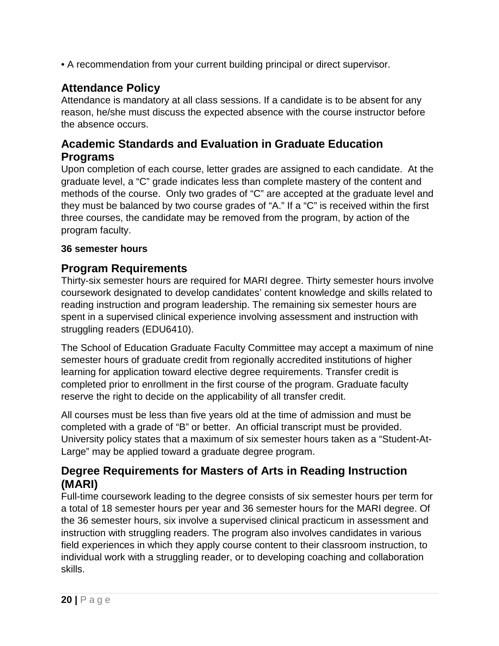• A recommendation from your current building principal or direct supervisor.

### **Attendance Policy**

Attendance is mandatory at all class sessions. If a candidate is to be absent for any reason, he/she must discuss the expected absence with the course instructor before the absence occurs.

#### **Academic Standards and Evaluation in Graduate Education Programs**

Upon completion of each course, letter grades are assigned to each candidate. At the graduate level, a "C" grade indicates less than complete mastery of the content and methods of the course. Only two grades of "C" are accepted at the graduate level and they must be balanced by two course grades of "A." If a "C" is received within the first three courses, the candidate may be removed from the program, by action of the program faculty.

#### **36 semester hours**

#### **Program Requirements**

Thirty-six semester hours are required for MARI degree. Thirty semester hours involve coursework designated to develop candidates' content knowledge and skills related to reading instruction and program leadership. The remaining six semester hours are spent in a supervised clinical experience involving assessment and instruction with struggling readers (EDU6410).

The School of Education Graduate Faculty Committee may accept a maximum of nine semester hours of graduate credit from regionally accredited institutions of higher learning for application toward elective degree requirements. Transfer credit is completed prior to enrollment in the first course of the program. Graduate faculty reserve the right to decide on the applicability of all transfer credit.

All courses must be less than five years old at the time of admission and must be completed with a grade of "B" or better. An official transcript must be provided. University policy states that a maximum of six semester hours taken as a "Student-At-Large" may be applied toward a graduate degree program.

### **Degree Requirements for Masters of Arts in Reading Instruction (MARI)**

Full-time coursework leading to the degree consists of six semester hours per term for a total of 18 semester hours per year and 36 semester hours for the MARI degree. Of the 36 semester hours, six involve a supervised clinical practicum in assessment and instruction with struggling readers. The program also involves candidates in various field experiences in which they apply course content to their classroom instruction, to individual work with a struggling reader, or to developing coaching and collaboration skills.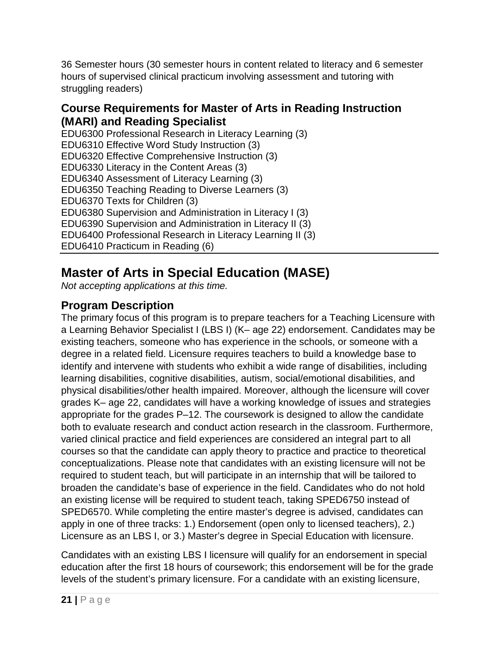36 Semester hours (30 semester hours in content related to literacy and 6 semester hours of supervised clinical practicum involving assessment and tutoring with struggling readers)

#### **Course Requirements for Master of Arts in Reading Instruction (MARI) and Reading Specialist**

EDU6300 Professional Research in Literacy Learning (3) EDU6310 Effective Word Study Instruction (3) EDU6320 Effective Comprehensive Instruction (3) EDU6330 Literacy in the Content Areas (3) EDU6340 Assessment of Literacy Learning (3) EDU6350 Teaching Reading to Diverse Learners (3) EDU6370 Texts for Children (3) EDU6380 Supervision and Administration in Literacy I (3) EDU6390 Supervision and Administration in Literacy II (3) EDU6400 Professional Research in Literacy Learning II (3) EDU6410 Practicum in Reading (6)

# <span id="page-20-0"></span>**Master of Arts in Special Education (MASE)**

*Not accepting applications at this time.*

## **Program Description**

The primary focus of this program is to prepare teachers for a Teaching Licensure with a Learning Behavior Specialist I (LBS I) (K– age 22) endorsement. Candidates may be existing teachers, someone who has experience in the schools, or someone with a degree in a related field. Licensure requires teachers to build a knowledge base to identify and intervene with students who exhibit a wide range of disabilities, including learning disabilities, cognitive disabilities, autism, social/emotional disabilities, and physical disabilities/other health impaired. Moreover, although the licensure will cover grades K– age 22, candidates will have a working knowledge of issues and strategies appropriate for the grades P–12. The coursework is designed to allow the candidate both to evaluate research and conduct action research in the classroom. Furthermore, varied clinical practice and field experiences are considered an integral part to all courses so that the candidate can apply theory to practice and practice to theoretical conceptualizations. Please note that candidates with an existing licensure will not be required to student teach, but will participate in an internship that will be tailored to broaden the candidate's base of experience in the field. Candidates who do not hold an existing license will be required to student teach, taking SPED6750 instead of SPED6570. While completing the entire master's degree is advised, candidates can apply in one of three tracks: 1.) Endorsement (open only to licensed teachers), 2.) Licensure as an LBS I, or 3.) Master's degree in Special Education with licensure.

Candidates with an existing LBS I licensure will qualify for an endorsement in special education after the first 18 hours of coursework; this endorsement will be for the grade levels of the student's primary licensure. For a candidate with an existing licensure,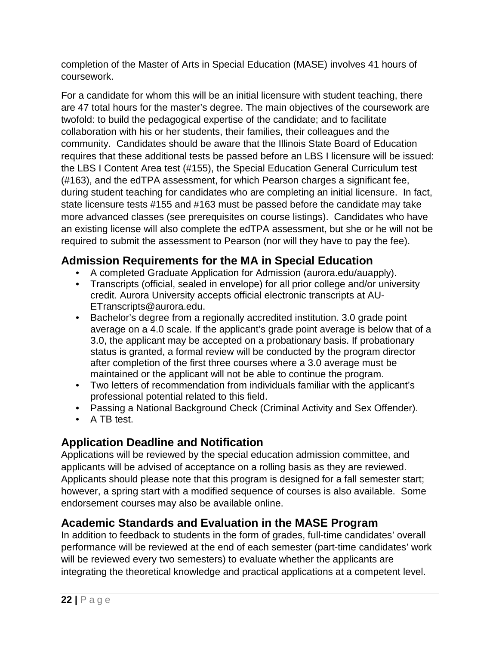completion of the Master of Arts in Special Education (MASE) involves 41 hours of coursework.

For a candidate for whom this will be an initial licensure with student teaching, there are 47 total hours for the master's degree. The main objectives of the coursework are twofold: to build the pedagogical expertise of the candidate; and to facilitate collaboration with his or her students, their families, their colleagues and the community. Candidates should be aware that the Illinois State Board of Education requires that these additional tests be passed before an LBS I licensure will be issued: the LBS I Content Area test (#155), the Special Education General Curriculum test (#163), and the edTPA assessment, for which Pearson charges a significant fee, during student teaching for candidates who are completing an initial licensure. In fact, state licensure tests #155 and #163 must be passed before the candidate may take more advanced classes (see prerequisites on course listings). Candidates who have an existing license will also complete the edTPA assessment, but she or he will not be required to submit the assessment to Pearson (nor will they have to pay the fee).

### **Admission Requirements for the MA in Special Education**

- A completed Graduate Application for Admission (aurora.edu/auapply).
- Transcripts (official, sealed in envelope) for all prior college and/or university credit. Aurora University accepts official electronic transcripts at AU-ETranscripts@aurora.edu.
- Bachelor's degree from a regionally accredited institution. 3.0 grade point average on a 4.0 scale. If the applicant's grade point average is below that of a 3.0, the applicant may be accepted on a probationary basis. If probationary status is granted, a formal review will be conducted by the program director after completion of the first three courses where a 3.0 average must be maintained or the applicant will not be able to continue the program.
- Two letters of recommendation from individuals familiar with the applicant's professional potential related to this field.
- Passing a National Background Check (Criminal Activity and Sex Offender).
- A TB test.

### **Application Deadline and Notification**

Applications will be reviewed by the special education admission committee, and applicants will be advised of acceptance on a rolling basis as they are reviewed. Applicants should please note that this program is designed for a fall semester start; however, a spring start with a modified sequence of courses is also available. Some endorsement courses may also be available online.

### **Academic Standards and Evaluation in the MASE Program**

In addition to feedback to students in the form of grades, full-time candidates' overall performance will be reviewed at the end of each semester (part-time candidates' work will be reviewed every two semesters) to evaluate whether the applicants are integrating the theoretical knowledge and practical applications at a competent level.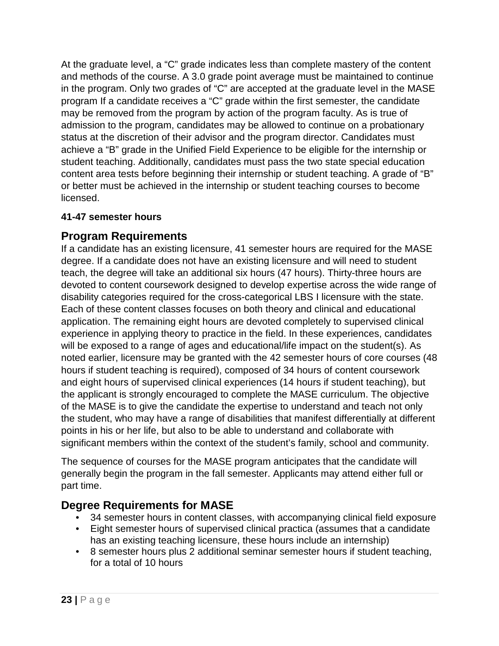At the graduate level, a "C" grade indicates less than complete mastery of the content and methods of the course. A 3.0 grade point average must be maintained to continue in the program. Only two grades of "C" are accepted at the graduate level in the MASE program If a candidate receives a "C" grade within the first semester, the candidate may be removed from the program by action of the program faculty. As is true of admission to the program, candidates may be allowed to continue on a probationary status at the discretion of their advisor and the program director. Candidates must achieve a "B" grade in the Unified Field Experience to be eligible for the internship or student teaching. Additionally, candidates must pass the two state special education content area tests before beginning their internship or student teaching. A grade of "B" or better must be achieved in the internship or student teaching courses to become licensed.

#### **41-47 semester hours**

#### **Program Requirements**

If a candidate has an existing licensure, 41 semester hours are required for the MASE degree. If a candidate does not have an existing licensure and will need to student teach, the degree will take an additional six hours (47 hours). Thirty-three hours are devoted to content coursework designed to develop expertise across the wide range of disability categories required for the cross-categorical LBS I licensure with the state. Each of these content classes focuses on both theory and clinical and educational application. The remaining eight hours are devoted completely to supervised clinical experience in applying theory to practice in the field. In these experiences, candidates will be exposed to a range of ages and educational/life impact on the student(s). As noted earlier, licensure may be granted with the 42 semester hours of core courses (48 hours if student teaching is required), composed of 34 hours of content coursework and eight hours of supervised clinical experiences (14 hours if student teaching), but the applicant is strongly encouraged to complete the MASE curriculum. The objective of the MASE is to give the candidate the expertise to understand and teach not only the student, who may have a range of disabilities that manifest differentially at different points in his or her life, but also to be able to understand and collaborate with significant members within the context of the student's family, school and community.

The sequence of courses for the MASE program anticipates that the candidate will generally begin the program in the fall semester. Applicants may attend either full or part time.

#### **Degree Requirements for MASE**

- 34 semester hours in content classes, with accompanying clinical field exposure
- Eight semester hours of supervised clinical practica (assumes that a candidate has an existing teaching licensure, these hours include an internship)
- 8 semester hours plus 2 additional seminar semester hours if student teaching, for a total of 10 hours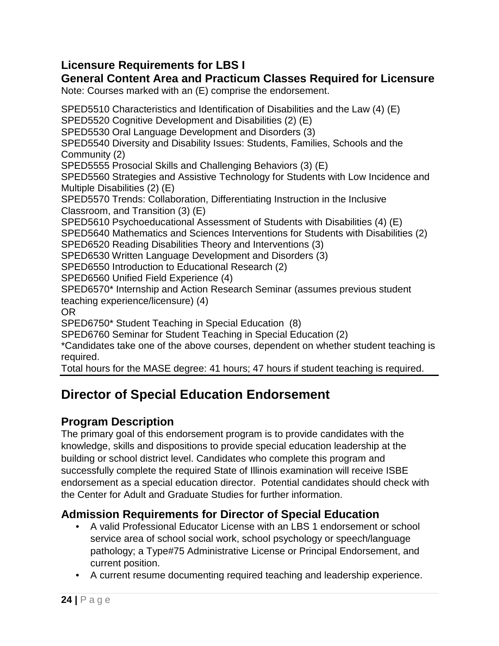### **Licensure Requirements for LBS I**

### **General Content Area and Practicum Classes Required for Licensure**

Note: Courses marked with an (E) comprise the endorsement.

SPED5510 Characteristics and Identification of Disabilities and the Law (4) (E) SPED5520 Cognitive Development and Disabilities (2) (E) SPED5530 Oral Language Development and Disorders (3) SPED5540 Diversity and Disability Issues: Students, Families, Schools and the Community (2) SPED5555 Prosocial Skills and Challenging Behaviors (3) (E) SPED5560 Strategies and Assistive Technology for Students with Low Incidence and Multiple Disabilities (2) (E) SPED5570 Trends: Collaboration, Differentiating Instruction in the Inclusive Classroom, and Transition (3) (E) SPED5610 Psychoeducational Assessment of Students with Disabilities (4) (E) SPED5640 Mathematics and Sciences Interventions for Students with Disabilities (2) SPED6520 Reading Disabilities Theory and Interventions (3) SPED6530 Written Language Development and Disorders (3) SPED6550 Introduction to Educational Research (2) SPED6560 Unified Field Experience (4) SPED6570\* Internship and Action Research Seminar (assumes previous student teaching experience/licensure) (4) OR SPED6750\* Student Teaching in Special Education (8) SPED6760 Seminar for Student Teaching in Special Education (2) \*Candidates take one of the above courses, dependent on whether student teaching is required.

Total hours for the MASE degree: 41 hours; 47 hours if student teaching is required.

# <span id="page-23-0"></span>**Director of Special Education Endorsement**

### **Program Description**

The primary goal of this endorsement program is to provide candidates with the knowledge, skills and dispositions to provide special education leadership at the building or school district level. Candidates who complete this program and successfully complete the required State of Illinois examination will receive ISBE endorsement as a special education director. Potential candidates should check with the Center for Adult and Graduate Studies for further information.

### **Admission Requirements for Director of Special Education**

- A valid Professional Educator License with an LBS 1 endorsement or school service area of school social work, school psychology or speech/language pathology; a Type#75 Administrative License or Principal Endorsement, and current position.
- A current resume documenting required teaching and leadership experience.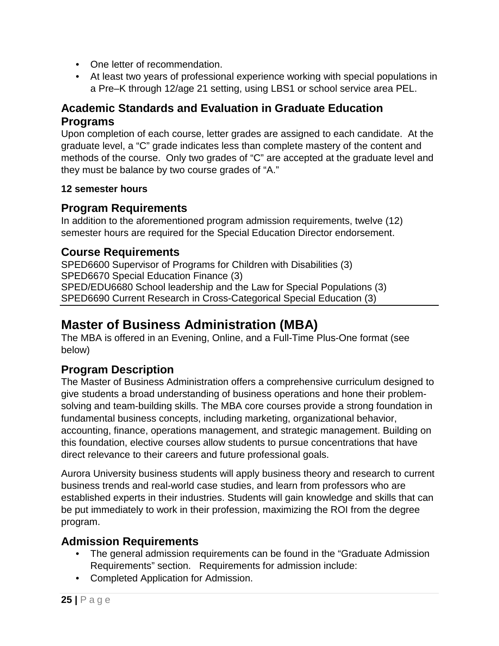- One letter of recommendation.
- At least two years of professional experience working with special populations in a Pre–K through 12/age 21 setting, using LBS1 or school service area PEL.

### **Academic Standards and Evaluation in Graduate Education Programs**

Upon completion of each course, letter grades are assigned to each candidate. At the graduate level, a "C" grade indicates less than complete mastery of the content and methods of the course. Only two grades of "C" are accepted at the graduate level and they must be balance by two course grades of "A."

#### **12 semester hours**

### **Program Requirements**

In addition to the aforementioned program admission requirements, twelve (12) semester hours are required for the Special Education Director endorsement.

### **Course Requirements**

SPED6600 Supervisor of Programs for Children with Disabilities (3) SPED6670 Special Education Finance (3) SPED/EDU6680 School leadership and the Law for Special Populations (3) SPED6690 Current Research in Cross-Categorical Special Education (3)

# <span id="page-24-0"></span>**Master of Business Administration (MBA)**

The MBA is offered in an Evening, Online, and a Full-Time Plus-One format (see below)

### **Program Description**

The Master of Business Administration offers a comprehensive curriculum designed to give students a broad understanding of business operations and hone their problemsolving and team-building skills. The MBA core courses provide a strong foundation in fundamental business concepts, including marketing, organizational behavior, accounting, finance, operations management, and strategic management. Building on this foundation, elective courses allow students to pursue concentrations that have direct relevance to their careers and future professional goals.

Aurora University business students will apply business theory and research to current business trends and real-world case studies, and learn from professors who are established experts in their industries. Students will gain knowledge and skills that can be put immediately to work in their profession, maximizing the ROI from the degree program.

### **Admission Requirements**

- The general admission requirements can be found in the "Graduate Admission Requirements" section. Requirements for admission include:
- Completed Application for Admission.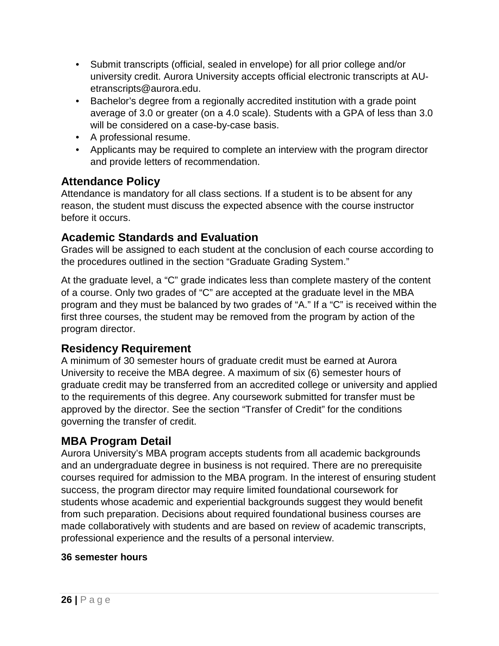- Submit transcripts (official, sealed in envelope) for all prior college and/or university credit. Aurora University accepts official electronic transcripts at AUetranscripts@aurora.edu.
- Bachelor's degree from a regionally accredited institution with a grade point average of 3.0 or greater (on a 4.0 scale). Students with a GPA of less than 3.0 will be considered on a case-by-case basis.
- A professional resume.
- Applicants may be required to complete an interview with the program director and provide letters of recommendation.

### **Attendance Policy**

Attendance is mandatory for all class sections. If a student is to be absent for any reason, the student must discuss the expected absence with the course instructor before it occurs.

### **Academic Standards and Evaluation**

Grades will be assigned to each student at the conclusion of each course according to the procedures outlined in the section "Graduate Grading System."

At the graduate level, a "C" grade indicates less than complete mastery of the content of a course. Only two grades of "C" are accepted at the graduate level in the MBA program and they must be balanced by two grades of "A." If a "C" is received within the first three courses, the student may be removed from the program by action of the program director.

### **Residency Requirement**

A minimum of 30 semester hours of graduate credit must be earned at Aurora University to receive the MBA degree. A maximum of six (6) semester hours of graduate credit may be transferred from an accredited college or university and applied to the requirements of this degree. Any coursework submitted for transfer must be approved by the director. See the section "Transfer of Credit" for the conditions governing the transfer of credit.

### **MBA Program Detail**

Aurora University's MBA program accepts students from all academic backgrounds and an undergraduate degree in business is not required. There are no prerequisite courses required for admission to the MBA program. In the interest of ensuring student success, the program director may require limited foundational coursework for students whose academic and experiential backgrounds suggest they would benefit from such preparation. Decisions about required foundational business courses are made collaboratively with students and are based on review of academic transcripts, professional experience and the results of a personal interview.

#### **36 semester hours**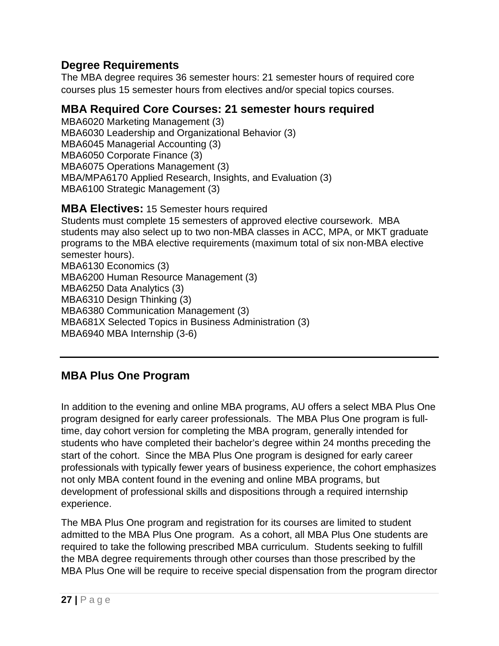#### **Degree Requirements**

The MBA degree requires 36 semester hours: 21 semester hours of required core courses plus 15 semester hours from electives and/or special topics courses.

#### **MBA Required Core Courses: 21 semester hours required**

MBA6020 Marketing Management (3) MBA6030 Leadership and Organizational Behavior (3) MBA6045 Managerial Accounting (3) MBA6050 Corporate Finance (3) MBA6075 Operations Management (3) MBA/MPA6170 Applied Research, Insights, and Evaluation (3) MBA6100 Strategic Management (3)

**MBA Electives:** 15 Semester hours required

Students must complete 15 semesters of approved elective coursework. MBA students may also select up to two non-MBA classes in ACC, MPA, or MKT graduate programs to the MBA elective requirements (maximum total of six non-MBA elective semester hours). MBA6130 Economics (3) MBA6200 Human Resource Management (3) MBA6250 Data Analytics (3) MBA6310 Design Thinking (3) MBA6380 Communication Management (3) MBA681X Selected Topics in Business Administration (3) MBA6940 MBA Internship (3-6)

### **MBA Plus One Program**

In addition to the evening and online MBA programs, AU offers a select MBA Plus One program designed for early career professionals. The MBA Plus One program is fulltime, day cohort version for completing the MBA program, generally intended for students who have completed their bachelor's degree within 24 months preceding the start of the cohort. Since the MBA Plus One program is designed for early career professionals with typically fewer years of business experience, the cohort emphasizes not only MBA content found in the evening and online MBA programs, but development of professional skills and dispositions through a required internship experience.

The MBA Plus One program and registration for its courses are limited to student admitted to the MBA Plus One program. As a cohort, all MBA Plus One students are required to take the following prescribed MBA curriculum. Students seeking to fulfill the MBA degree requirements through other courses than those prescribed by the MBA Plus One will be require to receive special dispensation from the program director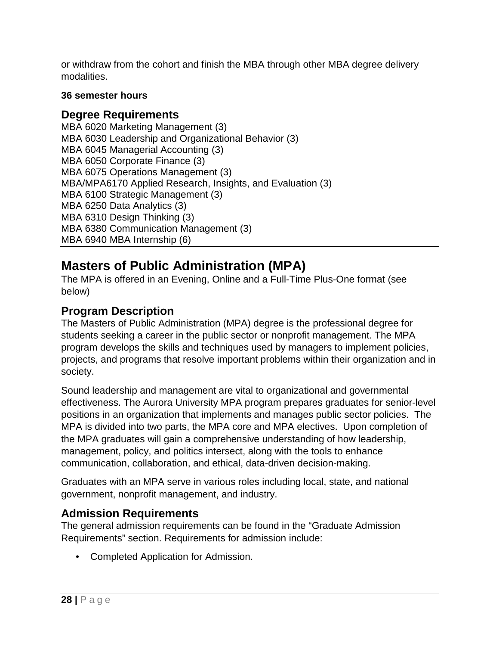or withdraw from the cohort and finish the MBA through other MBA degree delivery modalities.

#### **36 semester hours**

#### **Degree Requirements**

MBA 6020 Marketing Management (3) MBA 6030 Leadership and Organizational Behavior (3) MBA 6045 Managerial Accounting (3) MBA 6050 Corporate Finance (3) MBA 6075 Operations Management (3) MBA/MPA6170 Applied Research, Insights, and Evaluation (3) MBA 6100 Strategic Management (3) MBA 6250 Data Analytics (3) MBA 6310 Design Thinking (3) MBA 6380 Communication Management (3) MBA 6940 MBA Internship (6)

# <span id="page-27-0"></span>**Masters of Public Administration (MPA)**

The MPA is offered in an Evening, Online and a Full-Time Plus-One format (see below)

#### **Program Description**

The Masters of Public Administration (MPA) degree is the professional degree for students seeking a career in the public sector or nonprofit management. The MPA program develops the skills and techniques used by managers to implement policies, projects, and programs that resolve important problems within their organization and in society.

Sound leadership and management are vital to organizational and governmental effectiveness. The Aurora University MPA program prepares graduates for senior-level positions in an organization that implements and manages public sector policies. The MPA is divided into two parts, the MPA core and MPA electives. Upon completion of the MPA graduates will gain a comprehensive understanding of how leadership, management, policy, and politics intersect, along with the tools to enhance communication, collaboration, and ethical, data-driven decision-making.

Graduates with an MPA serve in various roles including local, state, and national government, nonprofit management, and industry.

#### **Admission Requirements**

The general admission requirements can be found in the "Graduate Admission Requirements" section. Requirements for admission include:

• Completed Application for Admission.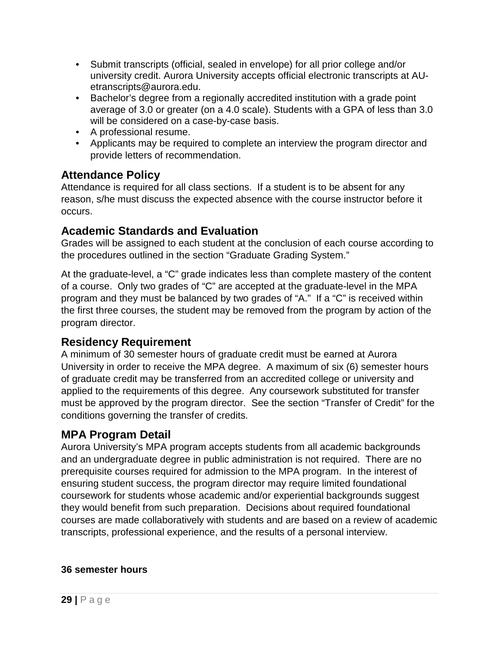- Submit transcripts (official, sealed in envelope) for all prior college and/or university credit. Aurora University accepts official electronic transcripts at AUetranscripts@aurora.edu.
- Bachelor's degree from a regionally accredited institution with a grade point average of 3.0 or greater (on a 4.0 scale). Students with a GPA of less than 3.0 will be considered on a case-by-case basis.
- A professional resume.
- Applicants may be required to complete an interview the program director and provide letters of recommendation.

#### **Attendance Policy**

Attendance is required for all class sections. If a student is to be absent for any reason, s/he must discuss the expected absence with the course instructor before it occurs.

#### **Academic Standards and Evaluation**

Grades will be assigned to each student at the conclusion of each course according to the procedures outlined in the section "Graduate Grading System."

At the graduate-level, a "C" grade indicates less than complete mastery of the content of a course. Only two grades of "C" are accepted at the graduate-level in the MPA program and they must be balanced by two grades of "A." If a "C" is received within the first three courses, the student may be removed from the program by action of the program director.

### **Residency Requirement**

A minimum of 30 semester hours of graduate credit must be earned at Aurora University in order to receive the MPA degree. A maximum of six (6) semester hours of graduate credit may be transferred from an accredited college or university and applied to the requirements of this degree. Any coursework substituted for transfer must be approved by the program director. See the section "Transfer of Credit" for the conditions governing the transfer of credits.

#### **MPA Program Detail**

Aurora University's MPA program accepts students from all academic backgrounds and an undergraduate degree in public administration is not required. There are no prerequisite courses required for admission to the MPA program. In the interest of ensuring student success, the program director may require limited foundational coursework for students whose academic and/or experiential backgrounds suggest they would benefit from such preparation. Decisions about required foundational courses are made collaboratively with students and are based on a review of academic transcripts, professional experience, and the results of a personal interview.

#### **36 semester hours**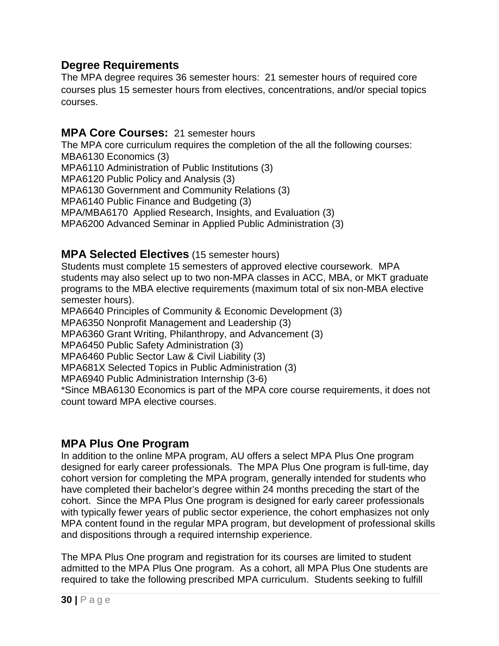#### **Degree Requirements**

The MPA degree requires 36 semester hours: 21 semester hours of required core courses plus 15 semester hours from electives, concentrations, and/or special topics courses.

#### **MPA Core Courses:** 21 semester hours

The MPA core curriculum requires the completion of the all the following courses: MBA6130 Economics (3) MPA6110 Administration of Public Institutions (3) MPA6120 Public Policy and Analysis (3) MPA6130 Government and Community Relations (3) MPA6140 Public Finance and Budgeting (3) MPA/MBA6170 Applied Research, Insights, and Evaluation (3) MPA6200 Advanced Seminar in Applied Public Administration (3)

#### **MPA Selected Electives** (15 semester hours)

Students must complete 15 semesters of approved elective coursework. MPA students may also select up to two non-MPA classes in ACC, MBA, or MKT graduate programs to the MBA elective requirements (maximum total of six non-MBA elective semester hours).

MPA6640 Principles of Community & Economic Development (3)

MPA6350 Nonprofit Management and Leadership (3)

MPA6360 Grant Writing, Philanthropy, and Advancement (3)

MPA6450 Public Safety Administration (3)

MPA6460 Public Sector Law & Civil Liability (3)

MPA681X Selected Topics in Public Administration (3)

MPA6940 Public Administration Internship (3-6)

\*Since MBA6130 Economics is part of the MPA core course requirements, it does not count toward MPA elective courses.

#### **MPA Plus One Program**

In addition to the online MPA program, AU offers a select MPA Plus One program designed for early career professionals. The MPA Plus One program is full-time, day cohort version for completing the MPA program, generally intended for students who have completed their bachelor's degree within 24 months preceding the start of the cohort. Since the MPA Plus One program is designed for early career professionals with typically fewer years of public sector experience, the cohort emphasizes not only MPA content found in the regular MPA program, but development of professional skills and dispositions through a required internship experience.

The MPA Plus One program and registration for its courses are limited to student admitted to the MPA Plus One program. As a cohort, all MPA Plus One students are required to take the following prescribed MPA curriculum. Students seeking to fulfill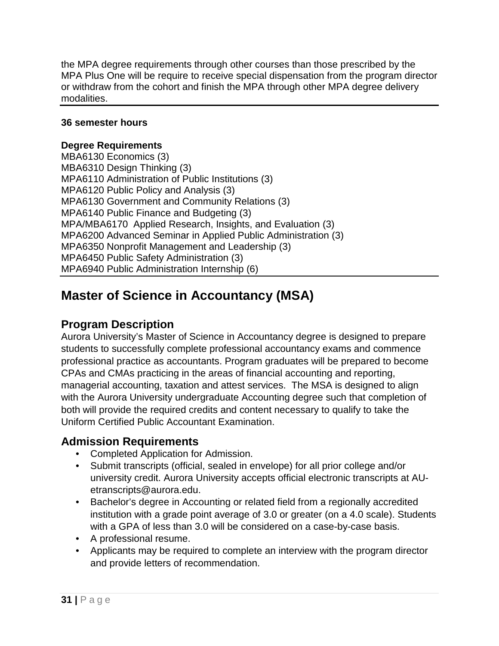the MPA degree requirements through other courses than those prescribed by the MPA Plus One will be require to receive special dispensation from the program director or withdraw from the cohort and finish the MPA through other MPA degree delivery modalities.

#### **36 semester hours**

#### **Degree Requirements**

MBA6130 Economics (3) MBA6310 Design Thinking (3) MPA6110 Administration of Public Institutions (3) MPA6120 Public Policy and Analysis (3) MPA6130 Government and Community Relations (3) MPA6140 Public Finance and Budgeting (3) MPA/MBA6170 Applied Research, Insights, and Evaluation (3) MPA6200 Advanced Seminar in Applied Public Administration (3) MPA6350 Nonprofit Management and Leadership (3) MPA6450 Public Safety Administration (3) MPA6940 Public Administration Internship (6)

# <span id="page-30-0"></span>**Master of Science in Accountancy (MSA)**

#### **Program Description**

Aurora University's Master of Science in Accountancy degree is designed to prepare students to successfully complete professional accountancy exams and commence professional practice as accountants. Program graduates will be prepared to become CPAs and CMAs practicing in the areas of financial accounting and reporting, managerial accounting, taxation and attest services. The MSA is designed to align with the Aurora University undergraduate Accounting degree such that completion of both will provide the required credits and content necessary to qualify to take the Uniform Certified Public Accountant Examination.

#### **Admission Requirements**

- Completed Application for Admission.
- Submit transcripts (official, sealed in envelope) for all prior college and/or university credit. Aurora University accepts official electronic transcripts at AUetranscripts@aurora.edu.
- Bachelor's degree in Accounting or related field from a regionally accredited institution with a grade point average of 3.0 or greater (on a 4.0 scale). Students with a GPA of less than 3.0 will be considered on a case-by-case basis.
- A professional resume.
- Applicants may be required to complete an interview with the program director and provide letters of recommendation.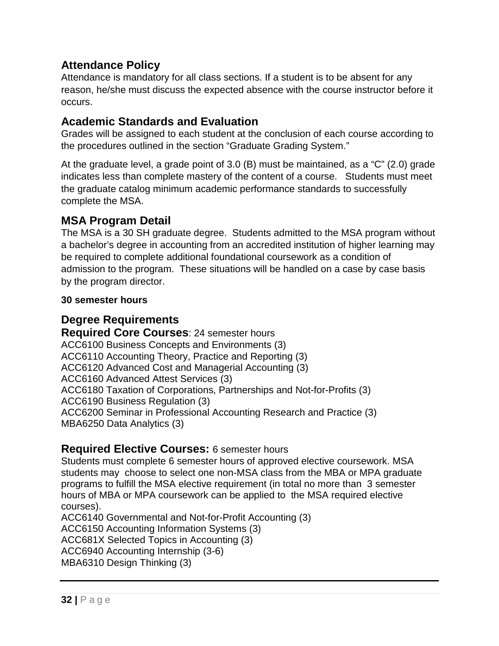### **Attendance Policy**

Attendance is mandatory for all class sections. If a student is to be absent for any reason, he/she must discuss the expected absence with the course instructor before it occurs.

#### **Academic Standards and Evaluation**

Grades will be assigned to each student at the conclusion of each course according to the procedures outlined in the section "Graduate Grading System."

At the graduate level, a grade point of 3.0 (B) must be maintained, as a "C" (2.0) grade indicates less than complete mastery of the content of a course. Students must meet the graduate catalog minimum academic performance standards to successfully complete the MSA.

### **MSA Program Detail**

The MSA is a 30 SH graduate degree. Students admitted to the MSA program without a bachelor's degree in accounting from an accredited institution of higher learning may be required to complete additional foundational coursework as a condition of admission to the program. These situations will be handled on a case by case basis by the program director.

#### **30 semester hours**

### **Degree Requirements**

**Required Core Courses**: 24 semester hours ACC6100 Business Concepts and Environments (3) ACC6110 Accounting Theory, Practice and Reporting (3) ACC6120 Advanced Cost and Managerial Accounting (3) ACC6160 Advanced Attest Services (3) ACC6180 Taxation of Corporations, Partnerships and Not-for-Profits (3) ACC6190 Business Regulation (3) ACC6200 Seminar in Professional Accounting Research and Practice (3) MBA6250 Data Analytics (3)

#### **Required Elective Courses:** 6 semester hours

Students must complete 6 semester hours of approved elective coursework. MSA students may choose to select one non-MSA class from the MBA or MPA graduate programs to fulfill the MSA elective requirement (in total no more than 3 semester hours of MBA or MPA coursework can be applied to the MSA required elective courses).

ACC6140 Governmental and Not-for-Profit Accounting (3) ACC6150 Accounting Information Systems (3) ACC681X Selected Topics in Accounting (3) ACC6940 Accounting Internship (3-6) MBA6310 Design Thinking (3)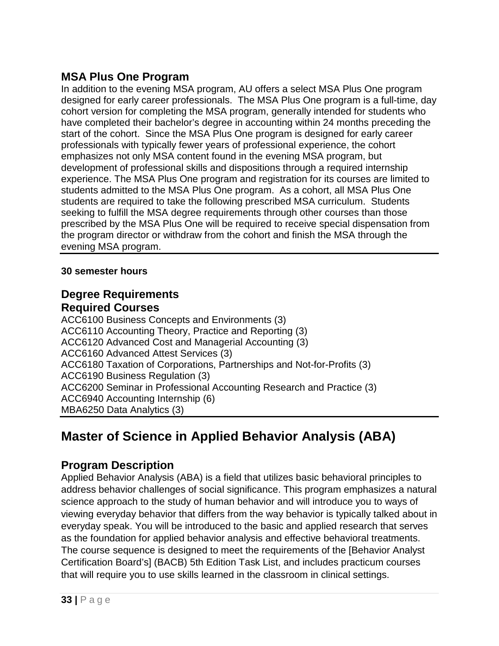### **MSA Plus One Program**

In addition to the evening MSA program, AU offers a select MSA Plus One program designed for early career professionals. The MSA Plus One program is a full-time, day cohort version for completing the MSA program, generally intended for students who have completed their bachelor's degree in accounting within 24 months preceding the start of the cohort. Since the MSA Plus One program is designed for early career professionals with typically fewer years of professional experience, the cohort emphasizes not only MSA content found in the evening MSA program, but development of professional skills and dispositions through a required internship experience. The MSA Plus One program and registration for its courses are limited to students admitted to the MSA Plus One program. As a cohort, all MSA Plus One students are required to take the following prescribed MSA curriculum. Students seeking to fulfill the MSA degree requirements through other courses than those prescribed by the MSA Plus One will be required to receive special dispensation from the program director or withdraw from the cohort and finish the MSA through the evening MSA program.

#### **30 semester hours**

### **Degree Requirements Required Courses**

ACC6100 Business Concepts and Environments (3) ACC6110 Accounting Theory, Practice and Reporting (3) ACC6120 Advanced Cost and Managerial Accounting (3) ACC6160 Advanced Attest Services (3) ACC6180 Taxation of Corporations, Partnerships and Not-for-Profits (3) ACC6190 Business Regulation (3) ACC6200 Seminar in Professional Accounting Research and Practice (3) ACC6940 Accounting Internship (6) MBA6250 Data Analytics (3)

# <span id="page-32-0"></span>**Master of Science in Applied Behavior Analysis (ABA)**

### **Program Description**

Applied Behavior Analysis (ABA) is a field that utilizes basic behavioral principles to address behavior challenges of social significance. This program emphasizes a natural science approach to the study of human behavior and will introduce you to ways of viewing everyday behavior that differs from the way behavior is typically talked about in everyday speak. You will be introduced to the basic and applied research that serves as the foundation for applied behavior analysis and effective behavioral treatments. The course sequence is designed to meet the requirements of the [Behavior Analyst Certification Board's] (BACB) 5th Edition Task List, and includes practicum courses that will require you to use skills learned in the classroom in clinical settings.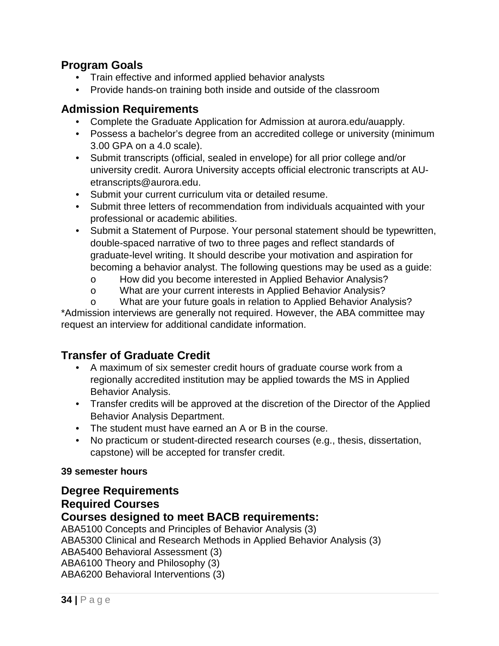#### **Program Goals**

- Train effective and informed applied behavior analysts
- Provide hands-on training both inside and outside of the classroom

#### **Admission Requirements**

- Complete the Graduate Application for Admission at aurora.edu/auapply.
- Possess a bachelor's degree from an accredited college or university (minimum 3.00 GPA on a 4.0 scale).
- Submit transcripts (official, sealed in envelope) for all prior college and/or university credit. Aurora University accepts official electronic transcripts at AUetranscripts@aurora.edu.
- Submit your current curriculum vita or detailed resume.
- Submit three letters of recommendation from individuals acquainted with your professional or academic abilities.
- Submit a Statement of Purpose. Your personal statement should be typewritten, double-spaced narrative of two to three pages and reflect standards of graduate-level writing. It should describe your motivation and aspiration for becoming a behavior analyst. The following questions may be used as a guide:
	- o How did you become interested in Applied Behavior Analysis?
	- o What are your current interests in Applied Behavior Analysis?

o What are your future goals in relation to Applied Behavior Analysis? \*Admission interviews are generally not required. However, the ABA committee may request an interview for additional candidate information.

### **Transfer of Graduate Credit**

- A maximum of six semester credit hours of graduate course work from a regionally accredited institution may be applied towards the MS in Applied Behavior Analysis.
- Transfer credits will be approved at the discretion of the Director of the Applied Behavior Analysis Department.
- The student must have earned an A or B in the course.
- No practicum or student-directed research courses (e.g., thesis, dissertation, capstone) will be accepted for transfer credit.

#### **39 semester hours**

### **Degree Requirements Required Courses**

#### **Courses designed to meet BACB requirements:**

ABA5100 Concepts and Principles of Behavior Analysis (3) ABA5300 Clinical and Research Methods in Applied Behavior Analysis (3) ABA5400 Behavioral Assessment (3) ABA6100 Theory and Philosophy (3) ABA6200 Behavioral Interventions (3)

**34 |** Page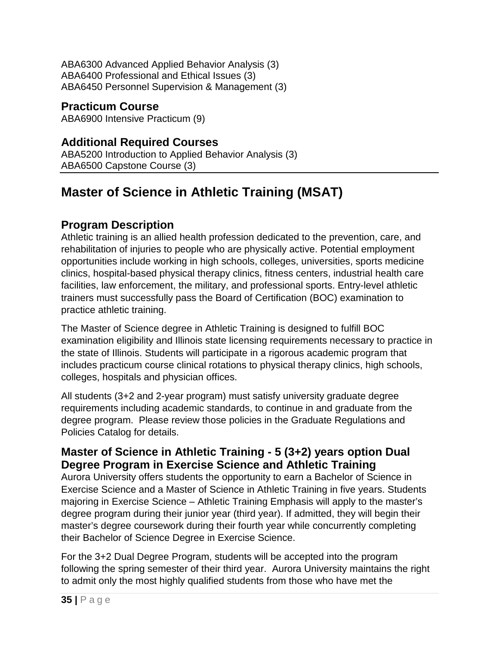ABA6300 Advanced Applied Behavior Analysis (3) ABA6400 Professional and Ethical Issues (3) ABA6450 Personnel Supervision & Management (3)

**Practicum Course** ABA6900 Intensive Practicum (9)

### **Additional Required Courses**

ABA5200 Introduction to Applied Behavior Analysis (3) ABA6500 Capstone Course (3)

# <span id="page-34-0"></span>**Master of Science in Athletic Training (MSAT)**

### **Program Description**

Athletic training is an allied health profession dedicated to the prevention, care, and rehabilitation of injuries to people who are physically active. Potential employment opportunities include working in high schools, colleges, universities, sports medicine clinics, hospital-based physical therapy clinics, fitness centers, industrial health care facilities, law enforcement, the military, and professional sports. Entry-level athletic trainers must successfully pass the Board of Certification (BOC) examination to practice athletic training.

The Master of Science degree in Athletic Training is designed to fulfill BOC examination eligibility and Illinois state licensing requirements necessary to practice in the state of Illinois. Students will participate in a rigorous academic program that includes practicum course clinical rotations to physical therapy clinics, high schools, colleges, hospitals and physician offices.

All students (3+2 and 2-year program) must satisfy university graduate degree requirements including academic standards, to continue in and graduate from the degree program. Please review those policies in the Graduate Regulations and Policies Catalog for details.

#### **Master of Science in Athletic Training - 5 (3+2) years option Dual Degree Program in Exercise Science and Athletic Training**

Aurora University offers students the opportunity to earn a Bachelor of Science in Exercise Science and a Master of Science in Athletic Training in five years. Students majoring in Exercise Science – Athletic Training Emphasis will apply to the master's degree program during their junior year (third year). If admitted, they will begin their master's degree coursework during their fourth year while concurrently completing their Bachelor of Science Degree in Exercise Science.

For the 3+2 Dual Degree Program, students will be accepted into the program following the spring semester of their third year. Aurora University maintains the right to admit only the most highly qualified students from those who have met the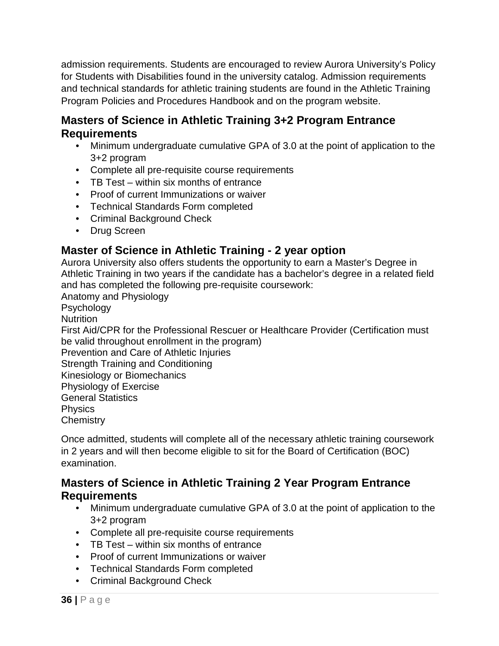admission requirements. Students are encouraged to review Aurora University's Policy for Students with Disabilities found in the university catalog. Admission requirements and technical standards for athletic training students are found in the Athletic Training Program Policies and Procedures Handbook and on the program website.

### **Masters of Science in Athletic Training 3+2 Program Entrance Requirements**

- Minimum undergraduate cumulative GPA of 3.0 at the point of application to the 3+2 program
- Complete all pre-requisite course requirements
- TB Test within six months of entrance
- Proof of current Immunizations or waiver
- Technical Standards Form completed
- Criminal Background Check
- Drug Screen

### **Master of Science in Athletic Training - 2 year option**

Aurora University also offers students the opportunity to earn a Master's Degree in Athletic Training in two years if the candidate has a bachelor's degree in a related field and has completed the following pre-requisite coursework:

Anatomy and Physiology

**Psychology** 

**Nutrition** 

First Aid/CPR for the Professional Rescuer or Healthcare Provider (Certification must be valid throughout enrollment in the program)

Prevention and Care of Athletic Injuries

Strength Training and Conditioning

Kinesiology or Biomechanics

Physiology of Exercise

General Statistics

**Physics** 

**Chemistry** 

Once admitted, students will complete all of the necessary athletic training coursework in 2 years and will then become eligible to sit for the Board of Certification (BOC) examination.

#### **Masters of Science in Athletic Training 2 Year Program Entrance Requirements**

- Minimum undergraduate cumulative GPA of 3.0 at the point of application to the 3+2 program
- Complete all pre-requisite course requirements
- TB Test within six months of entrance
- Proof of current Immunizations or waiver
- Technical Standards Form completed
- Criminal Background Check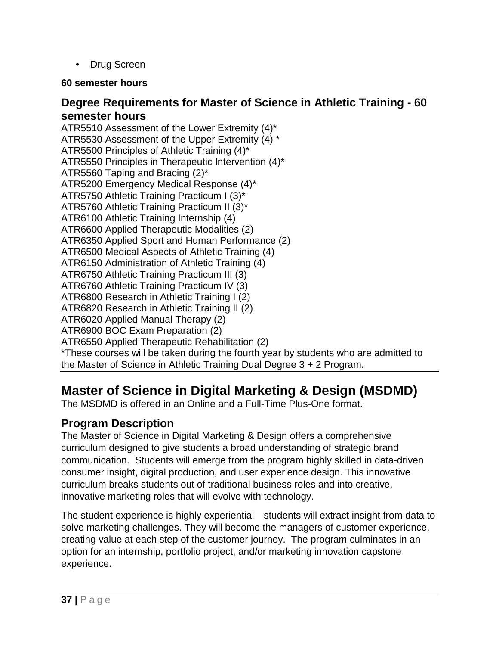• Drug Screen

### **60 semester hours**

## **Degree Requirements for Master of Science in Athletic Training - 60 semester hours**

ATR5510 Assessment of the Lower Extremity (4)\* ATR5530 Assessment of the Upper Extremity (4) \* ATR5500 Principles of Athletic Training (4)\* ATR5550 Principles in Therapeutic Intervention (4)\* ATR5560 Taping and Bracing (2)\* ATR5200 Emergency Medical Response (4)\* ATR5750 Athletic Training Practicum I (3)\* ATR5760 Athletic Training Practicum II (3)\* ATR6100 Athletic Training Internship (4) ATR6600 Applied Therapeutic Modalities (2) ATR6350 Applied Sport and Human Performance (2) ATR6500 Medical Aspects of Athletic Training (4) ATR6150 Administration of Athletic Training (4) ATR6750 Athletic Training Practicum III (3) ATR6760 Athletic Training Practicum IV (3) ATR6800 Research in Athletic Training I (2) ATR6820 Research in Athletic Training II (2) ATR6020 Applied Manual Therapy (2) ATR6900 BOC Exam Preparation (2) ATR6550 Applied Therapeutic Rehabilitation (2) \*These courses will be taken during the fourth year by students who are admitted to the Master of Science in Athletic Training Dual Degree 3 + 2 Program.

# **Master of Science in Digital Marketing & Design (MSDMD)**

The MSDMD is offered in an Online and a Full-Time Plus-One format.

# **Program Description**

The Master of Science in Digital Marketing & Design offers a comprehensive curriculum designed to give students a broad understanding of strategic brand communication. Students will emerge from the program highly skilled in data-driven consumer insight, digital production, and user experience design. This innovative curriculum breaks students out of traditional business roles and into creative, innovative marketing roles that will evolve with technology.

The student experience is highly experiential—students will extract insight from data to solve marketing challenges. They will become the managers of customer experience, creating value at each step of the customer journey. The program culminates in an option for an internship, portfolio project, and/or marketing innovation capstone experience.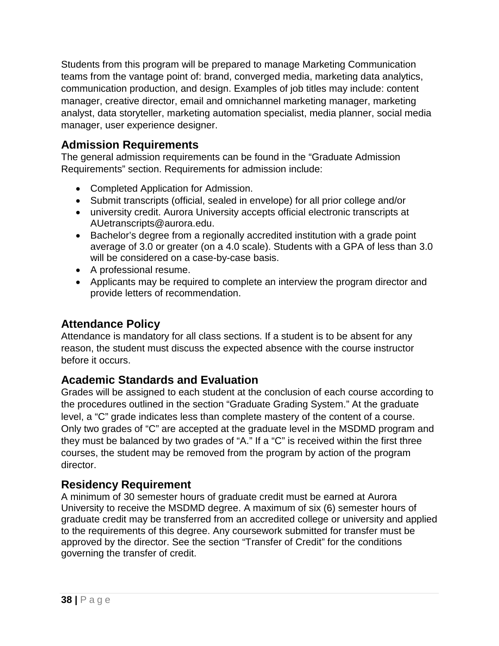Students from this program will be prepared to manage Marketing Communication teams from the vantage point of: brand, converged media, marketing data analytics, communication production, and design. Examples of job titles may include: content manager, creative director, email and omnichannel marketing manager, marketing analyst, data storyteller, marketing automation specialist, media planner, social media manager, user experience designer.

# **Admission Requirements**

The general admission requirements can be found in the "Graduate Admission Requirements" section. Requirements for admission include:

- Completed Application for Admission.
- Submit transcripts (official, sealed in envelope) for all prior college and/or
- university credit. Aurora University accepts official electronic transcripts at AUetranscripts@aurora.edu.
- Bachelor's degree from a regionally accredited institution with a grade point average of 3.0 or greater (on a 4.0 scale). Students with a GPA of less than 3.0 will be considered on a case-by-case basis.
- A professional resume.
- Applicants may be required to complete an interview the program director and provide letters of recommendation.

## **Attendance Policy**

Attendance is mandatory for all class sections. If a student is to be absent for any reason, the student must discuss the expected absence with the course instructor before it occurs.

## **Academic Standards and Evaluation**

Grades will be assigned to each student at the conclusion of each course according to the procedures outlined in the section "Graduate Grading System." At the graduate level, a "C" grade indicates less than complete mastery of the content of a course. Only two grades of "C" are accepted at the graduate level in the MSDMD program and they must be balanced by two grades of "A." If a "C" is received within the first three courses, the student may be removed from the program by action of the program director.

## **Residency Requirement**

A minimum of 30 semester hours of graduate credit must be earned at Aurora University to receive the MSDMD degree. A maximum of six (6) semester hours of graduate credit may be transferred from an accredited college or university and applied to the requirements of this degree. Any coursework submitted for transfer must be approved by the director. See the section "Transfer of Credit" for the conditions governing the transfer of credit.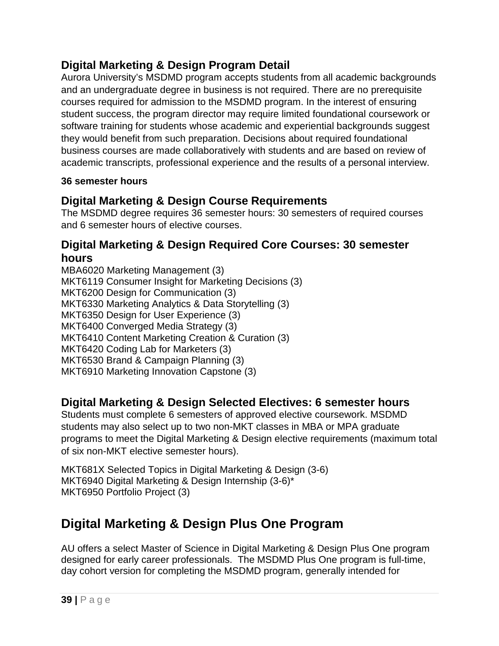# **Digital Marketing & Design Program Detail**

Aurora University's MSDMD program accepts students from all academic backgrounds and an undergraduate degree in business is not required. There are no prerequisite courses required for admission to the MSDMD program. In the interest of ensuring student success, the program director may require limited foundational coursework or software training for students whose academic and experiential backgrounds suggest they would benefit from such preparation. Decisions about required foundational business courses are made collaboratively with students and are based on review of academic transcripts, professional experience and the results of a personal interview.

#### **36 semester hours**

# **Digital Marketing & Design Course Requirements**

The MSDMD degree requires 36 semester hours: 30 semesters of required courses and 6 semester hours of elective courses.

## **Digital Marketing & Design Required Core Courses: 30 semester hours**

MBA6020 Marketing Management (3) MKT6119 Consumer Insight for Marketing Decisions (3) MKT6200 Design for Communication (3) MKT6330 Marketing Analytics & Data Storytelling (3) MKT6350 Design for User Experience (3) MKT6400 Converged Media Strategy (3) MKT6410 Content Marketing Creation & Curation (3) MKT6420 Coding Lab for Marketers (3) MKT6530 Brand & Campaign Planning (3) MKT6910 Marketing Innovation Capstone (3)

# **Digital Marketing & Design Selected Electives: 6 semester hours**

Students must complete 6 semesters of approved elective coursework. MSDMD students may also select up to two non-MKT classes in MBA or MPA graduate programs to meet the Digital Marketing & Design elective requirements (maximum total of six non-MKT elective semester hours).

MKT681X Selected Topics in Digital Marketing & Design (3-6) MKT6940 Digital Marketing & Design Internship (3-6)\* MKT6950 Portfolio Project (3)

# **Digital Marketing & Design Plus One Program**

AU offers a select Master of Science in Digital Marketing & Design Plus One program designed for early career professionals. The MSDMD Plus One program is full-time, day cohort version for completing the MSDMD program, generally intended for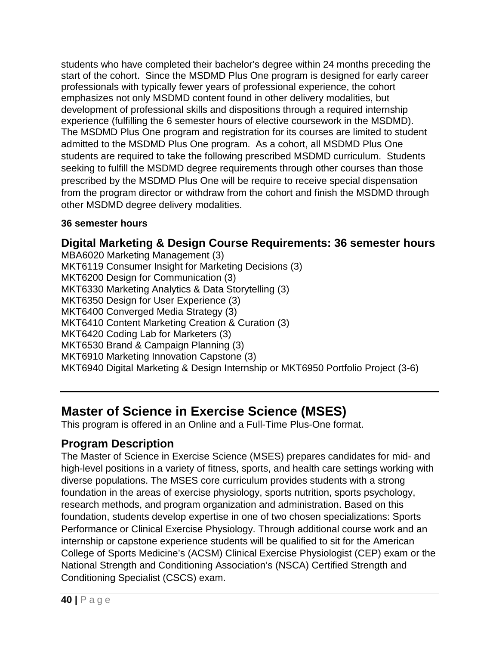students who have completed their bachelor's degree within 24 months preceding the start of the cohort. Since the MSDMD Plus One program is designed for early career professionals with typically fewer years of professional experience, the cohort emphasizes not only MSDMD content found in other delivery modalities, but development of professional skills and dispositions through a required internship experience (fulfilling the 6 semester hours of elective coursework in the MSDMD). The MSDMD Plus One program and registration for its courses are limited to student admitted to the MSDMD Plus One program. As a cohort, all MSDMD Plus One students are required to take the following prescribed MSDMD curriculum. Students seeking to fulfill the MSDMD degree requirements through other courses than those prescribed by the MSDMD Plus One will be require to receive special dispensation from the program director or withdraw from the cohort and finish the MSDMD through other MSDMD degree delivery modalities.

#### **36 semester hours**

# **Digital Marketing & Design Course Requirements: 36 semester hours**

MBA6020 Marketing Management (3) MKT6119 Consumer Insight for Marketing Decisions (3) MKT6200 Design for Communication (3) MKT6330 Marketing Analytics & Data Storytelling (3) MKT6350 Design for User Experience (3) MKT6400 Converged Media Strategy (3) MKT6410 Content Marketing Creation & Curation (3) MKT6420 Coding Lab for Marketers (3) MKT6530 Brand & Campaign Planning (3) MKT6910 Marketing Innovation Capstone (3) MKT6940 Digital Marketing & Design Internship or MKT6950 Portfolio Project (3-6)

# **Master of Science in Exercise Science (MSES)**

This program is offered in an Online and a Full-Time Plus-One format.

# **Program Description**

The Master of Science in Exercise Science (MSES) prepares candidates for mid- and high-level positions in a variety of fitness, sports, and health care settings working with diverse populations. The MSES core curriculum provides students with a strong foundation in the areas of exercise physiology, sports nutrition, sports psychology, research methods, and program organization and administration. Based on this foundation, students develop expertise in one of two chosen specializations: Sports Performance or Clinical Exercise Physiology. Through additional course work and an internship or capstone experience students will be qualified to sit for the American College of Sports Medicine's (ACSM) Clinical Exercise Physiologist (CEP) exam or the National Strength and Conditioning Association's (NSCA) Certified Strength and Conditioning Specialist (CSCS) exam.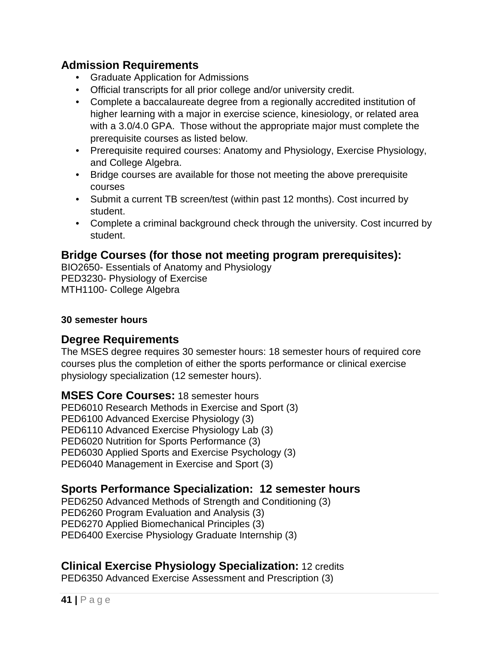### **Admission Requirements**

- Graduate Application for Admissions
- Official transcripts for all prior college and/or university credit.
- Complete a baccalaureate degree from a regionally accredited institution of higher learning with a major in exercise science, kinesiology, or related area with a 3.0/4.0 GPA. Those without the appropriate major must complete the prerequisite courses as listed below.
- Prerequisite required courses: Anatomy and Physiology, Exercise Physiology, and College Algebra.
- Bridge courses are available for those not meeting the above prerequisite courses
- Submit a current TB screen/test (within past 12 months). Cost incurred by student.
- Complete a criminal background check through the university. Cost incurred by student.

### **Bridge Courses (for those not meeting program prerequisites):**

BIO2650- Essentials of Anatomy and Physiology PED3230- Physiology of Exercise MTH1100- College Algebra

#### **30 semester hours**

#### **Degree Requirements**

The MSES degree requires 30 semester hours: 18 semester hours of required core courses plus the completion of either the sports performance or clinical exercise physiology specialization (12 semester hours).

**MSES Core Courses:** 18 semester hours PED6010 Research Methods in Exercise and Sport (3) PED6100 Advanced Exercise Physiology (3) PED6110 Advanced Exercise Physiology Lab (3) PED6020 Nutrition for Sports Performance (3) PED6030 Applied Sports and Exercise Psychology (3)

PED6040 Management in Exercise and Sport (3)

## **Sports Performance Specialization: 12 semester hours**

PED6250 Advanced Methods of Strength and Conditioning (3) PED6260 Program Evaluation and Analysis (3) PED6270 Applied Biomechanical Principles (3) PED6400 Exercise Physiology Graduate Internship (3)

## **Clinical Exercise Physiology Specialization:** 12 credits

PED6350 Advanced Exercise Assessment and Prescription (3)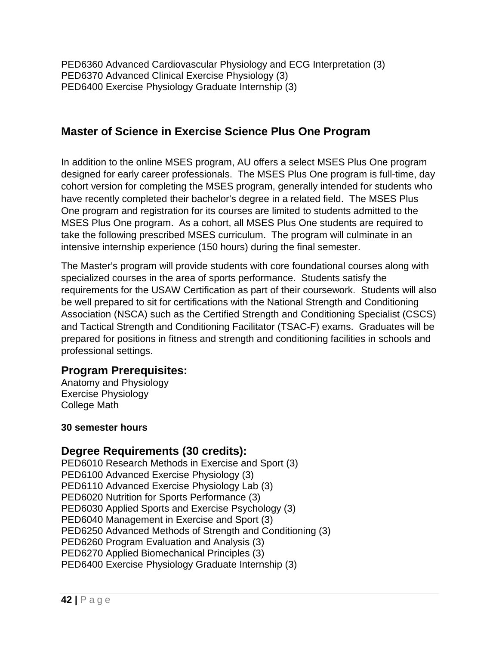PED6360 Advanced Cardiovascular Physiology and ECG Interpretation (3) PED6370 Advanced Clinical Exercise Physiology (3) PED6400 Exercise Physiology Graduate Internship (3)

## **Master of Science in Exercise Science Plus One Program**

In addition to the online MSES program, AU offers a select MSES Plus One program designed for early career professionals. The MSES Plus One program is full-time, day cohort version for completing the MSES program, generally intended for students who have recently completed their bachelor's degree in a related field. The MSES Plus One program and registration for its courses are limited to students admitted to the MSES Plus One program. As a cohort, all MSES Plus One students are required to take the following prescribed MSES curriculum. The program will culminate in an intensive internship experience (150 hours) during the final semester.

The Master's program will provide students with core foundational courses along with specialized courses in the area of sports performance. Students satisfy the requirements for the USAW Certification as part of their coursework. Students will also be well prepared to sit for certifications with the National Strength and Conditioning Association (NSCA) such as the Certified Strength and Conditioning Specialist (CSCS) and Tactical Strength and Conditioning Facilitator (TSAC-F) exams. Graduates will be prepared for positions in fitness and strength and conditioning facilities in schools and professional settings.

## **Program Prerequisites:**

Anatomy and Physiology Exercise Physiology College Math

#### **30 semester hours**

#### **Degree Requirements (30 credits):**

PED6010 Research Methods in Exercise and Sport (3) PED6100 Advanced Exercise Physiology (3) PED6110 Advanced Exercise Physiology Lab (3) PED6020 Nutrition for Sports Performance (3) PED6030 Applied Sports and Exercise Psychology (3) PED6040 Management in Exercise and Sport (3) PED6250 Advanced Methods of Strength and Conditioning (3) PED6260 Program Evaluation and Analysis (3) PED6270 Applied Biomechanical Principles (3) PED6400 Exercise Physiology Graduate Internship (3)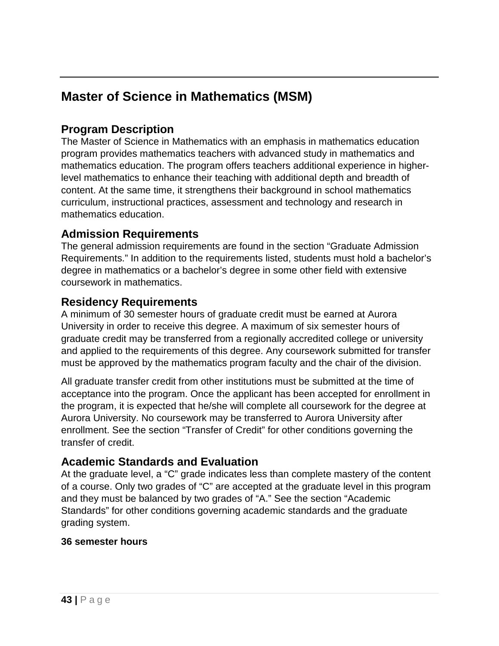# **Master of Science in Mathematics (MSM)**

# **Program Description**

The Master of Science in Mathematics with an emphasis in mathematics education program provides mathematics teachers with advanced study in mathematics and mathematics education. The program offers teachers additional experience in higherlevel mathematics to enhance their teaching with additional depth and breadth of content. At the same time, it strengthens their background in school mathematics curriculum, instructional practices, assessment and technology and research in mathematics education.

## **Admission Requirements**

The general admission requirements are found in the section "Graduate Admission Requirements." In addition to the requirements listed, students must hold a bachelor's degree in mathematics or a bachelor's degree in some other field with extensive coursework in mathematics.

## **Residency Requirements**

A minimum of 30 semester hours of graduate credit must be earned at Aurora University in order to receive this degree. A maximum of six semester hours of graduate credit may be transferred from a regionally accredited college or university and applied to the requirements of this degree. Any coursework submitted for transfer must be approved by the mathematics program faculty and the chair of the division.

All graduate transfer credit from other institutions must be submitted at the time of acceptance into the program. Once the applicant has been accepted for enrollment in the program, it is expected that he/she will complete all coursework for the degree at Aurora University. No coursework may be transferred to Aurora University after enrollment. See the section "Transfer of Credit" for other conditions governing the transfer of credit.

## **Academic Standards and Evaluation**

At the graduate level, a "C" grade indicates less than complete mastery of the content of a course. Only two grades of "C" are accepted at the graduate level in this program and they must be balanced by two grades of "A." See the section "Academic Standards" for other conditions governing academic standards and the graduate grading system.

#### **36 semester hours**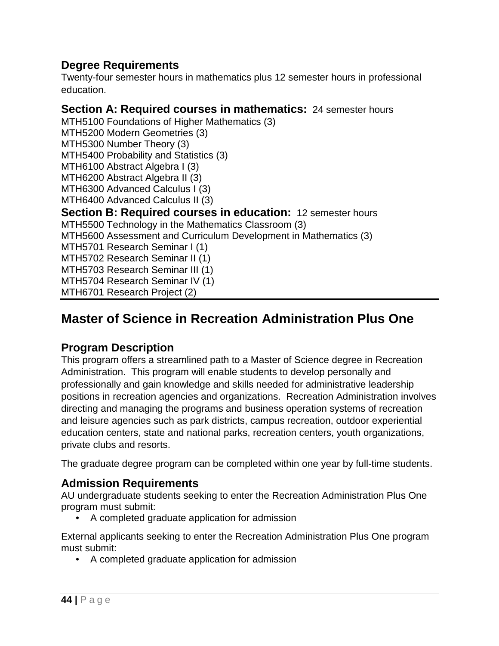## **Degree Requirements**

Twenty-four semester hours in mathematics plus 12 semester hours in professional education.

### **Section A: Required courses in mathematics:** 24 semester hours

MTH5100 Foundations of Higher Mathematics (3)

- MTH5200 Modern Geometries (3)
- MTH5300 Number Theory (3)

MTH5400 Probability and Statistics (3)

MTH6100 Abstract Algebra I (3)

MTH6200 Abstract Algebra II (3)

MTH6300 Advanced Calculus I (3)

- MTH6400 Advanced Calculus II (3)
- **Section B: Required courses in education:** 12 semester hours

MTH5500 Technology in the Mathematics Classroom (3)

MTH5600 Assessment and Curriculum Development in Mathematics (3)

MTH5701 Research Seminar I (1)

MTH5702 Research Seminar II (1)

MTH5703 Research Seminar III (1)

MTH5704 Research Seminar IV (1)

MTH6701 Research Project (2)

# **Master of Science in Recreation Administration Plus One**

## **Program Description**

This program offers a streamlined path to a Master of Science degree in Recreation Administration. This program will enable students to develop personally and professionally and gain knowledge and skills needed for administrative leadership positions in recreation agencies and organizations. Recreation Administration involves directing and managing the programs and business operation systems of recreation and leisure agencies such as park districts, campus recreation, outdoor experiential education centers, state and national parks, recreation centers, youth organizations, private clubs and resorts.

The graduate degree program can be completed within one year by full-time students.

# **Admission Requirements**

AU undergraduate students seeking to enter the Recreation Administration Plus One program must submit:

• A completed graduate application for admission

External applicants seeking to enter the Recreation Administration Plus One program must submit:

• A completed graduate application for admission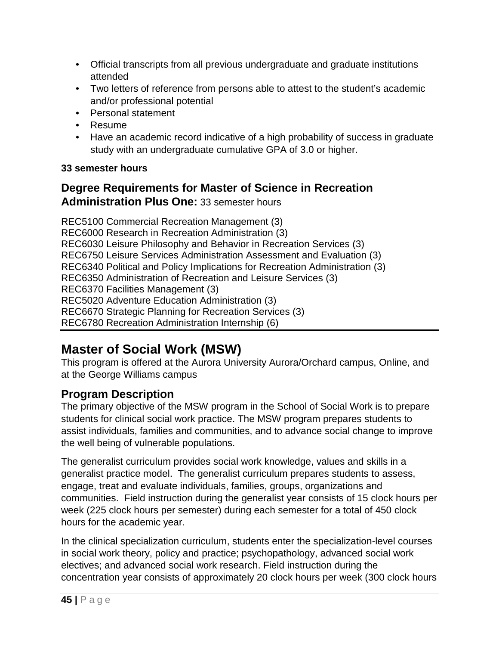- Official transcripts from all previous undergraduate and graduate institutions attended
- Two letters of reference from persons able to attest to the student's academic and/or professional potential
- Personal statement
- Resume
- Have an academic record indicative of a high probability of success in graduate study with an undergraduate cumulative GPA of 3.0 or higher.

### **33 semester hours**

# **Degree Requirements for Master of Science in Recreation Administration Plus One:** 33 semester hours

REC5100 Commercial Recreation Management (3) REC6000 Research in Recreation Administration (3) REC6030 Leisure Philosophy and Behavior in Recreation Services (3) REC6750 Leisure Services Administration Assessment and Evaluation (3) REC6340 Political and Policy Implications for Recreation Administration (3) REC6350 Administration of Recreation and Leisure Services (3) REC6370 Facilities Management (3) REC5020 Adventure Education Administration (3) REC6670 Strategic Planning for Recreation Services (3) REC6780 Recreation Administration Internship (6)

# **Master of Social Work (MSW)**

This program is offered at the Aurora University Aurora/Orchard campus, Online, and at the George Williams campus

# **Program Description**

The primary objective of the MSW program in the School of Social Work is to prepare students for clinical social work practice. The MSW program prepares students to assist individuals, families and communities, and to advance social change to improve the well being of vulnerable populations.

The generalist curriculum provides social work knowledge, values and skills in a generalist practice model. The generalist curriculum prepares students to assess, engage, treat and evaluate individuals, families, groups, organizations and communities. Field instruction during the generalist year consists of 15 clock hours per week (225 clock hours per semester) during each semester for a total of 450 clock hours for the academic year.

In the clinical specialization curriculum, students enter the specialization-level courses in social work theory, policy and practice; psychopathology, advanced social work electives; and advanced social work research. Field instruction during the concentration year consists of approximately 20 clock hours per week (300 clock hours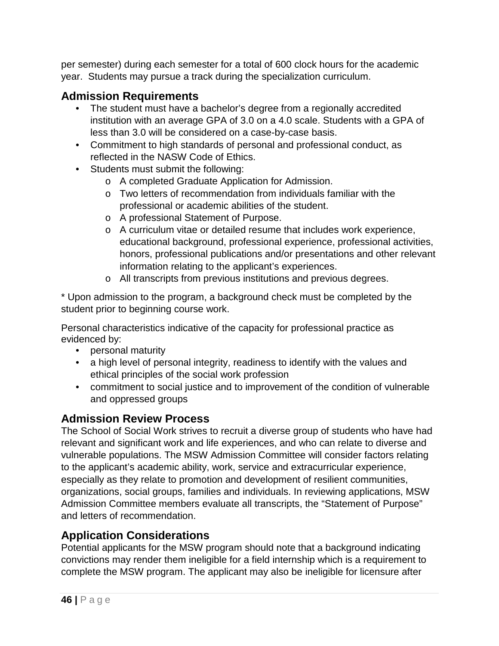per semester) during each semester for a total of 600 clock hours for the academic year. Students may pursue a track during the specialization curriculum.

# **Admission Requirements**

- The student must have a bachelor's degree from a regionally accredited institution with an average GPA of 3.0 on a 4.0 scale. Students with a GPA of less than 3.0 will be considered on a case-by-case basis.
- Commitment to high standards of personal and professional conduct, as reflected in the NASW Code of Ethics.
- Students must submit the following:
	- o A completed Graduate Application for Admission.
	- o Two letters of recommendation from individuals familiar with the professional or academic abilities of the student.
	- o A professional Statement of Purpose.
	- o A curriculum vitae or detailed resume that includes work experience, educational background, professional experience, professional activities, honors, professional publications and/or presentations and other relevant information relating to the applicant's experiences.
	- o All transcripts from previous institutions and previous degrees.

\* Upon admission to the program, a background check must be completed by the student prior to beginning course work.

Personal characteristics indicative of the capacity for professional practice as evidenced by:

- personal maturity
- a high level of personal integrity, readiness to identify with the values and ethical principles of the social work profession
- commitment to social justice and to improvement of the condition of vulnerable and oppressed groups

## **Admission Review Process**

The School of Social Work strives to recruit a diverse group of students who have had relevant and significant work and life experiences, and who can relate to diverse and vulnerable populations. The MSW Admission Committee will consider factors relating to the applicant's academic ability, work, service and extracurricular experience, especially as they relate to promotion and development of resilient communities, organizations, social groups, families and individuals. In reviewing applications, MSW Admission Committee members evaluate all transcripts, the "Statement of Purpose" and letters of recommendation.

# **Application Considerations**

Potential applicants for the MSW program should note that a background indicating convictions may render them ineligible for a field internship which is a requirement to complete the MSW program. The applicant may also be ineligible for licensure after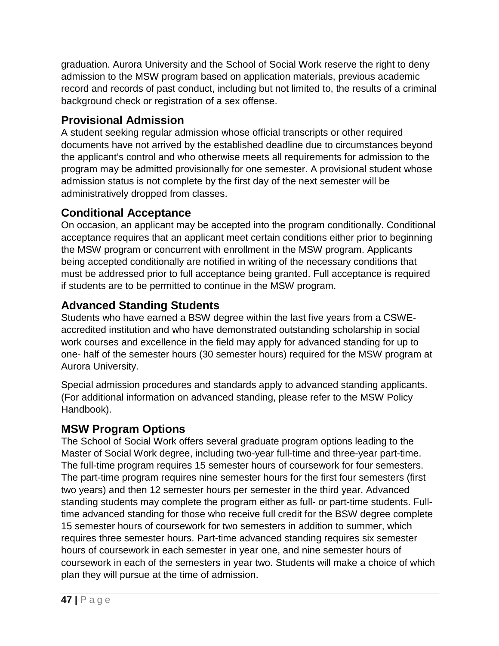graduation. Aurora University and the School of Social Work reserve the right to deny admission to the MSW program based on application materials, previous academic record and records of past conduct, including but not limited to, the results of a criminal background check or registration of a sex offense.

# **Provisional Admission**

A student seeking regular admission whose official transcripts or other required documents have not arrived by the established deadline due to circumstances beyond the applicant's control and who otherwise meets all requirements for admission to the program may be admitted provisionally for one semester. A provisional student whose admission status is not complete by the first day of the next semester will be administratively dropped from classes.

# **Conditional Acceptance**

On occasion, an applicant may be accepted into the program conditionally. Conditional acceptance requires that an applicant meet certain conditions either prior to beginning the MSW program or concurrent with enrollment in the MSW program. Applicants being accepted conditionally are notified in writing of the necessary conditions that must be addressed prior to full acceptance being granted. Full acceptance is required if students are to be permitted to continue in the MSW program.

# **Advanced Standing Students**

Students who have earned a BSW degree within the last five years from a CSWEaccredited institution and who have demonstrated outstanding scholarship in social work courses and excellence in the field may apply for advanced standing for up to one- half of the semester hours (30 semester hours) required for the MSW program at Aurora University.

Special admission procedures and standards apply to advanced standing applicants. (For additional information on advanced standing, please refer to the MSW Policy Handbook).

# **MSW Program Options**

The School of Social Work offers several graduate program options leading to the Master of Social Work degree, including two-year full-time and three-year part-time. The full-time program requires 15 semester hours of coursework for four semesters. The part-time program requires nine semester hours for the first four semesters (first two years) and then 12 semester hours per semester in the third year. Advanced standing students may complete the program either as full- or part-time students. Fulltime advanced standing for those who receive full credit for the BSW degree complete 15 semester hours of coursework for two semesters in addition to summer, which requires three semester hours. Part-time advanced standing requires six semester hours of coursework in each semester in year one, and nine semester hours of coursework in each of the semesters in year two. Students will make a choice of which plan they will pursue at the time of admission.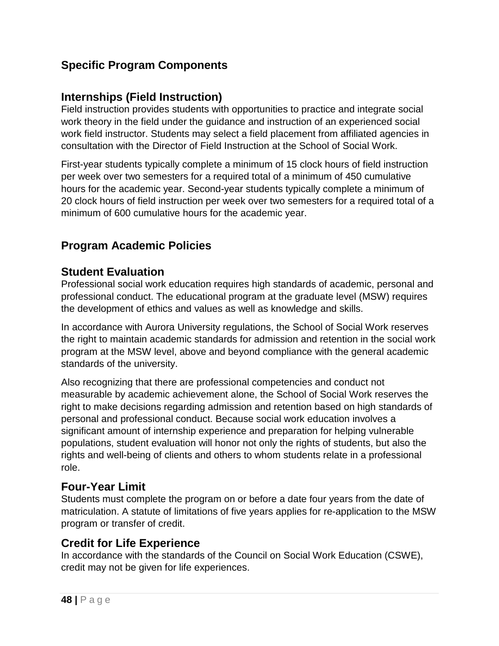# **Specific Program Components**

## **Internships (Field Instruction)**

Field instruction provides students with opportunities to practice and integrate social work theory in the field under the guidance and instruction of an experienced social work field instructor. Students may select a field placement from affiliated agencies in consultation with the Director of Field Instruction at the School of Social Work.

First-year students typically complete a minimum of 15 clock hours of field instruction per week over two semesters for a required total of a minimum of 450 cumulative hours for the academic year. Second-year students typically complete a minimum of 20 clock hours of field instruction per week over two semesters for a required total of a minimum of 600 cumulative hours for the academic year.

# **Program Academic Policies**

### **Student Evaluation**

Professional social work education requires high standards of academic, personal and professional conduct. The educational program at the graduate level (MSW) requires the development of ethics and values as well as knowledge and skills.

In accordance with Aurora University regulations, the School of Social Work reserves the right to maintain academic standards for admission and retention in the social work program at the MSW level, above and beyond compliance with the general academic standards of the university.

Also recognizing that there are professional competencies and conduct not measurable by academic achievement alone, the School of Social Work reserves the right to make decisions regarding admission and retention based on high standards of personal and professional conduct. Because social work education involves a significant amount of internship experience and preparation for helping vulnerable populations, student evaluation will honor not only the rights of students, but also the rights and well-being of clients and others to whom students relate in a professional role.

## **Four-Year Limit**

Students must complete the program on or before a date four years from the date of matriculation. A statute of limitations of five years applies for re-application to the MSW program or transfer of credit.

# **Credit for Life Experience**

In accordance with the standards of the Council on Social Work Education (CSWE), credit may not be given for life experiences.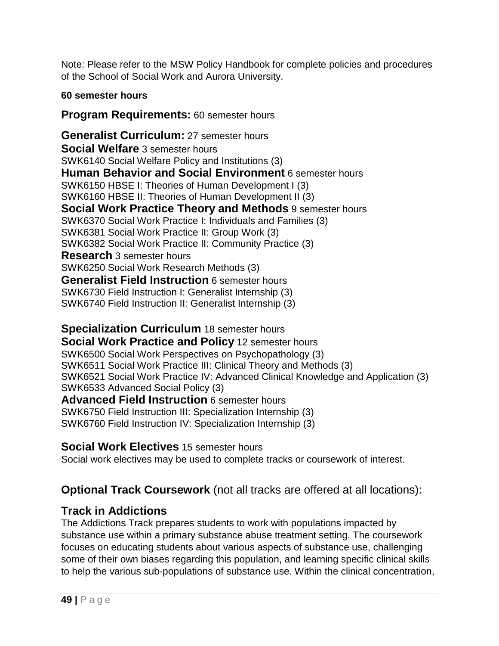Note: Please refer to the MSW Policy Handbook for complete policies and procedures of the School of Social Work and Aurora University.

### **60 semester hours**

## **Program Requirements:** 60 semester hours

**Generalist Curriculum:** 27 semester hours **Social Welfare** 3 semester hours SWK6140 Social Welfare Policy and Institutions (3) **Human Behavior and Social Environment** 6 semester hours SWK6150 HBSE I: Theories of Human Development I (3) SWK6160 HBSE II: Theories of Human Development II (3) **Social Work Practice Theory and Methods** 9 semester hours SWK6370 Social Work Practice I: Individuals and Families (3) SWK6381 Social Work Practice II: Group Work (3) SWK6382 Social Work Practice II: Community Practice (3) **Research** 3 semester hours SWK6250 Social Work Research Methods (3) **Generalist Field Instruction** 6 semester hours SWK6730 Field Instruction I: Generalist Internship (3) SWK6740 Field Instruction II: Generalist Internship (3)

**Specialization Curriculum** 18 semester hours **Social Work Practice and Policy** 12 semester hours SWK6500 Social Work Perspectives on Psychopathology (3) SWK6511 Social Work Practice III: Clinical Theory and Methods (3) SWK6521 Social Work Practice IV: Advanced Clinical Knowledge and Application (3) SWK6533 Advanced Social Policy (3) **Advanced Field Instruction** 6 semester hours SWK6750 Field Instruction III: Specialization Internship (3) SWK6760 Field Instruction IV: Specialization Internship (3)

## **Social Work Electives** 15 semester hours

Social work electives may be used to complete tracks or coursework of interest.

# **Optional Track Coursework** (not all tracks are offered at all locations):

# **Track in Addictions**

The Addictions Track prepares students to work with populations impacted by substance use within a primary substance abuse treatment setting. The coursework focuses on educating students about various aspects of substance use, challenging some of their own biases regarding this population, and learning specific clinical skills to help the various sub-populations of substance use. Within the clinical concentration,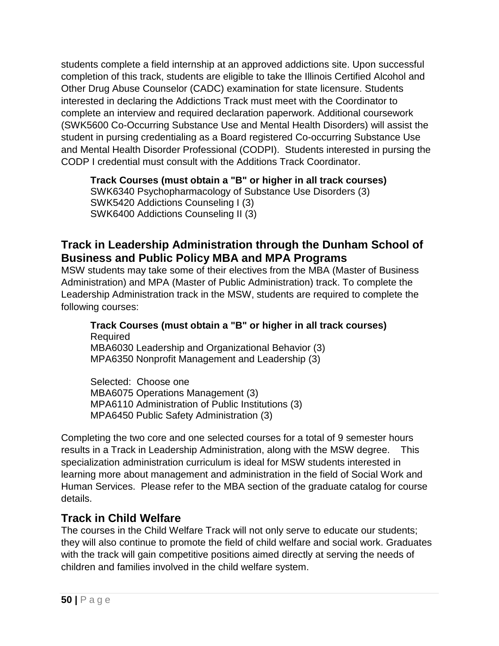students complete a field internship at an approved addictions site. Upon successful completion of this track, students are eligible to take the Illinois Certified Alcohol and Other Drug Abuse Counselor (CADC) examination for state licensure. Students interested in declaring the Addictions Track must meet with the Coordinator to complete an interview and required declaration paperwork. Additional coursework (SWK5600 Co-Occurring Substance Use and Mental Health Disorders) will assist the student in pursing credentialing as a Board registered Co-occurring Substance Use and Mental Health Disorder Professional (CODPI). Students interested in pursing the CODP I credential must consult with the Additions Track Coordinator.

**Track Courses (must obtain a "B" or higher in all track courses)** SWK6340 Psychopharmacology of Substance Use Disorders (3) SWK5420 Addictions Counseling I (3) SWK6400 Addictions Counseling II (3)

## **Track in Leadership Administration through the Dunham School of Business and Public Policy MBA and MPA Programs**

MSW students may take some of their electives from the MBA (Master of Business Administration) and MPA (Master of Public Administration) track. To complete the Leadership Administration track in the MSW, students are required to complete the following courses:

**Track Courses (must obtain a "B" or higher in all track courses) Required** MBA6030 Leadership and Organizational Behavior (3) MPA6350 Nonprofit Management and Leadership (3)

Selected: Choose one MBA6075 Operations Management (3) MPA6110 Administration of Public Institutions (3) MPA6450 Public Safety Administration (3)

Completing the two core and one selected courses for a total of 9 semester hours results in a Track in Leadership Administration, along with the MSW degree. This specialization administration curriculum is ideal for MSW students interested in learning more about management and administration in the field of Social Work and Human Services. Please refer to the MBA section of the graduate catalog for course details.

## **Track in Child Welfare**

The courses in the Child Welfare Track will not only serve to educate our students; they will also continue to promote the field of child welfare and social work. Graduates with the track will gain competitive positions aimed directly at serving the needs of children and families involved in the child welfare system.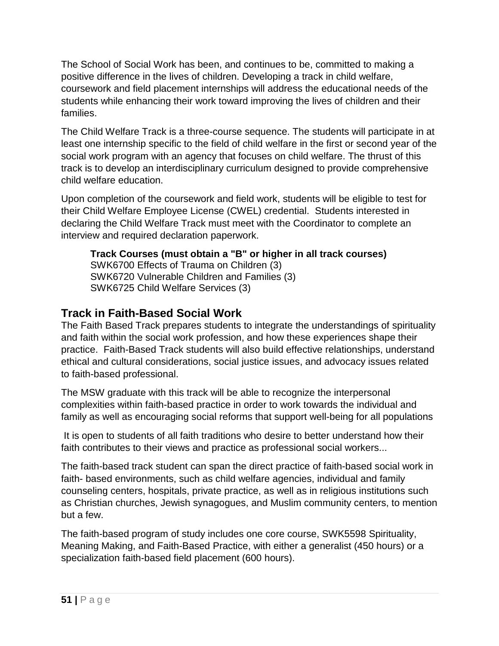The School of Social Work has been, and continues to be, committed to making a positive difference in the lives of children. Developing a track in child welfare, coursework and field placement internships will address the educational needs of the students while enhancing their work toward improving the lives of children and their families.

The Child Welfare Track is a three-course sequence. The students will participate in at least one internship specific to the field of child welfare in the first or second year of the social work program with an agency that focuses on child welfare. The thrust of this track is to develop an interdisciplinary curriculum designed to provide comprehensive child welfare education.

Upon completion of the coursework and field work, students will be eligible to test for their Child Welfare Employee License (CWEL) credential. Students interested in declaring the Child Welfare Track must meet with the Coordinator to complete an interview and required declaration paperwork.

**Track Courses (must obtain a "B" or higher in all track courses)** SWK6700 Effects of Trauma on Children (3) SWK6720 Vulnerable Children and Families (3) SWK6725 Child Welfare Services (3)

# **Track in Faith-Based Social Work**

The Faith Based Track prepares students to integrate the understandings of spirituality and faith within the social work profession, and how these experiences shape their practice. Faith-Based Track students will also build effective relationships, understand ethical and cultural considerations, social justice issues, and advocacy issues related to faith-based professional.

The MSW graduate with this track will be able to recognize the interpersonal complexities within faith-based practice in order to work towards the individual and family as well as encouraging social reforms that support well-being for all populations

It is open to students of all faith traditions who desire to better understand how their faith contributes to their views and practice as professional social workers...

The faith-based track student can span the direct practice of faith-based social work in faith- based environments, such as child welfare agencies, individual and family counseling centers, hospitals, private practice, as well as in religious institutions such as Christian churches, Jewish synagogues, and Muslim community centers, to mention but a few.

The faith-based program of study includes one core course, SWK5598 Spirituality, Meaning Making, and Faith-Based Practice, with either a generalist (450 hours) or a specialization faith-based field placement (600 hours).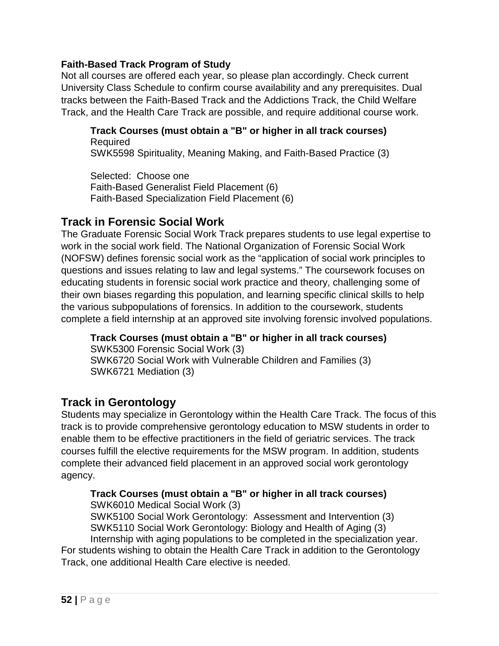#### **Faith-Based Track Program of Study**

Not all courses are offered each year, so please plan accordingly. Check current University Class Schedule to confirm course availability and any prerequisites. Dual tracks between the Faith-Based Track and the Addictions Track, the Child Welfare Track, and the Health Care Track are possible, and require additional course work.

**Track Courses (must obtain a "B" or higher in all track courses)** Required SWK5598 Spirituality, Meaning Making, and Faith-Based Practice (3)

Selected: Choose one Faith-Based Generalist Field Placement (6) Faith-Based Specialization Field Placement (6)

### **Track in Forensic Social Work**

The Graduate Forensic Social Work Track prepares students to use legal expertise to work in the social work field. The National Organization of Forensic Social Work (NOFSW) defines forensic social work as the "application of social work principles to questions and issues relating to law and legal systems." The coursework focuses on educating students in forensic social work practice and theory, challenging some of their own biases regarding this population, and learning specific clinical skills to help the various subpopulations of forensics. In addition to the coursework, students complete a field internship at an approved site involving forensic involved populations.

**Track Courses (must obtain a "B" or higher in all track courses)** SWK5300 Forensic Social Work (3) SWK6720 Social Work with Vulnerable Children and Families (3) SWK6721 Mediation (3)

## **Track in Gerontology**

Students may specialize in Gerontology within the Health Care Track. The focus of this track is to provide comprehensive gerontology education to MSW students in order to enable them to be effective practitioners in the field of geriatric services. The track courses fulfill the elective requirements for the MSW program. In addition, students complete their advanced field placement in an approved social work gerontology agency.

#### **Track Courses (must obtain a "B" or higher in all track courses)**

SWK6010 Medical Social Work (3)

SWK5100 Social Work Gerontology: Assessment and Intervention (3) SWK5110 Social Work Gerontology: Biology and Health of Aging (3) Internship with aging populations to be completed in the specialization year. For students wishing to obtain the Health Care Track in addition to the Gerontology Track, one additional Health Care elective is needed.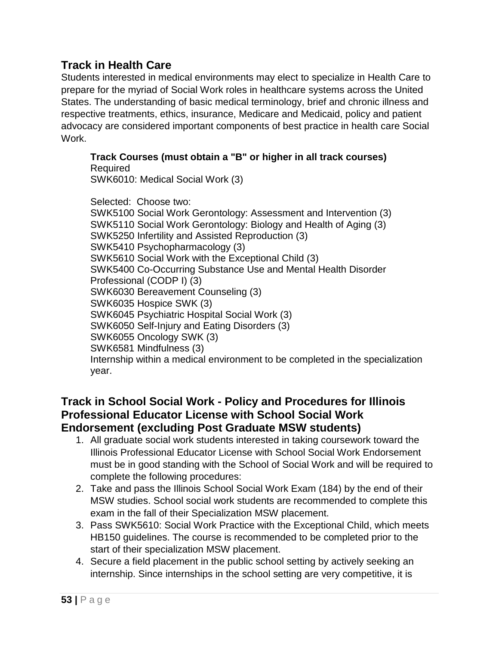## **Track in Health Care**

Students interested in medical environments may elect to specialize in Health Care to prepare for the myriad of Social Work roles in healthcare systems across the United States. The understanding of basic medical terminology, brief and chronic illness and respective treatments, ethics, insurance, Medicare and Medicaid, policy and patient advocacy are considered important components of best practice in health care Social Work.

**Track Courses (must obtain a "B" or higher in all track courses)** Required

SWK6010: Medical Social Work (3)

Selected: Choose two: SWK5100 Social Work Gerontology: Assessment and Intervention (3) SWK5110 Social Work Gerontology: Biology and Health of Aging (3) SWK5250 Infertility and Assisted Reproduction (3) SWK5410 Psychopharmacology (3) SWK5610 Social Work with the Exceptional Child (3) SWK5400 Co-Occurring Substance Use and Mental Health Disorder Professional (CODP I) (3) SWK6030 Bereavement Counseling (3) SWK6035 Hospice SWK (3) SWK6045 Psychiatric Hospital Social Work (3) SWK6050 Self-Injury and Eating Disorders (3) SWK6055 Oncology SWK (3) SWK6581 Mindfulness (3) Internship within a medical environment to be completed in the specialization year.

### **Track in School Social Work - Policy and Procedures for Illinois Professional Educator License with School Social Work Endorsement (excluding Post Graduate MSW students)**

- 1. All graduate social work students interested in taking coursework toward the Illinois Professional Educator License with School Social Work Endorsement must be in good standing with the School of Social Work and will be required to complete the following procedures:
- 2. Take and pass the Illinois School Social Work Exam (184) by the end of their MSW studies. School social work students are recommended to complete this exam in the fall of their Specialization MSW placement.
- 3. Pass SWK5610: Social Work Practice with the Exceptional Child, which meets HB150 guidelines. The course is recommended to be completed prior to the start of their specialization MSW placement.
- 4. Secure a field placement in the public school setting by actively seeking an internship. Since internships in the school setting are very competitive, it is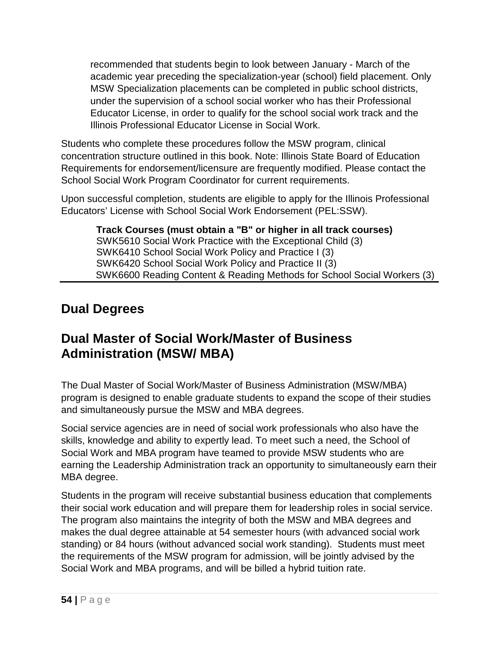recommended that students begin to look between January - March of the academic year preceding the specialization-year (school) field placement. Only MSW Specialization placements can be completed in public school districts, under the supervision of a school social worker who has their Professional Educator License, in order to qualify for the school social work track and the Illinois Professional Educator License in Social Work.

Students who complete these procedures follow the MSW program, clinical concentration structure outlined in this book. Note: Illinois State Board of Education Requirements for endorsement/licensure are frequently modified. Please contact the School Social Work Program Coordinator for current requirements.

Upon successful completion, students are eligible to apply for the Illinois Professional Educators' License with School Social Work Endorsement (PEL:SSW).

**Track Courses (must obtain a "B" or higher in all track courses)** SWK5610 Social Work Practice with the Exceptional Child (3) SWK6410 School Social Work Policy and Practice I (3) SWK6420 School Social Work Policy and Practice II (3) SWK6600 Reading Content & Reading Methods for School Social Workers (3)

# **Dual Degrees**

# **Dual Master of Social Work/Master of Business Administration (MSW/ MBA)**

The Dual Master of Social Work/Master of Business Administration (MSW/MBA) program is designed to enable graduate students to expand the scope of their studies and simultaneously pursue the MSW and MBA degrees.

Social service agencies are in need of social work professionals who also have the skills, knowledge and ability to expertly lead. To meet such a need, the School of Social Work and MBA program have teamed to provide MSW students who are earning the Leadership Administration track an opportunity to simultaneously earn their MBA degree.

Students in the program will receive substantial business education that complements their social work education and will prepare them for leadership roles in social service. The program also maintains the integrity of both the MSW and MBA degrees and makes the dual degree attainable at 54 semester hours (with advanced social work standing) or 84 hours (without advanced social work standing). Students must meet the requirements of the MSW program for admission, will be jointly advised by the Social Work and MBA programs, and will be billed a hybrid tuition rate.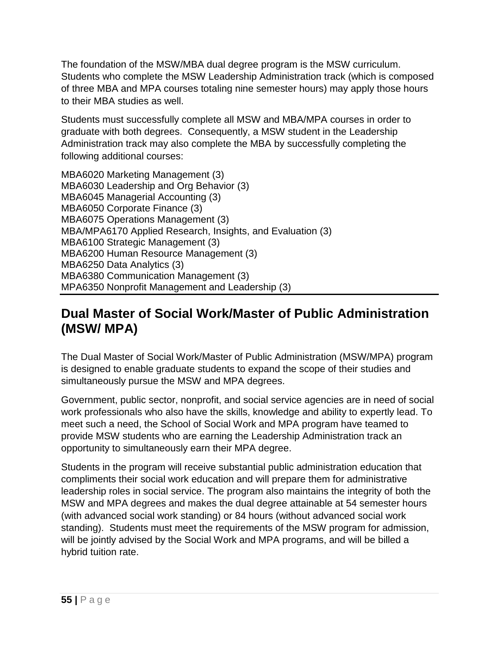The foundation of the MSW/MBA dual degree program is the MSW curriculum. Students who complete the MSW Leadership Administration track (which is composed of three MBA and MPA courses totaling nine semester hours) may apply those hours to their MBA studies as well.

Students must successfully complete all MSW and MBA/MPA courses in order to graduate with both degrees. Consequently, a MSW student in the Leadership Administration track may also complete the MBA by successfully completing the following additional courses:

MBA6020 Marketing Management (3) MBA6030 Leadership and Org Behavior (3) MBA6045 Managerial Accounting (3) MBA6050 Corporate Finance (3) MBA6075 Operations Management (3) MBA/MPA6170 Applied Research, Insights, and Evaluation (3) MBA6100 Strategic Management (3) MBA6200 Human Resource Management (3) MBA6250 Data Analytics (3) MBA6380 Communication Management (3) MPA6350 Nonprofit Management and Leadership (3)

# **Dual Master of Social Work/Master of Public Administration (MSW/ MPA)**

The Dual Master of Social Work/Master of Public Administration (MSW/MPA) program is designed to enable graduate students to expand the scope of their studies and simultaneously pursue the MSW and MPA degrees.

Government, public sector, nonprofit, and social service agencies are in need of social work professionals who also have the skills, knowledge and ability to expertly lead. To meet such a need, the School of Social Work and MPA program have teamed to provide MSW students who are earning the Leadership Administration track an opportunity to simultaneously earn their MPA degree.

Students in the program will receive substantial public administration education that compliments their social work education and will prepare them for administrative leadership roles in social service. The program also maintains the integrity of both the MSW and MPA degrees and makes the dual degree attainable at 54 semester hours (with advanced social work standing) or 84 hours (without advanced social work standing). Students must meet the requirements of the MSW program for admission, will be jointly advised by the Social Work and MPA programs, and will be billed a hybrid tuition rate.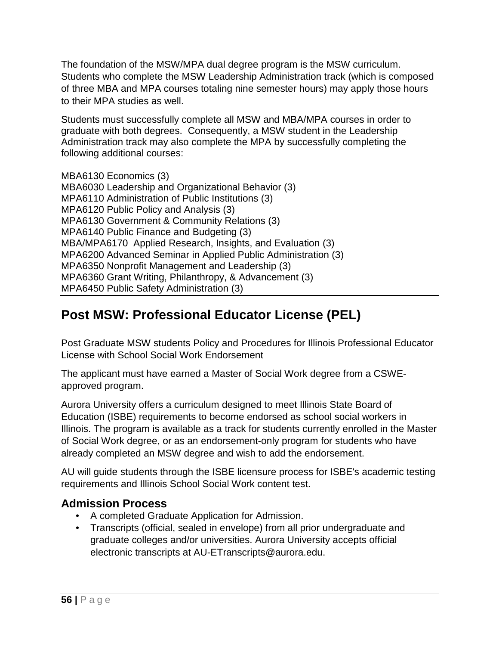The foundation of the MSW/MPA dual degree program is the MSW curriculum. Students who complete the MSW Leadership Administration track (which is composed of three MBA and MPA courses totaling nine semester hours) may apply those hours to their MPA studies as well.

Students must successfully complete all MSW and MBA/MPA courses in order to graduate with both degrees. Consequently, a MSW student in the Leadership Administration track may also complete the MPA by successfully completing the following additional courses:

MBA6130 Economics (3) MBA6030 Leadership and Organizational Behavior (3) MPA6110 Administration of Public Institutions (3) MPA6120 Public Policy and Analysis (3) MPA6130 Government & Community Relations (3) MPA6140 Public Finance and Budgeting (3) MBA/MPA6170 Applied Research, Insights, and Evaluation (3) MPA6200 Advanced Seminar in Applied Public Administration (3) MPA6350 Nonprofit Management and Leadership (3) MPA6360 Grant Writing, Philanthropy, & Advancement (3) MPA6450 Public Safety Administration (3)

# **Post MSW: Professional Educator License (PEL)**

Post Graduate MSW students Policy and Procedures for Illinois Professional Educator License with School Social Work Endorsement

The applicant must have earned a Master of Social Work degree from a CSWEapproved program.

Aurora University offers a curriculum designed to meet Illinois State Board of Education (ISBE) requirements to become endorsed as school social workers in Illinois. The program is available as a track for students currently enrolled in the Master of Social Work degree, or as an endorsement-only program for students who have already completed an MSW degree and wish to add the endorsement.

AU will guide students through the ISBE licensure process for ISBE's academic testing requirements and Illinois School Social Work content test.

## **Admission Process**

- A completed Graduate Application for Admission.
- Transcripts (official, sealed in envelope) from all prior undergraduate and graduate colleges and/or universities. Aurora University accepts official electronic transcripts at AU-ETranscripts@aurora.edu.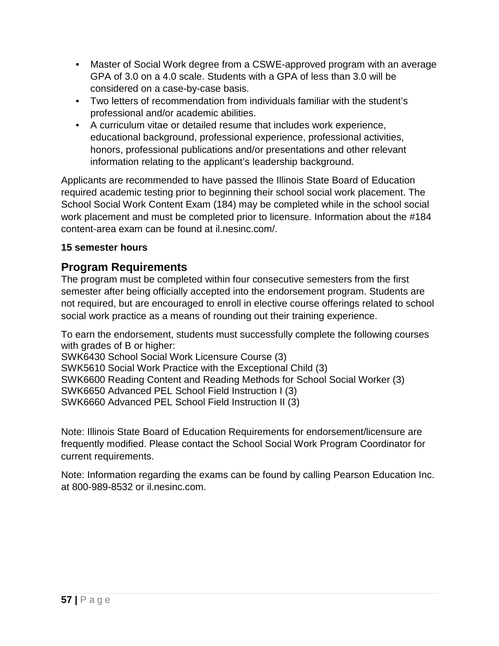- Master of Social Work degree from a CSWE-approved program with an average GPA of 3.0 on a 4.0 scale. Students with a GPA of less than 3.0 will be considered on a case-by-case basis.
- Two letters of recommendation from individuals familiar with the student's professional and/or academic abilities.
- A curriculum vitae or detailed resume that includes work experience, educational background, professional experience, professional activities, honors, professional publications and/or presentations and other relevant information relating to the applicant's leadership background.

Applicants are recommended to have passed the Illinois State Board of Education required academic testing prior to beginning their school social work placement. The School Social Work Content Exam (184) may be completed while in the school social work placement and must be completed prior to licensure. Information about the #184 content-area exam can be found at il.nesinc.com/.

#### **15 semester hours**

#### **Program Requirements**

The program must be completed within four consecutive semesters from the first semester after being officially accepted into the endorsement program. Students are not required, but are encouraged to enroll in elective course offerings related to school social work practice as a means of rounding out their training experience.

To earn the endorsement, students must successfully complete the following courses with grades of B or higher:

SWK6430 School Social Work Licensure Course (3)

SWK5610 Social Work Practice with the Exceptional Child (3) SWK6600 Reading Content and Reading Methods for School Social Worker (3) SWK6650 Advanced PEL School Field Instruction I (3) SWK6660 Advanced PEL School Field Instruction II (3)

Note: Illinois State Board of Education Requirements for endorsement/licensure are frequently modified. Please contact the School Social Work Program Coordinator for current requirements.

Note: Information regarding the exams can be found by calling Pearson Education Inc. at 800-989-8532 or il.nesinc.com.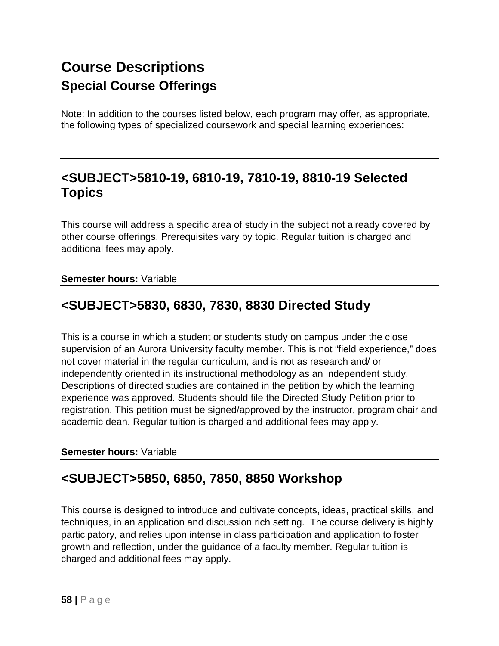# **Course Descriptions Special Course Offerings**

Note: In addition to the courses listed below, each program may offer, as appropriate, the following types of specialized coursework and special learning experiences:

# **<SUBJECT>5810-19, 6810-19, 7810-19, 8810-19 Selected Topics**

This course will address a specific area of study in the subject not already covered by other course offerings. Prerequisites vary by topic. Regular tuition is charged and additional fees may apply.

#### **Semester hours:** Variable

# **<SUBJECT>5830, 6830, 7830, 8830 Directed Study**

This is a course in which a student or students study on campus under the close supervision of an Aurora University faculty member. This is not "field experience," does not cover material in the regular curriculum, and is not as research and/ or independently oriented in its instructional methodology as an independent study. Descriptions of directed studies are contained in the petition by which the learning experience was approved. Students should file the Directed Study Petition prior to registration. This petition must be signed/approved by the instructor, program chair and academic dean. Regular tuition is charged and additional fees may apply.

#### **Semester hours:** Variable

# **<SUBJECT>5850, 6850, 7850, 8850 Workshop**

This course is designed to introduce and cultivate concepts, ideas, practical skills, and techniques, in an application and discussion rich setting. The course delivery is highly participatory, and relies upon intense in class participation and application to foster growth and reflection, under the guidance of a faculty member. Regular tuition is charged and additional fees may apply.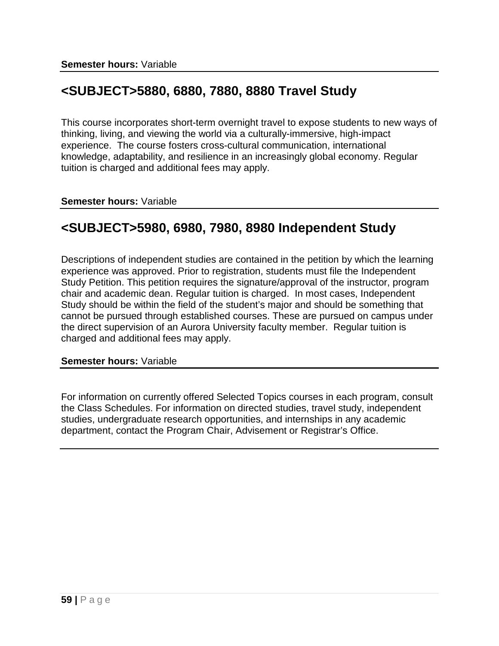# **<SUBJECT>5880, 6880, 7880, 8880 Travel Study**

This course incorporates short-term overnight travel to expose students to new ways of thinking, living, and viewing the world via a culturally-immersive, high-impact experience. The course fosters cross-cultural communication, international knowledge, adaptability, and resilience in an increasingly global economy. Regular tuition is charged and additional fees may apply.

**Semester hours:** Variable

# **<SUBJECT>5980, 6980, 7980, 8980 Independent Study**

Descriptions of independent studies are contained in the petition by which the learning experience was approved. Prior to registration, students must file the Independent Study Petition. This petition requires the signature/approval of the instructor, program chair and academic dean. Regular tuition is charged. In most cases, Independent Study should be within the field of the student's major and should be something that cannot be pursued through established courses. These are pursued on campus under the direct supervision of an Aurora University faculty member. Regular tuition is charged and additional fees may apply.

#### **Semester hours:** Variable

For information on currently offered Selected Topics courses in each program, consult the Class Schedules. For information on directed studies, travel study, independent studies, undergraduate research opportunities, and internships in any academic department, contact the Program Chair, Advisement or Registrar's Office.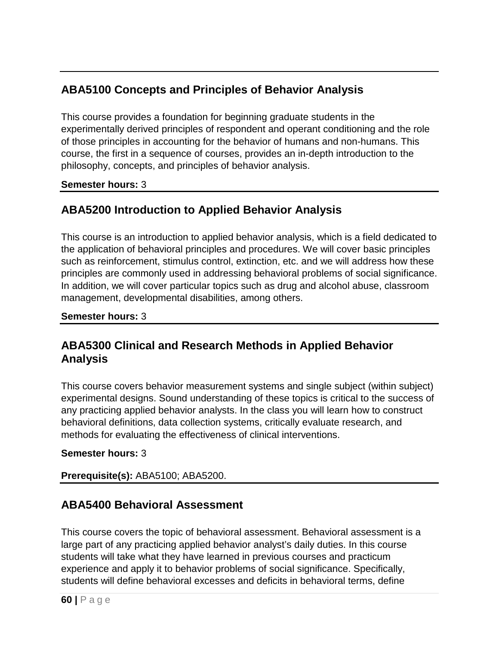# **ABA5100 Concepts and Principles of Behavior Analysis**

This course provides a foundation for beginning graduate students in the experimentally derived principles of respondent and operant conditioning and the role of those principles in accounting for the behavior of humans and non-humans. This course, the first in a sequence of courses, provides an in-depth introduction to the philosophy, concepts, and principles of behavior analysis.

#### **Semester hours:** 3

# **ABA5200 Introduction to Applied Behavior Analysis**

This course is an introduction to applied behavior analysis, which is a field dedicated to the application of behavioral principles and procedures. We will cover basic principles such as reinforcement, stimulus control, extinction, etc. and we will address how these principles are commonly used in addressing behavioral problems of social significance. In addition, we will cover particular topics such as drug and alcohol abuse, classroom management, developmental disabilities, among others.

#### **Semester hours:** 3

## **ABA5300 Clinical and Research Methods in Applied Behavior Analysis**

This course covers behavior measurement systems and single subject (within subject) experimental designs. Sound understanding of these topics is critical to the success of any practicing applied behavior analysts. In the class you will learn how to construct behavioral definitions, data collection systems, critically evaluate research, and methods for evaluating the effectiveness of clinical interventions.

#### **Semester hours:** 3

#### **Prerequisite(s):** ABA5100; ABA5200.

## **ABA5400 Behavioral Assessment**

This course covers the topic of behavioral assessment. Behavioral assessment is a large part of any practicing applied behavior analyst's daily duties. In this course students will take what they have learned in previous courses and practicum experience and apply it to behavior problems of social significance. Specifically, students will define behavioral excesses and deficits in behavioral terms, define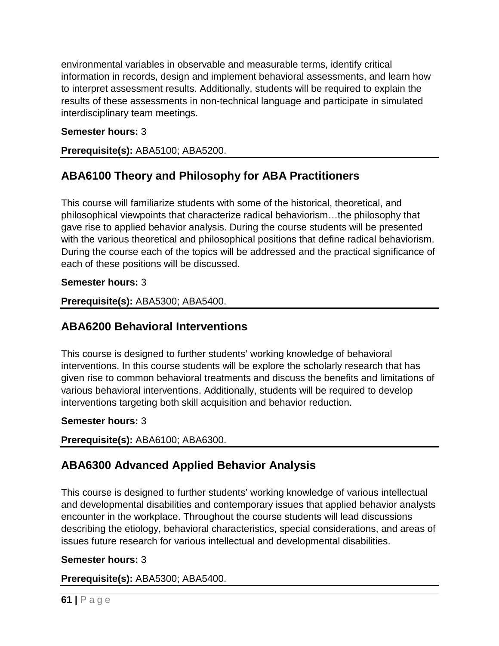environmental variables in observable and measurable terms, identify critical information in records, design and implement behavioral assessments, and learn how to interpret assessment results. Additionally, students will be required to explain the results of these assessments in non-technical language and participate in simulated interdisciplinary team meetings.

#### **Semester hours:** 3

**Prerequisite(s):** ABA5100; ABA5200.

# **ABA6100 Theory and Philosophy for ABA Practitioners**

This course will familiarize students with some of the historical, theoretical, and philosophical viewpoints that characterize radical behaviorism…the philosophy that gave rise to applied behavior analysis. During the course students will be presented with the various theoretical and philosophical positions that define radical behaviorism. During the course each of the topics will be addressed and the practical significance of each of these positions will be discussed.

#### **Semester hours:** 3

**Prerequisite(s):** ABA5300; ABA5400.

# **ABA6200 Behavioral Interventions**

This course is designed to further students' working knowledge of behavioral interventions. In this course students will be explore the scholarly research that has given rise to common behavioral treatments and discuss the benefits and limitations of various behavioral interventions. Additionally, students will be required to develop interventions targeting both skill acquisition and behavior reduction.

#### **Semester hours:** 3

**Prerequisite(s):** ABA6100; ABA6300.

# **ABA6300 Advanced Applied Behavior Analysis**

This course is designed to further students' working knowledge of various intellectual and developmental disabilities and contemporary issues that applied behavior analysts encounter in the workplace. Throughout the course students will lead discussions describing the etiology, behavioral characteristics, special considerations, and areas of issues future research for various intellectual and developmental disabilities.

#### **Semester hours:** 3

#### **Prerequisite(s):** ABA5300; ABA5400.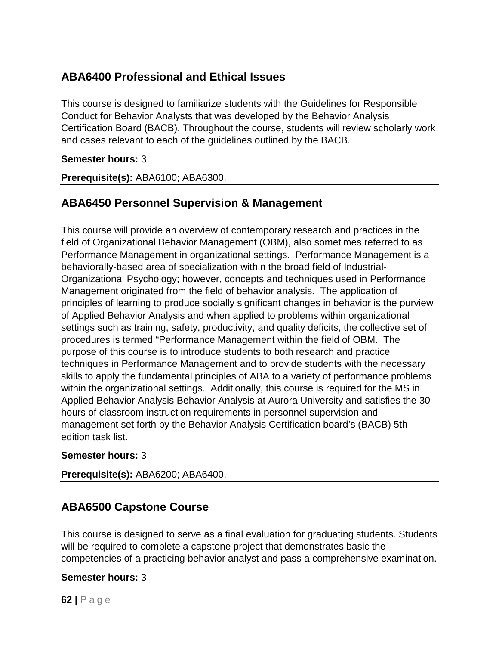# **ABA6400 Professional and Ethical Issues**

This course is designed to familiarize students with the Guidelines for Responsible Conduct for Behavior Analysts that was developed by the Behavior Analysis Certification Board (BACB). Throughout the course, students will review scholarly work and cases relevant to each of the guidelines outlined by the BACB.

#### **Semester hours:** 3

**Prerequisite(s):** ABA6100; ABA6300.

# **ABA6450 Personnel Supervision & Management**

This course will provide an overview of contemporary research and practices in the field of Organizational Behavior Management (OBM), also sometimes referred to as Performance Management in organizational settings. Performance Management is a behaviorally-based area of specialization within the broad field of Industrial-Organizational Psychology; however, concepts and techniques used in Performance Management originated from the field of behavior analysis. The application of principles of learning to produce socially significant changes in behavior is the purview of Applied Behavior Analysis and when applied to problems within organizational settings such as training, safety, productivity, and quality deficits, the collective set of procedures is termed "Performance Management within the field of OBM. The purpose of this course is to introduce students to both research and practice techniques in Performance Management and to provide students with the necessary skills to apply the fundamental principles of ABA to a variety of performance problems within the organizational settings. Additionally, this course is required for the MS in Applied Behavior Analysis Behavior Analysis at Aurora University and satisfies the 30 hours of classroom instruction requirements in personnel supervision and management set forth by the Behavior Analysis Certification board's (BACB) 5th edition task list.

#### **Semester hours:** 3

**Prerequisite(s):** ABA6200; ABA6400.

# **ABA6500 Capstone Course**

This course is designed to serve as a final evaluation for graduating students. Students will be required to complete a capstone project that demonstrates basic the competencies of a practicing behavior analyst and pass a comprehensive examination.

#### **Semester hours:** 3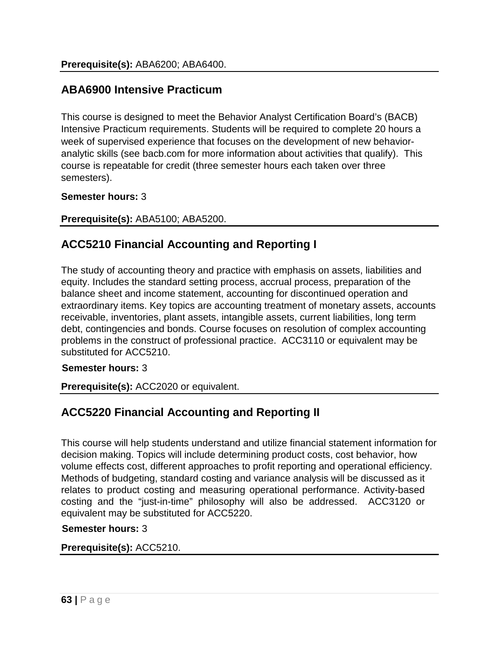## **ABA6900 Intensive Practicum**

This course is designed to meet the Behavior Analyst Certification Board's (BACB) Intensive Practicum requirements. Students will be required to complete 20 hours a week of supervised experience that focuses on the development of new behavioranalytic skills (see bacb.com for more information about activities that qualify). This course is repeatable for credit (three semester hours each taken over three semesters).

#### **Semester hours:** 3

#### **Prerequisite(s):** ABA5100; ABA5200.

## **ACC5210 Financial Accounting and Reporting I**

The study of accounting theory and practice with emphasis on assets, liabilities and equity. Includes the standard setting process, accrual process, preparation of the balance sheet and income statement, accounting for discontinued operation and extraordinary items. Key topics are accounting treatment of monetary assets, accounts receivable, inventories, plant assets, intangible assets, current liabilities, long term debt, contingencies and bonds. Course focuses on resolution of complex accounting problems in the construct of professional practice. ACC3110 or equivalent may be substituted for ACC5210.

#### **Semester hours:** 3

**Prerequisite(s):** ACC2020 or equivalent.

# **ACC5220 Financial Accounting and Reporting II**

This course will help students understand and utilize financial statement information for decision making. Topics will include determining product costs, cost behavior, how volume effects cost, different approaches to profit reporting and operational efficiency. Methods of budgeting, standard costing and variance analysis will be discussed as it relates to product costing and measuring operational performance. Activity-based costing and the "just-in-time" philosophy will also be addressed. ACC3120 or equivalent may be substituted for ACC5220.

#### **Semester hours:** 3

#### **Prerequisite(s):** ACC5210.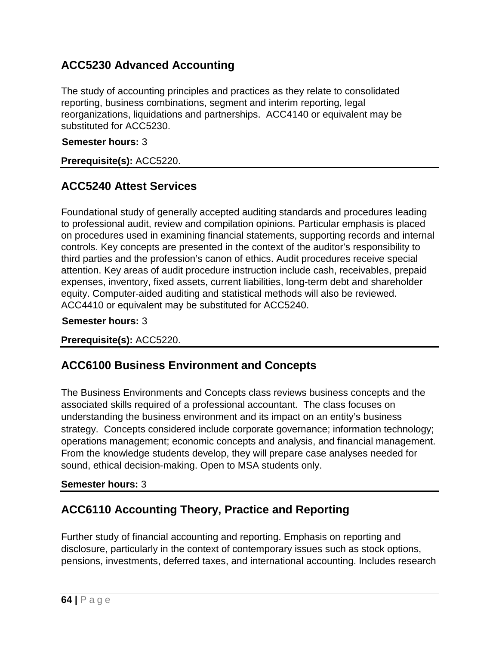# **ACC5230 Advanced Accounting**

The study of accounting principles and practices as they relate to consolidated reporting, business combinations, segment and interim reporting, legal reorganizations, liquidations and partnerships. ACC4140 or equivalent may be substituted for ACC5230.

#### **Semester hours:** 3

**Prerequisite(s):** ACC5220.

## **ACC5240 Attest Services**

Foundational study of generally accepted auditing standards and procedures leading to professional audit, review and compilation opinions. Particular emphasis is placed on procedures used in examining financial statements, supporting records and internal controls. Key concepts are presented in the context of the auditor's responsibility to third parties and the profession's canon of ethics. Audit procedures receive special attention. Key areas of audit procedure instruction include cash, receivables, prepaid expenses, inventory, fixed assets, current liabilities, long-term debt and shareholder equity. Computer-aided auditing and statistical methods will also be reviewed. ACC4410 or equivalent may be substituted for ACC5240.

#### **Semester hours:** 3

**Prerequisite(s):** ACC5220.

## **ACC6100 Business Environment and Concepts**

The Business Environments and Concepts class reviews business concepts and the associated skills required of a professional accountant. The class focuses on understanding the business environment and its impact on an entity's business strategy. Concepts considered include corporate governance; information technology; operations management; economic concepts and analysis, and financial management. From the knowledge students develop, they will prepare case analyses needed for sound, ethical decision-making. Open to MSA students only.

#### **Semester hours:** 3

## **ACC6110 Accounting Theory, Practice and Reporting**

Further study of financial accounting and reporting. Emphasis on reporting and disclosure, particularly in the context of contemporary issues such as stock options, pensions, investments, deferred taxes, and international accounting. Includes research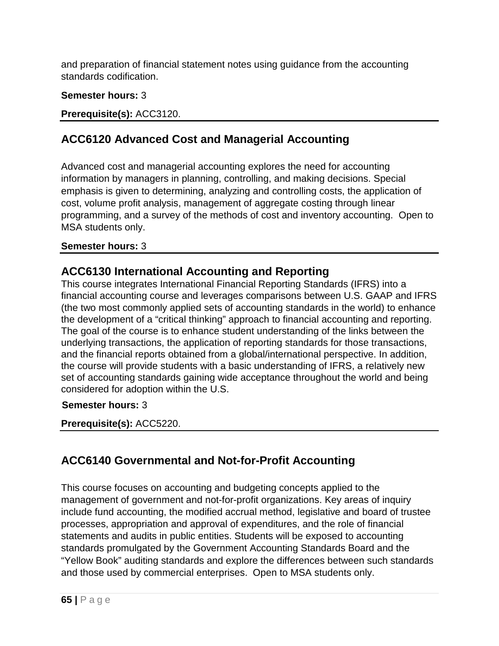and preparation of financial statement notes using guidance from the accounting standards codification.

#### **Semester hours:** 3

**Prerequisite(s):** ACC3120.

# **ACC6120 Advanced Cost and Managerial Accounting**

Advanced cost and managerial accounting explores the need for accounting information by managers in planning, controlling, and making decisions. Special emphasis is given to determining, analyzing and controlling costs, the application of cost, volume profit analysis, management of aggregate costing through linear programming, and a survey of the methods of cost and inventory accounting. Open to MSA students only.

#### **Semester hours:** 3

## **ACC6130 International Accounting and Reporting**

This course integrates International Financial Reporting Standards (IFRS) into a financial accounting course and leverages comparisons between U.S. GAAP and IFRS (the two most commonly applied sets of accounting standards in the world) to enhance the development of a "critical thinking" approach to financial accounting and reporting. The goal of the course is to enhance student understanding of the links between the underlying transactions, the application of reporting standards for those transactions, and the financial reports obtained from a global/international perspective. In addition, the course will provide students with a basic understanding of IFRS, a relatively new set of accounting standards gaining wide acceptance throughout the world and being considered for adoption within the U.S.

#### **Semester hours:** 3

**Prerequisite(s):** ACC5220.

# **ACC6140 Governmental and Not-for-Profit Accounting**

This course focuses on accounting and budgeting concepts applied to the management of government and not-for-profit organizations. Key areas of inquiry include fund accounting, the modified accrual method, legislative and board of trustee processes, appropriation and approval of expenditures, and the role of financial statements and audits in public entities. Students will be exposed to accounting standards promulgated by the Government Accounting Standards Board and the "Yellow Book" auditing standards and explore the differences between such standards and those used by commercial enterprises. Open to MSA students only.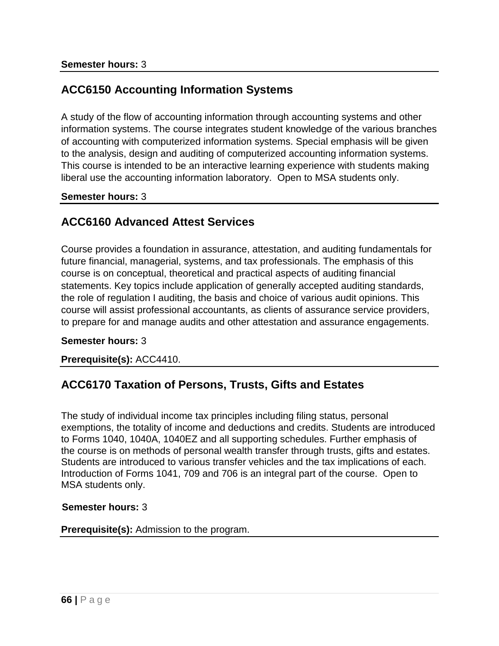# **ACC6150 Accounting Information Systems**

A study of the flow of accounting information through accounting systems and other information systems. The course integrates student knowledge of the various branches of accounting with computerized information systems. Special emphasis will be given to the analysis, design and auditing of computerized accounting information systems. This course is intended to be an interactive learning experience with students making liberal use the accounting information laboratory. Open to MSA students only.

#### **Semester hours:** 3

## **ACC6160 Advanced Attest Services**

Course provides a foundation in assurance, attestation, and auditing fundamentals for future financial, managerial, systems, and tax professionals. The emphasis of this course is on conceptual, theoretical and practical aspects of auditing financial statements. Key topics include application of generally accepted auditing standards, the role of regulation I auditing, the basis and choice of various audit opinions. This course will assist professional accountants, as clients of assurance service providers, to prepare for and manage audits and other attestation and assurance engagements.

#### **Semester hours:** 3

#### **Prerequisite(s):** ACC4410.

# **ACC6170 Taxation of Persons, Trusts, Gifts and Estates**

The study of individual income tax principles including filing status, personal exemptions, the totality of income and deductions and credits. Students are introduced to Forms 1040, 1040A, 1040EZ and all supporting schedules. Further emphasis of the course is on methods of personal wealth transfer through trusts, gifts and estates. Students are introduced to various transfer vehicles and the tax implications of each. Introduction of Forms 1041, 709 and 706 is an integral part of the course. Open to MSA students only.

#### **Semester hours:** 3

#### **Prerequisite(s):** Admission to the program.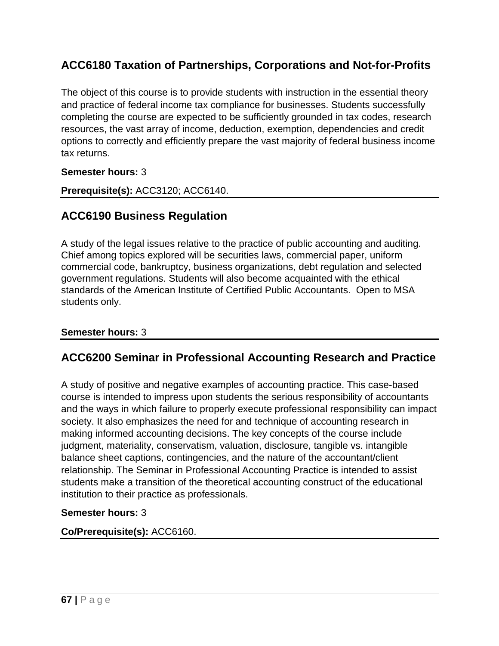# **ACC6180 Taxation of Partnerships, Corporations and Not-for-Profits**

The object of this course is to provide students with instruction in the essential theory and practice of federal income tax compliance for businesses. Students successfully completing the course are expected to be sufficiently grounded in tax codes, research resources, the vast array of income, deduction, exemption, dependencies and credit options to correctly and efficiently prepare the vast majority of federal business income tax returns.

#### **Semester hours:** 3

**Prerequisite(s):** ACC3120; ACC6140.

## **ACC6190 Business Regulation**

A study of the legal issues relative to the practice of public accounting and auditing. Chief among topics explored will be securities laws, commercial paper, uniform commercial code, bankruptcy, business organizations, debt regulation and selected government regulations. Students will also become acquainted with the ethical standards of the American Institute of Certified Public Accountants. Open to MSA students only.

#### **Semester hours:** 3

## **ACC6200 Seminar in Professional Accounting Research and Practice**

A study of positive and negative examples of accounting practice. This case-based course is intended to impress upon students the serious responsibility of accountants and the ways in which failure to properly execute professional responsibility can impact society. It also emphasizes the need for and technique of accounting research in making informed accounting decisions. The key concepts of the course include judgment, materiality, conservatism, valuation, disclosure, tangible vs. intangible balance sheet captions, contingencies, and the nature of the accountant/client relationship. The Seminar in Professional Accounting Practice is intended to assist students make a transition of the theoretical accounting construct of the educational institution to their practice as professionals.

#### **Semester hours:** 3

#### **Co/Prerequisite(s):** ACC6160.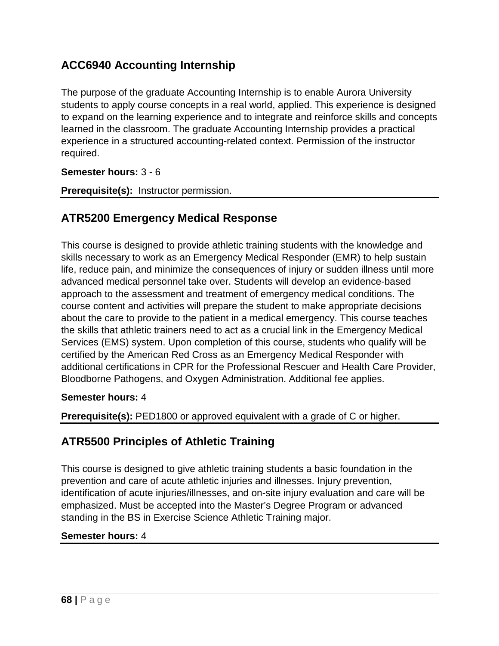# **ACC6940 Accounting Internship**

The purpose of the graduate Accounting Internship is to enable Aurora University students to apply course concepts in a real world, applied. This experience is designed to expand on the learning experience and to integrate and reinforce skills and concepts learned in the classroom. The graduate Accounting Internship provides a practical experience in a structured accounting-related context. Permission of the instructor required.

**Semester hours:** 3 - 6

**Prerequisite(s):** Instructor permission.

## **ATR5200 Emergency Medical Response**

This course is designed to provide athletic training students with the knowledge and skills necessary to work as an Emergency Medical Responder (EMR) to help sustain life, reduce pain, and minimize the consequences of injury or sudden illness until more advanced medical personnel take over. Students will develop an evidence-based approach to the assessment and treatment of emergency medical conditions. The course content and activities will prepare the student to make appropriate decisions about the care to provide to the patient in a medical emergency. This course teaches the skills that athletic trainers need to act as a crucial link in the Emergency Medical Services (EMS) system. Upon completion of this course, students who qualify will be certified by the American Red Cross as an Emergency Medical Responder with additional certifications in CPR for the Professional Rescuer and Health Care Provider, Bloodborne Pathogens, and Oxygen Administration. Additional fee applies.

#### **Semester hours:** 4

**Prerequisite(s):** PED1800 or approved equivalent with a grade of C or higher.

## **ATR5500 Principles of Athletic Training**

This course is designed to give athletic training students a basic foundation in the prevention and care of acute athletic injuries and illnesses. Injury prevention, identification of acute injuries/illnesses, and on-site injury evaluation and care will be emphasized. Must be accepted into the Master's Degree Program or advanced standing in the BS in Exercise Science Athletic Training major.

#### **Semester hours:** 4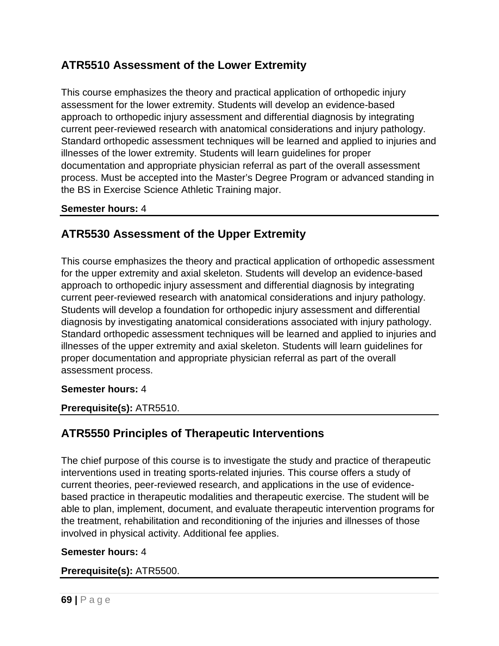# **ATR5510 Assessment of the Lower Extremity**

This course emphasizes the theory and practical application of orthopedic injury assessment for the lower extremity. Students will develop an evidence-based approach to orthopedic injury assessment and differential diagnosis by integrating current peer-reviewed research with anatomical considerations and injury pathology. Standard orthopedic assessment techniques will be learned and applied to injuries and illnesses of the lower extremity. Students will learn guidelines for proper documentation and appropriate physician referral as part of the overall assessment process. Must be accepted into the Master's Degree Program or advanced standing in the BS in Exercise Science Athletic Training major.

#### **Semester hours:** 4

# **ATR5530 Assessment of the Upper Extremity**

This course emphasizes the theory and practical application of orthopedic assessment for the upper extremity and axial skeleton. Students will develop an evidence-based approach to orthopedic injury assessment and differential diagnosis by integrating current peer-reviewed research with anatomical considerations and injury pathology. Students will develop a foundation for orthopedic injury assessment and differential diagnosis by investigating anatomical considerations associated with injury pathology. Standard orthopedic assessment techniques will be learned and applied to injuries and illnesses of the upper extremity and axial skeleton. Students will learn guidelines for proper documentation and appropriate physician referral as part of the overall assessment process.

#### **Semester hours:** 4

**Prerequisite(s):** ATR5510.

# **ATR5550 Principles of Therapeutic Interventions**

The chief purpose of this course is to investigate the study and practice of therapeutic interventions used in treating sports-related injuries. This course offers a study of current theories, peer-reviewed research, and applications in the use of evidencebased practice in therapeutic modalities and therapeutic exercise. The student will be able to plan, implement, document, and evaluate therapeutic intervention programs for the treatment, rehabilitation and reconditioning of the injuries and illnesses of those involved in physical activity. Additional fee applies.

#### **Semester hours:** 4

#### **Prerequisite(s):** ATR5500.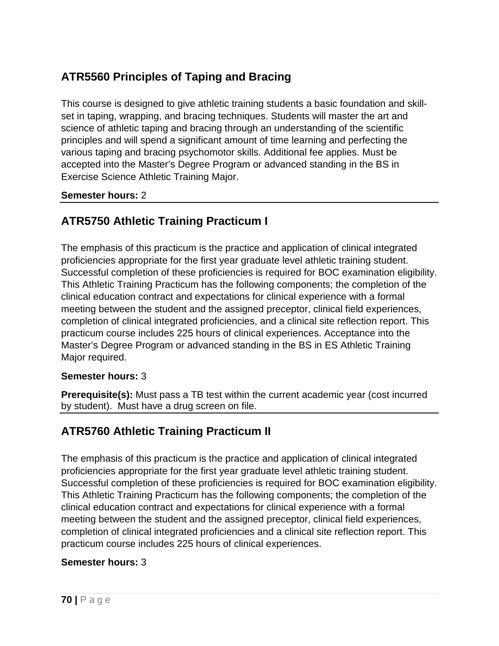# **ATR5560 Principles of Taping and Bracing**

This course is designed to give athletic training students a basic foundation and skillset in taping, wrapping, and bracing techniques. Students will master the art and science of athletic taping and bracing through an understanding of the scientific principles and will spend a significant amount of time learning and perfecting the various taping and bracing psychomotor skills. Additional fee applies. Must be accepted into the Master's Degree Program or advanced standing in the BS in Exercise Science Athletic Training Major.

#### **Semester hours:** 2

# **ATR5750 Athletic Training Practicum I**

The emphasis of this practicum is the practice and application of clinical integrated proficiencies appropriate for the first year graduate level athletic training student. Successful completion of these proficiencies is required for BOC examination eligibility. This Athletic Training Practicum has the following components; the completion of the clinical education contract and expectations for clinical experience with a formal meeting between the student and the assigned preceptor, clinical field experiences, completion of clinical integrated proficiencies, and a clinical site reflection report. This practicum course includes 225 hours of clinical experiences. Acceptance into the Master's Degree Program or advanced standing in the BS in ES Athletic Training Major required.

#### **Semester hours:** 3

**Prerequisite(s):** Must pass a TB test within the current academic year (cost incurred by student). Must have a drug screen on file.

# **ATR5760 Athletic Training Practicum II**

The emphasis of this practicum is the practice and application of clinical integrated proficiencies appropriate for the first year graduate level athletic training student. Successful completion of these proficiencies is required for BOC examination eligibility. This Athletic Training Practicum has the following components; the completion of the clinical education contract and expectations for clinical experience with a formal meeting between the student and the assigned preceptor, clinical field experiences, completion of clinical integrated proficiencies and a clinical site reflection report. This practicum course includes 225 hours of clinical experiences.

#### **Semester hours:** 3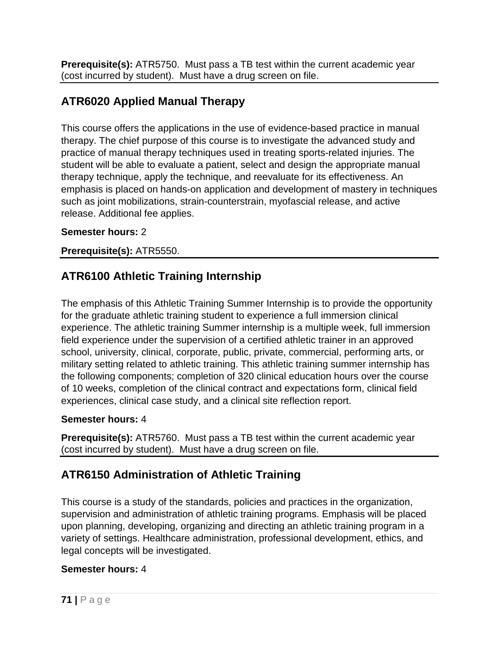**Prerequisite(s):** ATR5750. Must pass a TB test within the current academic year (cost incurred by student). Must have a drug screen on file.

# **ATR6020 Applied Manual Therapy**

This course offers the applications in the use of evidence-based practice in manual therapy. The chief purpose of this course is to investigate the advanced study and practice of manual therapy techniques used in treating sports-related injuries. The student will be able to evaluate a patient, select and design the appropriate manual therapy technique, apply the technique, and reevaluate for its effectiveness. An emphasis is placed on hands-on application and development of mastery in techniques such as joint mobilizations, strain-counterstrain, myofascial release, and active release. Additional fee applies.

#### **Semester hours:** 2

**Prerequisite(s):** ATR5550.

# **ATR6100 Athletic Training Internship**

The emphasis of this Athletic Training Summer Internship is to provide the opportunity for the graduate athletic training student to experience a full immersion clinical experience. The athletic training Summer internship is a multiple week, full immersion field experience under the supervision of a certified athletic trainer in an approved school, university, clinical, corporate, public, private, commercial, performing arts, or military setting related to athletic training. This athletic training summer internship has the following components; completion of 320 clinical education hours over the course of 10 weeks, completion of the clinical contract and expectations form, clinical field experiences, clinical case study, and a clinical site reflection report.

#### **Semester hours:** 4

**Prerequisite(s):** ATR5760. Must pass a TB test within the current academic year (cost incurred by student). Must have a drug screen on file.

# **ATR6150 Administration of Athletic Training**

This course is a study of the standards, policies and practices in the organization, supervision and administration of athletic training programs. Emphasis will be placed upon planning, developing, organizing and directing an athletic training program in a variety of settings. Healthcare administration, professional development, ethics, and legal concepts will be investigated.

#### **Semester hours:** 4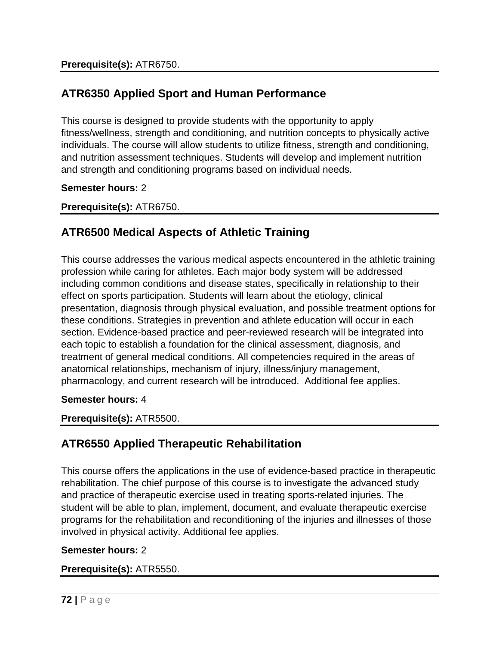# **ATR6350 Applied Sport and Human Performance**

This course is designed to provide students with the opportunity to apply fitness/wellness, strength and conditioning, and nutrition concepts to physically active individuals. The course will allow students to utilize fitness, strength and conditioning, and nutrition assessment techniques. Students will develop and implement nutrition and strength and conditioning programs based on individual needs.

#### **Semester hours:** 2

#### **Prerequisite(s):** ATR6750.

# **ATR6500 Medical Aspects of Athletic Training**

This course addresses the various medical aspects encountered in the athletic training profession while caring for athletes. Each major body system will be addressed including common conditions and disease states, specifically in relationship to their effect on sports participation. Students will learn about the etiology, clinical presentation, diagnosis through physical evaluation, and possible treatment options for these conditions. Strategies in prevention and athlete education will occur in each section. Evidence-based practice and peer-reviewed research will be integrated into each topic to establish a foundation for the clinical assessment, diagnosis, and treatment of general medical conditions. All competencies required in the areas of anatomical relationships, mechanism of injury, illness/injury management, pharmacology, and current research will be introduced. Additional fee applies.

#### **Semester hours:** 4

**Prerequisite(s):** ATR5500.

# **ATR6550 Applied Therapeutic Rehabilitation**

This course offers the applications in the use of evidence-based practice in therapeutic rehabilitation. The chief purpose of this course is to investigate the advanced study and practice of therapeutic exercise used in treating sports-related injuries. The student will be able to plan, implement, document, and evaluate therapeutic exercise programs for the rehabilitation and reconditioning of the injuries and illnesses of those involved in physical activity. Additional fee applies.

#### **Semester hours:** 2

#### **Prerequisite(s):** ATR5550.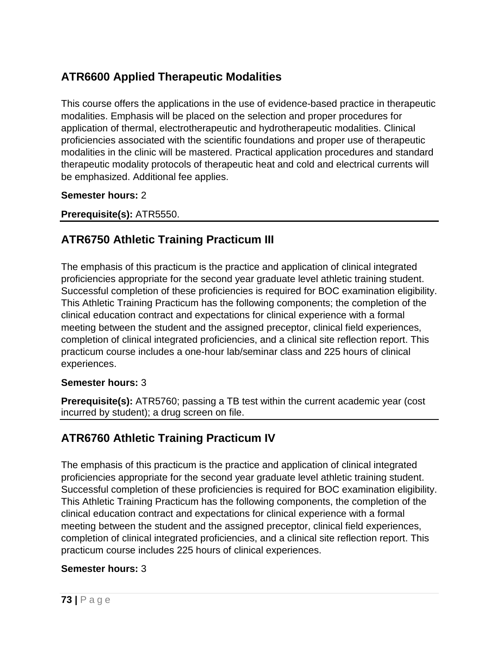# **ATR6600 Applied Therapeutic Modalities**

This course offers the applications in the use of evidence-based practice in therapeutic modalities. Emphasis will be placed on the selection and proper procedures for application of thermal, electrotherapeutic and hydrotherapeutic modalities. Clinical proficiencies associated with the scientific foundations and proper use of therapeutic modalities in the clinic will be mastered. Practical application procedures and standard therapeutic modality protocols of therapeutic heat and cold and electrical currents will be emphasized. Additional fee applies.

### **Semester hours:** 2

### **Prerequisite(s):** ATR5550.

# **ATR6750 Athletic Training Practicum III**

The emphasis of this practicum is the practice and application of clinical integrated proficiencies appropriate for the second year graduate level athletic training student. Successful completion of these proficiencies is required for BOC examination eligibility. This Athletic Training Practicum has the following components; the completion of the clinical education contract and expectations for clinical experience with a formal meeting between the student and the assigned preceptor, clinical field experiences, completion of clinical integrated proficiencies, and a clinical site reflection report. This practicum course includes a one-hour lab/seminar class and 225 hours of clinical experiences.

### **Semester hours:** 3

**Prerequisite(s):** ATR5760; passing a TB test within the current academic year (cost incurred by student); a drug screen on file.

## **ATR6760 Athletic Training Practicum IV**

The emphasis of this practicum is the practice and application of clinical integrated proficiencies appropriate for the second year graduate level athletic training student. Successful completion of these proficiencies is required for BOC examination eligibility. This Athletic Training Practicum has the following components, the completion of the clinical education contract and expectations for clinical experience with a formal meeting between the student and the assigned preceptor, clinical field experiences, completion of clinical integrated proficiencies, and a clinical site reflection report. This practicum course includes 225 hours of clinical experiences.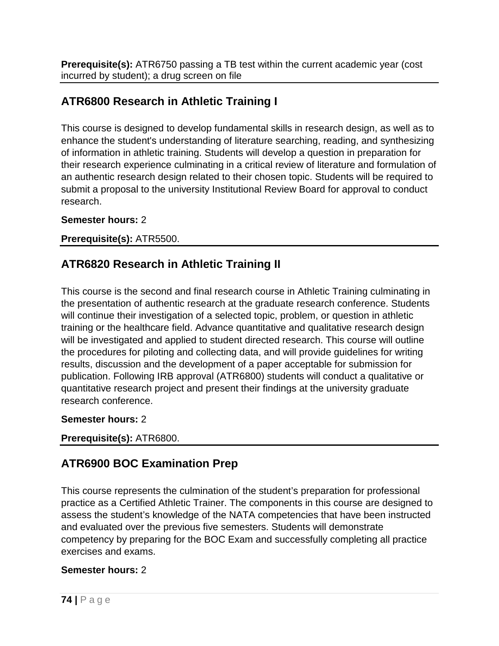**Prerequisite(s):** ATR6750 passing a TB test within the current academic year (cost incurred by student); a drug screen on file

# **ATR6800 Research in Athletic Training I**

This course is designed to develop fundamental skills in research design, as well as to enhance the student's understanding of literature searching, reading, and synthesizing of information in athletic training. Students will develop a question in preparation for their research experience culminating in a critical review of literature and formulation of an authentic research design related to their chosen topic. Students will be required to submit a proposal to the university Institutional Review Board for approval to conduct research.

### **Semester hours:** 2

### **Prerequisite(s):** ATR5500.

# **ATR6820 Research in Athletic Training II**

This course is the second and final research course in Athletic Training culminating in the presentation of authentic research at the graduate research conference. Students will continue their investigation of a selected topic, problem, or question in athletic training or the healthcare field. Advance quantitative and qualitative research design will be investigated and applied to student directed research. This course will outline the procedures for piloting and collecting data, and will provide guidelines for writing results, discussion and the development of a paper acceptable for submission for publication. Following IRB approval (ATR6800) students will conduct a qualitative or quantitative research project and present their findings at the university graduate research conference.

### **Semester hours:** 2

### **Prerequisite(s):** ATR6800.

## **ATR6900 BOC Examination Prep**

This course represents the culmination of the student's preparation for professional practice as a Certified Athletic Trainer. The components in this course are designed to assess the student's knowledge of the NATA competencies that have been instructed and evaluated over the previous five semesters. Students will demonstrate competency by preparing for the BOC Exam and successfully completing all practice exercises and exams.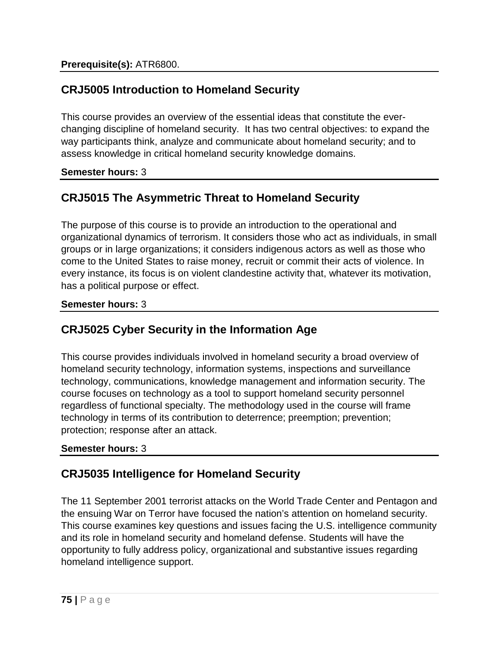# **CRJ5005 Introduction to Homeland Security**

This course provides an overview of the essential ideas that constitute the everchanging discipline of homeland security. It has two central objectives: to expand the way participants think, analyze and communicate about homeland security; and to assess knowledge in critical homeland security knowledge domains.

### **Semester hours:** 3

# **CRJ5015 The Asymmetric Threat to Homeland Security**

The purpose of this course is to provide an introduction to the operational and organizational dynamics of terrorism. It considers those who act as individuals, in small groups or in large organizations; it considers indigenous actors as well as those who come to the United States to raise money, recruit or commit their acts of violence. In every instance, its focus is on violent clandestine activity that, whatever its motivation, has a political purpose or effect.

### **Semester hours:** 3

## **CRJ5025 Cyber Security in the Information Age**

This course provides individuals involved in homeland security a broad overview of homeland security technology, information systems, inspections and surveillance technology, communications, knowledge management and information security. The course focuses on technology as a tool to support homeland security personnel regardless of functional specialty. The methodology used in the course will frame technology in terms of its contribution to deterrence; preemption; prevention; protection; response after an attack.

### **Semester hours:** 3

# **CRJ5035 Intelligence for Homeland Security**

The 11 September 2001 terrorist attacks on the World Trade Center and Pentagon and the ensuing War on Terror have focused the nation's attention on homeland security. This course examines key questions and issues facing the U.S. intelligence community and its role in homeland security and homeland defense. Students will have the opportunity to fully address policy, organizational and substantive issues regarding homeland intelligence support.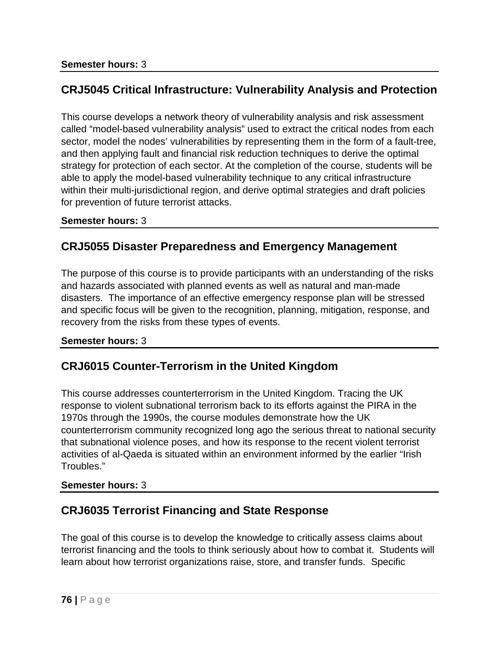### **CRJ5045 Critical Infrastructure: Vulnerability Analysis and Protection**

This course develops a network theory of vulnerability analysis and risk assessment called "model-based vulnerability analysis" used to extract the critical nodes from each sector, model the nodes' vulnerabilities by representing them in the form of a fault-tree, and then applying fault and financial risk reduction techniques to derive the optimal strategy for protection of each sector. At the completion of the course, students will be able to apply the model-based vulnerability technique to any critical infrastructure within their multi-jurisdictional region, and derive optimal strategies and draft policies for prevention of future terrorist attacks.

#### **Semester hours:** 3

### **CRJ5055 Disaster Preparedness and Emergency Management**

The purpose of this course is to provide participants with an understanding of the risks and hazards associated with planned events as well as natural and man-made disasters. The importance of an effective emergency response plan will be stressed and specific focus will be given to the recognition, planning, mitigation, response, and recovery from the risks from these types of events.

#### **Semester hours:** 3

### **CRJ6015 Counter-Terrorism in the United Kingdom**

This course addresses counterterrorism in the United Kingdom. Tracing the UK response to violent subnational terrorism back to its efforts against the PIRA in the 1970s through the 1990s, the course modules demonstrate how the UK counterterrorism community recognized long ago the serious threat to national security that subnational violence poses, and how its response to the recent violent terrorist activities of al-Qaeda is situated within an environment informed by the earlier "Irish Troubles."

### **Semester hours:** 3

### **CRJ6035 Terrorist Financing and State Response**

The goal of this course is to develop the knowledge to critically assess claims about terrorist financing and the tools to think seriously about how to combat it. Students will learn about how terrorist organizations raise, store, and transfer funds. Specific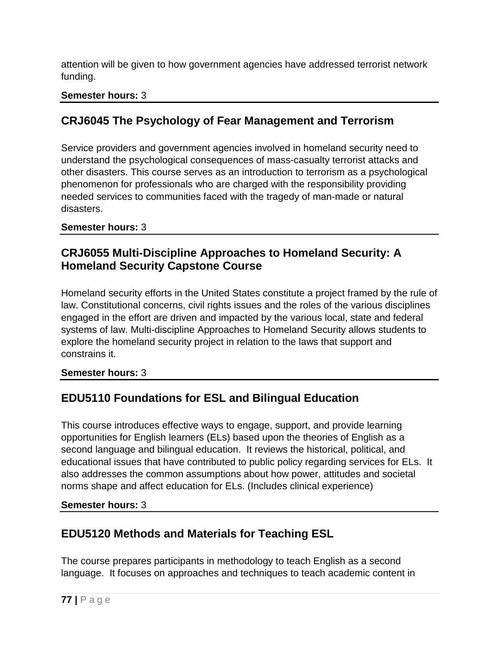attention will be given to how government agencies have addressed terrorist network funding.

### **Semester hours:** 3

# **CRJ6045 The Psychology of Fear Management and Terrorism**

Service providers and government agencies involved in homeland security need to understand the psychological consequences of mass-casualty terrorist attacks and other disasters. This course serves as an introduction to terrorism as a psychological phenomenon for professionals who are charged with the responsibility providing needed services to communities faced with the tragedy of man-made or natural disasters.

### **Semester hours:** 3

## **CRJ6055 Multi-Discipline Approaches to Homeland Security: A Homeland Security Capstone Course**

Homeland security efforts in the United States constitute a project framed by the rule of law. Constitutional concerns, civil rights issues and the roles of the various disciplines engaged in the effort are driven and impacted by the various local, state and federal systems of law. Multi-discipline Approaches to Homeland Security allows students to explore the homeland security project in relation to the laws that support and constrains it.

**Semester hours:** 3

# **EDU5110 Foundations for ESL and Bilingual Education**

This course introduces effective ways to engage, support, and provide learning opportunities for English learners (ELs) based upon the theories of English as a second language and bilingual education. It reviews the historical, political, and educational issues that have contributed to public policy regarding services for ELs. It also addresses the common assumptions about how power, attitudes and societal norms shape and affect education for ELs. (Includes clinical experience)

**Semester hours:** 3

# **EDU5120 Methods and Materials for Teaching ESL**

The course prepares participants in methodology to teach English as a second language. It focuses on approaches and techniques to teach academic content in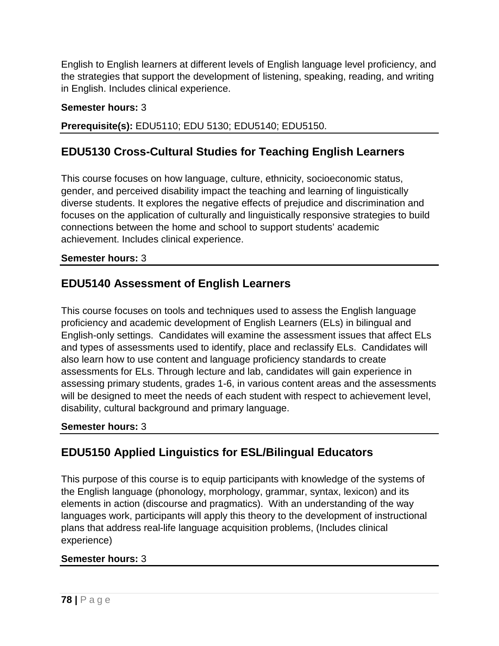English to English learners at different levels of English language level proficiency, and the strategies that support the development of listening, speaking, reading, and writing in English. Includes clinical experience.

### **Semester hours:** 3

**Prerequisite(s):** EDU5110; EDU 5130; EDU5140; EDU5150.

# **EDU5130 Cross-Cultural Studies for Teaching English Learners**

This course focuses on how language, culture, ethnicity, socioeconomic status, gender, and perceived disability impact the teaching and learning of linguistically diverse students. It explores the negative effects of prejudice and discrimination and focuses on the application of culturally and linguistically responsive strategies to build connections between the home and school to support students' academic achievement. Includes clinical experience.

### **Semester hours:** 3

## **EDU5140 Assessment of English Learners**

This course focuses on tools and techniques used to assess the English language proficiency and academic development of English Learners (ELs) in bilingual and English-only settings. Candidates will examine the assessment issues that affect ELs and types of assessments used to identify, place and reclassify ELs. Candidates will also learn how to use content and language proficiency standards to create assessments for ELs. Through lecture and lab, candidates will gain experience in assessing primary students, grades 1-6, in various content areas and the assessments will be designed to meet the needs of each student with respect to achievement level, disability, cultural background and primary language.

### **Semester hours:** 3

# **EDU5150 Applied Linguistics for ESL/Bilingual Educators**

This purpose of this course is to equip participants with knowledge of the systems of the English language (phonology, morphology, grammar, syntax, lexicon) and its elements in action (discourse and pragmatics). With an understanding of the way languages work, participants will apply this theory to the development of instructional plans that address real-life language acquisition problems, (Includes clinical experience)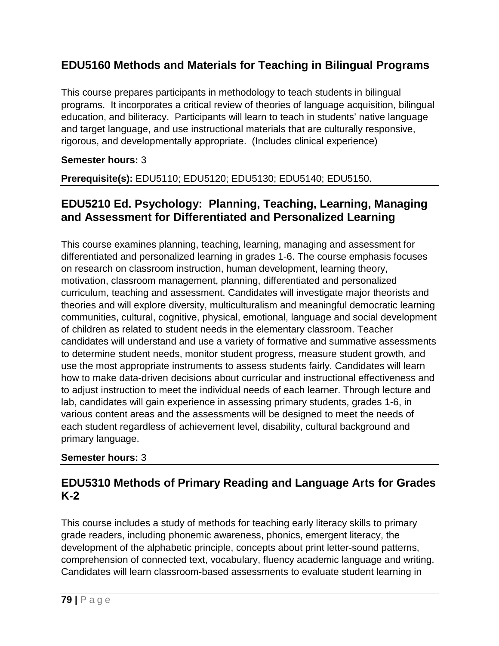## **EDU5160 Methods and Materials for Teaching in Bilingual Programs**

This course prepares participants in methodology to teach students in bilingual programs. It incorporates a critical review of theories of language acquisition, bilingual education, and biliteracy. Participants will learn to teach in students' native language and target language, and use instructional materials that are culturally responsive, rigorous, and developmentally appropriate. (Includes clinical experience)

### **Semester hours:** 3

**Prerequisite(s):** EDU5110; EDU5120; EDU5130; EDU5140; EDU5150.

### **EDU5210 Ed. Psychology: Planning, Teaching, Learning, Managing and Assessment for Differentiated and Personalized Learning**

This course examines planning, teaching, learning, managing and assessment for differentiated and personalized learning in grades 1-6. The course emphasis focuses on research on classroom instruction, human development, learning theory, motivation, classroom management, planning, differentiated and personalized curriculum, teaching and assessment. Candidates will investigate major theorists and theories and will explore diversity, multiculturalism and meaningful democratic learning communities, cultural, cognitive, physical, emotional, language and social development of children as related to student needs in the elementary classroom. Teacher candidates will understand and use a variety of formative and summative assessments to determine student needs, monitor student progress, measure student growth, and use the most appropriate instruments to assess students fairly. Candidates will learn how to make data-driven decisions about curricular and instructional effectiveness and to adjust instruction to meet the individual needs of each learner. Through lecture and lab, candidates will gain experience in assessing primary students, grades 1-6, in various content areas and the assessments will be designed to meet the needs of each student regardless of achievement level, disability, cultural background and primary language.

### **Semester hours:** 3

### **EDU5310 Methods of Primary Reading and Language Arts for Grades K-2**

This course includes a study of methods for teaching early literacy skills to primary grade readers, including phonemic awareness, phonics, emergent literacy, the development of the alphabetic principle, concepts about print letter-sound patterns, comprehension of connected text, vocabulary, fluency academic language and writing. Candidates will learn classroom-based assessments to evaluate student learning in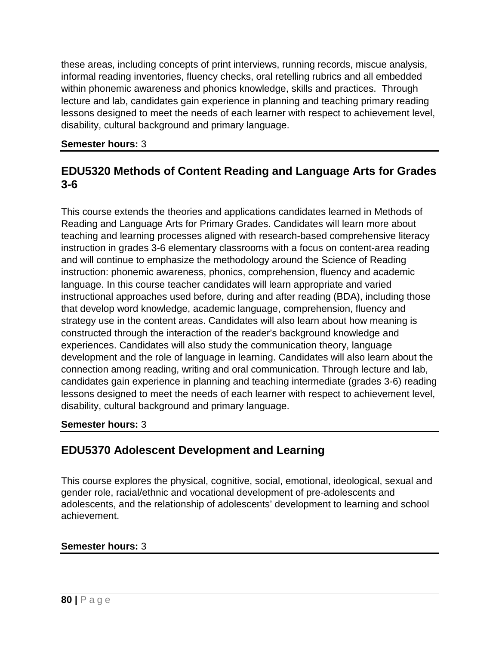these areas, including concepts of print interviews, running records, miscue analysis, informal reading inventories, fluency checks, oral retelling rubrics and all embedded within phonemic awareness and phonics knowledge, skills and practices. Through lecture and lab, candidates gain experience in planning and teaching primary reading lessons designed to meet the needs of each learner with respect to achievement level, disability, cultural background and primary language.

#### **Semester hours:** 3

## **EDU5320 Methods of Content Reading and Language Arts for Grades 3-6**

This course extends the theories and applications candidates learned in Methods of Reading and Language Arts for Primary Grades. Candidates will learn more about teaching and learning processes aligned with research-based comprehensive literacy instruction in grades 3-6 elementary classrooms with a focus on content-area reading and will continue to emphasize the methodology around the Science of Reading instruction: phonemic awareness, phonics, comprehension, fluency and academic language. In this course teacher candidates will learn appropriate and varied instructional approaches used before, during and after reading (BDA), including those that develop word knowledge, academic language, comprehension, fluency and strategy use in the content areas. Candidates will also learn about how meaning is constructed through the interaction of the reader's background knowledge and experiences. Candidates will also study the communication theory, language development and the role of language in learning. Candidates will also learn about the connection among reading, writing and oral communication. Through lecture and lab, candidates gain experience in planning and teaching intermediate (grades 3-6) reading lessons designed to meet the needs of each learner with respect to achievement level, disability, cultural background and primary language.

### **Semester hours:** 3

### **EDU5370 Adolescent Development and Learning**

This course explores the physical, cognitive, social, emotional, ideological, sexual and gender role, racial/ethnic and vocational development of pre-adolescents and adolescents, and the relationship of adolescents' development to learning and school achievement.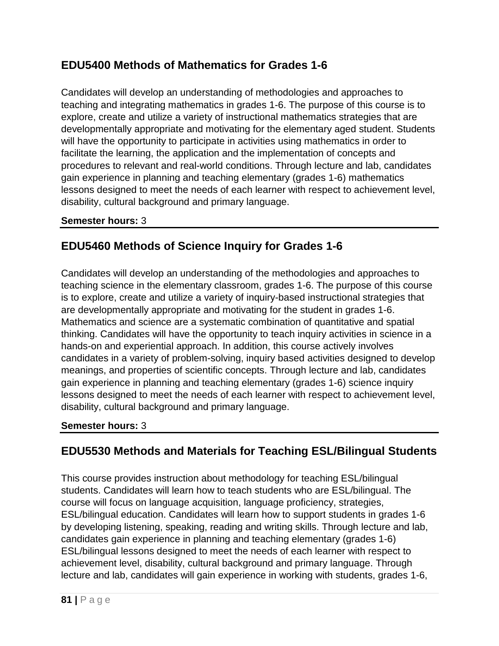## **EDU5400 Methods of Mathematics for Grades 1-6**

Candidates will develop an understanding of methodologies and approaches to teaching and integrating mathematics in grades 1-6. The purpose of this course is to explore, create and utilize a variety of instructional mathematics strategies that are developmentally appropriate and motivating for the elementary aged student. Students will have the opportunity to participate in activities using mathematics in order to facilitate the learning, the application and the implementation of concepts and procedures to relevant and real-world conditions. Through lecture and lab, candidates gain experience in planning and teaching elementary (grades 1-6) mathematics lessons designed to meet the needs of each learner with respect to achievement level, disability, cultural background and primary language.

### **Semester hours:** 3

# **EDU5460 Methods of Science Inquiry for Grades 1-6**

Candidates will develop an understanding of the methodologies and approaches to teaching science in the elementary classroom, grades 1-6. The purpose of this course is to explore, create and utilize a variety of inquiry-based instructional strategies that are developmentally appropriate and motivating for the student in grades 1-6. Mathematics and science are a systematic combination of quantitative and spatial thinking. Candidates will have the opportunity to teach inquiry activities in science in a hands-on and experiential approach. In addition, this course actively involves candidates in a variety of problem-solving, inquiry based activities designed to develop meanings, and properties of scientific concepts. Through lecture and lab, candidates gain experience in planning and teaching elementary (grades 1-6) science inquiry lessons designed to meet the needs of each learner with respect to achievement level, disability, cultural background and primary language.

### **Semester hours:** 3

## **EDU5530 Methods and Materials for Teaching ESL/Bilingual Students**

This course provides instruction about methodology for teaching ESL/bilingual students. Candidates will learn how to teach students who are ESL/bilingual. The course will focus on language acquisition, language proficiency, strategies, ESL/bilingual education. Candidates will learn how to support students in grades 1-6 by developing listening, speaking, reading and writing skills. Through lecture and lab, candidates gain experience in planning and teaching elementary (grades 1-6) ESL/bilingual lessons designed to meet the needs of each learner with respect to achievement level, disability, cultural background and primary language. Through lecture and lab, candidates will gain experience in working with students, grades 1-6,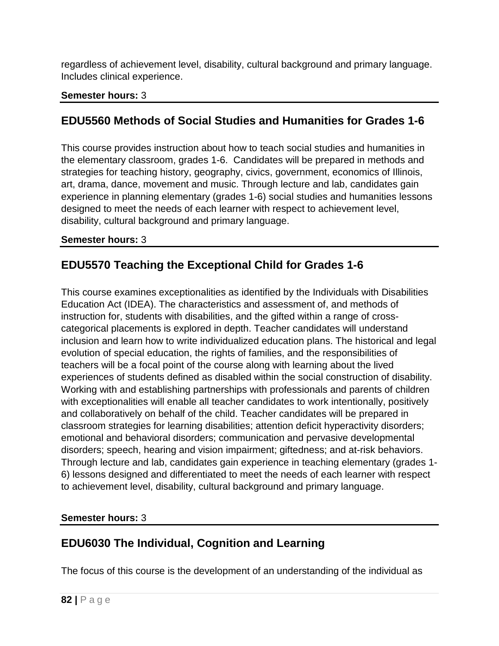regardless of achievement level, disability, cultural background and primary language. Includes clinical experience.

### **Semester hours:** 3

# **EDU5560 Methods of Social Studies and Humanities for Grades 1-6**

This course provides instruction about how to teach social studies and humanities in the elementary classroom, grades 1-6. Candidates will be prepared in methods and strategies for teaching history, geography, civics, government, economics of Illinois, art, drama, dance, movement and music. Through lecture and lab, candidates gain experience in planning elementary (grades 1-6) social studies and humanities lessons designed to meet the needs of each learner with respect to achievement level, disability, cultural background and primary language.

### **Semester hours:** 3

# **EDU5570 Teaching the Exceptional Child for Grades 1-6**

This course examines exceptionalities as identified by the Individuals with Disabilities Education Act (IDEA). The characteristics and assessment of, and methods of instruction for, students with disabilities, and the gifted within a range of crosscategorical placements is explored in depth. Teacher candidates will understand inclusion and learn how to write individualized education plans. The historical and legal evolution of special education, the rights of families, and the responsibilities of teachers will be a focal point of the course along with learning about the lived experiences of students defined as disabled within the social construction of disability. Working with and establishing partnerships with professionals and parents of children with exceptionalities will enable all teacher candidates to work intentionally, positively and collaboratively on behalf of the child. Teacher candidates will be prepared in classroom strategies for learning disabilities; attention deficit hyperactivity disorders; emotional and behavioral disorders; communication and pervasive developmental disorders; speech, hearing and vision impairment; giftedness; and at-risk behaviors. Through lecture and lab, candidates gain experience in teaching elementary (grades 1- 6) lessons designed and differentiated to meet the needs of each learner with respect to achievement level, disability, cultural background and primary language.

### **Semester hours:** 3

## **EDU6030 The Individual, Cognition and Learning**

The focus of this course is the development of an understanding of the individual as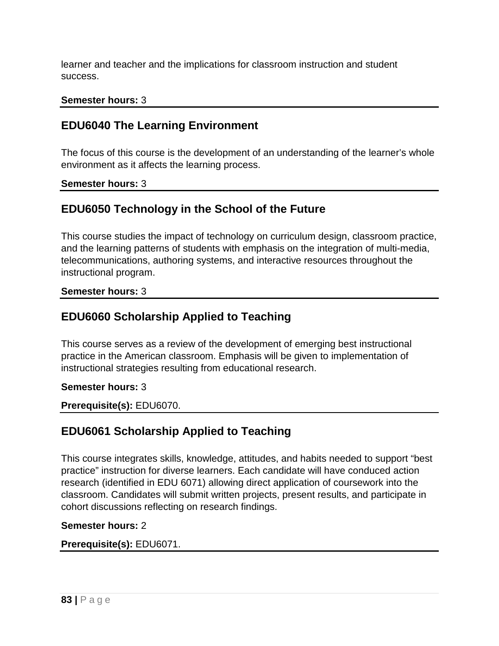learner and teacher and the implications for classroom instruction and student success.

#### **Semester hours:** 3

### **EDU6040 The Learning Environment**

The focus of this course is the development of an understanding of the learner's whole environment as it affects the learning process.

**Semester hours:** 3

### **EDU6050 Technology in the School of the Future**

This course studies the impact of technology on curriculum design, classroom practice, and the learning patterns of students with emphasis on the integration of multi-media, telecommunications, authoring systems, and interactive resources throughout the instructional program.

**Semester hours:** 3

### **EDU6060 Scholarship Applied to Teaching**

This course serves as a review of the development of emerging best instructional practice in the American classroom. Emphasis will be given to implementation of instructional strategies resulting from educational research.

**Semester hours:** 3

**Prerequisite(s):** EDU6070.

### **EDU6061 Scholarship Applied to Teaching**

This course integrates skills, knowledge, attitudes, and habits needed to support "best practice" instruction for diverse learners. Each candidate will have conduced action research (identified in EDU 6071) allowing direct application of coursework into the classroom. Candidates will submit written projects, present results, and participate in cohort discussions reflecting on research findings.

#### **Semester hours:** 2

#### **Prerequisite(s):** EDU6071.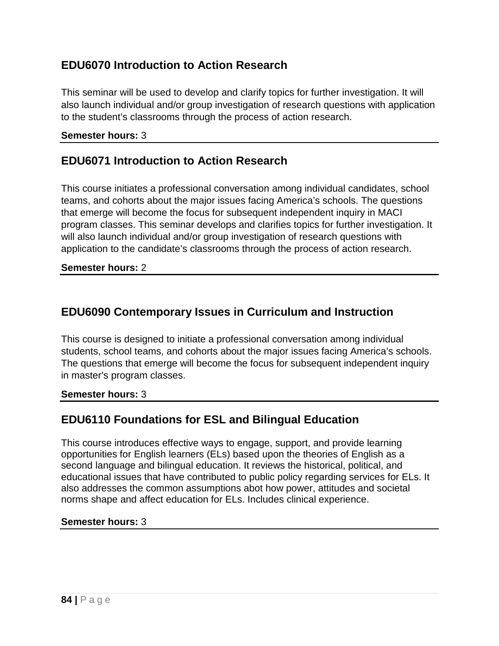### **EDU6070 Introduction to Action Research**

This seminar will be used to develop and clarify topics for further investigation. It will also launch individual and/or group investigation of research questions with application to the student's classrooms through the process of action research.

#### **Semester hours:** 3

### **EDU6071 Introduction to Action Research**

This course initiates a professional conversation among individual candidates, school teams, and cohorts about the major issues facing America's schools. The questions that emerge will become the focus for subsequent independent inquiry in MACI program classes. This seminar develops and clarifies topics for further investigation. It will also launch individual and/or group investigation of research questions with application to the candidate's classrooms through the process of action research.

#### **Semester hours:** 2

### **EDU6090 Contemporary Issues in Curriculum and Instruction**

This course is designed to initiate a professional conversation among individual students, school teams, and cohorts about the major issues facing America's schools. The questions that emerge will become the focus for subsequent independent inquiry in master's program classes.

#### **Semester hours:** 3

## **EDU6110 Foundations for ESL and Bilingual Education**

This course introduces effective ways to engage, support, and provide learning opportunities for English learners (ELs) based upon the theories of English as a second language and bilingual education. It reviews the historical, political, and educational issues that have contributed to public policy regarding services for ELs. It also addresses the common assumptions abot how power, attitudes and societal norms shape and affect education for ELs. Includes clinical experience.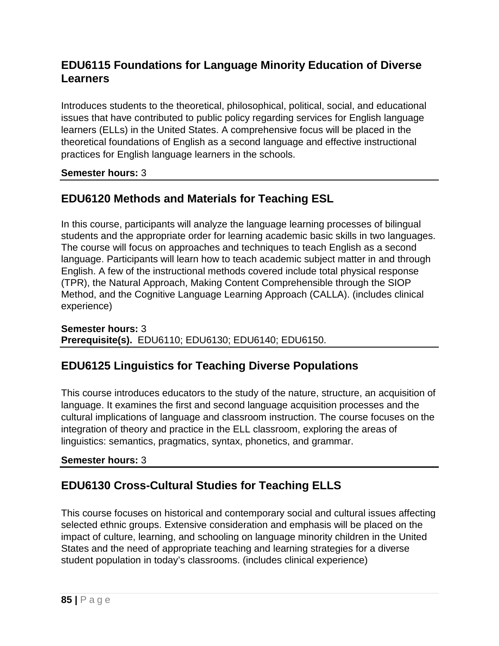## **EDU6115 Foundations for Language Minority Education of Diverse Learners**

Introduces students to the theoretical, philosophical, political, social, and educational issues that have contributed to public policy regarding services for English language learners (ELLs) in the United States. A comprehensive focus will be placed in the theoretical foundations of English as a second language and effective instructional practices for English language learners in the schools.

### **Semester hours:** 3

# **EDU6120 Methods and Materials for Teaching ESL**

In this course, participants will analyze the language learning processes of bilingual students and the appropriate order for learning academic basic skills in two languages. The course will focus on approaches and techniques to teach English as a second language. Participants will learn how to teach academic subject matter in and through English. A few of the instructional methods covered include total physical response (TPR), the Natural Approach, Making Content Comprehensible through the SIOP Method, and the Cognitive Language Learning Approach (CALLA). (includes clinical experience)

**Semester hours:** 3 **Prerequisite(s).** EDU6110; EDU6130; EDU6140; EDU6150.

## **EDU6125 Linguistics for Teaching Diverse Populations**

This course introduces educators to the study of the nature, structure, an acquisition of language. It examines the first and second language acquisition processes and the cultural implications of language and classroom instruction. The course focuses on the integration of theory and practice in the ELL classroom, exploring the areas of linguistics: semantics, pragmatics, syntax, phonetics, and grammar.

### **Semester hours:** 3

## **EDU6130 Cross-Cultural Studies for Teaching ELLS**

This course focuses on historical and contemporary social and cultural issues affecting selected ethnic groups. Extensive consideration and emphasis will be placed on the impact of culture, learning, and schooling on language minority children in the United States and the need of appropriate teaching and learning strategies for a diverse student population in today's classrooms. (includes clinical experience)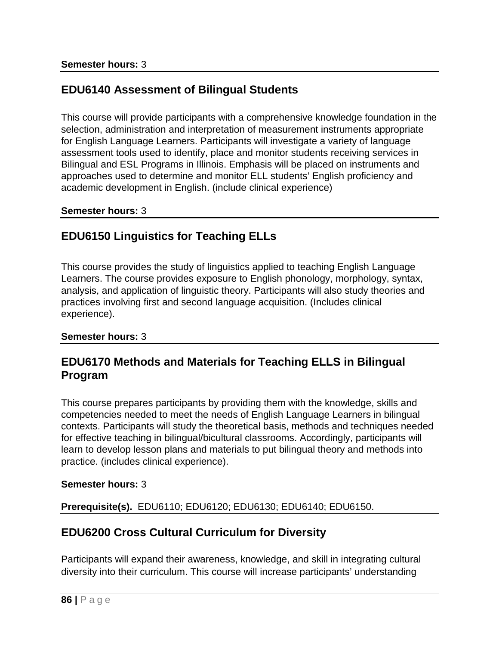## **EDU6140 Assessment of Bilingual Students**

This course will provide participants with a comprehensive knowledge foundation in the selection, administration and interpretation of measurement instruments appropriate for English Language Learners. Participants will investigate a variety of language assessment tools used to identify, place and monitor students receiving services in Bilingual and ESL Programs in Illinois. Emphasis will be placed on instruments and approaches used to determine and monitor ELL students' English proficiency and academic development in English. (include clinical experience)

#### **Semester hours:** 3

### **EDU6150 Linguistics for Teaching ELLs**

This course provides the study of linguistics applied to teaching English Language Learners. The course provides exposure to English phonology, morphology, syntax, analysis, and application of linguistic theory. Participants will also study theories and practices involving first and second language acquisition. (Includes clinical experience).

### **Semester hours:** 3

### **EDU6170 Methods and Materials for Teaching ELLS in Bilingual Program**

This course prepares participants by providing them with the knowledge, skills and competencies needed to meet the needs of English Language Learners in bilingual contexts. Participants will study the theoretical basis, methods and techniques needed for effective teaching in bilingual/bicultural classrooms. Accordingly, participants will learn to develop lesson plans and materials to put bilingual theory and methods into practice. (includes clinical experience).

### **Semester hours:** 3

**Prerequisite(s).** EDU6110; EDU6120; EDU6130; EDU6140; EDU6150.

### **EDU6200 Cross Cultural Curriculum for Diversity**

Participants will expand their awareness, knowledge, and skill in integrating cultural diversity into their curriculum. This course will increase participants' understanding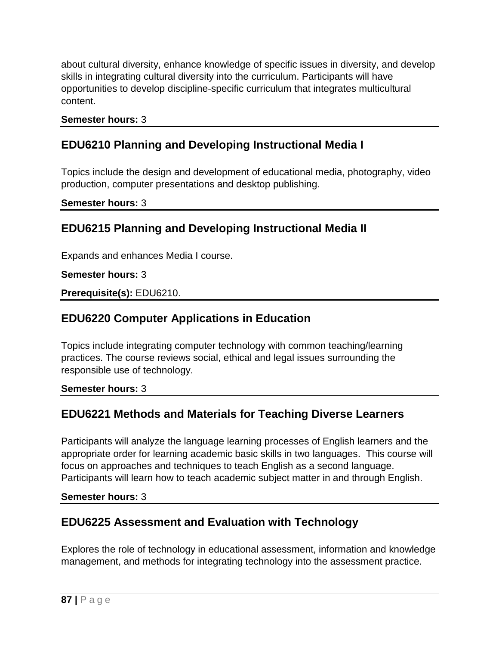about cultural diversity, enhance knowledge of specific issues in diversity, and develop skills in integrating cultural diversity into the curriculum. Participants will have opportunities to develop discipline-specific curriculum that integrates multicultural content.

#### **Semester hours:** 3

### **EDU6210 Planning and Developing Instructional Media I**

Topics include the design and development of educational media, photography, video production, computer presentations and desktop publishing.

**Semester hours:** 3

### **EDU6215 Planning and Developing Instructional Media II**

Expands and enhances Media I course.

#### **Semester hours:** 3

**Prerequisite(s):** EDU6210.

### **EDU6220 Computer Applications in Education**

Topics include integrating computer technology with common teaching/learning practices. The course reviews social, ethical and legal issues surrounding the responsible use of technology.

#### **Semester hours:** 3

## **EDU6221 Methods and Materials for Teaching Diverse Learners**

Participants will analyze the language learning processes of English learners and the appropriate order for learning academic basic skills in two languages. This course will focus on approaches and techniques to teach English as a second language. Participants will learn how to teach academic subject matter in and through English.

**Semester hours:** 3

## **EDU6225 Assessment and Evaluation with Technology**

Explores the role of technology in educational assessment, information and knowledge management, and methods for integrating technology into the assessment practice.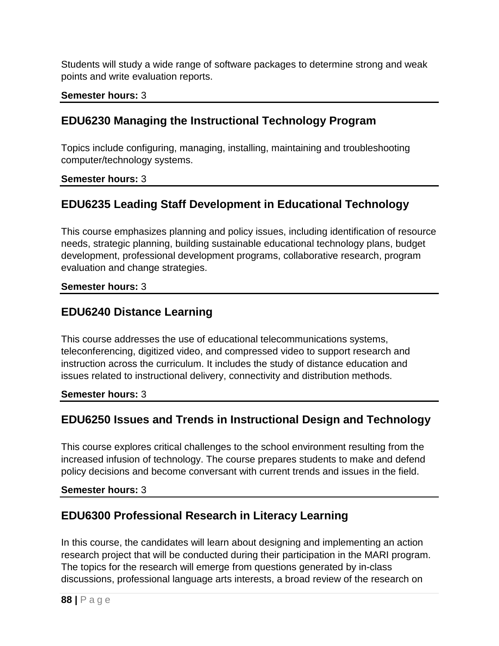Students will study a wide range of software packages to determine strong and weak points and write evaluation reports.

### **Semester hours:** 3

## **EDU6230 Managing the Instructional Technology Program**

Topics include configuring, managing, installing, maintaining and troubleshooting computer/technology systems.

### **Semester hours:** 3

# **EDU6235 Leading Staff Development in Educational Technology**

This course emphasizes planning and policy issues, including identification of resource needs, strategic planning, building sustainable educational technology plans, budget development, professional development programs, collaborative research, program evaluation and change strategies.

### **Semester hours:** 3

### **EDU6240 Distance Learning**

This course addresses the use of educational telecommunications systems, teleconferencing, digitized video, and compressed video to support research and instruction across the curriculum. It includes the study of distance education and issues related to instructional delivery, connectivity and distribution methods.

**Semester hours:** 3

# **EDU6250 Issues and Trends in Instructional Design and Technology**

This course explores critical challenges to the school environment resulting from the increased infusion of technology. The course prepares students to make and defend policy decisions and become conversant with current trends and issues in the field.

### **Semester hours:** 3

# **EDU6300 Professional Research in Literacy Learning**

In this course, the candidates will learn about designing and implementing an action research project that will be conducted during their participation in the MARI program. The topics for the research will emerge from questions generated by in-class discussions, professional language arts interests, a broad review of the research on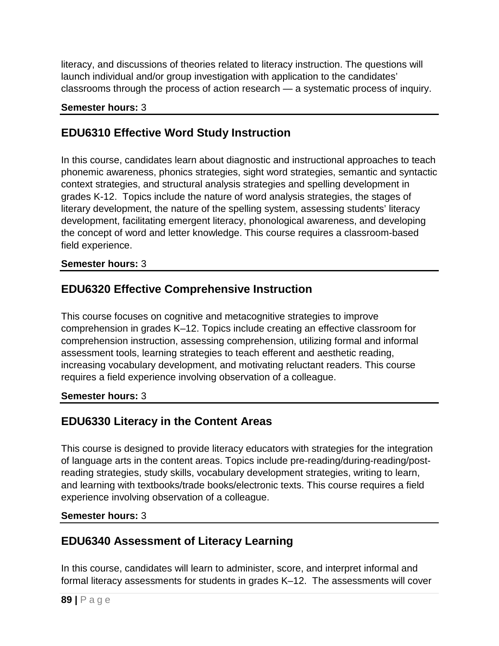literacy, and discussions of theories related to literacy instruction. The questions will launch individual and/or group investigation with application to the candidates' classrooms through the process of action research — a systematic process of inquiry.

### **Semester hours:** 3

## **EDU6310 Effective Word Study Instruction**

In this course, candidates learn about diagnostic and instructional approaches to teach phonemic awareness, phonics strategies, sight word strategies, semantic and syntactic context strategies, and structural analysis strategies and spelling development in grades K-12. Topics include the nature of word analysis strategies, the stages of literary development, the nature of the spelling system, assessing students' literacy development, facilitating emergent literacy, phonological awareness, and developing the concept of word and letter knowledge. This course requires a classroom-based field experience.

### **Semester hours:** 3

### **EDU6320 Effective Comprehensive Instruction**

This course focuses on cognitive and metacognitive strategies to improve comprehension in grades K–12. Topics include creating an effective classroom for comprehension instruction, assessing comprehension, utilizing formal and informal assessment tools, learning strategies to teach efferent and aesthetic reading, increasing vocabulary development, and motivating reluctant readers. This course requires a field experience involving observation of a colleague.

### **Semester hours:** 3

## **EDU6330 Literacy in the Content Areas**

This course is designed to provide literacy educators with strategies for the integration of language arts in the content areas. Topics include pre-reading/during-reading/postreading strategies, study skills, vocabulary development strategies, writing to learn, and learning with textbooks/trade books/electronic texts. This course requires a field experience involving observation of a colleague.

### **Semester hours:** 3

## **EDU6340 Assessment of Literacy Learning**

In this course, candidates will learn to administer, score, and interpret informal and formal literacy assessments for students in grades K–12. The assessments will cover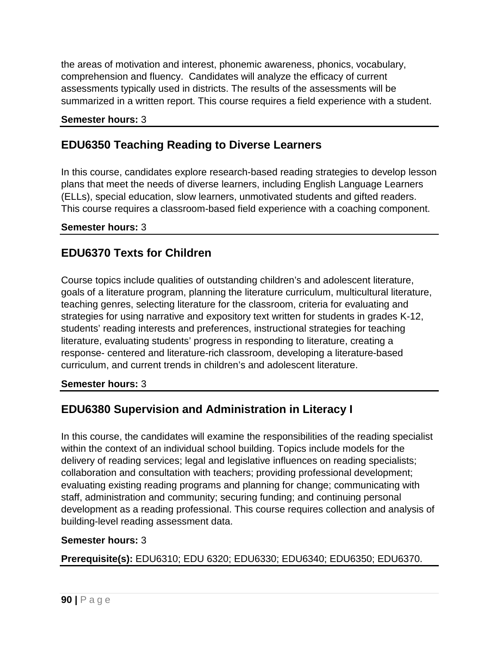the areas of motivation and interest, phonemic awareness, phonics, vocabulary, comprehension and fluency. Candidates will analyze the efficacy of current assessments typically used in districts. The results of the assessments will be summarized in a written report. This course requires a field experience with a student.

### **Semester hours:** 3

### **EDU6350 Teaching Reading to Diverse Learners**

In this course, candidates explore research-based reading strategies to develop lesson plans that meet the needs of diverse learners, including English Language Learners (ELLs), special education, slow learners, unmotivated students and gifted readers. This course requires a classroom-based field experience with a coaching component.

#### **Semester hours:** 3

### **EDU6370 Texts for Children**

Course topics include qualities of outstanding children's and adolescent literature, goals of a literature program, planning the literature curriculum, multicultural literature, teaching genres, selecting literature for the classroom, criteria for evaluating and strategies for using narrative and expository text written for students in grades K-12, students' reading interests and preferences, instructional strategies for teaching literature, evaluating students' progress in responding to literature, creating a response- centered and literature-rich classroom, developing a literature-based curriculum, and current trends in children's and adolescent literature.

### **Semester hours:** 3

## **EDU6380 Supervision and Administration in Literacy I**

In this course, the candidates will examine the responsibilities of the reading specialist within the context of an individual school building. Topics include models for the delivery of reading services; legal and legislative influences on reading specialists; collaboration and consultation with teachers; providing professional development; evaluating existing reading programs and planning for change; communicating with staff, administration and community; securing funding; and continuing personal development as a reading professional. This course requires collection and analysis of building-level reading assessment data.

### **Semester hours:** 3

**Prerequisite(s):** EDU6310; EDU 6320; EDU6330; EDU6340; EDU6350; EDU6370.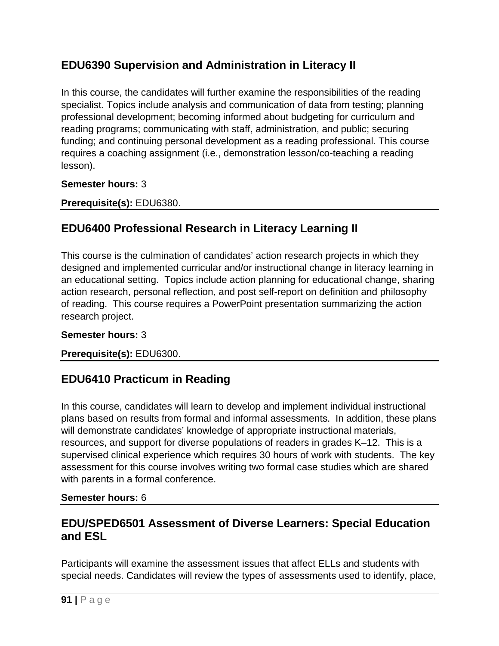# **EDU6390 Supervision and Administration in Literacy II**

In this course, the candidates will further examine the responsibilities of the reading specialist. Topics include analysis and communication of data from testing; planning professional development; becoming informed about budgeting for curriculum and reading programs; communicating with staff, administration, and public; securing funding; and continuing personal development as a reading professional. This course requires a coaching assignment (i.e., demonstration lesson/co-teaching a reading lesson).

### **Semester hours:** 3

**Prerequisite(s):** EDU6380.

# **EDU6400 Professional Research in Literacy Learning II**

This course is the culmination of candidates' action research projects in which they designed and implemented curricular and/or instructional change in literacy learning in an educational setting. Topics include action planning for educational change, sharing action research, personal reflection, and post self-report on definition and philosophy of reading. This course requires a PowerPoint presentation summarizing the action research project.

### **Semester hours:** 3

### **Prerequisite(s):** EDU6300.

## **EDU6410 Practicum in Reading**

In this course, candidates will learn to develop and implement individual instructional plans based on results from formal and informal assessments. In addition, these plans will demonstrate candidates' knowledge of appropriate instructional materials, resources, and support for diverse populations of readers in grades K–12. This is a supervised clinical experience which requires 30 hours of work with students. The key assessment for this course involves writing two formal case studies which are shared with parents in a formal conference.

### **Semester hours:** 6

### **EDU/SPED6501 Assessment of Diverse Learners: Special Education and ESL**

Participants will examine the assessment issues that affect ELLs and students with special needs. Candidates will review the types of assessments used to identify, place,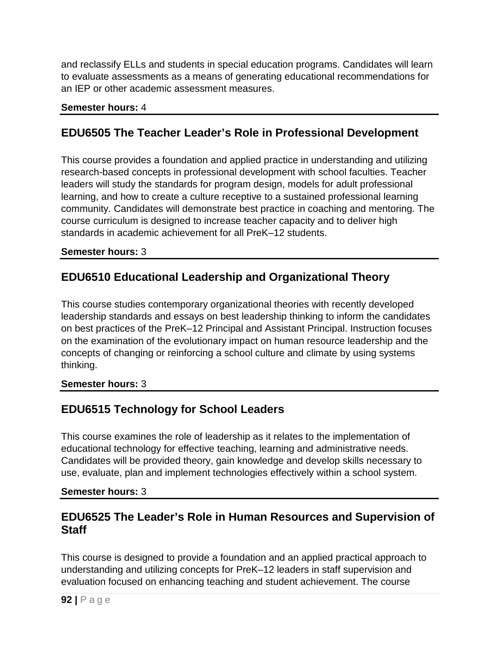and reclassify ELLs and students in special education programs. Candidates will learn to evaluate assessments as a means of generating educational recommendations for an IEP or other academic assessment measures.

### **Semester hours:** 4

### **EDU6505 The Teacher Leader's Role in Professional Development**

This course provides a foundation and applied practice in understanding and utilizing research-based concepts in professional development with school faculties. Teacher leaders will study the standards for program design, models for adult professional learning, and how to create a culture receptive to a sustained professional learning community. Candidates will demonstrate best practice in coaching and mentoring. The course curriculum is designed to increase teacher capacity and to deliver high standards in academic achievement for all PreK–12 students.

#### **Semester hours:** 3

# **EDU6510 Educational Leadership and Organizational Theory**

This course studies contemporary organizational theories with recently developed leadership standards and essays on best leadership thinking to inform the candidates on best practices of the PreK–12 Principal and Assistant Principal. Instruction focuses on the examination of the evolutionary impact on human resource leadership and the concepts of changing or reinforcing a school culture and climate by using systems thinking.

### **Semester hours:** 3

# **EDU6515 Technology for School Leaders**

This course examines the role of leadership as it relates to the implementation of educational technology for effective teaching, learning and administrative needs. Candidates will be provided theory, gain knowledge and develop skills necessary to use, evaluate, plan and implement technologies effectively within a school system.

### **Semester hours:** 3

### **EDU6525 The Leader's Role in Human Resources and Supervision of Staff**

This course is designed to provide a foundation and an applied practical approach to understanding and utilizing concepts for PreK–12 leaders in staff supervision and evaluation focused on enhancing teaching and student achievement. The course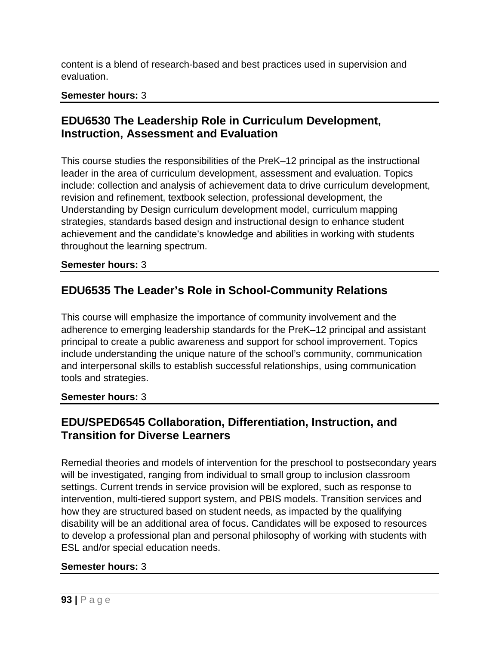content is a blend of research-based and best practices used in supervision and evaluation.

### **Semester hours:** 3

### **EDU6530 The Leadership Role in Curriculum Development, Instruction, Assessment and Evaluation**

This course studies the responsibilities of the PreK–12 principal as the instructional leader in the area of curriculum development, assessment and evaluation. Topics include: collection and analysis of achievement data to drive curriculum development, revision and refinement, textbook selection, professional development, the Understanding by Design curriculum development model, curriculum mapping strategies, standards based design and instructional design to enhance student achievement and the candidate's knowledge and abilities in working with students throughout the learning spectrum.

#### **Semester hours:** 3

### **EDU6535 The Leader's Role in School-Community Relations**

This course will emphasize the importance of community involvement and the adherence to emerging leadership standards for the PreK–12 principal and assistant principal to create a public awareness and support for school improvement. Topics include understanding the unique nature of the school's community, communication and interpersonal skills to establish successful relationships, using communication tools and strategies.

#### **Semester hours:** 3

### **EDU/SPED6545 Collaboration, Differentiation, Instruction, and Transition for Diverse Learners**

Remedial theories and models of intervention for the preschool to postsecondary years will be investigated, ranging from individual to small group to inclusion classroom settings. Current trends in service provision will be explored, such as response to intervention, multi-tiered support system, and PBIS models. Transition services and how they are structured based on student needs, as impacted by the qualifying disability will be an additional area of focus. Candidates will be exposed to resources to develop a professional plan and personal philosophy of working with students with ESL and/or special education needs.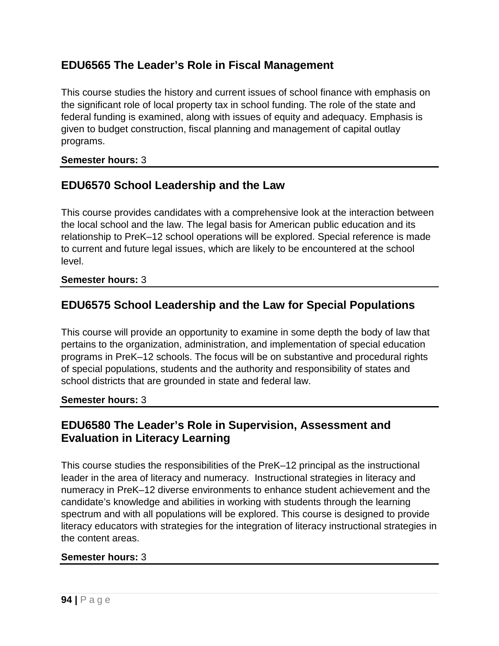## **EDU6565 The Leader's Role in Fiscal Management**

This course studies the history and current issues of school finance with emphasis on the significant role of local property tax in school funding. The role of the state and federal funding is examined, along with issues of equity and adequacy. Emphasis is given to budget construction, fiscal planning and management of capital outlay programs.

### **Semester hours:** 3

## **EDU6570 School Leadership and the Law**

This course provides candidates with a comprehensive look at the interaction between the local school and the law. The legal basis for American public education and its relationship to PreK–12 school operations will be explored. Special reference is made to current and future legal issues, which are likely to be encountered at the school level.

### **Semester hours:** 3

### **EDU6575 School Leadership and the Law for Special Populations**

This course will provide an opportunity to examine in some depth the body of law that pertains to the organization, administration, and implementation of special education programs in PreK–12 schools. The focus will be on substantive and procedural rights of special populations, students and the authority and responsibility of states and school districts that are grounded in state and federal law.

#### **Semester hours:** 3

### **EDU6580 The Leader's Role in Supervision, Assessment and Evaluation in Literacy Learning**

This course studies the responsibilities of the PreK–12 principal as the instructional leader in the area of literacy and numeracy. Instructional strategies in literacy and numeracy in PreK–12 diverse environments to enhance student achievement and the candidate's knowledge and abilities in working with students through the learning spectrum and with all populations will be explored. This course is designed to provide literacy educators with strategies for the integration of literacy instructional strategies in the content areas.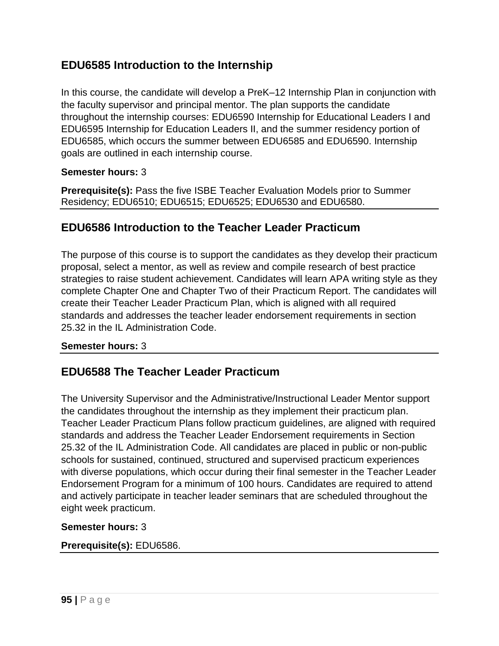## **EDU6585 Introduction to the Internship**

In this course, the candidate will develop a PreK–12 Internship Plan in conjunction with the faculty supervisor and principal mentor. The plan supports the candidate throughout the internship courses: EDU6590 Internship for Educational Leaders I and EDU6595 Internship for Education Leaders II, and the summer residency portion of EDU6585, which occurs the summer between EDU6585 and EDU6590. Internship goals are outlined in each internship course.

### **Semester hours:** 3

**Prerequisite(s):** Pass the five ISBE Teacher Evaluation Models prior to Summer Residency; EDU6510; EDU6515; EDU6525; EDU6530 and EDU6580.

### **EDU6586 Introduction to the Teacher Leader Practicum**

The purpose of this course is to support the candidates as they develop their practicum proposal, select a mentor, as well as review and compile research of best practice strategies to raise student achievement. Candidates will learn APA writing style as they complete Chapter One and Chapter Two of their Practicum Report. The candidates will create their Teacher Leader Practicum Plan, which is aligned with all required standards and addresses the teacher leader endorsement requirements in section 25.32 in the IL Administration Code.

### **Semester hours:** 3

### **EDU6588 The Teacher Leader Practicum**

The University Supervisor and the Administrative/Instructional Leader Mentor support the candidates throughout the internship as they implement their practicum plan. Teacher Leader Practicum Plans follow practicum guidelines, are aligned with required standards and address the Teacher Leader Endorsement requirements in Section 25.32 of the IL Administration Code. All candidates are placed in public or non-public schools for sustained, continued, structured and supervised practicum experiences with diverse populations, which occur during their final semester in the Teacher Leader Endorsement Program for a minimum of 100 hours. Candidates are required to attend and actively participate in teacher leader seminars that are scheduled throughout the eight week practicum.

### **Semester hours:** 3

### **Prerequisite(s):** EDU6586.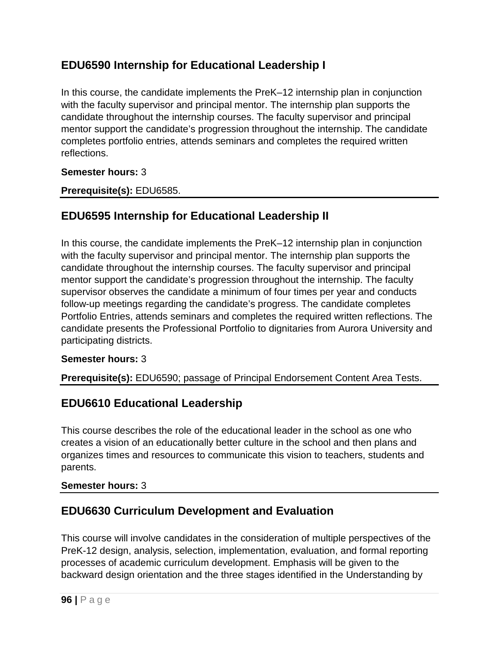# **EDU6590 Internship for Educational Leadership I**

In this course, the candidate implements the PreK–12 internship plan in conjunction with the faculty supervisor and principal mentor. The internship plan supports the candidate throughout the internship courses. The faculty supervisor and principal mentor support the candidate's progression throughout the internship. The candidate completes portfolio entries, attends seminars and completes the required written reflections.

### **Semester hours:** 3

**Prerequisite(s):** EDU6585.

## **EDU6595 Internship for Educational Leadership II**

In this course, the candidate implements the PreK–12 internship plan in conjunction with the faculty supervisor and principal mentor. The internship plan supports the candidate throughout the internship courses. The faculty supervisor and principal mentor support the candidate's progression throughout the internship. The faculty supervisor observes the candidate a minimum of four times per year and conducts follow-up meetings regarding the candidate's progress. The candidate completes Portfolio Entries, attends seminars and completes the required written reflections. The candidate presents the Professional Portfolio to dignitaries from Aurora University and participating districts.

### **Semester hours:** 3

**Prerequisite(s):** EDU6590; passage of Principal Endorsement Content Area Tests.

### **EDU6610 Educational Leadership**

This course describes the role of the educational leader in the school as one who creates a vision of an educationally better culture in the school and then plans and organizes times and resources to communicate this vision to teachers, students and parents.

### **Semester hours:** 3

### **EDU6630 Curriculum Development and Evaluation**

This course will involve candidates in the consideration of multiple perspectives of the PreK-12 design, analysis, selection, implementation, evaluation, and formal reporting processes of academic curriculum development. Emphasis will be given to the backward design orientation and the three stages identified in the Understanding by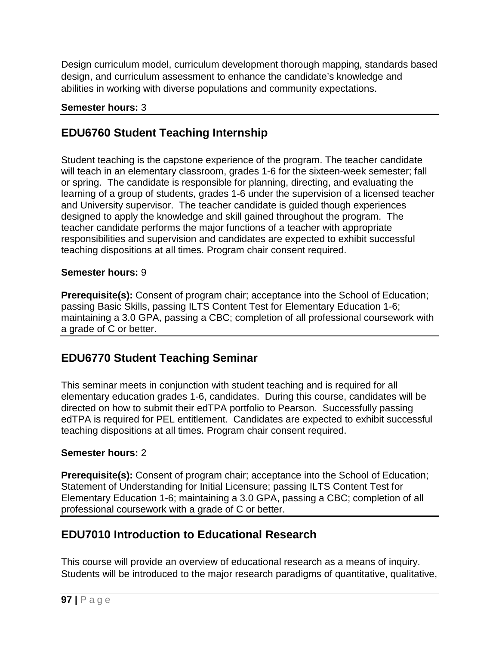Design curriculum model, curriculum development thorough mapping, standards based design, and curriculum assessment to enhance the candidate's knowledge and abilities in working with diverse populations and community expectations.

### **Semester hours:** 3

## **EDU6760 Student Teaching Internship**

Student teaching is the capstone experience of the program. The teacher candidate will teach in an elementary classroom, grades 1-6 for the sixteen-week semester; fall or spring. The candidate is responsible for planning, directing, and evaluating the learning of a group of students, grades 1-6 under the supervision of a licensed teacher and University supervisor. The teacher candidate is guided though experiences designed to apply the knowledge and skill gained throughout the program. The teacher candidate performs the major functions of a teacher with appropriate responsibilities and supervision and candidates are expected to exhibit successful teaching dispositions at all times. Program chair consent required.

### **Semester hours:** 9

**Prerequisite(s):** Consent of program chair; acceptance into the School of Education; passing Basic Skills, passing ILTS Content Test for Elementary Education 1-6; maintaining a 3.0 GPA, passing a CBC; completion of all professional coursework with a grade of C or better.

## **EDU6770 Student Teaching Seminar**

This seminar meets in conjunction with student teaching and is required for all elementary education grades 1-6, candidates. During this course, candidates will be directed on how to submit their edTPA portfolio to Pearson. Successfully passing edTPA is required for PEL entitlement. Candidates are expected to exhibit successful teaching dispositions at all times. Program chair consent required.

### **Semester hours:** 2

**Prerequisite(s):** Consent of program chair; acceptance into the School of Education; Statement of Understanding for Initial Licensure; passing ILTS Content Test for Elementary Education 1-6; maintaining a 3.0 GPA, passing a CBC; completion of all professional coursework with a grade of C or better.

# **EDU7010 Introduction to Educational Research**

This course will provide an overview of educational research as a means of inquiry. Students will be introduced to the major research paradigms of quantitative, qualitative,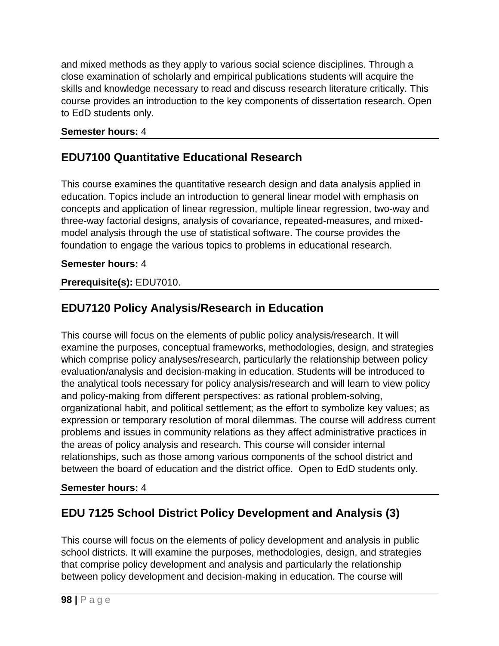and mixed methods as they apply to various social science disciplines. Through a close examination of scholarly and empirical publications students will acquire the skills and knowledge necessary to read and discuss research literature critically. This course provides an introduction to the key components of dissertation research. Open to EdD students only.

### **Semester hours:** 4

## **EDU7100 Quantitative Educational Research**

This course examines the quantitative research design and data analysis applied in education. Topics include an introduction to general linear model with emphasis on concepts and application of linear regression, multiple linear regression, two-way and three-way factorial designs, analysis of covariance, repeated-measures, and mixedmodel analysis through the use of statistical software. The course provides the foundation to engage the various topics to problems in educational research.

### **Semester hours:** 4

### **Prerequisite(s):** EDU7010.

## **EDU7120 Policy Analysis/Research in Education**

This course will focus on the elements of public policy analysis/research. It will examine the purposes, conceptual frameworks, methodologies, design, and strategies which comprise policy analyses/research, particularly the relationship between policy evaluation/analysis and decision-making in education. Students will be introduced to the analytical tools necessary for policy analysis/research and will learn to view policy and policy-making from different perspectives: as rational problem-solving, organizational habit, and political settlement; as the effort to symbolize key values; as expression or temporary resolution of moral dilemmas. The course will address current problems and issues in community relations as they affect administrative practices in the areas of policy analysis and research. This course will consider internal relationships, such as those among various components of the school district and between the board of education and the district office. Open to EdD students only.

### **Semester hours:** 4

## **EDU 7125 School District Policy Development and Analysis (3)**

This course will focus on the elements of policy development and analysis in public school districts. It will examine the purposes, methodologies, design, and strategies that comprise policy development and analysis and particularly the relationship between policy development and decision-making in education. The course will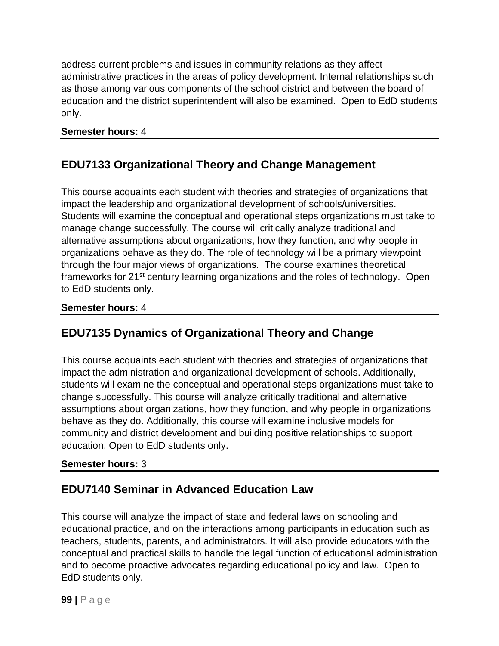address current problems and issues in community relations as they affect administrative practices in the areas of policy development. Internal relationships such as those among various components of the school district and between the board of education and the district superintendent will also be examined. Open to EdD students only.

### **Semester hours:** 4

# **EDU7133 Organizational Theory and Change Management**

This course acquaints each student with theories and strategies of organizations that impact the leadership and organizational development of schools/universities. Students will examine the conceptual and operational steps organizations must take to manage change successfully. The course will critically analyze traditional and alternative assumptions about organizations, how they function, and why people in organizations behave as they do. The role of technology will be a primary viewpoint through the four major views of organizations. The course examines theoretical frameworks for 21st century learning organizations and the roles of technology. Open to EdD students only.

### **Semester hours:** 4

## **EDU7135 Dynamics of Organizational Theory and Change**

This course acquaints each student with theories and strategies of organizations that impact the administration and organizational development of schools. Additionally, students will examine the conceptual and operational steps organizations must take to change successfully. This course will analyze critically traditional and alternative assumptions about organizations, how they function, and why people in organizations behave as they do. Additionally, this course will examine inclusive models for community and district development and building positive relationships to support education. Open to EdD students only.

### **Semester hours:** 3

## **EDU7140 Seminar in Advanced Education Law**

This course will analyze the impact of state and federal laws on schooling and educational practice, and on the interactions among participants in education such as teachers, students, parents, and administrators. It will also provide educators with the conceptual and practical skills to handle the legal function of educational administration and to become proactive advocates regarding educational policy and law. Open to EdD students only.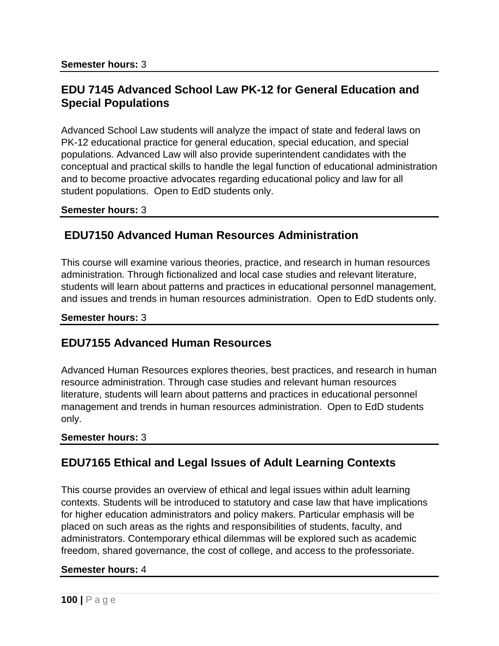### **EDU 7145 Advanced School Law PK-12 for General Education and Special Populations**

Advanced School Law students will analyze the impact of state and federal laws on PK-12 educational practice for general education, special education, and special populations. Advanced Law will also provide superintendent candidates with the conceptual and practical skills to handle the legal function of educational administration and to become proactive advocates regarding educational policy and law for all student populations. Open to EdD students only.

#### **Semester hours:** 3

### **EDU7150 Advanced Human Resources Administration**

This course will examine various theories, practice, and research in human resources administration. Through fictionalized and local case studies and relevant literature, students will learn about patterns and practices in educational personnel management, and issues and trends in human resources administration. Open to EdD students only.

#### **Semester hours:** 3

### **EDU7155 Advanced Human Resources**

Advanced Human Resources explores theories, best practices, and research in human resource administration. Through case studies and relevant human resources literature, students will learn about patterns and practices in educational personnel management and trends in human resources administration. Open to EdD students only.

#### **Semester hours:** 3

### **EDU7165 Ethical and Legal Issues of Adult Learning Contexts**

This course provides an overview of ethical and legal issues within adult learning contexts. Students will be introduced to statutory and case law that have implications for higher education administrators and policy makers. Particular emphasis will be placed on such areas as the rights and responsibilities of students, faculty, and administrators. Contemporary ethical dilemmas will be explored such as academic freedom, shared governance, the cost of college, and access to the professoriate.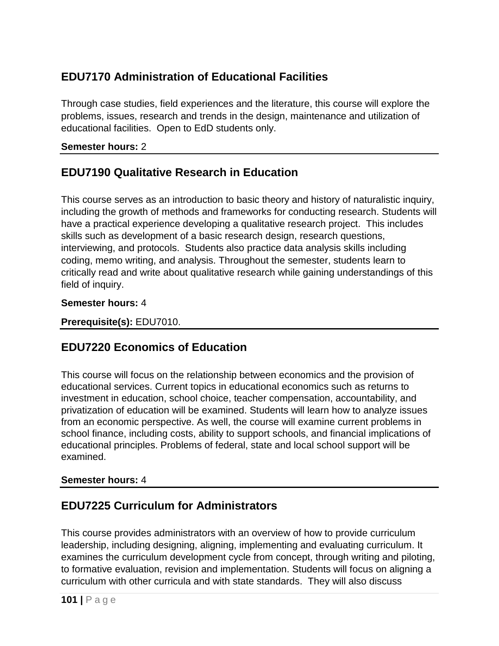# **EDU7170 Administration of Educational Facilities**

Through case studies, field experiences and the literature, this course will explore the problems, issues, research and trends in the design, maintenance and utilization of educational facilities. Open to EdD students only.

### **Semester hours:** 2

## **EDU7190 Qualitative Research in Education**

This course serves as an introduction to basic theory and history of naturalistic inquiry, including the growth of methods and frameworks for conducting research. Students will have a practical experience developing a qualitative research project. This includes skills such as development of a basic research design, research questions, interviewing, and protocols. Students also practice data analysis skills including coding, memo writing, and analysis. Throughout the semester, students learn to critically read and write about qualitative research while gaining understandings of this field of inquiry.

#### **Semester hours:** 4

#### **Prerequisite(s):** EDU7010.

## **EDU7220 Economics of Education**

This course will focus on the relationship between economics and the provision of educational services. Current topics in educational economics such as returns to investment in education, school choice, teacher compensation, accountability, and privatization of education will be examined. Students will learn how to analyze issues from an economic perspective. As well, the course will examine current problems in school finance, including costs, ability to support schools, and financial implications of educational principles. Problems of federal, state and local school support will be examined.

### **Semester hours:** 4

## **EDU7225 Curriculum for Administrators**

This course provides administrators with an overview of how to provide curriculum leadership, including designing, aligning, implementing and evaluating curriculum. It examines the curriculum development cycle from concept, through writing and piloting, to formative evaluation, revision and implementation. Students will focus on aligning a curriculum with other curricula and with state standards. They will also discuss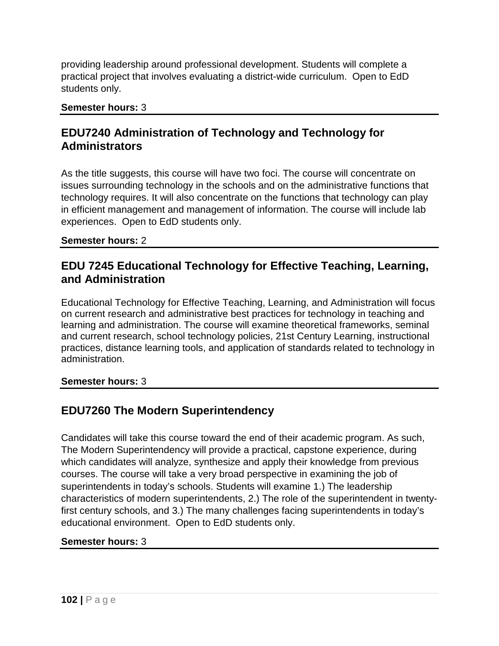providing leadership around professional development. Students will complete a practical project that involves evaluating a district-wide curriculum. Open to EdD students only.

#### **Semester hours:** 3

### **EDU7240 Administration of Technology and Technology for Administrators**

As the title suggests, this course will have two foci. The course will concentrate on issues surrounding technology in the schools and on the administrative functions that technology requires. It will also concentrate on the functions that technology can play in efficient management and management of information. The course will include lab experiences. Open to EdD students only.

#### **Semester hours:** 2

### **EDU 7245 Educational Technology for Effective Teaching, Learning, and Administration**

Educational Technology for Effective Teaching, Learning, and Administration will focus on current research and administrative best practices for technology in teaching and learning and administration. The course will examine theoretical frameworks, seminal and current research, school technology policies, 21st Century Learning, instructional practices, distance learning tools, and application of standards related to technology in administration.

### **Semester hours:** 3

## **EDU7260 The Modern Superintendency**

Candidates will take this course toward the end of their academic program. As such, The Modern Superintendency will provide a practical, capstone experience, during which candidates will analyze, synthesize and apply their knowledge from previous courses. The course will take a very broad perspective in examining the job of superintendents in today's schools. Students will examine 1.) The leadership characteristics of modern superintendents, 2.) The role of the superintendent in twentyfirst century schools, and 3.) The many challenges facing superintendents in today's educational environment. Open to EdD students only.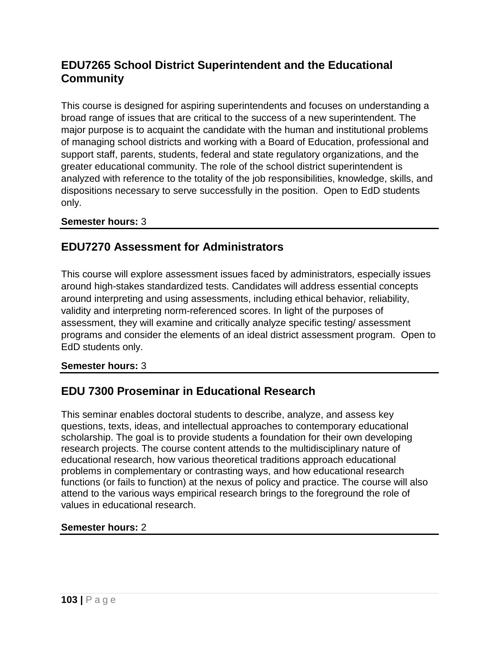# **EDU7265 School District Superintendent and the Educational Community**

This course is designed for aspiring superintendents and focuses on understanding a broad range of issues that are critical to the success of a new superintendent. The major purpose is to acquaint the candidate with the human and institutional problems of managing school districts and working with a Board of Education, professional and support staff, parents, students, federal and state regulatory organizations, and the greater educational community. The role of the school district superintendent is analyzed with reference to the totality of the job responsibilities, knowledge, skills, and dispositions necessary to serve successfully in the position. Open to EdD students only.

### **Semester hours:** 3

### **EDU7270 Assessment for Administrators**

This course will explore assessment issues faced by administrators, especially issues around high-stakes standardized tests. Candidates will address essential concepts around interpreting and using assessments, including ethical behavior, reliability, validity and interpreting norm-referenced scores. In light of the purposes of assessment, they will examine and critically analyze specific testing/ assessment programs and consider the elements of an ideal district assessment program. Open to EdD students only.

### **Semester hours:** 3

### **EDU 7300 Proseminar in Educational Research**

This seminar enables doctoral students to describe, analyze, and assess key questions, texts, ideas, and intellectual approaches to contemporary educational scholarship. The goal is to provide students a foundation for their own developing research projects. The course content attends to the multidisciplinary nature of educational research, how various theoretical traditions approach educational problems in complementary or contrasting ways, and how educational research functions (or fails to function) at the nexus of policy and practice. The course will also attend to the various ways empirical research brings to the foreground the role of values in educational research.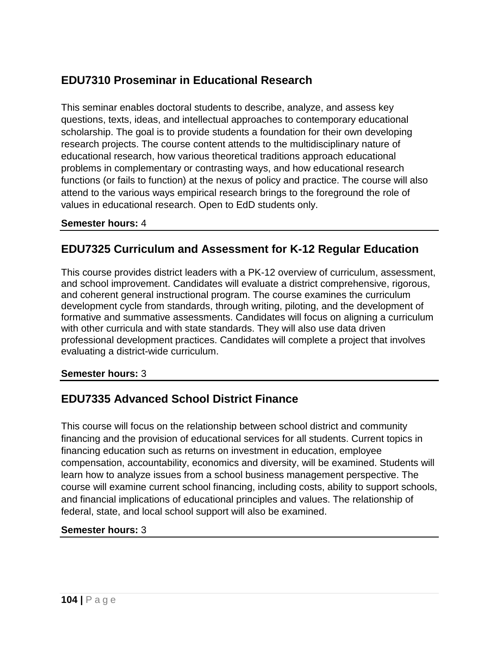# **EDU7310 Proseminar in Educational Research**

This seminar enables doctoral students to describe, analyze, and assess key questions, texts, ideas, and intellectual approaches to contemporary educational scholarship. The goal is to provide students a foundation for their own developing research projects. The course content attends to the multidisciplinary nature of educational research, how various theoretical traditions approach educational problems in complementary or contrasting ways, and how educational research functions (or fails to function) at the nexus of policy and practice. The course will also attend to the various ways empirical research brings to the foreground the role of values in educational research. Open to EdD students only.

#### **Semester hours:** 4

### **EDU7325 Curriculum and Assessment for K-12 Regular Education**

This course provides district leaders with a PK-12 overview of curriculum, assessment, and school improvement. Candidates will evaluate a district comprehensive, rigorous, and coherent general instructional program. The course examines the curriculum development cycle from standards, through writing, piloting, and the development of formative and summative assessments. Candidates will focus on aligning a curriculum with other curricula and with state standards. They will also use data driven professional development practices. Candidates will complete a project that involves evaluating a district-wide curriculum.

#### **Semester hours:** 3

### **EDU7335 Advanced School District Finance**

This course will focus on the relationship between school district and community financing and the provision of educational services for all students. Current topics in financing education such as returns on investment in education, employee compensation, accountability, economics and diversity, will be examined. Students will learn how to analyze issues from a school business management perspective. The course will examine current school financing, including costs, ability to support schools, and financial implications of educational principles and values. The relationship of federal, state, and local school support will also be examined.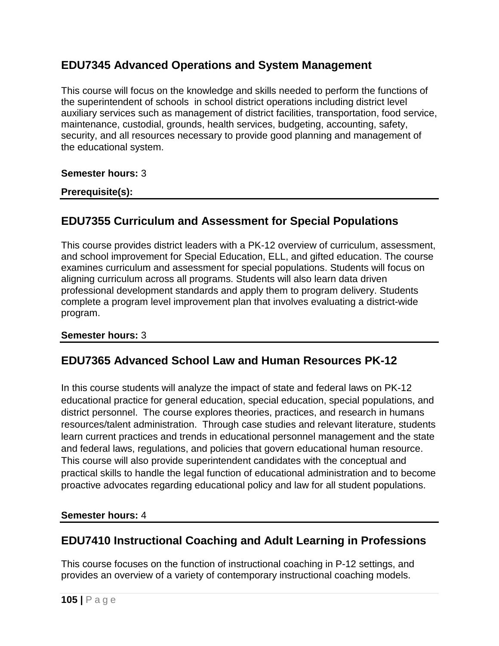## **EDU7345 Advanced Operations and System Management**

This course will focus on the knowledge and skills needed to perform the functions of the superintendent of schools in school district operations including district level auxiliary services such as management of district facilities, transportation, food service, maintenance, custodial, grounds, health services, budgeting, accounting, safety, security, and all resources necessary to provide good planning and management of the educational system.

#### **Semester hours:** 3

#### **Prerequisite(s):**

### **EDU7355 Curriculum and Assessment for Special Populations**

This course provides district leaders with a PK-12 overview of curriculum, assessment, and school improvement for Special Education, ELL, and gifted education. The course examines curriculum and assessment for special populations. Students will focus on aligning curriculum across all programs. Students will also learn data driven professional development standards and apply them to program delivery. Students complete a program level improvement plan that involves evaluating a district-wide program.

#### **Semester hours:** 3

### **EDU7365 Advanced School Law and Human Resources PK-12**

In this course students will analyze the impact of state and federal laws on PK-12 educational practice for general education, special education, special populations, and district personnel. The course explores theories, practices, and research in humans resources/talent administration. Through case studies and relevant literature, students learn current practices and trends in educational personnel management and the state and federal laws, regulations, and policies that govern educational human resource. This course will also provide superintendent candidates with the conceptual and practical skills to handle the legal function of educational administration and to become proactive advocates regarding educational policy and law for all student populations.

#### **Semester hours:** 4

### **EDU7410 Instructional Coaching and Adult Learning in Professions**

This course focuses on the function of instructional coaching in P-12 settings, and provides an overview of a variety of contemporary instructional coaching models.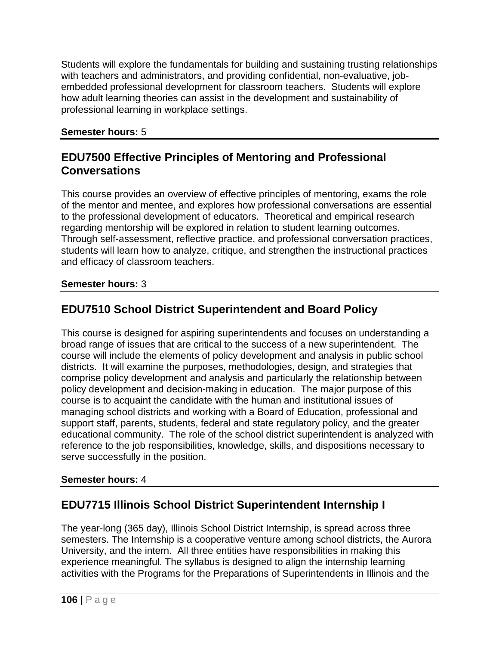Students will explore the fundamentals for building and sustaining trusting relationships with teachers and administrators, and providing confidential, non-evaluative, jobembedded professional development for classroom teachers. Students will explore how adult learning theories can assist in the development and sustainability of professional learning in workplace settings.

### **Semester hours:** 5

### **EDU7500 Effective Principles of Mentoring and Professional Conversations**

This course provides an overview of effective principles of mentoring, exams the role of the mentor and mentee, and explores how professional conversations are essential to the professional development of educators. Theoretical and empirical research regarding mentorship will be explored in relation to student learning outcomes. Through self-assessment, reflective practice, and professional conversation practices, students will learn how to analyze, critique, and strengthen the instructional practices and efficacy of classroom teachers.

### **Semester hours:** 3

# **EDU7510 School District Superintendent and Board Policy**

This course is designed for aspiring superintendents and focuses on understanding a broad range of issues that are critical to the success of a new superintendent. The course will include the elements of policy development and analysis in public school districts. It will examine the purposes, methodologies, design, and strategies that comprise policy development and analysis and particularly the relationship between policy development and decision-making in education. The major purpose of this course is to acquaint the candidate with the human and institutional issues of managing school districts and working with a Board of Education, professional and support staff, parents, students, federal and state regulatory policy, and the greater educational community. The role of the school district superintendent is analyzed with reference to the job responsibilities, knowledge, skills, and dispositions necessary to serve successfully in the position.

### **Semester hours:** 4

## **EDU7715 Illinois School District Superintendent Internship I**

The year-long (365 day), Illinois School District Internship, is spread across three semesters. The Internship is a cooperative venture among school districts, the Aurora University, and the intern. All three entities have responsibilities in making this experience meaningful. The syllabus is designed to align the internship learning activities with the Programs for the Preparations of Superintendents in Illinois and the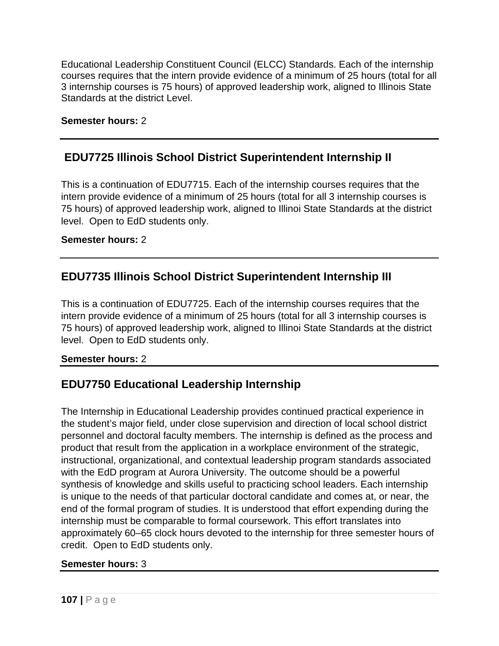Educational Leadership Constituent Council (ELCC) Standards. Each of the internship courses requires that the intern provide evidence of a minimum of 25 hours (total for all 3 internship courses is 75 hours) of approved leadership work, aligned to Illinois State Standards at the district Level.

### **Semester hours:** 2

### **EDU7725 Illinois School District Superintendent Internship II**

This is a continuation of EDU7715. Each of the internship courses requires that the intern provide evidence of a minimum of 25 hours (total for all 3 internship courses is 75 hours) of approved leadership work, aligned to Illinoi State Standards at the district level. Open to EdD students only.

### **Semester hours:** 2

## **EDU7735 Illinois School District Superintendent Internship III**

This is a continuation of EDU7725. Each of the internship courses requires that the intern provide evidence of a minimum of 25 hours (total for all 3 internship courses is 75 hours) of approved leadership work, aligned to Illinoi State Standards at the district level. Open to EdD students only.

### **Semester hours:** 2

## **EDU7750 Educational Leadership Internship**

The Internship in Educational Leadership provides continued practical experience in the student's major field, under close supervision and direction of local school district personnel and doctoral faculty members. The internship is defined as the process and product that result from the application in a workplace environment of the strategic, instructional, organizational, and contextual leadership program standards associated with the EdD program at Aurora University. The outcome should be a powerful synthesis of knowledge and skills useful to practicing school leaders. Each internship is unique to the needs of that particular doctoral candidate and comes at, or near, the end of the formal program of studies. It is understood that effort expending during the internship must be comparable to formal coursework. This effort translates into approximately 60–65 clock hours devoted to the internship for three semester hours of credit. Open to EdD students only.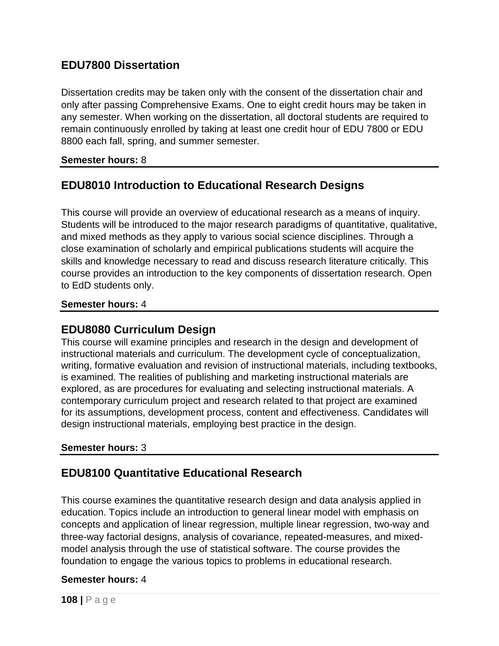### **EDU7800 Dissertation**

Dissertation credits may be taken only with the consent of the dissertation chair and only after passing Comprehensive Exams. One to eight credit hours may be taken in any semester. When working on the dissertation, all doctoral students are required to remain continuously enrolled by taking at least one credit hour of EDU 7800 or EDU 8800 each fall, spring, and summer semester.

### **Semester hours:** 8

## **EDU8010 Introduction to Educational Research Designs**

This course will provide an overview of educational research as a means of inquiry. Students will be introduced to the major research paradigms of quantitative, qualitative, and mixed methods as they apply to various social science disciplines. Through a close examination of scholarly and empirical publications students will acquire the skills and knowledge necessary to read and discuss research literature critically. This course provides an introduction to the key components of dissertation research. Open to EdD students only.

#### **Semester hours:** 4

### **EDU8080 Curriculum Design**

This course will examine principles and research in the design and development of instructional materials and curriculum. The development cycle of conceptualization, writing, formative evaluation and revision of instructional materials, including textbooks, is examined. The realities of publishing and marketing instructional materials are explored, as are procedures for evaluating and selecting instructional materials. A contemporary curriculum project and research related to that project are examined for its assumptions, development process, content and effectiveness. Candidates will design instructional materials, employing best practice in the design.

### **Semester hours:** 3

### **EDU8100 Quantitative Educational Research**

This course examines the quantitative research design and data analysis applied in education. Topics include an introduction to general linear model with emphasis on concepts and application of linear regression, multiple linear regression, two-way and three-way factorial designs, analysis of covariance, repeated-measures, and mixedmodel analysis through the use of statistical software. The course provides the foundation to engage the various topics to problems in educational research.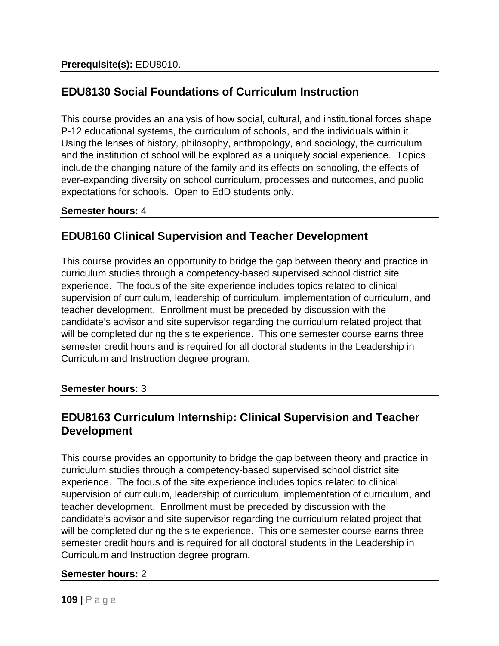# **EDU8130 Social Foundations of Curriculum Instruction**

This course provides an analysis of how social, cultural, and institutional forces shape P-12 educational systems, the curriculum of schools, and the individuals within it. Using the lenses of history, philosophy, anthropology, and sociology, the curriculum and the institution of school will be explored as a uniquely social experience. Topics include the changing nature of the family and its effects on schooling, the effects of ever-expanding diversity on school curriculum, processes and outcomes, and public expectations for schools. Open to EdD students only.

### **Semester hours:** 4

# **EDU8160 Clinical Supervision and Teacher Development**

This course provides an opportunity to bridge the gap between theory and practice in curriculum studies through a competency-based supervised school district site experience. The focus of the site experience includes topics related to clinical supervision of curriculum, leadership of curriculum, implementation of curriculum, and teacher development. Enrollment must be preceded by discussion with the candidate's advisor and site supervisor regarding the curriculum related project that will be completed during the site experience. This one semester course earns three semester credit hours and is required for all doctoral students in the Leadership in Curriculum and Instruction degree program.

### **Semester hours:** 3

## **EDU8163 Curriculum Internship: Clinical Supervision and Teacher Development**

This course provides an opportunity to bridge the gap between theory and practice in curriculum studies through a competency-based supervised school district site experience. The focus of the site experience includes topics related to clinical supervision of curriculum, leadership of curriculum, implementation of curriculum, and teacher development. Enrollment must be preceded by discussion with the candidate's advisor and site supervisor regarding the curriculum related project that will be completed during the site experience. This one semester course earns three semester credit hours and is required for all doctoral students in the Leadership in Curriculum and Instruction degree program.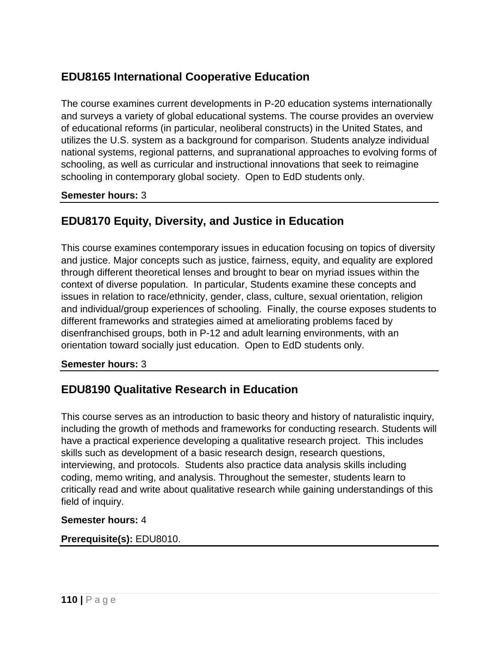# **EDU8165 International Cooperative Education**

The course examines current developments in P-20 education systems internationally and surveys a variety of global educational systems. The course provides an overview of educational reforms (in particular, neoliberal constructs) in the United States, and utilizes the U.S. system as a background for comparison. Students analyze individual national systems, regional patterns, and supranational approaches to evolving forms of schooling, as well as curricular and instructional innovations that seek to reimagine schooling in contemporary global society. Open to EdD students only.

**Semester hours:** 3

# **EDU8170 Equity, Diversity, and Justice in Education**

This course examines contemporary issues in education focusing on topics of diversity and justice. Major concepts such as justice, fairness, equity, and equality are explored through different theoretical lenses and brought to bear on myriad issues within the context of diverse population. In particular, Students examine these concepts and issues in relation to race/ethnicity, gender, class, culture, sexual orientation, religion and individual/group experiences of schooling. Finally, the course exposes students to different frameworks and strategies aimed at ameliorating problems faced by disenfranchised groups, both in P-12 and adult learning environments, with an orientation toward socially just education. Open to EdD students only.

### **Semester hours:** 3

# **EDU8190 Qualitative Research in Education**

This course serves as an introduction to basic theory and history of naturalistic inquiry, including the growth of methods and frameworks for conducting research. Students will have a practical experience developing a qualitative research project. This includes skills such as development of a basic research design, research questions, interviewing, and protocols. Students also practice data analysis skills including coding, memo writing, and analysis. Throughout the semester, students learn to critically read and write about qualitative research while gaining understandings of this field of inquiry.

#### **Semester hours:** 4

#### **Prerequisite(s):** EDU8010.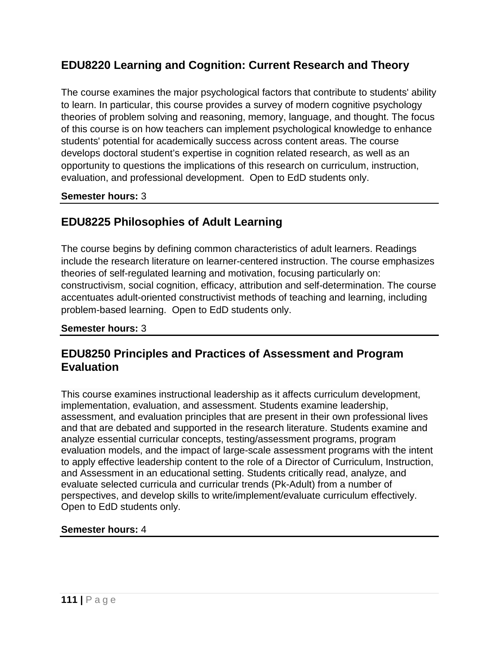# **EDU8220 Learning and Cognition: Current Research and Theory**

The course examines the major psychological factors that contribute to students' ability to learn. In particular, this course provides a survey of modern cognitive psychology theories of problem solving and reasoning, memory, language, and thought. The focus of this course is on how teachers can implement psychological knowledge to enhance students' potential for academically success across content areas. The course develops doctoral student's expertise in cognition related research, as well as an opportunity to questions the implications of this research on curriculum, instruction, evaluation, and professional development. Open to EdD students only.

### **Semester hours:** 3

# **EDU8225 Philosophies of Adult Learning**

The course begins by defining common characteristics of adult learners. Readings include the research literature on learner-centered instruction. The course emphasizes theories of self-regulated learning and motivation, focusing particularly on: constructivism, social cognition, efficacy, attribution and self-determination. The course accentuates adult-oriented constructivist methods of teaching and learning, including problem-based learning. Open to EdD students only.

### **Semester hours:** 3

## **EDU8250 Principles and Practices of Assessment and Program Evaluation**

This course examines instructional leadership as it affects curriculum development, implementation, evaluation, and assessment. Students examine leadership, assessment, and evaluation principles that are present in their own professional lives and that are debated and supported in the research literature. Students examine and analyze essential curricular concepts, testing/assessment programs, program evaluation models, and the impact of large-scale assessment programs with the intent to apply effective leadership content to the role of a Director of Curriculum, Instruction, and Assessment in an educational setting. Students critically read, analyze, and evaluate selected curricula and curricular trends (Pk-Adult) from a number of perspectives, and develop skills to write/implement/evaluate curriculum effectively. Open to EdD students only.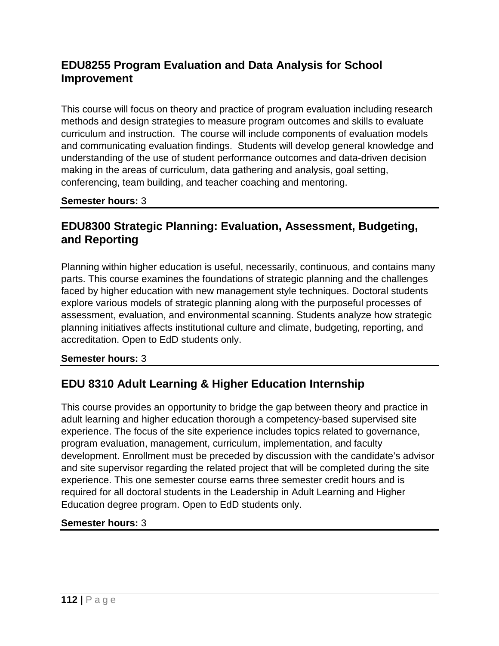# **EDU8255 Program Evaluation and Data Analysis for School Improvement**

This course will focus on theory and practice of program evaluation including research methods and design strategies to measure program outcomes and skills to evaluate curriculum and instruction. The course will include components of evaluation models and communicating evaluation findings. Students will develop general knowledge and understanding of the use of student performance outcomes and data-driven decision making in the areas of curriculum, data gathering and analysis, goal setting, conferencing, team building, and teacher coaching and mentoring.

**Semester hours:** 3

# **EDU8300 Strategic Planning: Evaluation, Assessment, Budgeting, and Reporting**

Planning within higher education is useful, necessarily, continuous, and contains many parts. This course examines the foundations of strategic planning and the challenges faced by higher education with new management style techniques. Doctoral students explore various models of strategic planning along with the purposeful processes of assessment, evaluation, and environmental scanning. Students analyze how strategic planning initiatives affects institutional culture and climate, budgeting, reporting, and accreditation. Open to EdD students only.

### **Semester hours:** 3

# **EDU 8310 Adult Learning & Higher Education Internship**

This course provides an opportunity to bridge the gap between theory and practice in adult learning and higher education thorough a competency-based supervised site experience. The focus of the site experience includes topics related to governance, program evaluation, management, curriculum, implementation, and faculty development. Enrollment must be preceded by discussion with the candidate's advisor and site supervisor regarding the related project that will be completed during the site experience. This one semester course earns three semester credit hours and is required for all doctoral students in the Leadership in Adult Learning and Higher Education degree program. Open to EdD students only.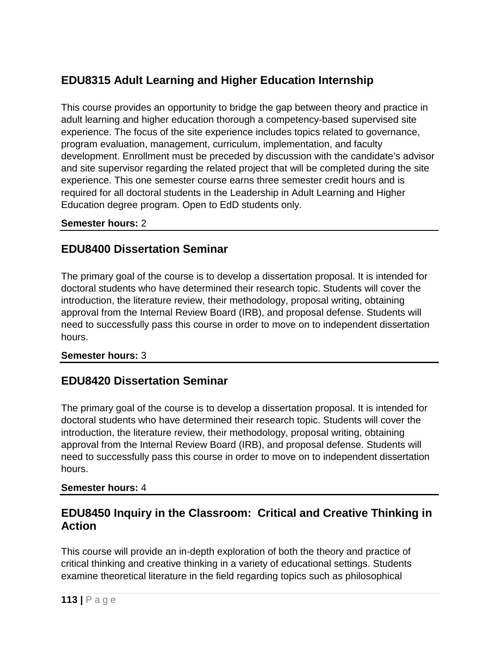# **EDU8315 Adult Learning and Higher Education Internship**

This course provides an opportunity to bridge the gap between theory and practice in adult learning and higher education thorough a competency-based supervised site experience. The focus of the site experience includes topics related to governance, program evaluation, management, curriculum, implementation, and faculty development. Enrollment must be preceded by discussion with the candidate's advisor and site supervisor regarding the related project that will be completed during the site experience. This one semester course earns three semester credit hours and is required for all doctoral students in the Leadership in Adult Learning and Higher Education degree program. Open to EdD students only.

### **Semester hours:** 2

# **EDU8400 Dissertation Seminar**

The primary goal of the course is to develop a dissertation proposal. It is intended for doctoral students who have determined their research topic. Students will cover the introduction, the literature review, their methodology, proposal writing, obtaining approval from the Internal Review Board (IRB), and proposal defense. Students will need to successfully pass this course in order to move on to independent dissertation hours.

### **Semester hours:** 3

# **EDU8420 Dissertation Seminar**

The primary goal of the course is to develop a dissertation proposal. It is intended for doctoral students who have determined their research topic. Students will cover the introduction, the literature review, their methodology, proposal writing, obtaining approval from the Internal Review Board (IRB), and proposal defense. Students will need to successfully pass this course in order to move on to independent dissertation hours.

### **Semester hours:** 4

# **EDU8450 Inquiry in the Classroom: Critical and Creative Thinking in Action**

This course will provide an in-depth exploration of both the theory and practice of critical thinking and creative thinking in a variety of educational settings. Students examine theoretical literature in the field regarding topics such as philosophical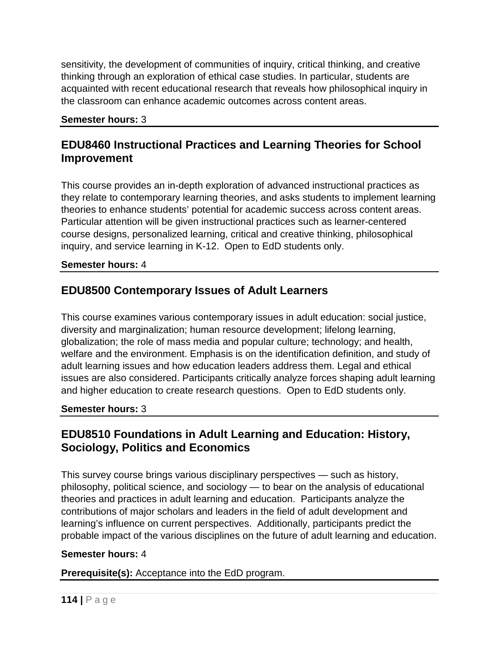sensitivity, the development of communities of inquiry, critical thinking, and creative thinking through an exploration of ethical case studies. In particular, students are acquainted with recent educational research that reveals how philosophical inquiry in the classroom can enhance academic outcomes across content areas.

#### **Semester hours:** 3

## **EDU8460 Instructional Practices and Learning Theories for School Improvement**

This course provides an in-depth exploration of advanced instructional practices as they relate to contemporary learning theories, and asks students to implement learning theories to enhance students' potential for academic success across content areas. Particular attention will be given instructional practices such as learner-centered course designs, personalized learning, critical and creative thinking, philosophical inquiry, and service learning in K-12. Open to EdD students only.

#### **Semester hours:** 4

## **EDU8500 Contemporary Issues of Adult Learners**

This course examines various contemporary issues in adult education: social justice, diversity and marginalization; human resource development; lifelong learning, globalization; the role of mass media and popular culture; technology; and health, welfare and the environment. Emphasis is on the identification definition, and study of adult learning issues and how education leaders address them. Legal and ethical issues are also considered. Participants critically analyze forces shaping adult learning and higher education to create research questions. Open to EdD students only.

#### **Semester hours:** 3

## **EDU8510 Foundations in Adult Learning and Education: History, Sociology, Politics and Economics**

This survey course brings various disciplinary perspectives — such as history, philosophy, political science, and sociology — to bear on the analysis of educational theories and practices in adult learning and education. Participants analyze the contributions of major scholars and leaders in the field of adult development and learning's influence on current perspectives. Additionally, participants predict the probable impact of the various disciplines on the future of adult learning and education.

#### **Semester hours:** 4

**Prerequisite(s):** Acceptance into the EdD program.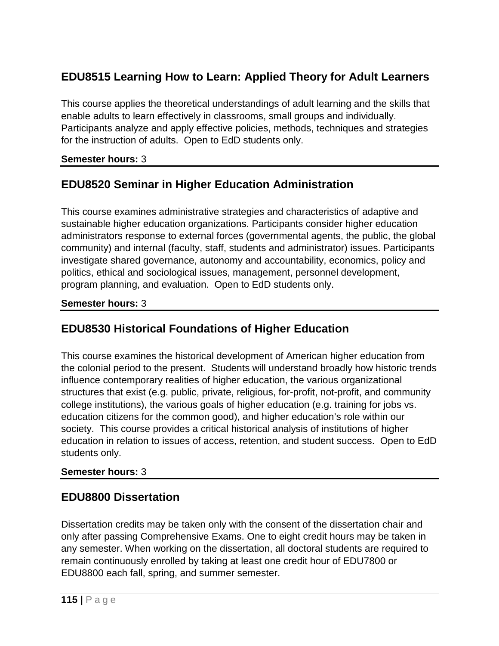# **EDU8515 Learning How to Learn: Applied Theory for Adult Learners**

This course applies the theoretical understandings of adult learning and the skills that enable adults to learn effectively in classrooms, small groups and individually. Participants analyze and apply effective policies, methods, techniques and strategies for the instruction of adults. Open to EdD students only.

### **Semester hours:** 3

# **EDU8520 Seminar in Higher Education Administration**

This course examines administrative strategies and characteristics of adaptive and sustainable higher education organizations. Participants consider higher education administrators response to external forces (governmental agents, the public, the global community) and internal (faculty, staff, students and administrator) issues. Participants investigate shared governance, autonomy and accountability, economics, policy and politics, ethical and sociological issues, management, personnel development, program planning, and evaluation. Open to EdD students only.

### **Semester hours:** 3

# **EDU8530 Historical Foundations of Higher Education**

This course examines the historical development of American higher education from the colonial period to the present. Students will understand broadly how historic trends influence contemporary realities of higher education, the various organizational structures that exist (e.g. public, private, religious, for-profit, not-profit, and community college institutions), the various goals of higher education (e.g. training for jobs vs. education citizens for the common good), and higher education's role within our society. This course provides a critical historical analysis of institutions of higher education in relation to issues of access, retention, and student success. Open to EdD students only.

### **Semester hours:** 3

## **EDU8800 Dissertation**

Dissertation credits may be taken only with the consent of the dissertation chair and only after passing Comprehensive Exams. One to eight credit hours may be taken in any semester. When working on the dissertation, all doctoral students are required to remain continuously enrolled by taking at least one credit hour of EDU7800 or EDU8800 each fall, spring, and summer semester.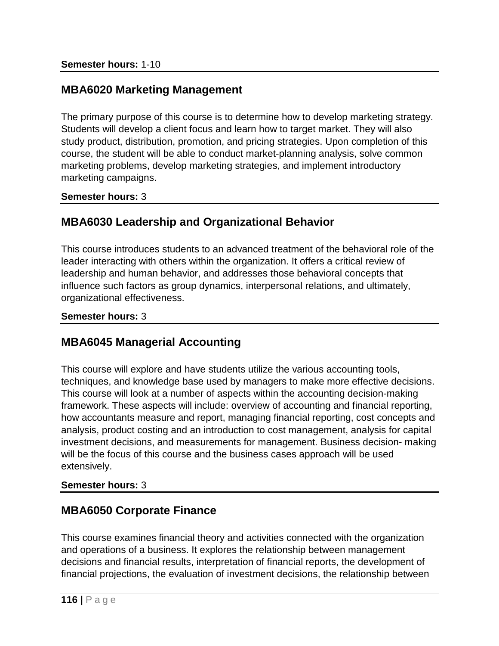## **MBA6020 Marketing Management**

The primary purpose of this course is to determine how to develop marketing strategy. Students will develop a client focus and learn how to target market. They will also study product, distribution, promotion, and pricing strategies. Upon completion of this course, the student will be able to conduct market-planning analysis, solve common marketing problems, develop marketing strategies, and implement introductory marketing campaigns.

**Semester hours:** 3

## **MBA6030 Leadership and Organizational Behavior**

This course introduces students to an advanced treatment of the behavioral role of the leader interacting with others within the organization. It offers a critical review of leadership and human behavior, and addresses those behavioral concepts that influence such factors as group dynamics, interpersonal relations, and ultimately, organizational effectiveness.

#### **Semester hours:** 3

## **MBA6045 Managerial Accounting**

This course will explore and have students utilize the various accounting tools, techniques, and knowledge base used by managers to make more effective decisions. This course will look at a number of aspects within the accounting decision-making framework. These aspects will include: overview of accounting and financial reporting, how accountants measure and report, managing financial reporting, cost concepts and analysis, product costing and an introduction to cost management, analysis for capital investment decisions, and measurements for management. Business decision- making will be the focus of this course and the business cases approach will be used extensively.

### **Semester hours:** 3

## **MBA6050 Corporate Finance**

This course examines financial theory and activities connected with the organization and operations of a business. It explores the relationship between management decisions and financial results, interpretation of financial reports, the development of financial projections, the evaluation of investment decisions, the relationship between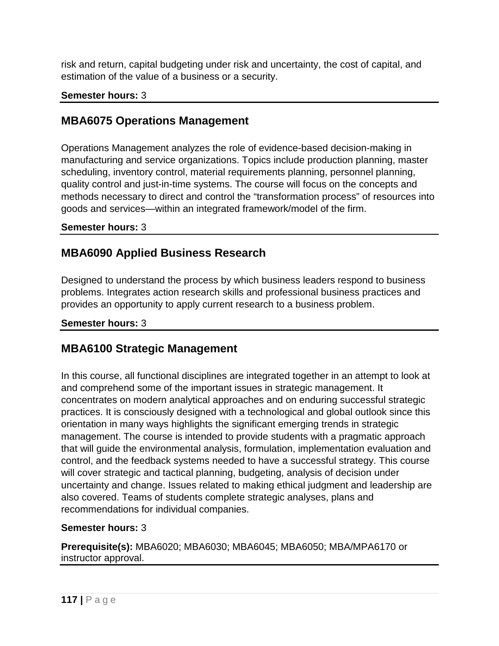risk and return, capital budgeting under risk and uncertainty, the cost of capital, and estimation of the value of a business or a security.

### **Semester hours:** 3

## **MBA6075 Operations Management**

Operations Management analyzes the role of evidence-based decision-making in manufacturing and service organizations. Topics include production planning, master scheduling, inventory control, material requirements planning, personnel planning, quality control and just-in-time systems. The course will focus on the concepts and methods necessary to direct and control the "transformation process" of resources into goods and services—within an integrated framework/model of the firm.

### **Semester hours:** 3

## **MBA6090 Applied Business Research**

Designed to understand the process by which business leaders respond to business problems. Integrates action research skills and professional business practices and provides an opportunity to apply current research to a business problem.

### **Semester hours:** 3

## **MBA6100 Strategic Management**

In this course, all functional disciplines are integrated together in an attempt to look at and comprehend some of the important issues in strategic management. It concentrates on modern analytical approaches and on enduring successful strategic practices. It is consciously designed with a technological and global outlook since this orientation in many ways highlights the significant emerging trends in strategic management. The course is intended to provide students with a pragmatic approach that will guide the environmental analysis, formulation, implementation evaluation and control, and the feedback systems needed to have a successful strategy. This course will cover strategic and tactical planning, budgeting, analysis of decision under uncertainty and change. Issues related to making ethical judgment and leadership are also covered. Teams of students complete strategic analyses, plans and recommendations for individual companies.

### **Semester hours:** 3

**Prerequisite(s):** MBA6020; MBA6030; MBA6045; MBA6050; MBA/MPA6170 or instructor approval.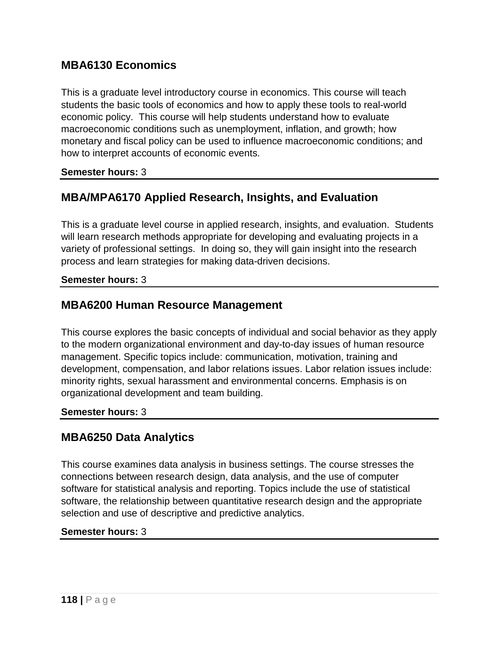## **MBA6130 Economics**

This is a graduate level introductory course in economics. This course will teach students the basic tools of economics and how to apply these tools to real-world economic policy. This course will help students understand how to evaluate macroeconomic conditions such as unemployment, inflation, and growth; how monetary and fiscal policy can be used to influence macroeconomic conditions; and how to interpret accounts of economic events.

#### **Semester hours:** 3

### **MBA/MPA6170 Applied Research, Insights, and Evaluation**

This is a graduate level course in applied research, insights, and evaluation. Students will learn research methods appropriate for developing and evaluating projects in a variety of professional settings. In doing so, they will gain insight into the research process and learn strategies for making data-driven decisions.

#### **Semester hours:** 3

### **MBA6200 Human Resource Management**

This course explores the basic concepts of individual and social behavior as they apply to the modern organizational environment and day-to-day issues of human resource management. Specific topics include: communication, motivation, training and development, compensation, and labor relations issues. Labor relation issues include: minority rights, sexual harassment and environmental concerns. Emphasis is on organizational development and team building.

#### **Semester hours:** 3

### **MBA6250 Data Analytics**

This course examines data analysis in business settings. The course stresses the connections between research design, data analysis, and the use of computer software for statistical analysis and reporting. Topics include the use of statistical software, the relationship between quantitative research design and the appropriate selection and use of descriptive and predictive analytics.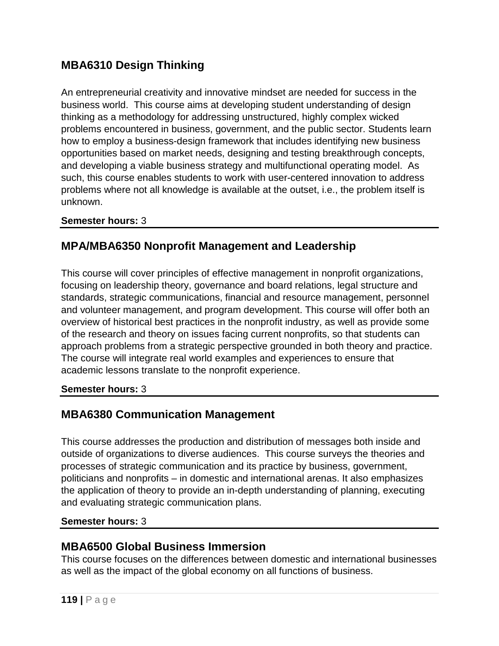# **MBA6310 Design Thinking**

An entrepreneurial creativity and innovative mindset are needed for success in the business world. This course aims at developing student understanding of design thinking as a methodology for addressing unstructured, highly complex wicked problems encountered in business, government, and the public sector. Students learn how to employ a business-design framework that includes identifying new business opportunities based on market needs, designing and testing breakthrough concepts, and developing a viable business strategy and multifunctional operating model. As such, this course enables students to work with user-centered innovation to address problems where not all knowledge is available at the outset, i.e., the problem itself is unknown.

### **Semester hours:** 3

# **MPA/MBA6350 Nonprofit Management and Leadership**

This course will cover principles of effective management in nonprofit organizations, focusing on leadership theory, governance and board relations, legal structure and standards, strategic communications, financial and resource management, personnel and volunteer management, and program development. This course will offer both an overview of historical best practices in the nonprofit industry, as well as provide some of the research and theory on issues facing current nonprofits, so that students can approach problems from a strategic perspective grounded in both theory and practice. The course will integrate real world examples and experiences to ensure that academic lessons translate to the nonprofit experience.

### **Semester hours:** 3

# **MBA6380 Communication Management**

This course addresses the production and distribution of messages both inside and outside of organizations to diverse audiences. This course surveys the theories and processes of strategic communication and its practice by business, government, politicians and nonprofits – in domestic and international arenas. It also emphasizes the application of theory to provide an in-depth understanding of planning, executing and evaluating strategic communication plans.

### **Semester hours:** 3

### **MBA6500 Global Business Immersion**

This course focuses on the differences between domestic and international businesses as well as the impact of the global economy on all functions of business.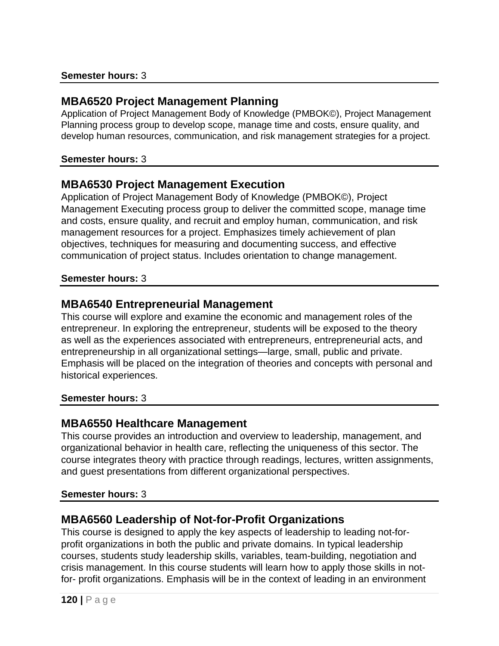### **MBA6520 Project Management Planning**

Application of Project Management Body of Knowledge (PMBOK©), Project Management Planning process group to develop scope, manage time and costs, ensure quality, and develop human resources, communication, and risk management strategies for a project.

#### **Semester hours:** 3

### **MBA6530 Project Management Execution**

Application of Project Management Body of Knowledge (PMBOK©), Project Management Executing process group to deliver the committed scope, manage time and costs, ensure quality, and recruit and employ human, communication, and risk management resources for a project. Emphasizes timely achievement of plan objectives, techniques for measuring and documenting success, and effective communication of project status. Includes orientation to change management.

#### **Semester hours:** 3

### **MBA6540 Entrepreneurial Management**

This course will explore and examine the economic and management roles of the entrepreneur. In exploring the entrepreneur, students will be exposed to the theory as well as the experiences associated with entrepreneurs, entrepreneurial acts, and entrepreneurship in all organizational settings—large, small, public and private. Emphasis will be placed on the integration of theories and concepts with personal and historical experiences.

### **Semester hours:** 3

### **MBA6550 Healthcare Management**

This course provides an introduction and overview to leadership, management, and organizational behavior in health care, reflecting the uniqueness of this sector. The course integrates theory with practice through readings, lectures, written assignments, and guest presentations from different organizational perspectives.

### **Semester hours:** 3

## **MBA6560 Leadership of Not-for-Profit Organizations**

This course is designed to apply the key aspects of leadership to leading not-forprofit organizations in both the public and private domains. In typical leadership courses, students study leadership skills, variables, team-building, negotiation and crisis management. In this course students will learn how to apply those skills in notfor- profit organizations. Emphasis will be in the context of leading in an environment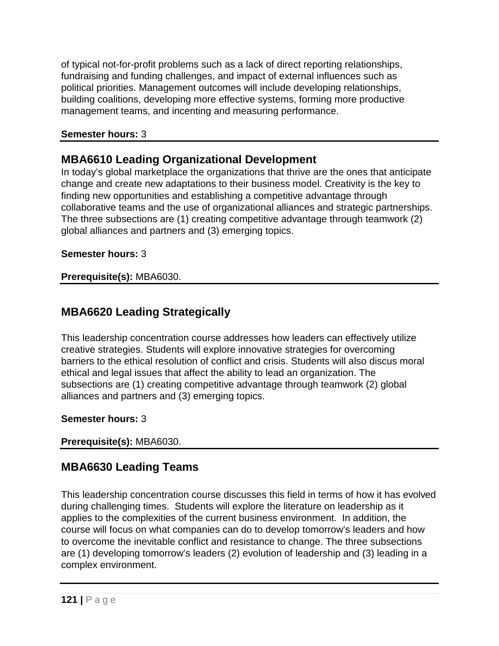of typical not-for-profit problems such as a lack of direct reporting relationships, fundraising and funding challenges, and impact of external influences such as political priorities. Management outcomes will include developing relationships, building coalitions, developing more effective systems, forming more productive management teams, and incenting and measuring performance.

### **Semester hours:** 3

# **MBA6610 Leading Organizational Development**

In today's global marketplace the organizations that thrive are the ones that anticipate change and create new adaptations to their business model. Creativity is the key to finding new opportunities and establishing a competitive advantage through collaborative teams and the use of organizational alliances and strategic partnerships. The three subsections are (1) creating competitive advantage through teamwork (2) global alliances and partners and (3) emerging topics.

### **Semester hours:** 3

### **Prerequisite(s):** MBA6030.

# **MBA6620 Leading Strategically**

This leadership concentration course addresses how leaders can effectively utilize creative strategies. Students will explore innovative strategies for overcoming barriers to the ethical resolution of conflict and crisis. Students will also discus moral ethical and legal issues that affect the ability to lead an organization. The subsections are (1) creating competitive advantage through teamwork (2) global alliances and partners and (3) emerging topics.

### **Semester hours:** 3

### **Prerequisite(s):** MBA6030.

# **MBA6630 Leading Teams**

This leadership concentration course discusses this field in terms of how it has evolved during challenging times. Students will explore the literature on leadership as it applies to the complexities of the current business environment. In addition, the course will focus on what companies can do to develop tomorrow's leaders and how to overcome the inevitable conflict and resistance to change. The three subsections are (1) developing tomorrow's leaders (2) evolution of leadership and (3) leading in a complex environment.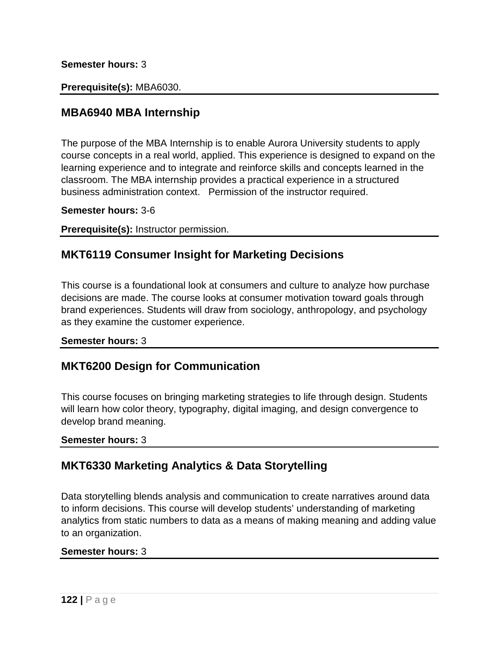#### **Semester hours:** 3

#### **Prerequisite(s):** MBA6030.

### **MBA6940 MBA Internship**

The purpose of the MBA Internship is to enable Aurora University students to apply course concepts in a real world, applied. This experience is designed to expand on the learning experience and to integrate and reinforce skills and concepts learned in the classroom. The MBA internship provides a practical experience in a structured business administration context. Permission of the instructor required.

**Semester hours:** 3-6

**Prerequisite(s):** Instructor permission.

### **MKT6119 Consumer Insight for Marketing Decisions**

This course is a foundational look at consumers and culture to analyze how purchase decisions are made. The course looks at consumer motivation toward goals through brand experiences. Students will draw from sociology, anthropology, and psychology as they examine the customer experience.

#### **Semester hours:** 3

### **MKT6200 Design for Communication**

This course focuses on bringing marketing strategies to life through design. Students will learn how color theory, typography, digital imaging, and design convergence to develop brand meaning.

#### **Semester hours:** 3

### **MKT6330 Marketing Analytics & Data Storytelling**

Data storytelling blends analysis and communication to create narratives around data to inform decisions. This course will develop students' understanding of marketing analytics from static numbers to data as a means of making meaning and adding value to an organization.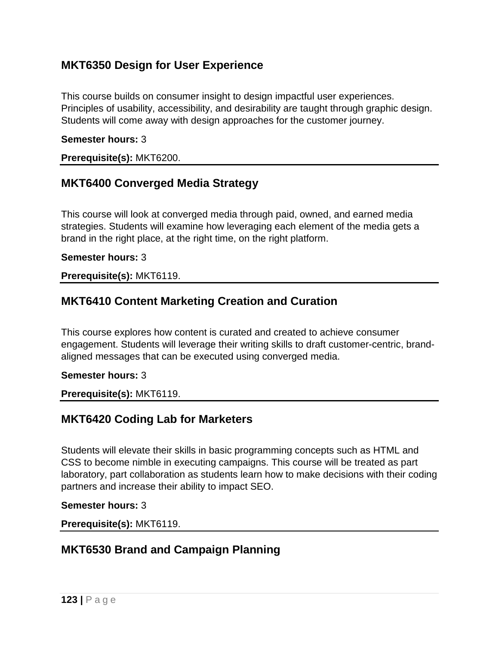## **MKT6350 Design for User Experience**

This course builds on consumer insight to design impactful user experiences. Principles of usability, accessibility, and desirability are taught through graphic design. Students will come away with design approaches for the customer journey.

#### **Semester hours:** 3

**Prerequisite(s):** MKT6200.

### **MKT6400 Converged Media Strategy**

This course will look at converged media through paid, owned, and earned media strategies. Students will examine how leveraging each element of the media gets a brand in the right place, at the right time, on the right platform.

#### **Semester hours:** 3

#### **Prerequisite(s):** MKT6119.

## **MKT6410 Content Marketing Creation and Curation**

This course explores how content is curated and created to achieve consumer engagement. Students will leverage their writing skills to draft customer-centric, brandaligned messages that can be executed using converged media.

#### **Semester hours:** 3

**Prerequisite(s):** MKT6119.

### **MKT6420 Coding Lab for Marketers**

Students will elevate their skills in basic programming concepts such as HTML and CSS to become nimble in executing campaigns. This course will be treated as part laboratory, part collaboration as students learn how to make decisions with their coding partners and increase their ability to impact SEO.

**Semester hours:** 3

**Prerequisite(s):** MKT6119.

## **MKT6530 Brand and Campaign Planning**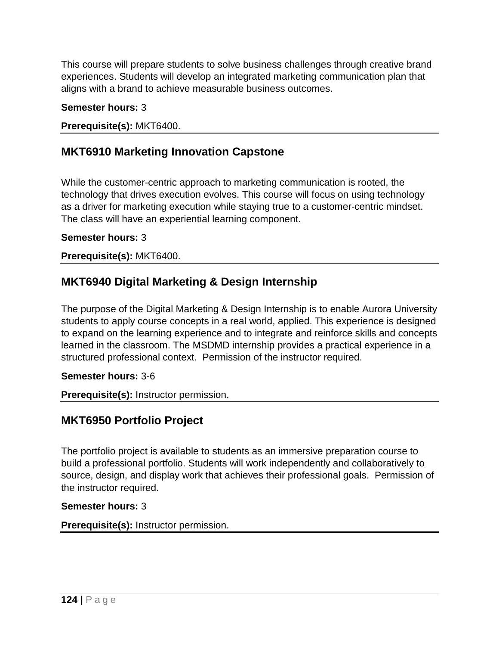This course will prepare students to solve business challenges through creative brand experiences. Students will develop an integrated marketing communication plan that aligns with a brand to achieve measurable business outcomes.

### **Semester hours:** 3

**Prerequisite(s):** MKT6400.

# **MKT6910 Marketing Innovation Capstone**

While the customer-centric approach to marketing communication is rooted, the technology that drives execution evolves. This course will focus on using technology as a driver for marketing execution while staying true to a customer-centric mindset. The class will have an experiential learning component.

### **Semester hours:** 3

**Prerequisite(s):** MKT6400.

# **MKT6940 Digital Marketing & Design Internship**

The purpose of the Digital Marketing & Design Internship is to enable Aurora University students to apply course concepts in a real world, applied. This experience is designed to expand on the learning experience and to integrate and reinforce skills and concepts learned in the classroom. The MSDMD internship provides a practical experience in a structured professional context. Permission of the instructor required.

**Semester hours:** 3-6

**Prerequisite(s):** Instructor permission.

# **MKT6950 Portfolio Project**

The portfolio project is available to students as an immersive preparation course to build a professional portfolio. Students will work independently and collaboratively to source, design, and display work that achieves their professional goals. Permission of the instructor required.

### **Semester hours:** 3

**Prerequisite(s):** Instructor permission.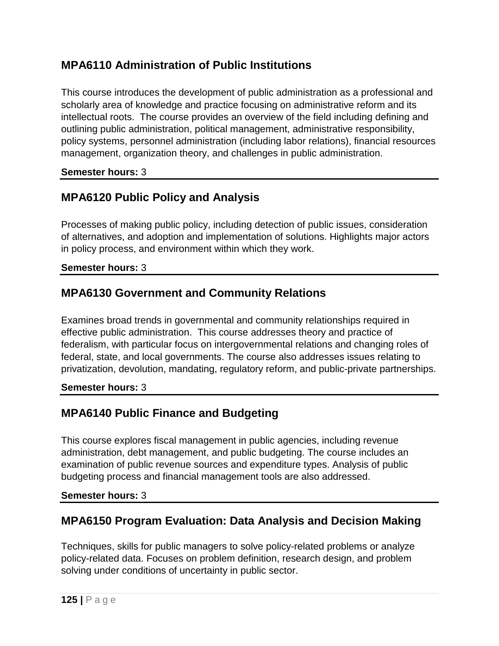# **MPA6110 Administration of Public Institutions**

This course introduces the development of public administration as a professional and scholarly area of knowledge and practice focusing on administrative reform and its intellectual roots. The course provides an overview of the field including defining and outlining public administration, political management, administrative responsibility, policy systems, personnel administration (including labor relations), financial resources management, organization theory, and challenges in public administration.

### **Semester hours:** 3

# **MPA6120 Public Policy and Analysis**

Processes of making public policy, including detection of public issues, consideration of alternatives, and adoption and implementation of solutions. Highlights major actors in policy process, and environment within which they work.

### **Semester hours:** 3

# **MPA6130 Government and Community Relations**

Examines broad trends in governmental and community relationships required in effective public administration. This course addresses theory and practice of federalism, with particular focus on intergovernmental relations and changing roles of federal, state, and local governments. The course also addresses issues relating to privatization, devolution, mandating, regulatory reform, and public-private partnerships.

### **Semester hours:** 3

# **MPA6140 Public Finance and Budgeting**

This course explores fiscal management in public agencies, including revenue administration, debt management, and public budgeting. The course includes an examination of public revenue sources and expenditure types. Analysis of public budgeting process and financial management tools are also addressed.

### **Semester hours:** 3

# **MPA6150 Program Evaluation: Data Analysis and Decision Making**

Techniques, skills for public managers to solve policy-related problems or analyze policy-related data. Focuses on problem definition, research design, and problem solving under conditions of uncertainty in public sector.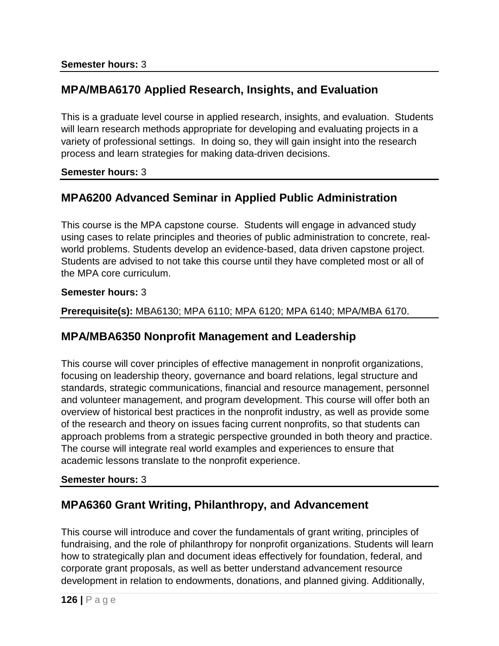# **MPA/MBA6170 Applied Research, Insights, and Evaluation**

This is a graduate level course in applied research, insights, and evaluation. Students will learn research methods appropriate for developing and evaluating projects in a variety of professional settings. In doing so, they will gain insight into the research process and learn strategies for making data-driven decisions.

### **Semester hours:** 3

# **MPA6200 Advanced Seminar in Applied Public Administration**

This course is the MPA capstone course. Students will engage in advanced study using cases to relate principles and theories of public administration to concrete, realworld problems. Students develop an evidence-based, data driven capstone project. Students are advised to not take this course until they have completed most or all of the MPA core curriculum.

#### **Semester hours:** 3

**Prerequisite(s):** MBA6130; MPA 6110; MPA 6120; MPA 6140; MPA/MBA 6170.

## **MPA/MBA6350 Nonprofit Management and Leadership**

This course will cover principles of effective management in nonprofit organizations, focusing on leadership theory, governance and board relations, legal structure and standards, strategic communications, financial and resource management, personnel and volunteer management, and program development. This course will offer both an overview of historical best practices in the nonprofit industry, as well as provide some of the research and theory on issues facing current nonprofits, so that students can approach problems from a strategic perspective grounded in both theory and practice. The course will integrate real world examples and experiences to ensure that academic lessons translate to the nonprofit experience.

### **Semester hours:** 3

# **MPA6360 Grant Writing, Philanthropy, and Advancement**

This course will introduce and cover the fundamentals of grant writing, principles of fundraising, and the role of philanthropy for nonprofit organizations. Students will learn how to strategically plan and document ideas effectively for foundation, federal, and corporate grant proposals, as well as better understand advancement resource development in relation to endowments, donations, and planned giving. Additionally,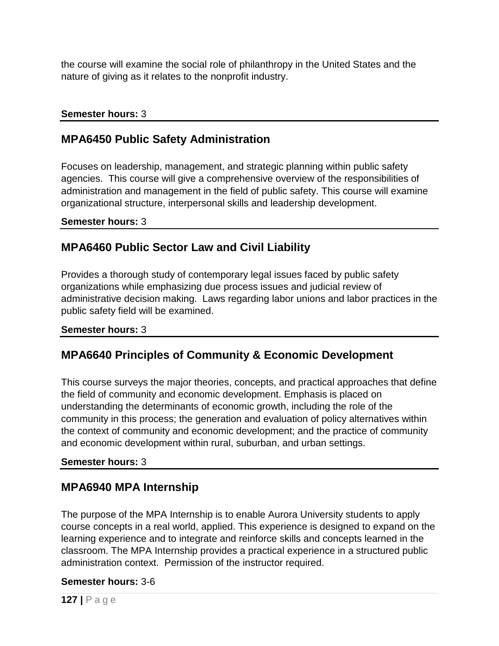the course will examine the social role of philanthropy in the United States and the nature of giving as it relates to the nonprofit industry.

### **Semester hours:** 3

## **MPA6450 Public Safety Administration**

Focuses on leadership, management, and strategic planning within public safety agencies. This course will give a comprehensive overview of the responsibilities of administration and management in the field of public safety. This course will examine organizational structure, interpersonal skills and leadership development.

**Semester hours:** 3

## **MPA6460 Public Sector Law and Civil Liability**

Provides a thorough study of contemporary legal issues faced by public safety organizations while emphasizing due process issues and judicial review of administrative decision making. Laws regarding labor unions and labor practices in the public safety field will be examined.

### **Semester hours:** 3

## **MPA6640 Principles of Community & Economic Development**

This course surveys the major theories, concepts, and practical approaches that define the field of community and economic development. Emphasis is placed on understanding the determinants of economic growth, including the role of the community in this process; the generation and evaluation of policy alternatives within the context of community and economic development; and the practice of community and economic development within rural, suburban, and urban settings.

### **Semester hours:** 3

## **MPA6940 MPA Internship**

The purpose of the MPA Internship is to enable Aurora University students to apply course concepts in a real world, applied. This experience is designed to expand on the learning experience and to integrate and reinforce skills and concepts learned in the classroom. The MPA Internship provides a practical experience in a structured public administration context. Permission of the instructor required.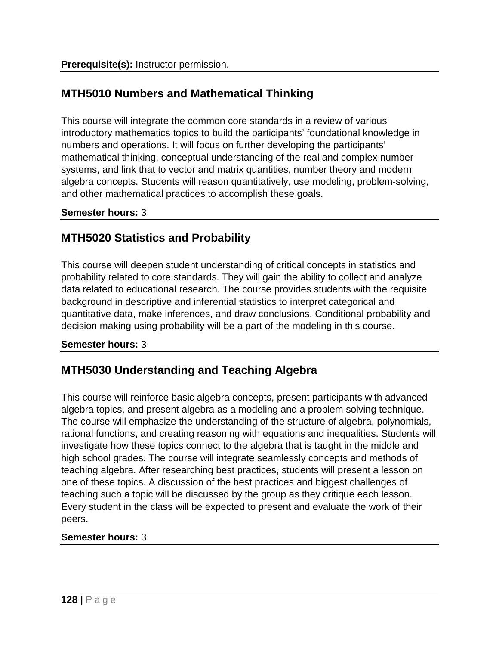# **MTH5010 Numbers and Mathematical Thinking**

This course will integrate the common core standards in a review of various introductory mathematics topics to build the participants' foundational knowledge in numbers and operations. It will focus on further developing the participants' mathematical thinking, conceptual understanding of the real and complex number systems, and link that to vector and matrix quantities, number theory and modern algebra concepts. Students will reason quantitatively, use modeling, problem-solving, and other mathematical practices to accomplish these goals.

### **Semester hours:** 3

## **MTH5020 Statistics and Probability**

This course will deepen student understanding of critical concepts in statistics and probability related to core standards. They will gain the ability to collect and analyze data related to educational research. The course provides students with the requisite background in descriptive and inferential statistics to interpret categorical and quantitative data, make inferences, and draw conclusions. Conditional probability and decision making using probability will be a part of the modeling in this course.

### **Semester hours:** 3

## **MTH5030 Understanding and Teaching Algebra**

This course will reinforce basic algebra concepts, present participants with advanced algebra topics, and present algebra as a modeling and a problem solving technique. The course will emphasize the understanding of the structure of algebra, polynomials, rational functions, and creating reasoning with equations and inequalities. Students will investigate how these topics connect to the algebra that is taught in the middle and high school grades. The course will integrate seamlessly concepts and methods of teaching algebra. After researching best practices, students will present a lesson on one of these topics. A discussion of the best practices and biggest challenges of teaching such a topic will be discussed by the group as they critique each lesson. Every student in the class will be expected to present and evaluate the work of their peers.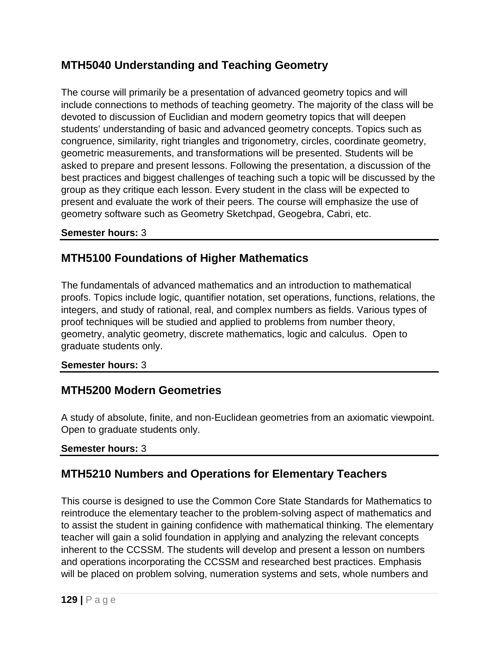# **MTH5040 Understanding and Teaching Geometry**

The course will primarily be a presentation of advanced geometry topics and will include connections to methods of teaching geometry. The majority of the class will be devoted to discussion of Euclidian and modern geometry topics that will deepen students' understanding of basic and advanced geometry concepts. Topics such as congruence, similarity, right triangles and trigonometry, circles, coordinate geometry, geometric measurements, and transformations will be presented. Students will be asked to prepare and present lessons. Following the presentation, a discussion of the best practices and biggest challenges of teaching such a topic will be discussed by the group as they critique each lesson. Every student in the class will be expected to present and evaluate the work of their peers. The course will emphasize the use of geometry software such as Geometry Sketchpad, Geogebra, Cabri, etc.

### **Semester hours:** 3

# **MTH5100 Foundations of Higher Mathematics**

The fundamentals of advanced mathematics and an introduction to mathematical proofs. Topics include logic, quantifier notation, set operations, functions, relations, the integers, and study of rational, real, and complex numbers as fields. Various types of proof techniques will be studied and applied to problems from number theory, geometry, analytic geometry, discrete mathematics, logic and calculus. Open to graduate students only.

### **Semester hours:** 3

## **MTH5200 Modern Geometries**

A study of absolute, finite, and non-Euclidean geometries from an axiomatic viewpoint. Open to graduate students only.

### **Semester hours:** 3

# **MTH5210 Numbers and Operations for Elementary Teachers**

This course is designed to use the Common Core State Standards for Mathematics to reintroduce the elementary teacher to the problem-solving aspect of mathematics and to assist the student in gaining confidence with mathematical thinking. The elementary teacher will gain a solid foundation in applying and analyzing the relevant concepts inherent to the CCSSM. The students will develop and present a lesson on numbers and operations incorporating the CCSSM and researched best practices. Emphasis will be placed on problem solving, numeration systems and sets, whole numbers and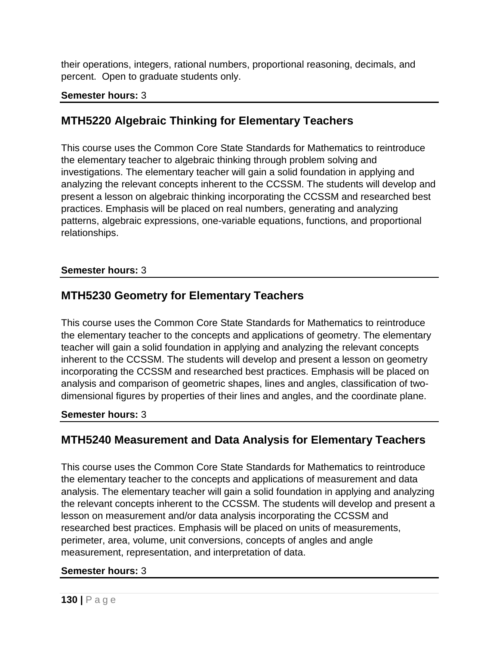their operations, integers, rational numbers, proportional reasoning, decimals, and percent. Open to graduate students only.

### **Semester hours:** 3

# **MTH5220 Algebraic Thinking for Elementary Teachers**

This course uses the Common Core State Standards for Mathematics to reintroduce the elementary teacher to algebraic thinking through problem solving and investigations. The elementary teacher will gain a solid foundation in applying and analyzing the relevant concepts inherent to the CCSSM. The students will develop and present a lesson on algebraic thinking incorporating the CCSSM and researched best practices. Emphasis will be placed on real numbers, generating and analyzing patterns, algebraic expressions, one-variable equations, functions, and proportional relationships.

### **Semester hours:** 3

## **MTH5230 Geometry for Elementary Teachers**

This course uses the Common Core State Standards for Mathematics to reintroduce the elementary teacher to the concepts and applications of geometry. The elementary teacher will gain a solid foundation in applying and analyzing the relevant concepts inherent to the CCSSM. The students will develop and present a lesson on geometry incorporating the CCSSM and researched best practices. Emphasis will be placed on analysis and comparison of geometric shapes, lines and angles, classification of twodimensional figures by properties of their lines and angles, and the coordinate plane.

### **Semester hours:** 3

# **MTH5240 Measurement and Data Analysis for Elementary Teachers**

This course uses the Common Core State Standards for Mathematics to reintroduce the elementary teacher to the concepts and applications of measurement and data analysis. The elementary teacher will gain a solid foundation in applying and analyzing the relevant concepts inherent to the CCSSM. The students will develop and present a lesson on measurement and/or data analysis incorporating the CCSSM and researched best practices. Emphasis will be placed on units of measurements, perimeter, area, volume, unit conversions, concepts of angles and angle measurement, representation, and interpretation of data.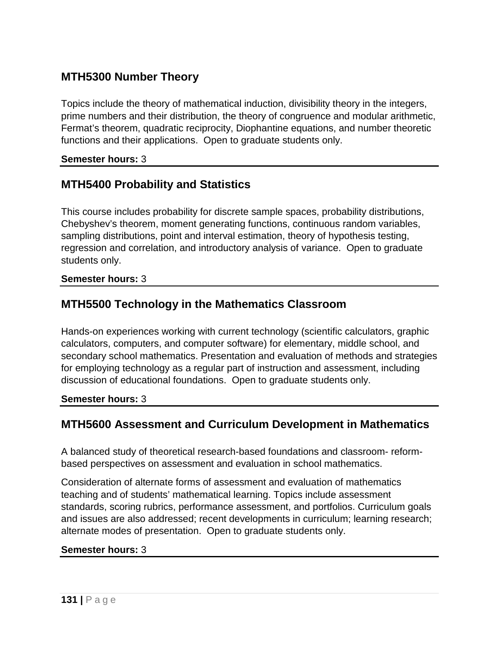# **MTH5300 Number Theory**

Topics include the theory of mathematical induction, divisibility theory in the integers, prime numbers and their distribution, the theory of congruence and modular arithmetic, Fermat's theorem, quadratic reciprocity, Diophantine equations, and number theoretic functions and their applications. Open to graduate students only.

### **Semester hours:** 3

# **MTH5400 Probability and Statistics**

This course includes probability for discrete sample spaces, probability distributions, Chebyshev's theorem, moment generating functions, continuous random variables, sampling distributions, point and interval estimation, theory of hypothesis testing, regression and correlation, and introductory analysis of variance. Open to graduate students only.

#### **Semester hours:** 3

## **MTH5500 Technology in the Mathematics Classroom**

Hands-on experiences working with current technology (scientific calculators, graphic calculators, computers, and computer software) for elementary, middle school, and secondary school mathematics. Presentation and evaluation of methods and strategies for employing technology as a regular part of instruction and assessment, including discussion of educational foundations. Open to graduate students only.

#### **Semester hours:** 3

# **MTH5600 Assessment and Curriculum Development in Mathematics**

A balanced study of theoretical research-based foundations and classroom- reformbased perspectives on assessment and evaluation in school mathematics.

Consideration of alternate forms of assessment and evaluation of mathematics teaching and of students' mathematical learning. Topics include assessment standards, scoring rubrics, performance assessment, and portfolios. Curriculum goals and issues are also addressed; recent developments in curriculum; learning research; alternate modes of presentation. Open to graduate students only.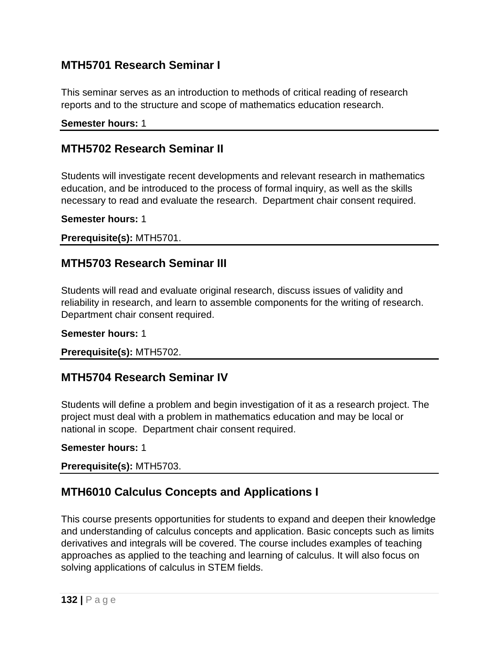## **MTH5701 Research Seminar I**

This seminar serves as an introduction to methods of critical reading of research reports and to the structure and scope of mathematics education research.

### **Semester hours:** 1

### **MTH5702 Research Seminar II**

Students will investigate recent developments and relevant research in mathematics education, and be introduced to the process of formal inquiry, as well as the skills necessary to read and evaluate the research. Department chair consent required.

**Semester hours:** 1

**Prerequisite(s):** MTH5701.

### **MTH5703 Research Seminar III**

Students will read and evaluate original research, discuss issues of validity and reliability in research, and learn to assemble components for the writing of research. Department chair consent required.

#### **Semester hours:** 1

**Prerequisite(s):** MTH5702.

### **MTH5704 Research Seminar IV**

Students will define a problem and begin investigation of it as a research project. The project must deal with a problem in mathematics education and may be local or national in scope. Department chair consent required.

#### **Semester hours:** 1

**Prerequisite(s):** MTH5703.

## **MTH6010 Calculus Concepts and Applications I**

This course presents opportunities for students to expand and deepen their knowledge and understanding of calculus concepts and application. Basic concepts such as limits derivatives and integrals will be covered. The course includes examples of teaching approaches as applied to the teaching and learning of calculus. It will also focus on solving applications of calculus in STEM fields.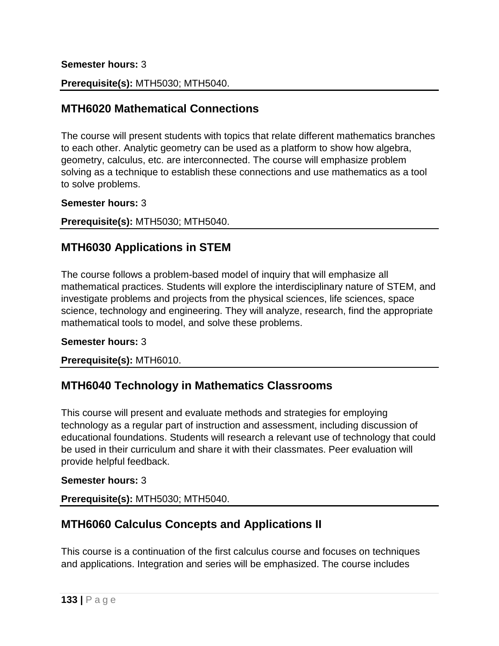#### **Semester hours:** 3

**Prerequisite(s):** MTH5030; MTH5040.

### **MTH6020 Mathematical Connections**

The course will present students with topics that relate different mathematics branches to each other. Analytic geometry can be used as a platform to show how algebra, geometry, calculus, etc. are interconnected. The course will emphasize problem solving as a technique to establish these connections and use mathematics as a tool to solve problems.

#### **Semester hours:** 3

**Prerequisite(s):** MTH5030; MTH5040.

## **MTH6030 Applications in STEM**

The course follows a problem-based model of inquiry that will emphasize all mathematical practices. Students will explore the interdisciplinary nature of STEM, and investigate problems and projects from the physical sciences, life sciences, space science, technology and engineering. They will analyze, research, find the appropriate mathematical tools to model, and solve these problems.

#### **Semester hours:** 3

**Prerequisite(s):** MTH6010.

## **MTH6040 Technology in Mathematics Classrooms**

This course will present and evaluate methods and strategies for employing technology as a regular part of instruction and assessment, including discussion of educational foundations. Students will research a relevant use of technology that could be used in their curriculum and share it with their classmates. Peer evaluation will provide helpful feedback.

### **Semester hours:** 3

**Prerequisite(s):** MTH5030; MTH5040.

# **MTH6060 Calculus Concepts and Applications II**

This course is a continuation of the first calculus course and focuses on techniques and applications. Integration and series will be emphasized. The course includes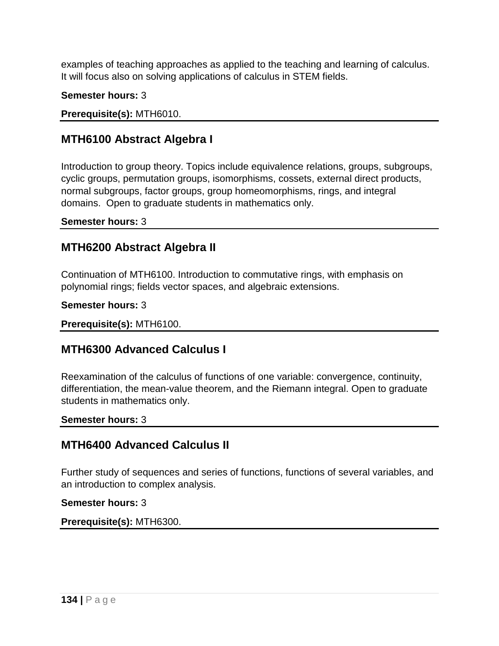examples of teaching approaches as applied to the teaching and learning of calculus. It will focus also on solving applications of calculus in STEM fields.

**Semester hours:** 3

**Prerequisite(s):** MTH6010.

# **MTH6100 Abstract Algebra I**

Introduction to group theory. Topics include equivalence relations, groups, subgroups, cyclic groups, permutation groups, isomorphisms, cossets, external direct products, normal subgroups, factor groups, group homeomorphisms, rings, and integral domains. Open to graduate students in mathematics only.

**Semester hours:** 3

# **MTH6200 Abstract Algebra II**

Continuation of MTH6100. Introduction to commutative rings, with emphasis on polynomial rings; fields vector spaces, and algebraic extensions.

**Semester hours:** 3

**Prerequisite(s):** MTH6100.

# **MTH6300 Advanced Calculus I**

Reexamination of the calculus of functions of one variable: convergence, continuity, differentiation, the mean-value theorem, and the Riemann integral. Open to graduate students in mathematics only.

**Semester hours:** 3

# **MTH6400 Advanced Calculus II**

Further study of sequences and series of functions, functions of several variables, and an introduction to complex analysis.

**Semester hours:** 3

**Prerequisite(s):** MTH6300.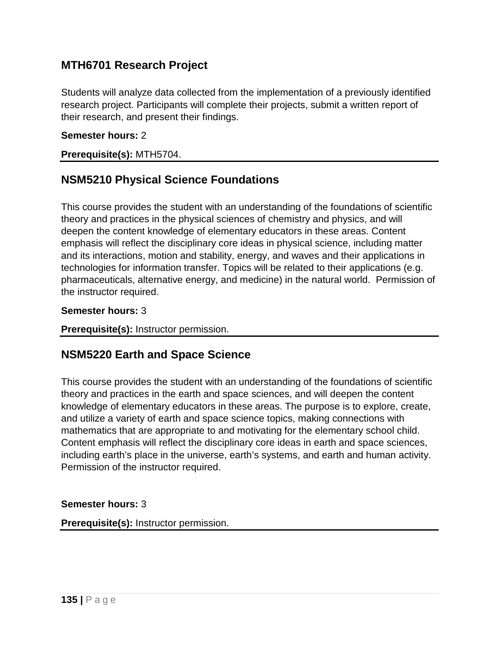## **MTH6701 Research Project**

Students will analyze data collected from the implementation of a previously identified research project. Participants will complete their projects, submit a written report of their research, and present their findings.

#### **Semester hours:** 2

#### **Prerequisite(s):** MTH5704.

## **NSM5210 Physical Science Foundations**

This course provides the student with an understanding of the foundations of scientific theory and practices in the physical sciences of chemistry and physics, and will deepen the content knowledge of elementary educators in these areas. Content emphasis will reflect the disciplinary core ideas in physical science, including matter and its interactions, motion and stability, energy, and waves and their applications in technologies for information transfer. Topics will be related to their applications (e.g. pharmaceuticals, alternative energy, and medicine) in the natural world. Permission of the instructor required.

#### **Semester hours:** 3

**Prerequisite(s):** Instructor permission.

## **NSM5220 Earth and Space Science**

This course provides the student with an understanding of the foundations of scientific theory and practices in the earth and space sciences, and will deepen the content knowledge of elementary educators in these areas. The purpose is to explore, create, and utilize a variety of earth and space science topics, making connections with mathematics that are appropriate to and motivating for the elementary school child. Content emphasis will reflect the disciplinary core ideas in earth and space sciences, including earth's place in the universe, earth's systems, and earth and human activity. Permission of the instructor required.

### **Semester hours:** 3

**Prerequisite(s):** Instructor permission.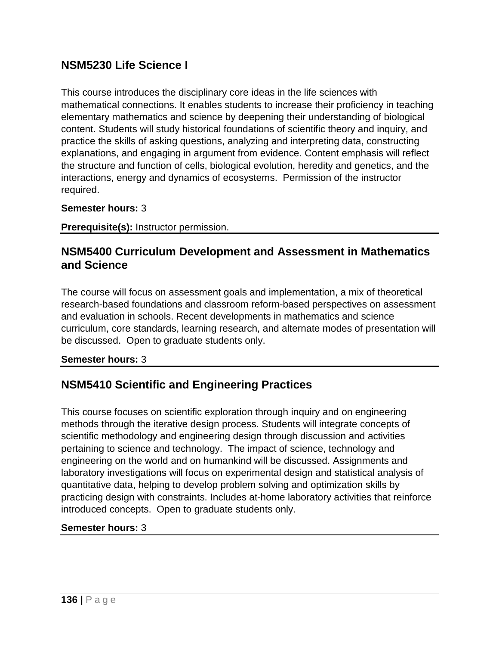## **NSM5230 Life Science I**

This course introduces the disciplinary core ideas in the life sciences with mathematical connections. It enables students to increase their proficiency in teaching elementary mathematics and science by deepening their understanding of biological content. Students will study historical foundations of scientific theory and inquiry, and practice the skills of asking questions, analyzing and interpreting data, constructing explanations, and engaging in argument from evidence. Content emphasis will reflect the structure and function of cells, biological evolution, heredity and genetics, and the interactions, energy and dynamics of ecosystems. Permission of the instructor required.

### **Semester hours:** 3

**Prerequisite(s):** Instructor permission.

### **NSM5400 Curriculum Development and Assessment in Mathematics and Science**

The course will focus on assessment goals and implementation, a mix of theoretical research-based foundations and classroom reform-based perspectives on assessment and evaluation in schools. Recent developments in mathematics and science curriculum, core standards, learning research, and alternate modes of presentation will be discussed. Open to graduate students only.

#### **Semester hours:** 3

# **NSM5410 Scientific and Engineering Practices**

This course focuses on scientific exploration through inquiry and on engineering methods through the iterative design process. Students will integrate concepts of scientific methodology and engineering design through discussion and activities pertaining to science and technology. The impact of science, technology and engineering on the world and on humankind will be discussed. Assignments and laboratory investigations will focus on experimental design and statistical analysis of quantitative data, helping to develop problem solving and optimization skills by practicing design with constraints. Includes at-home laboratory activities that reinforce introduced concepts. Open to graduate students only.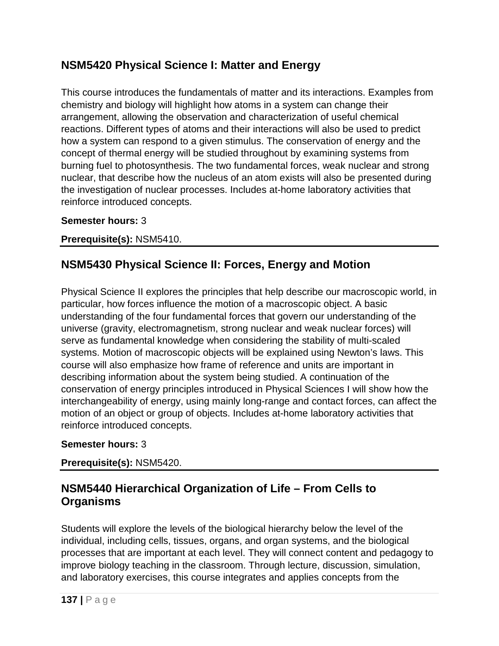# **NSM5420 Physical Science I: Matter and Energy**

This course introduces the fundamentals of matter and its interactions. Examples from chemistry and biology will highlight how atoms in a system can change their arrangement, allowing the observation and characterization of useful chemical reactions. Different types of atoms and their interactions will also be used to predict how a system can respond to a given stimulus. The conservation of energy and the concept of thermal energy will be studied throughout by examining systems from burning fuel to photosynthesis. The two fundamental forces, weak nuclear and strong nuclear, that describe how the nucleus of an atom exists will also be presented during the investigation of nuclear processes. Includes at-home laboratory activities that reinforce introduced concepts.

### **Semester hours:** 3

### **Prerequisite(s):** NSM5410.

# **NSM5430 Physical Science II: Forces, Energy and Motion**

Physical Science II explores the principles that help describe our macroscopic world, in particular, how forces influence the motion of a macroscopic object. A basic understanding of the four fundamental forces that govern our understanding of the universe (gravity, electromagnetism, strong nuclear and weak nuclear forces) will serve as fundamental knowledge when considering the stability of multi-scaled systems. Motion of macroscopic objects will be explained using Newton's laws. This course will also emphasize how frame of reference and units are important in describing information about the system being studied. A continuation of the conservation of energy principles introduced in Physical Sciences I will show how the interchangeability of energy, using mainly long-range and contact forces, can affect the motion of an object or group of objects. Includes at-home laboratory activities that reinforce introduced concepts.

### **Semester hours:** 3

### **Prerequisite(s):** NSM5420.

# **NSM5440 Hierarchical Organization of Life – From Cells to Organisms**

Students will explore the levels of the biological hierarchy below the level of the individual, including cells, tissues, organs, and organ systems, and the biological processes that are important at each level. They will connect content and pedagogy to improve biology teaching in the classroom. Through lecture, discussion, simulation, and laboratory exercises, this course integrates and applies concepts from the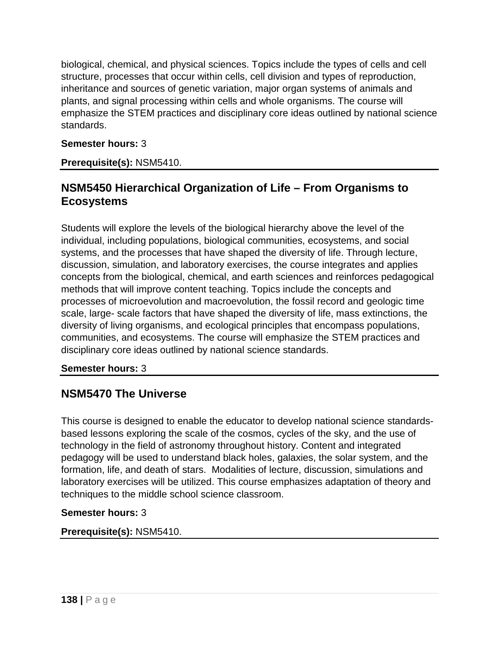biological, chemical, and physical sciences. Topics include the types of cells and cell structure, processes that occur within cells, cell division and types of reproduction, inheritance and sources of genetic variation, major organ systems of animals and plants, and signal processing within cells and whole organisms. The course will emphasize the STEM practices and disciplinary core ideas outlined by national science standards.

### **Semester hours:** 3

### **Prerequisite(s):** NSM5410.

## **NSM5450 Hierarchical Organization of Life – From Organisms to Ecosystems**

Students will explore the levels of the biological hierarchy above the level of the individual, including populations, biological communities, ecosystems, and social systems, and the processes that have shaped the diversity of life. Through lecture, discussion, simulation, and laboratory exercises, the course integrates and applies concepts from the biological, chemical, and earth sciences and reinforces pedagogical methods that will improve content teaching. Topics include the concepts and processes of microevolution and macroevolution, the fossil record and geologic time scale, large- scale factors that have shaped the diversity of life, mass extinctions, the diversity of living organisms, and ecological principles that encompass populations, communities, and ecosystems. The course will emphasize the STEM practices and disciplinary core ideas outlined by national science standards.

### **Semester hours:** 3

# **NSM5470 The Universe**

This course is designed to enable the educator to develop national science standardsbased lessons exploring the scale of the cosmos, cycles of the sky, and the use of technology in the field of astronomy throughout history. Content and integrated pedagogy will be used to understand black holes, galaxies, the solar system, and the formation, life, and death of stars. Modalities of lecture, discussion, simulations and laboratory exercises will be utilized. This course emphasizes adaptation of theory and techniques to the middle school science classroom.

### **Semester hours:** 3

### **Prerequisite(s):** NSM5410.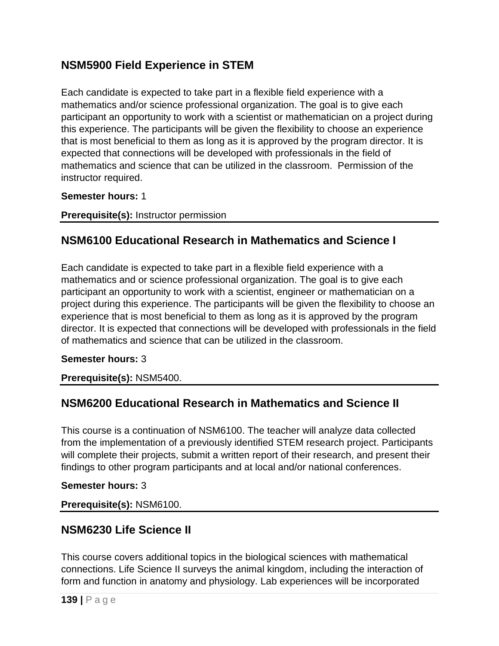# **NSM5900 Field Experience in STEM**

Each candidate is expected to take part in a flexible field experience with a mathematics and/or science professional organization. The goal is to give each participant an opportunity to work with a scientist or mathematician on a project during this experience. The participants will be given the flexibility to choose an experience that is most beneficial to them as long as it is approved by the program director. It is expected that connections will be developed with professionals in the field of mathematics and science that can be utilized in the classroom. Permission of the instructor required.

### **Semester hours:** 1

**Prerequisite(s):** Instructor permission

## **NSM6100 Educational Research in Mathematics and Science I**

Each candidate is expected to take part in a flexible field experience with a mathematics and or science professional organization. The goal is to give each participant an opportunity to work with a scientist, engineer or mathematician on a project during this experience. The participants will be given the flexibility to choose an experience that is most beneficial to them as long as it is approved by the program director. It is expected that connections will be developed with professionals in the field of mathematics and science that can be utilized in the classroom.

### **Semester hours:** 3

**Prerequisite(s):** NSM5400.

# **NSM6200 Educational Research in Mathematics and Science II**

This course is a continuation of NSM6100. The teacher will analyze data collected from the implementation of a previously identified STEM research project. Participants will complete their projects, submit a written report of their research, and present their findings to other program participants and at local and/or national conferences.

### **Semester hours:** 3

**Prerequisite(s):** NSM6100.

# **NSM6230 Life Science II**

This course covers additional topics in the biological sciences with mathematical connections. Life Science II surveys the animal kingdom, including the interaction of form and function in anatomy and physiology. Lab experiences will be incorporated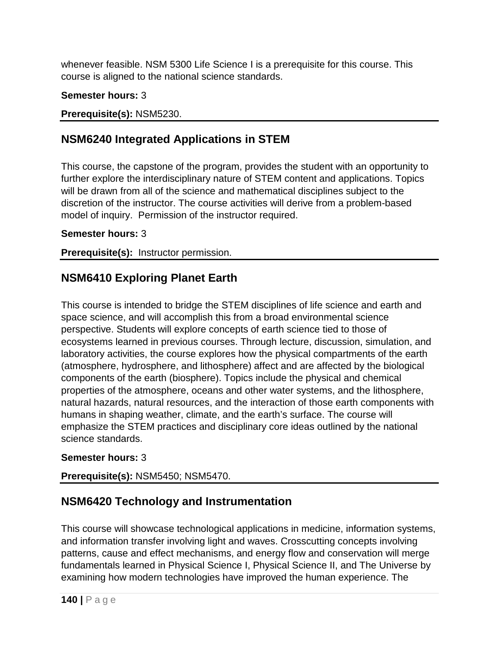whenever feasible. NSM 5300 Life Science I is a prerequisite for this course. This course is aligned to the national science standards.

### **Semester hours:** 3

### **Prerequisite(s):** NSM5230.

# **NSM6240 Integrated Applications in STEM**

This course, the capstone of the program, provides the student with an opportunity to further explore the interdisciplinary nature of STEM content and applications. Topics will be drawn from all of the science and mathematical disciplines subject to the discretion of the instructor. The course activities will derive from a problem-based model of inquiry. Permission of the instructor required.

### **Semester hours:** 3

**Prerequisite(s):** Instructor permission.

# **NSM6410 Exploring Planet Earth**

This course is intended to bridge the STEM disciplines of life science and earth and space science, and will accomplish this from a broad environmental science perspective. Students will explore concepts of earth science tied to those of ecosystems learned in previous courses. Through lecture, discussion, simulation, and laboratory activities, the course explores how the physical compartments of the earth (atmosphere, hydrosphere, and lithosphere) affect and are affected by the biological components of the earth (biosphere). Topics include the physical and chemical properties of the atmosphere, oceans and other water systems, and the lithosphere, natural hazards, natural resources, and the interaction of those earth components with humans in shaping weather, climate, and the earth's surface. The course will emphasize the STEM practices and disciplinary core ideas outlined by the national science standards.

### **Semester hours:** 3

### **Prerequisite(s):** NSM5450; NSM5470.

# **NSM6420 Technology and Instrumentation**

This course will showcase technological applications in medicine, information systems, and information transfer involving light and waves. Crosscutting concepts involving patterns, cause and effect mechanisms, and energy flow and conservation will merge fundamentals learned in Physical Science I, Physical Science II, and The Universe by examining how modern technologies have improved the human experience. The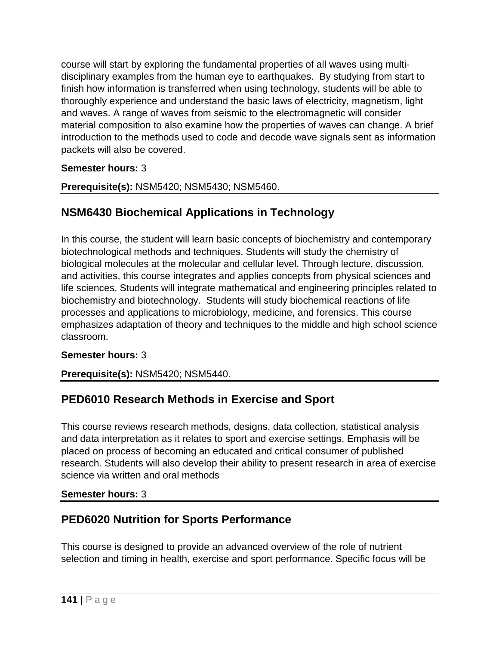course will start by exploring the fundamental properties of all waves using multidisciplinary examples from the human eye to earthquakes. By studying from start to finish how information is transferred when using technology, students will be able to thoroughly experience and understand the basic laws of electricity, magnetism, light and waves. A range of waves from seismic to the electromagnetic will consider material composition to also examine how the properties of waves can change. A brief introduction to the methods used to code and decode wave signals sent as information packets will also be covered.

### **Semester hours:** 3

**Prerequisite(s):** NSM5420; NSM5430; NSM5460.

# **NSM6430 Biochemical Applications in Technology**

In this course, the student will learn basic concepts of biochemistry and contemporary biotechnological methods and techniques. Students will study the chemistry of biological molecules at the molecular and cellular level. Through lecture, discussion, and activities, this course integrates and applies concepts from physical sciences and life sciences. Students will integrate mathematical and engineering principles related to biochemistry and biotechnology. Students will study biochemical reactions of life processes and applications to microbiology, medicine, and forensics. This course emphasizes adaptation of theory and techniques to the middle and high school science classroom.

### **Semester hours:** 3

**Prerequisite(s):** NSM5420; NSM5440.

# **PED6010 Research Methods in Exercise and Sport**

This course reviews research methods, designs, data collection, statistical analysis and data interpretation as it relates to sport and exercise settings. Emphasis will be placed on process of becoming an educated and critical consumer of published research. Students will also develop their ability to present research in area of exercise science via written and oral methods

### **Semester hours:** 3

# **PED6020 Nutrition for Sports Performance**

This course is designed to provide an advanced overview of the role of nutrient selection and timing in health, exercise and sport performance. Specific focus will be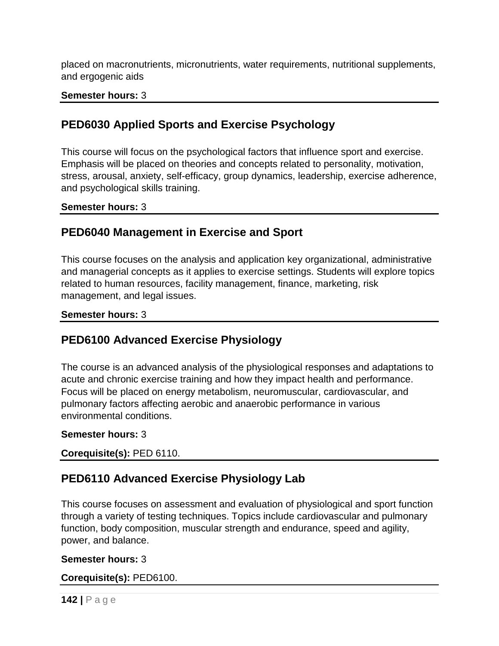placed on macronutrients, micronutrients, water requirements, nutritional supplements, and ergogenic aids

#### **Semester hours:** 3

## **PED6030 Applied Sports and Exercise Psychology**

This course will focus on the psychological factors that influence sport and exercise. Emphasis will be placed on theories and concepts related to personality, motivation, stress, arousal, anxiety, self-efficacy, group dynamics, leadership, exercise adherence, and psychological skills training.

#### **Semester hours:** 3

### **PED6040 Management in Exercise and Sport**

This course focuses on the analysis and application key organizational, administrative and managerial concepts as it applies to exercise settings. Students will explore topics related to human resources, facility management, finance, marketing, risk management, and legal issues.

#### **Semester hours:** 3

## **PED6100 Advanced Exercise Physiology**

The course is an advanced analysis of the physiological responses and adaptations to acute and chronic exercise training and how they impact health and performance. Focus will be placed on energy metabolism, neuromuscular, cardiovascular, and pulmonary factors affecting aerobic and anaerobic performance in various environmental conditions.

#### **Semester hours:** 3

**Corequisite(s):** PED 6110.

## **PED6110 Advanced Exercise Physiology Lab**

This course focuses on assessment and evaluation of physiological and sport function through a variety of testing techniques. Topics include cardiovascular and pulmonary function, body composition, muscular strength and endurance, speed and agility, power, and balance.

#### **Semester hours:** 3

**Corequisite(s):** PED6100.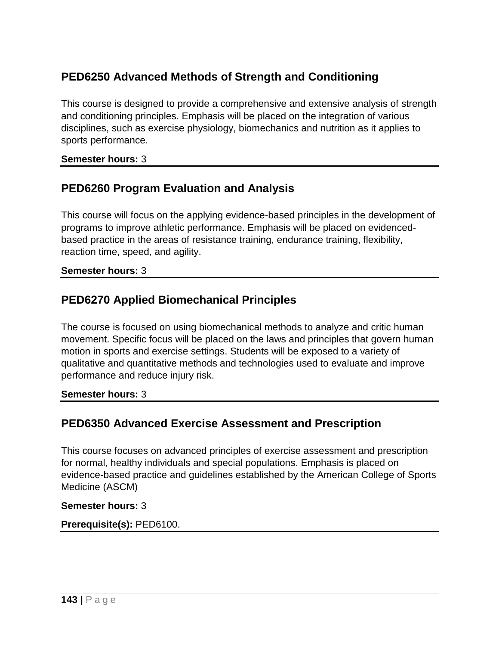# **PED6250 Advanced Methods of Strength and Conditioning**

This course is designed to provide a comprehensive and extensive analysis of strength and conditioning principles. Emphasis will be placed on the integration of various disciplines, such as exercise physiology, biomechanics and nutrition as it applies to sports performance.

#### **Semester hours:** 3

## **PED6260 Program Evaluation and Analysis**

This course will focus on the applying evidence-based principles in the development of programs to improve athletic performance. Emphasis will be placed on evidencedbased practice in the areas of resistance training, endurance training, flexibility, reaction time, speed, and agility.

#### **Semester hours:** 3

## **PED6270 Applied Biomechanical Principles**

The course is focused on using biomechanical methods to analyze and critic human movement. Specific focus will be placed on the laws and principles that govern human motion in sports and exercise settings. Students will be exposed to a variety of qualitative and quantitative methods and technologies used to evaluate and improve performance and reduce injury risk.

**Semester hours:** 3

# **PED6350 Advanced Exercise Assessment and Prescription**

This course focuses on advanced principles of exercise assessment and prescription for normal, healthy individuals and special populations. Emphasis is placed on evidence-based practice and guidelines established by the American College of Sports Medicine (ASCM)

#### **Semester hours:** 3

### **Prerequisite(s):** PED6100.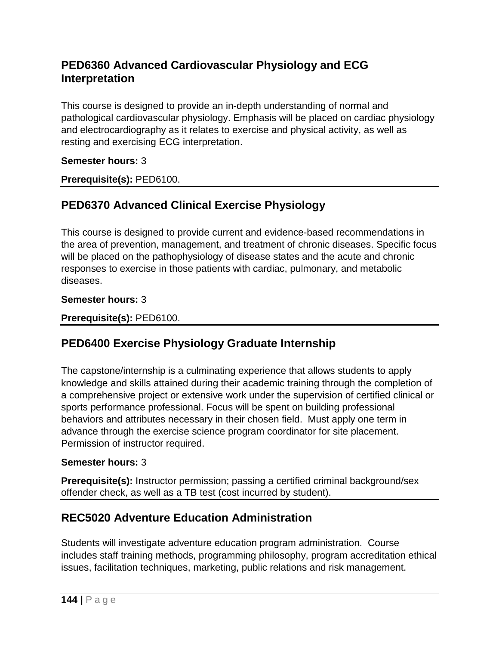# **PED6360 Advanced Cardiovascular Physiology and ECG Interpretation**

This course is designed to provide an in-depth understanding of normal and pathological cardiovascular physiology. Emphasis will be placed on cardiac physiology and electrocardiography as it relates to exercise and physical activity, as well as resting and exercising ECG interpretation.

### **Semester hours:** 3

**Prerequisite(s):** PED6100.

# **PED6370 Advanced Clinical Exercise Physiology**

This course is designed to provide current and evidence-based recommendations in the area of prevention, management, and treatment of chronic diseases. Specific focus will be placed on the pathophysiology of disease states and the acute and chronic responses to exercise in those patients with cardiac, pulmonary, and metabolic diseases.

### **Semester hours:** 3

**Prerequisite(s):** PED6100.

# **PED6400 Exercise Physiology Graduate Internship**

The capstone/internship is a culminating experience that allows students to apply knowledge and skills attained during their academic training through the completion of a comprehensive project or extensive work under the supervision of certified clinical or sports performance professional. Focus will be spent on building professional behaviors and attributes necessary in their chosen field. Must apply one term in advance through the exercise science program coordinator for site placement. Permission of instructor required.

### **Semester hours:** 3

**Prerequisite(s):** Instructor permission; passing a certified criminal background/sex offender check, as well as a TB test (cost incurred by student).

# **REC5020 Adventure Education Administration**

Students will investigate adventure education program administration. Course includes staff training methods, programming philosophy, program accreditation ethical issues, facilitation techniques, marketing, public relations and risk management.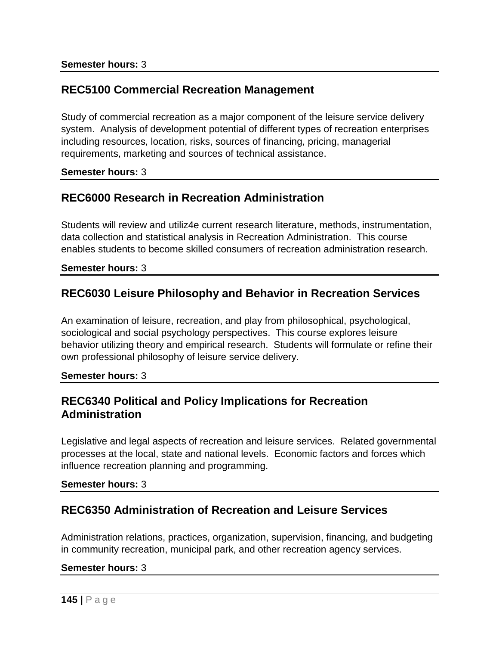### **REC5100 Commercial Recreation Management**

Study of commercial recreation as a major component of the leisure service delivery system. Analysis of development potential of different types of recreation enterprises including resources, location, risks, sources of financing, pricing, managerial requirements, marketing and sources of technical assistance.

#### **Semester hours:** 3

### **REC6000 Research in Recreation Administration**

Students will review and utiliz4e current research literature, methods, instrumentation, data collection and statistical analysis in Recreation Administration. This course enables students to become skilled consumers of recreation administration research.

#### **Semester hours:** 3

### **REC6030 Leisure Philosophy and Behavior in Recreation Services**

An examination of leisure, recreation, and play from philosophical, psychological, sociological and social psychology perspectives. This course explores leisure behavior utilizing theory and empirical research. Students will formulate or refine their own professional philosophy of leisure service delivery.

#### **Semester hours:** 3

### **REC6340 Political and Policy Implications for Recreation Administration**

Legislative and legal aspects of recreation and leisure services. Related governmental processes at the local, state and national levels. Economic factors and forces which influence recreation planning and programming.

#### **Semester hours:** 3

### **REC6350 Administration of Recreation and Leisure Services**

Administration relations, practices, organization, supervision, financing, and budgeting in community recreation, municipal park, and other recreation agency services.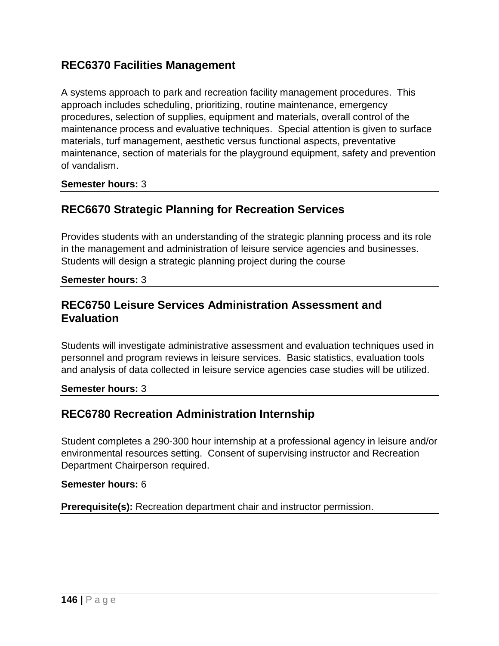## **REC6370 Facilities Management**

A systems approach to park and recreation facility management procedures. This approach includes scheduling, prioritizing, routine maintenance, emergency procedures, selection of supplies, equipment and materials, overall control of the maintenance process and evaluative techniques. Special attention is given to surface materials, turf management, aesthetic versus functional aspects, preventative maintenance, section of materials for the playground equipment, safety and prevention of vandalism.

**Semester hours:** 3

# **REC6670 Strategic Planning for Recreation Services**

Provides students with an understanding of the strategic planning process and its role in the management and administration of leisure service agencies and businesses. Students will design a strategic planning project during the course

**Semester hours:** 3

### **REC6750 Leisure Services Administration Assessment and Evaluation**

Students will investigate administrative assessment and evaluation techniques used in personnel and program reviews in leisure services. Basic statistics, evaluation tools and analysis of data collected in leisure service agencies case studies will be utilized.

**Semester hours:** 3

# **REC6780 Recreation Administration Internship**

Student completes a 290-300 hour internship at a professional agency in leisure and/or environmental resources setting. Consent of supervising instructor and Recreation Department Chairperson required.

### **Semester hours:** 6

**Prerequisite(s):** Recreation department chair and instructor permission.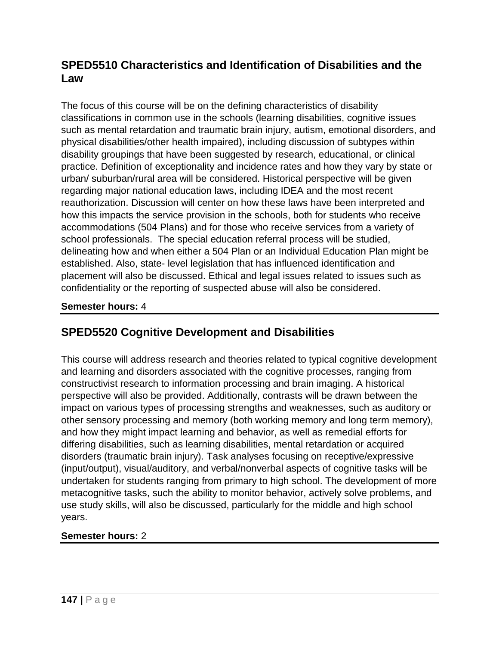# **SPED5510 Characteristics and Identification of Disabilities and the Law**

The focus of this course will be on the defining characteristics of disability classifications in common use in the schools (learning disabilities, cognitive issues such as mental retardation and traumatic brain injury, autism, emotional disorders, and physical disabilities/other health impaired), including discussion of subtypes within disability groupings that have been suggested by research, educational, or clinical practice. Definition of exceptionality and incidence rates and how they vary by state or urban/ suburban/rural area will be considered. Historical perspective will be given regarding major national education laws, including IDEA and the most recent reauthorization. Discussion will center on how these laws have been interpreted and how this impacts the service provision in the schools, both for students who receive accommodations (504 Plans) and for those who receive services from a variety of school professionals. The special education referral process will be studied, delineating how and when either a 504 Plan or an Individual Education Plan might be established. Also, state- level legislation that has influenced identification and placement will also be discussed. Ethical and legal issues related to issues such as confidentiality or the reporting of suspected abuse will also be considered.

### **Semester hours:** 4

### **SPED5520 Cognitive Development and Disabilities**

This course will address research and theories related to typical cognitive development and learning and disorders associated with the cognitive processes, ranging from constructivist research to information processing and brain imaging. A historical perspective will also be provided. Additionally, contrasts will be drawn between the impact on various types of processing strengths and weaknesses, such as auditory or other sensory processing and memory (both working memory and long term memory), and how they might impact learning and behavior, as well as remedial efforts for differing disabilities, such as learning disabilities, mental retardation or acquired disorders (traumatic brain injury). Task analyses focusing on receptive/expressive (input/output), visual/auditory, and verbal/nonverbal aspects of cognitive tasks will be undertaken for students ranging from primary to high school. The development of more metacognitive tasks, such the ability to monitor behavior, actively solve problems, and use study skills, will also be discussed, particularly for the middle and high school years.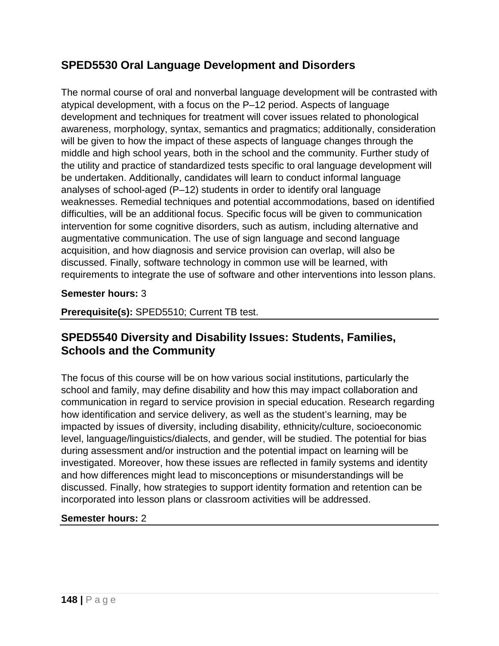# **SPED5530 Oral Language Development and Disorders**

The normal course of oral and nonverbal language development will be contrasted with atypical development, with a focus on the P–12 period. Aspects of language development and techniques for treatment will cover issues related to phonological awareness, morphology, syntax, semantics and pragmatics; additionally, consideration will be given to how the impact of these aspects of language changes through the middle and high school years, both in the school and the community. Further study of the utility and practice of standardized tests specific to oral language development will be undertaken. Additionally, candidates will learn to conduct informal language analyses of school-aged (P–12) students in order to identify oral language weaknesses. Remedial techniques and potential accommodations, based on identified difficulties, will be an additional focus. Specific focus will be given to communication intervention for some cognitive disorders, such as autism, including alternative and augmentative communication. The use of sign language and second language acquisition, and how diagnosis and service provision can overlap, will also be discussed. Finally, software technology in common use will be learned, with requirements to integrate the use of software and other interventions into lesson plans.

### **Semester hours:** 3

**Prerequisite(s):** SPED5510; Current TB test.

# **SPED5540 Diversity and Disability Issues: Students, Families, Schools and the Community**

The focus of this course will be on how various social institutions, particularly the school and family, may define disability and how this may impact collaboration and communication in regard to service provision in special education. Research regarding how identification and service delivery, as well as the student's learning, may be impacted by issues of diversity, including disability, ethnicity/culture, socioeconomic level, language/linguistics/dialects, and gender, will be studied. The potential for bias during assessment and/or instruction and the potential impact on learning will be investigated. Moreover, how these issues are reflected in family systems and identity and how differences might lead to misconceptions or misunderstandings will be discussed. Finally, how strategies to support identity formation and retention can be incorporated into lesson plans or classroom activities will be addressed.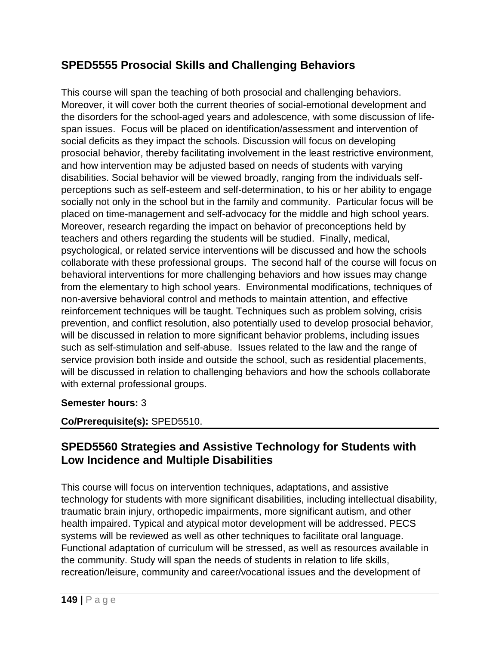# **SPED5555 Prosocial Skills and Challenging Behaviors**

This course will span the teaching of both prosocial and challenging behaviors. Moreover, it will cover both the current theories of social-emotional development and the disorders for the school-aged years and adolescence, with some discussion of lifespan issues. Focus will be placed on identification/assessment and intervention of social deficits as they impact the schools. Discussion will focus on developing prosocial behavior, thereby facilitating involvement in the least restrictive environment, and how intervention may be adjusted based on needs of students with varying disabilities. Social behavior will be viewed broadly, ranging from the individuals selfperceptions such as self-esteem and self-determination, to his or her ability to engage socially not only in the school but in the family and community. Particular focus will be placed on time-management and self-advocacy for the middle and high school years. Moreover, research regarding the impact on behavior of preconceptions held by teachers and others regarding the students will be studied. Finally, medical, psychological, or related service interventions will be discussed and how the schools collaborate with these professional groups. The second half of the course will focus on behavioral interventions for more challenging behaviors and how issues may change from the elementary to high school years. Environmental modifications, techniques of non-aversive behavioral control and methods to maintain attention, and effective reinforcement techniques will be taught. Techniques such as problem solving, crisis prevention, and conflict resolution, also potentially used to develop prosocial behavior, will be discussed in relation to more significant behavior problems, including issues such as self-stimulation and self-abuse. Issues related to the law and the range of service provision both inside and outside the school, such as residential placements, will be discussed in relation to challenging behaviors and how the schools collaborate with external professional groups.

### **Semester hours:** 3

### **Co/Prerequisite(s):** SPED5510.

## **SPED5560 Strategies and Assistive Technology for Students with Low Incidence and Multiple Disabilities**

This course will focus on intervention techniques, adaptations, and assistive technology for students with more significant disabilities, including intellectual disability, traumatic brain injury, orthopedic impairments, more significant autism, and other health impaired. Typical and atypical motor development will be addressed. PECS systems will be reviewed as well as other techniques to facilitate oral language. Functional adaptation of curriculum will be stressed, as well as resources available in the community. Study will span the needs of students in relation to life skills, recreation/leisure, community and career/vocational issues and the development of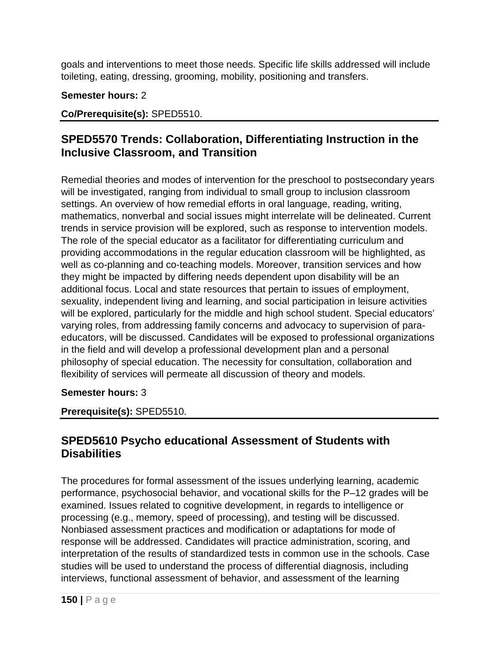goals and interventions to meet those needs. Specific life skills addressed will include toileting, eating, dressing, grooming, mobility, positioning and transfers.

### **Semester hours:** 2

### **Co/Prerequisite(s):** SPED5510.

# **SPED5570 Trends: Collaboration, Differentiating Instruction in the Inclusive Classroom, and Transition**

Remedial theories and modes of intervention for the preschool to postsecondary years will be investigated, ranging from individual to small group to inclusion classroom settings. An overview of how remedial efforts in oral language, reading, writing, mathematics, nonverbal and social issues might interrelate will be delineated. Current trends in service provision will be explored, such as response to intervention models. The role of the special educator as a facilitator for differentiating curriculum and providing accommodations in the regular education classroom will be highlighted, as well as co-planning and co-teaching models. Moreover, transition services and how they might be impacted by differing needs dependent upon disability will be an additional focus. Local and state resources that pertain to issues of employment, sexuality, independent living and learning, and social participation in leisure activities will be explored, particularly for the middle and high school student. Special educators' varying roles, from addressing family concerns and advocacy to supervision of paraeducators, will be discussed. Candidates will be exposed to professional organizations in the field and will develop a professional development plan and a personal philosophy of special education. The necessity for consultation, collaboration and flexibility of services will permeate all discussion of theory and models.

### **Semester hours:** 3

**Prerequisite(s):** SPED5510.

## **SPED5610 Psycho educational Assessment of Students with Disabilities**

The procedures for formal assessment of the issues underlying learning, academic performance, psychosocial behavior, and vocational skills for the P–12 grades will be examined. Issues related to cognitive development, in regards to intelligence or processing (e.g., memory, speed of processing), and testing will be discussed. Nonbiased assessment practices and modification or adaptations for mode of response will be addressed. Candidates will practice administration, scoring, and interpretation of the results of standardized tests in common use in the schools. Case studies will be used to understand the process of differential diagnosis, including interviews, functional assessment of behavior, and assessment of the learning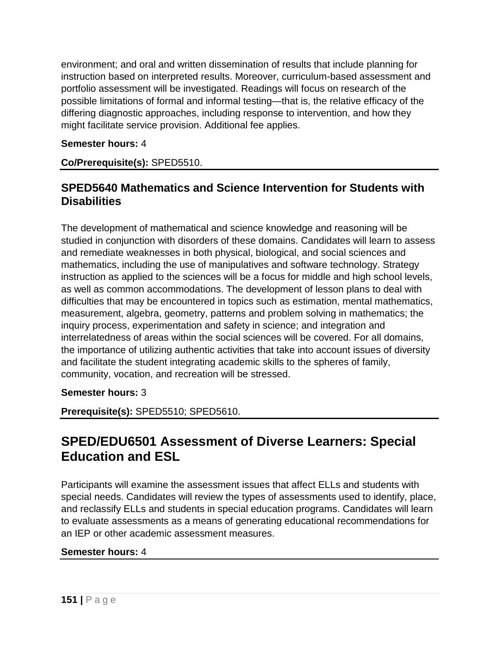environment; and oral and written dissemination of results that include planning for instruction based on interpreted results. Moreover, curriculum-based assessment and portfolio assessment will be investigated. Readings will focus on research of the possible limitations of formal and informal testing—that is, the relative efficacy of the differing diagnostic approaches, including response to intervention, and how they might facilitate service provision. Additional fee applies.

### **Semester hours:** 4

**Co/Prerequisite(s):** SPED5510.

## **SPED5640 Mathematics and Science Intervention for Students with Disabilities**

The development of mathematical and science knowledge and reasoning will be studied in conjunction with disorders of these domains. Candidates will learn to assess and remediate weaknesses in both physical, biological, and social sciences and mathematics, including the use of manipulatives and software technology. Strategy instruction as applied to the sciences will be a focus for middle and high school levels, as well as common accommodations. The development of lesson plans to deal with difficulties that may be encountered in topics such as estimation, mental mathematics, measurement, algebra, geometry, patterns and problem solving in mathematics; the inquiry process, experimentation and safety in science; and integration and interrelatedness of areas within the social sciences will be covered. For all domains, the importance of utilizing authentic activities that take into account issues of diversity and facilitate the student integrating academic skills to the spheres of family, community, vocation, and recreation will be stressed.

**Semester hours:** 3

**Prerequisite(s):** SPED5510; SPED5610.

# **SPED/EDU6501 Assessment of Diverse Learners: Special Education and ESL**

Participants will examine the assessment issues that affect ELLs and students with special needs. Candidates will review the types of assessments used to identify, place, and reclassify ELLs and students in special education programs. Candidates will learn to evaluate assessments as a means of generating educational recommendations for an IEP or other academic assessment measures.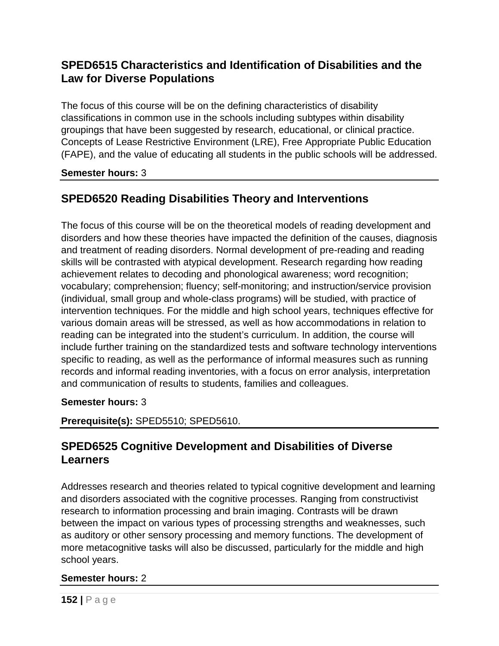# **SPED6515 Characteristics and Identification of Disabilities and the Law for Diverse Populations**

The focus of this course will be on the defining characteristics of disability classifications in common use in the schools including subtypes within disability groupings that have been suggested by research, educational, or clinical practice. Concepts of Lease Restrictive Environment (LRE), Free Appropriate Public Education (FAPE), and the value of educating all students in the public schools will be addressed.

### **Semester hours:** 3

# **SPED6520 Reading Disabilities Theory and Interventions**

The focus of this course will be on the theoretical models of reading development and disorders and how these theories have impacted the definition of the causes, diagnosis and treatment of reading disorders. Normal development of pre-reading and reading skills will be contrasted with atypical development. Research regarding how reading achievement relates to decoding and phonological awareness; word recognition; vocabulary; comprehension; fluency; self-monitoring; and instruction/service provision (individual, small group and whole-class programs) will be studied, with practice of intervention techniques. For the middle and high school years, techniques effective for various domain areas will be stressed, as well as how accommodations in relation to reading can be integrated into the student's curriculum. In addition, the course will include further training on the standardized tests and software technology interventions specific to reading, as well as the performance of informal measures such as running records and informal reading inventories, with a focus on error analysis, interpretation and communication of results to students, families and colleagues.

### **Semester hours:** 3

**Prerequisite(s):** SPED5510; SPED5610.

# **SPED6525 Cognitive Development and Disabilities of Diverse Learners**

Addresses research and theories related to typical cognitive development and learning and disorders associated with the cognitive processes. Ranging from constructivist research to information processing and brain imaging. Contrasts will be drawn between the impact on various types of processing strengths and weaknesses, such as auditory or other sensory processing and memory functions. The development of more metacognitive tasks will also be discussed, particularly for the middle and high school years.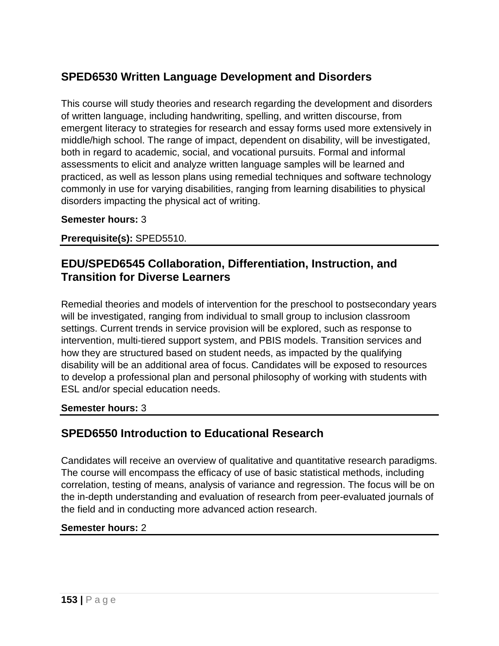# **SPED6530 Written Language Development and Disorders**

This course will study theories and research regarding the development and disorders of written language, including handwriting, spelling, and written discourse, from emergent literacy to strategies for research and essay forms used more extensively in middle/high school. The range of impact, dependent on disability, will be investigated, both in regard to academic, social, and vocational pursuits. Formal and informal assessments to elicit and analyze written language samples will be learned and practiced, as well as lesson plans using remedial techniques and software technology commonly in use for varying disabilities, ranging from learning disabilities to physical disorders impacting the physical act of writing.

#### **Semester hours:** 3

**Prerequisite(s):** SPED5510.

### **EDU/SPED6545 Collaboration, Differentiation, Instruction, and Transition for Diverse Learners**

Remedial theories and models of intervention for the preschool to postsecondary years will be investigated, ranging from individual to small group to inclusion classroom settings. Current trends in service provision will be explored, such as response to intervention, multi-tiered support system, and PBIS models. Transition services and how they are structured based on student needs, as impacted by the qualifying disability will be an additional area of focus. Candidates will be exposed to resources to develop a professional plan and personal philosophy of working with students with ESL and/or special education needs.

#### **Semester hours:** 3

### **SPED6550 Introduction to Educational Research**

Candidates will receive an overview of qualitative and quantitative research paradigms. The course will encompass the efficacy of use of basic statistical methods, including correlation, testing of means, analysis of variance and regression. The focus will be on the in-depth understanding and evaluation of research from peer-evaluated journals of the field and in conducting more advanced action research.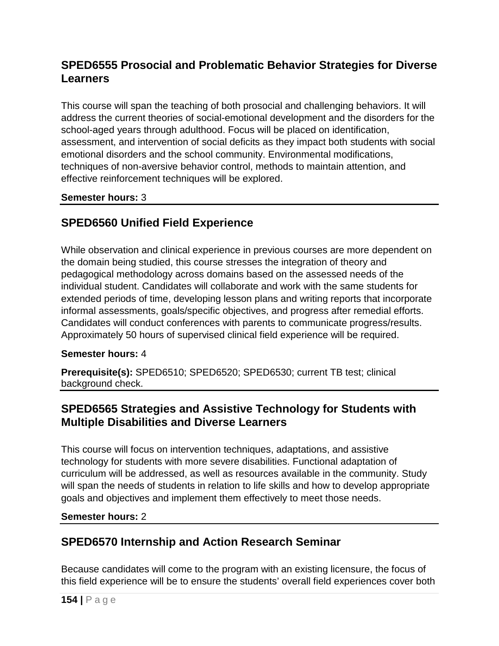# **SPED6555 Prosocial and Problematic Behavior Strategies for Diverse Learners**

This course will span the teaching of both prosocial and challenging behaviors. It will address the current theories of social-emotional development and the disorders for the school-aged years through adulthood. Focus will be placed on identification, assessment, and intervention of social deficits as they impact both students with social emotional disorders and the school community. Environmental modifications, techniques of non-aversive behavior control, methods to maintain attention, and effective reinforcement techniques will be explored.

### **Semester hours:** 3

# **SPED6560 Unified Field Experience**

While observation and clinical experience in previous courses are more dependent on the domain being studied, this course stresses the integration of theory and pedagogical methodology across domains based on the assessed needs of the individual student. Candidates will collaborate and work with the same students for extended periods of time, developing lesson plans and writing reports that incorporate informal assessments, goals/specific objectives, and progress after remedial efforts. Candidates will conduct conferences with parents to communicate progress/results. Approximately 50 hours of supervised clinical field experience will be required.

### **Semester hours:** 4

**Prerequisite(s):** SPED6510; SPED6520; SPED6530; current TB test; clinical background check.

### **SPED6565 Strategies and Assistive Technology for Students with Multiple Disabilities and Diverse Learners**

This course will focus on intervention techniques, adaptations, and assistive technology for students with more severe disabilities. Functional adaptation of curriculum will be addressed, as well as resources available in the community. Study will span the needs of students in relation to life skills and how to develop appropriate goals and objectives and implement them effectively to meet those needs.

### **Semester hours:** 2

# **SPED6570 Internship and Action Research Seminar**

Because candidates will come to the program with an existing licensure, the focus of this field experience will be to ensure the students' overall field experiences cover both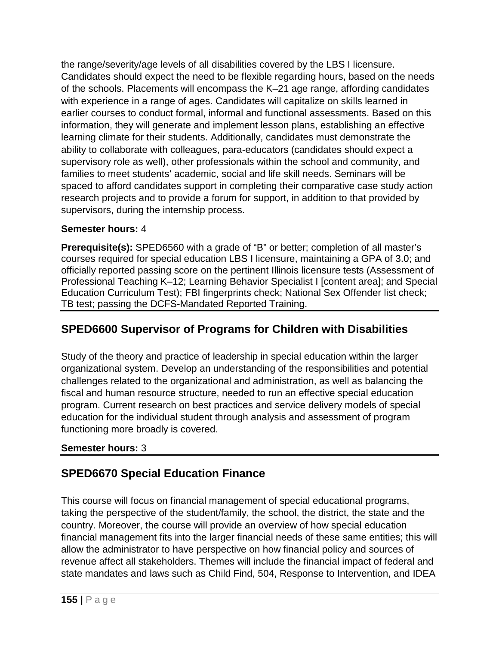the range/severity/age levels of all disabilities covered by the LBS I licensure. Candidates should expect the need to be flexible regarding hours, based on the needs of the schools. Placements will encompass the K–21 age range, affording candidates with experience in a range of ages. Candidates will capitalize on skills learned in earlier courses to conduct formal, informal and functional assessments. Based on this information, they will generate and implement lesson plans, establishing an effective learning climate for their students. Additionally, candidates must demonstrate the ability to collaborate with colleagues, para-educators (candidates should expect a supervisory role as well), other professionals within the school and community, and families to meet students' academic, social and life skill needs. Seminars will be spaced to afford candidates support in completing their comparative case study action research projects and to provide a forum for support, in addition to that provided by supervisors, during the internship process.

### **Semester hours:** 4

**Prerequisite(s):** SPED6560 with a grade of "B" or better; completion of all master's courses required for special education LBS I licensure, maintaining a GPA of 3.0; and officially reported passing score on the pertinent Illinois licensure tests (Assessment of Professional Teaching K–12; Learning Behavior Specialist I [content area]; and Special Education Curriculum Test); FBI fingerprints check; National Sex Offender list check; TB test; passing the DCFS-Mandated Reported Training.

# **SPED6600 Supervisor of Programs for Children with Disabilities**

Study of the theory and practice of leadership in special education within the larger organizational system. Develop an understanding of the responsibilities and potential challenges related to the organizational and administration, as well as balancing the fiscal and human resource structure, needed to run an effective special education program. Current research on best practices and service delivery models of special education for the individual student through analysis and assessment of program functioning more broadly is covered.

### **Semester hours:** 3

# **SPED6670 Special Education Finance**

This course will focus on financial management of special educational programs, taking the perspective of the student/family, the school, the district, the state and the country. Moreover, the course will provide an overview of how special education financial management fits into the larger financial needs of these same entities; this will allow the administrator to have perspective on how financial policy and sources of revenue affect all stakeholders. Themes will include the financial impact of federal and state mandates and laws such as Child Find, 504, Response to Intervention, and IDEA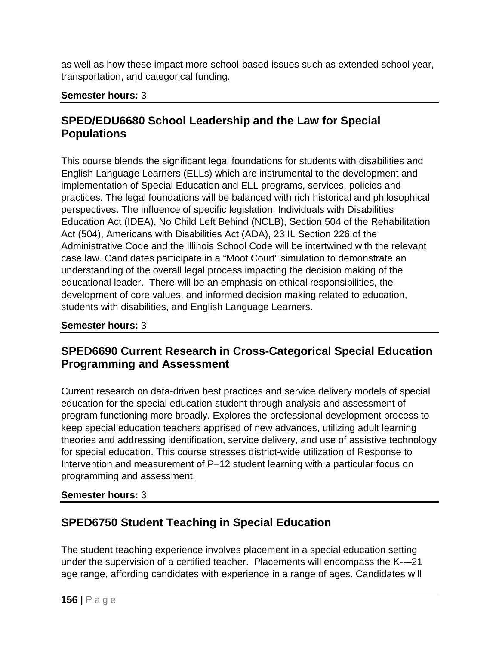as well as how these impact more school-based issues such as extended school year, transportation, and categorical funding.

### **Semester hours:** 3

## **SPED/EDU6680 School Leadership and the Law for Special Populations**

This course blends the significant legal foundations for students with disabilities and English Language Learners (ELLs) which are instrumental to the development and implementation of Special Education and ELL programs, services, policies and practices. The legal foundations will be balanced with rich historical and philosophical perspectives. The influence of specific legislation, Individuals with Disabilities Education Act (IDEA), No Child Left Behind (NCLB), Section 504 of the Rehabilitation Act (504), Americans with Disabilities Act (ADA), 23 IL Section 226 of the Administrative Code and the Illinois School Code will be intertwined with the relevant case law. Candidates participate in a "Moot Court" simulation to demonstrate an understanding of the overall legal process impacting the decision making of the educational leader. There will be an emphasis on ethical responsibilities, the development of core values, and informed decision making related to education, students with disabilities, and English Language Learners.

### **Semester hours:** 3

# **SPED6690 Current Research in Cross-Categorical Special Education Programming and Assessment**

Current research on data-driven best practices and service delivery models of special education for the special education student through analysis and assessment of program functioning more broadly. Explores the professional development process to keep special education teachers apprised of new advances, utilizing adult learning theories and addressing identification, service delivery, and use of assistive technology for special education. This course stresses district-wide utilization of Response to Intervention and measurement of P–12 student learning with a particular focus on programming and assessment.

### **Semester hours:** 3

# **SPED6750 Student Teaching in Special Education**

The student teaching experience involves placement in a special education setting under the supervision of a certified teacher. Placements will encompass the K--–21 age range, affording candidates with experience in a range of ages. Candidates will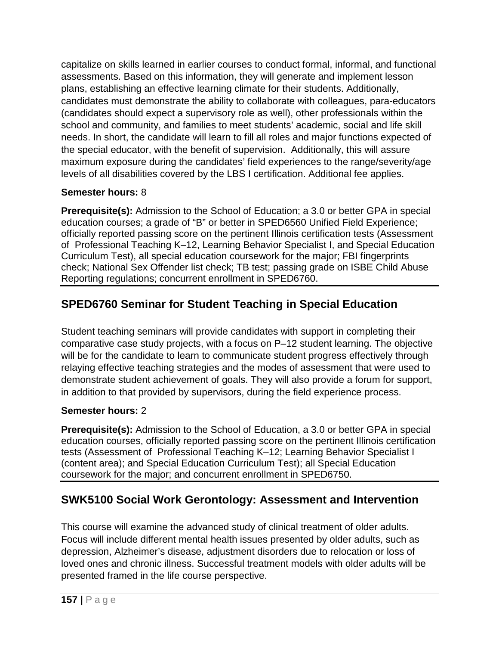capitalize on skills learned in earlier courses to conduct formal, informal, and functional assessments. Based on this information, they will generate and implement lesson plans, establishing an effective learning climate for their students. Additionally, candidates must demonstrate the ability to collaborate with colleagues, para-educators (candidates should expect a supervisory role as well), other professionals within the school and community, and families to meet students' academic, social and life skill needs. In short, the candidate will learn to fill all roles and major functions expected of the special educator, with the benefit of supervision. Additionally, this will assure maximum exposure during the candidates' field experiences to the range/severity/age levels of all disabilities covered by the LBS I certification. Additional fee applies.

### **Semester hours:** 8

**Prerequisite(s):** Admission to the School of Education; a 3.0 or better GPA in special education courses; a grade of "B" or better in SPED6560 Unified Field Experience; officially reported passing score on the pertinent Illinois certification tests (Assessment of Professional Teaching K–12, Learning Behavior Specialist I, and Special Education Curriculum Test), all special education coursework for the major; FBI fingerprints check; National Sex Offender list check; TB test; passing grade on ISBE Child Abuse Reporting regulations; concurrent enrollment in SPED6760.

# **SPED6760 Seminar for Student Teaching in Special Education**

Student teaching seminars will provide candidates with support in completing their comparative case study projects, with a focus on P–12 student learning. The objective will be for the candidate to learn to communicate student progress effectively through relaying effective teaching strategies and the modes of assessment that were used to demonstrate student achievement of goals. They will also provide a forum for support, in addition to that provided by supervisors, during the field experience process.

### **Semester hours:** 2

**Prerequisite(s):** Admission to the School of Education, a 3.0 or better GPA in special education courses, officially reported passing score on the pertinent Illinois certification tests (Assessment of Professional Teaching K–12; Learning Behavior Specialist I (content area); and Special Education Curriculum Test); all Special Education coursework for the major; and concurrent enrollment in SPED6750.

# **SWK5100 Social Work Gerontology: Assessment and Intervention**

This course will examine the advanced study of clinical treatment of older adults. Focus will include different mental health issues presented by older adults, such as depression, Alzheimer's disease, adjustment disorders due to relocation or loss of loved ones and chronic illness. Successful treatment models with older adults will be presented framed in the life course perspective.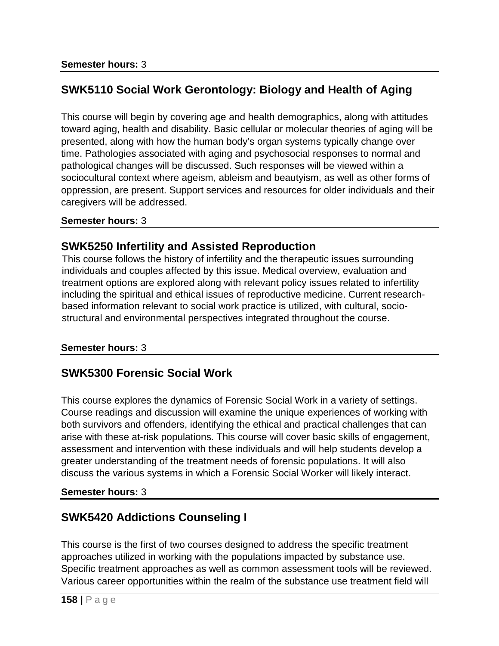# **SWK5110 Social Work Gerontology: Biology and Health of Aging**

This course will begin by covering age and health demographics, along with attitudes toward aging, health and disability. Basic cellular or molecular theories of aging will be presented, along with how the human body's organ systems typically change over time. Pathologies associated with aging and psychosocial responses to normal and pathological changes will be discussed. Such responses will be viewed within a sociocultural context where ageism, ableism and beautyism, as well as other forms of oppression, are present. Support services and resources for older individuals and their caregivers will be addressed.

### **Semester hours:** 3

### **SWK5250 Infertility and Assisted Reproduction**

This course follows the history of infertility and the therapeutic issues surrounding individuals and couples affected by this issue. Medical overview, evaluation and treatment options are explored along with relevant policy issues related to infertility including the spiritual and ethical issues of reproductive medicine. Current researchbased information relevant to social work practice is utilized, with cultural, sociostructural and environmental perspectives integrated throughout the course.

### **Semester hours:** 3

### **SWK5300 Forensic Social Work**

This course explores the dynamics of Forensic Social Work in a variety of settings. Course readings and discussion will examine the unique experiences of working with both survivors and offenders, identifying the ethical and practical challenges that can arise with these at-risk populations. This course will cover basic skills of engagement, assessment and intervention with these individuals and will help students develop a greater understanding of the treatment needs of forensic populations. It will also discuss the various systems in which a Forensic Social Worker will likely interact.

### **Semester hours:** 3

# **SWK5420 Addictions Counseling I**

This course is the first of two courses designed to address the specific treatment approaches utilized in working with the populations impacted by substance use. Specific treatment approaches as well as common assessment tools will be reviewed. Various career opportunities within the realm of the substance use treatment field will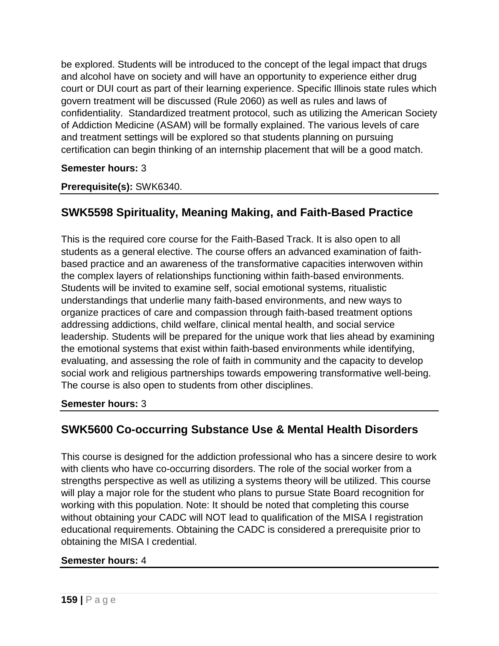be explored. Students will be introduced to the concept of the legal impact that drugs and alcohol have on society and will have an opportunity to experience either drug court or DUI court as part of their learning experience. Specific Illinois state rules which govern treatment will be discussed (Rule 2060) as well as rules and laws of confidentiality. Standardized treatment protocol, such as utilizing the American Society of Addiction Medicine (ASAM) will be formally explained. The various levels of care and treatment settings will be explored so that students planning on pursuing certification can begin thinking of an internship placement that will be a good match.

### **Semester hours:** 3

### **Prerequisite(s):** SWK6340.

# **SWK5598 Spirituality, Meaning Making, and Faith-Based Practice**

This is the required core course for the Faith-Based Track. It is also open to all students as a general elective. The course offers an advanced examination of faithbased practice and an awareness of the transformative capacities interwoven within the complex layers of relationships functioning within faith-based environments. Students will be invited to examine self, social emotional systems, ritualistic understandings that underlie many faith-based environments, and new ways to organize practices of care and compassion through faith-based treatment options addressing addictions, child welfare, clinical mental health, and social service leadership. Students will be prepared for the unique work that lies ahead by examining the emotional systems that exist within faith-based environments while identifying, evaluating, and assessing the role of faith in community and the capacity to develop social work and religious partnerships towards empowering transformative well-being. The course is also open to students from other disciplines.

### **Semester hours:** 3

# **SWK5600 Co-occurring Substance Use & Mental Health Disorders**

This course is designed for the addiction professional who has a sincere desire to work with clients who have co-occurring disorders. The role of the social worker from a strengths perspective as well as utilizing a systems theory will be utilized. This course will play a major role for the student who plans to pursue State Board recognition for working with this population. Note: It should be noted that completing this course without obtaining your CADC will NOT lead to qualification of the MISA I registration educational requirements. Obtaining the CADC is considered a prerequisite prior to obtaining the MISA I credential.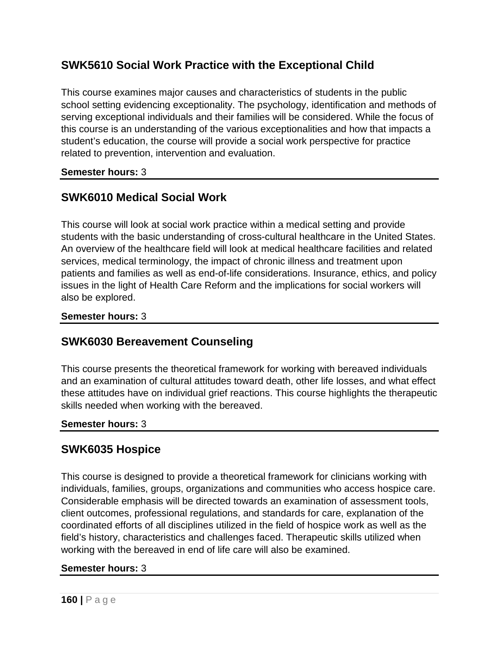# **SWK5610 Social Work Practice with the Exceptional Child**

This course examines major causes and characteristics of students in the public school setting evidencing exceptionality. The psychology, identification and methods of serving exceptional individuals and their families will be considered. While the focus of this course is an understanding of the various exceptionalities and how that impacts a student's education, the course will provide a social work perspective for practice related to prevention, intervention and evaluation.

### **Semester hours:** 3

# **SWK6010 Medical Social Work**

This course will look at social work practice within a medical setting and provide students with the basic understanding of cross-cultural healthcare in the United States. An overview of the healthcare field will look at medical healthcare facilities and related services, medical terminology, the impact of chronic illness and treatment upon patients and families as well as end-of-life considerations. Insurance, ethics, and policy issues in the light of Health Care Reform and the implications for social workers will also be explored.

#### **Semester hours:** 3

### **SWK6030 Bereavement Counseling**

This course presents the theoretical framework for working with bereaved individuals and an examination of cultural attitudes toward death, other life losses, and what effect these attitudes have on individual grief reactions. This course highlights the therapeutic skills needed when working with the bereaved.

#### **Semester hours:** 3

### **SWK6035 Hospice**

This course is designed to provide a theoretical framework for clinicians working with individuals, families, groups, organizations and communities who access hospice care. Considerable emphasis will be directed towards an examination of assessment tools, client outcomes, professional regulations, and standards for care, explanation of the coordinated efforts of all disciplines utilized in the field of hospice work as well as the field's history, characteristics and challenges faced. Therapeutic skills utilized when working with the bereaved in end of life care will also be examined.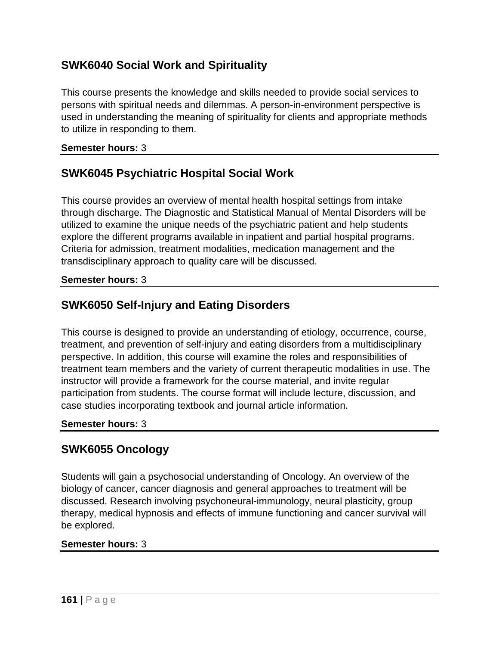# **SWK6040 Social Work and Spirituality**

This course presents the knowledge and skills needed to provide social services to persons with spiritual needs and dilemmas. A person-in-environment perspective is used in understanding the meaning of spirituality for clients and appropriate methods to utilize in responding to them.

#### **Semester hours:** 3

### **SWK6045 Psychiatric Hospital Social Work**

This course provides an overview of mental health hospital settings from intake through discharge. The Diagnostic and Statistical Manual of Mental Disorders will be utilized to examine the unique needs of the psychiatric patient and help students explore the different programs available in inpatient and partial hospital programs. Criteria for admission, treatment modalities, medication management and the transdisciplinary approach to quality care will be discussed.

#### **Semester hours:** 3

## **SWK6050 Self-Injury and Eating Disorders**

This course is designed to provide an understanding of etiology, occurrence, course, treatment, and prevention of self-injury and eating disorders from a multidisciplinary perspective. In addition, this course will examine the roles and responsibilities of treatment team members and the variety of current therapeutic modalities in use. The instructor will provide a framework for the course material, and invite regular participation from students. The course format will include lecture, discussion, and case studies incorporating textbook and journal article information.

#### **Semester hours:** 3

### **SWK6055 Oncology**

Students will gain a psychosocial understanding of Oncology. An overview of the biology of cancer, cancer diagnosis and general approaches to treatment will be discussed. Research involving psychoneural-immunology, neural plasticity, group therapy, medical hypnosis and effects of immune functioning and cancer survival will be explored.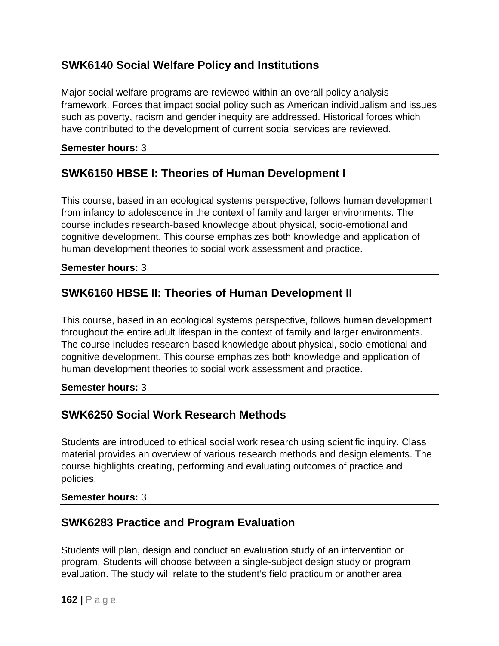# **SWK6140 Social Welfare Policy and Institutions**

Major social welfare programs are reviewed within an overall policy analysis framework. Forces that impact social policy such as American individualism and issues such as poverty, racism and gender inequity are addressed. Historical forces which have contributed to the development of current social services are reviewed.

### **Semester hours:** 3

# **SWK6150 HBSE I: Theories of Human Development I**

This course, based in an ecological systems perspective, follows human development from infancy to adolescence in the context of family and larger environments. The course includes research-based knowledge about physical, socio-emotional and cognitive development. This course emphasizes both knowledge and application of human development theories to social work assessment and practice.

### **Semester hours:** 3

# **SWK6160 HBSE II: Theories of Human Development II**

This course, based in an ecological systems perspective, follows human development throughout the entire adult lifespan in the context of family and larger environments. The course includes research-based knowledge about physical, socio-emotional and cognitive development. This course emphasizes both knowledge and application of human development theories to social work assessment and practice.

### **Semester hours:** 3

# **SWK6250 Social Work Research Methods**

Students are introduced to ethical social work research using scientific inquiry. Class material provides an overview of various research methods and design elements. The course highlights creating, performing and evaluating outcomes of practice and policies.

### **Semester hours:** 3

### **SWK6283 Practice and Program Evaluation**

Students will plan, design and conduct an evaluation study of an intervention or program. Students will choose between a single-subject design study or program evaluation. The study will relate to the student's field practicum or another area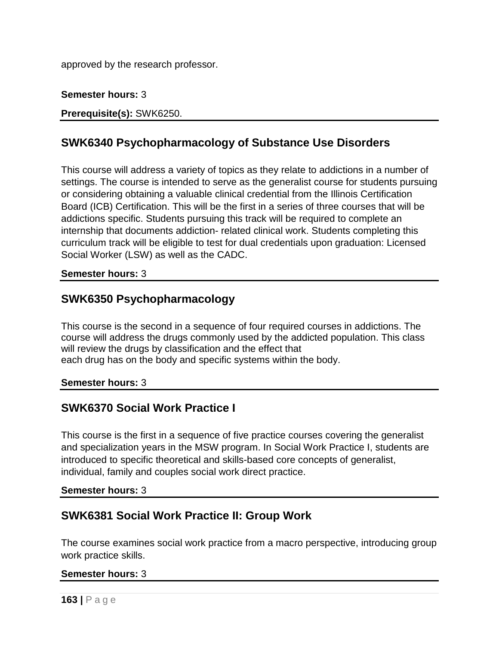approved by the research professor.

### **Semester hours:** 3

**Prerequisite(s):** SWK6250.

## **SWK6340 Psychopharmacology of Substance Use Disorders**

This course will address a variety of topics as they relate to addictions in a number of settings. The course is intended to serve as the generalist course for students pursuing or considering obtaining a valuable clinical credential from the Illinois Certification Board (ICB) Certification. This will be the first in a series of three courses that will be addictions specific. Students pursuing this track will be required to complete an internship that documents addiction- related clinical work. Students completing this curriculum track will be eligible to test for dual credentials upon graduation: Licensed Social Worker (LSW) as well as the CADC.

#### **Semester hours:** 3

### **SWK6350 Psychopharmacology**

This course is the second in a sequence of four required courses in addictions. The course will address the drugs commonly used by the addicted population. This class will review the drugs by classification and the effect that each drug has on the body and specific systems within the body.

#### **Semester hours:** 3

### **SWK6370 Social Work Practice I**

This course is the first in a sequence of five practice courses covering the generalist and specialization years in the MSW program. In Social Work Practice I, students are introduced to specific theoretical and skills-based core concepts of generalist, individual, family and couples social work direct practice.

#### **Semester hours:** 3

### **SWK6381 Social Work Practice II: Group Work**

The course examines social work practice from a macro perspective, introducing group work practice skills.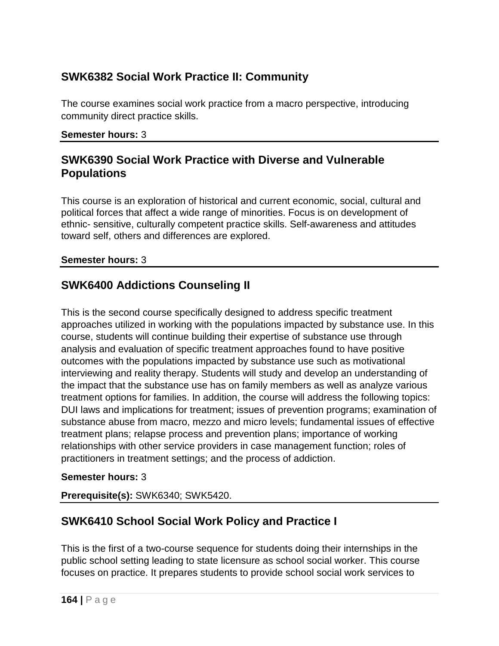# **SWK6382 Social Work Practice II: Community**

The course examines social work practice from a macro perspective, introducing community direct practice skills.

#### **Semester hours:** 3

### **SWK6390 Social Work Practice with Diverse and Vulnerable Populations**

This course is an exploration of historical and current economic, social, cultural and political forces that affect a wide range of minorities. Focus is on development of ethnic- sensitive, culturally competent practice skills. Self-awareness and attitudes toward self, others and differences are explored.

### **Semester hours:** 3

# **SWK6400 Addictions Counseling II**

This is the second course specifically designed to address specific treatment approaches utilized in working with the populations impacted by substance use. In this course, students will continue building their expertise of substance use through analysis and evaluation of specific treatment approaches found to have positive outcomes with the populations impacted by substance use such as motivational interviewing and reality therapy. Students will study and develop an understanding of the impact that the substance use has on family members as well as analyze various treatment options for families. In addition, the course will address the following topics: DUI laws and implications for treatment; issues of prevention programs; examination of substance abuse from macro, mezzo and micro levels; fundamental issues of effective treatment plans; relapse process and prevention plans; importance of working relationships with other service providers in case management function; roles of practitioners in treatment settings; and the process of addiction.

### **Semester hours:** 3

**Prerequisite(s):** SWK6340; SWK5420.

# **SWK6410 School Social Work Policy and Practice I**

This is the first of a two-course sequence for students doing their internships in the public school setting leading to state licensure as school social worker. This course focuses on practice. It prepares students to provide school social work services to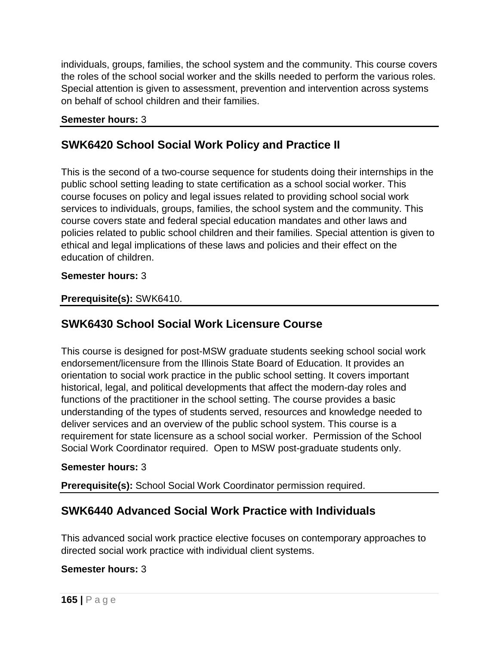individuals, groups, families, the school system and the community. This course covers the roles of the school social worker and the skills needed to perform the various roles. Special attention is given to assessment, prevention and intervention across systems on behalf of school children and their families.

#### **Semester hours:** 3

# **SWK6420 School Social Work Policy and Practice II**

This is the second of a two-course sequence for students doing their internships in the public school setting leading to state certification as a school social worker. This course focuses on policy and legal issues related to providing school social work services to individuals, groups, families, the school system and the community. This course covers state and federal special education mandates and other laws and policies related to public school children and their families. Special attention is given to ethical and legal implications of these laws and policies and their effect on the education of children.

#### **Semester hours:** 3

### **Prerequisite(s):** SWK6410.

# **SWK6430 School Social Work Licensure Course**

This course is designed for post-MSW graduate students seeking school social work endorsement/licensure from the Illinois State Board of Education. It provides an orientation to social work practice in the public school setting. It covers important historical, legal, and political developments that affect the modern-day roles and functions of the practitioner in the school setting. The course provides a basic understanding of the types of students served, resources and knowledge needed to deliver services and an overview of the public school system. This course is a requirement for state licensure as a school social worker. Permission of the School Social Work Coordinator required. Open to MSW post-graduate students only.

#### **Semester hours:** 3

**Prerequisite(s):** School Social Work Coordinator permission required.

### **SWK6440 Advanced Social Work Practice with Individuals**

This advanced social work practice elective focuses on contemporary approaches to directed social work practice with individual client systems.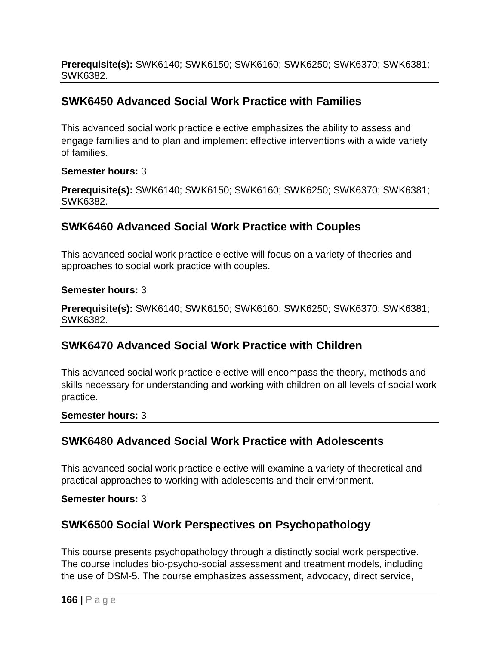**Prerequisite(s):** SWK6140; SWK6150; SWK6160; SWK6250; SWK6370; SWK6381; SWK6382.

# **SWK6450 Advanced Social Work Practice with Families**

This advanced social work practice elective emphasizes the ability to assess and engage families and to plan and implement effective interventions with a wide variety of families.

### **Semester hours:** 3

**Prerequisite(s):** SWK6140; SWK6150; SWK6160; SWK6250; SWK6370; SWK6381; SWK6382.

# **SWK6460 Advanced Social Work Practice with Couples**

This advanced social work practice elective will focus on a variety of theories and approaches to social work practice with couples.

### **Semester hours:** 3

**Prerequisite(s):** SWK6140; SWK6150; SWK6160; SWK6250; SWK6370; SWK6381; SWK6382.

# **SWK6470 Advanced Social Work Practice with Children**

This advanced social work practice elective will encompass the theory, methods and skills necessary for understanding and working with children on all levels of social work practice.

### **Semester hours:** 3

# **SWK6480 Advanced Social Work Practice with Adolescents**

This advanced social work practice elective will examine a variety of theoretical and practical approaches to working with adolescents and their environment.

**Semester hours:** 3

# **SWK6500 Social Work Perspectives on Psychopathology**

This course presents psychopathology through a distinctly social work perspective. The course includes bio-psycho-social assessment and treatment models, including the use of DSM-5. The course emphasizes assessment, advocacy, direct service,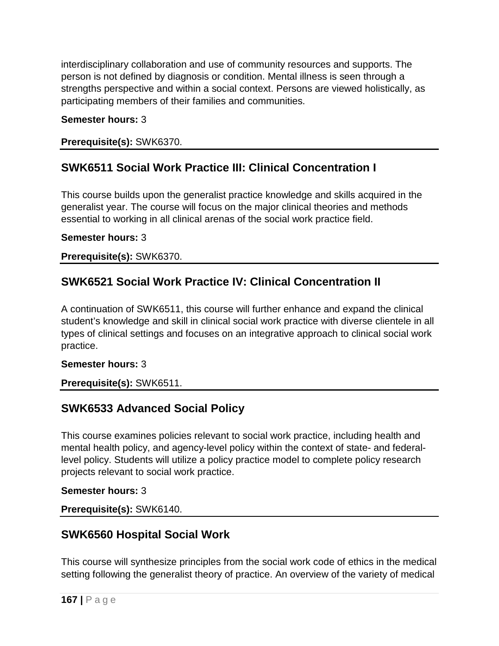interdisciplinary collaboration and use of community resources and supports. The person is not defined by diagnosis or condition. Mental illness is seen through a strengths perspective and within a social context. Persons are viewed holistically, as participating members of their families and communities.

### **Semester hours:** 3

### **Prerequisite(s):** SWK6370.

# **SWK6511 Social Work Practice III: Clinical Concentration I**

This course builds upon the generalist practice knowledge and skills acquired in the generalist year. The course will focus on the major clinical theories and methods essential to working in all clinical arenas of the social work practice field.

### **Semester hours:** 3

**Prerequisite(s):** SWK6370.

## **SWK6521 Social Work Practice IV: Clinical Concentration II**

A continuation of SWK6511, this course will further enhance and expand the clinical student's knowledge and skill in clinical social work practice with diverse clientele in all types of clinical settings and focuses on an integrative approach to clinical social work practice.

### **Semester hours:** 3

### **Prerequisite(s):** SWK6511.

### **SWK6533 Advanced Social Policy**

This course examines policies relevant to social work practice, including health and mental health policy, and agency-level policy within the context of state- and federallevel policy. Students will utilize a policy practice model to complete policy research projects relevant to social work practice.

#### **Semester hours:** 3

### **Prerequisite(s):** SWK6140.

### **SWK6560 Hospital Social Work**

This course will synthesize principles from the social work code of ethics in the medical setting following the generalist theory of practice. An overview of the variety of medical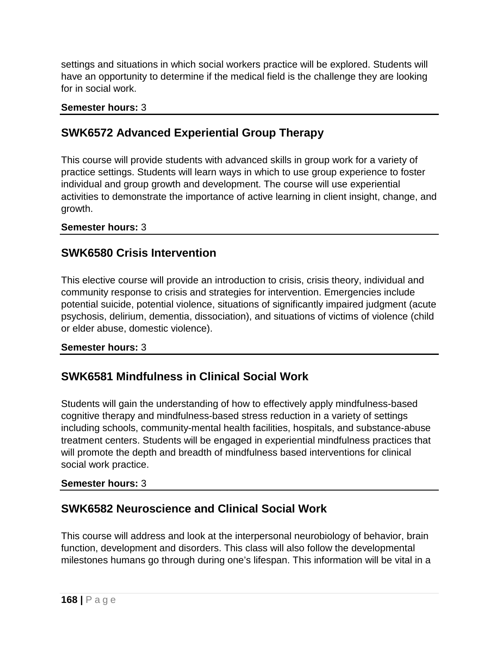settings and situations in which social workers practice will be explored. Students will have an opportunity to determine if the medical field is the challenge they are looking for in social work.

#### **Semester hours:** 3

### **SWK6572 Advanced Experiential Group Therapy**

This course will provide students with advanced skills in group work for a variety of practice settings. Students will learn ways in which to use group experience to foster individual and group growth and development. The course will use experiential activities to demonstrate the importance of active learning in client insight, change, and growth.

**Semester hours:** 3

### **SWK6580 Crisis Intervention**

This elective course will provide an introduction to crisis, crisis theory, individual and community response to crisis and strategies for intervention. Emergencies include potential suicide, potential violence, situations of significantly impaired judgment (acute psychosis, delirium, dementia, dissociation), and situations of victims of violence (child or elder abuse, domestic violence).

### **Semester hours:** 3

### **SWK6581 Mindfulness in Clinical Social Work**

Students will gain the understanding of how to effectively apply mindfulness-based cognitive therapy and mindfulness-based stress reduction in a variety of settings including schools, community-mental health facilities, hospitals, and substance-abuse treatment centers. Students will be engaged in experiential mindfulness practices that will promote the depth and breadth of mindfulness based interventions for clinical social work practice.

### **Semester hours:** 3

# **SWK6582 Neuroscience and Clinical Social Work**

This course will address and look at the interpersonal neurobiology of behavior, brain function, development and disorders. This class will also follow the developmental milestones humans go through during one's lifespan. This information will be vital in a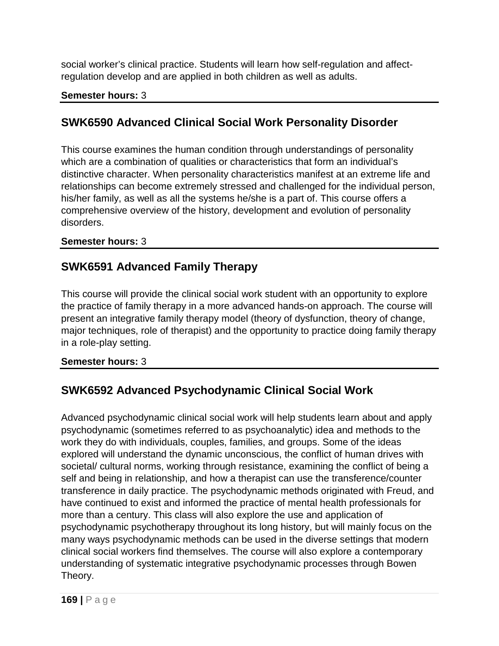social worker's clinical practice. Students will learn how self-regulation and affectregulation develop and are applied in both children as well as adults.

### **Semester hours:** 3

# **SWK6590 Advanced Clinical Social Work Personality Disorder**

This course examines the human condition through understandings of personality which are a combination of qualities or characteristics that form an individual's distinctive character. When personality characteristics manifest at an extreme life and relationships can become extremely stressed and challenged for the individual person, his/her family, as well as all the systems he/she is a part of. This course offers a comprehensive overview of the history, development and evolution of personality disorders.

### **Semester hours:** 3

## **SWK6591 Advanced Family Therapy**

This course will provide the clinical social work student with an opportunity to explore the practice of family therapy in a more advanced hands-on approach. The course will present an integrative family therapy model (theory of dysfunction, theory of change, major techniques, role of therapist) and the opportunity to practice doing family therapy in a role-play setting.

**Semester hours:** 3

# **SWK6592 Advanced Psychodynamic Clinical Social Work**

Advanced psychodynamic clinical social work will help students learn about and apply psychodynamic (sometimes referred to as psychoanalytic) idea and methods to the work they do with individuals, couples, families, and groups. Some of the ideas explored will understand the dynamic unconscious, the conflict of human drives with societal/ cultural norms, working through resistance, examining the conflict of being a self and being in relationship, and how a therapist can use the transference/counter transference in daily practice. The psychodynamic methods originated with Freud, and have continued to exist and informed the practice of mental health professionals for more than a century. This class will also explore the use and application of psychodynamic psychotherapy throughout its long history, but will mainly focus on the many ways psychodynamic methods can be used in the diverse settings that modern clinical social workers find themselves. The course will also explore a contemporary understanding of systematic integrative psychodynamic processes through Bowen Theory.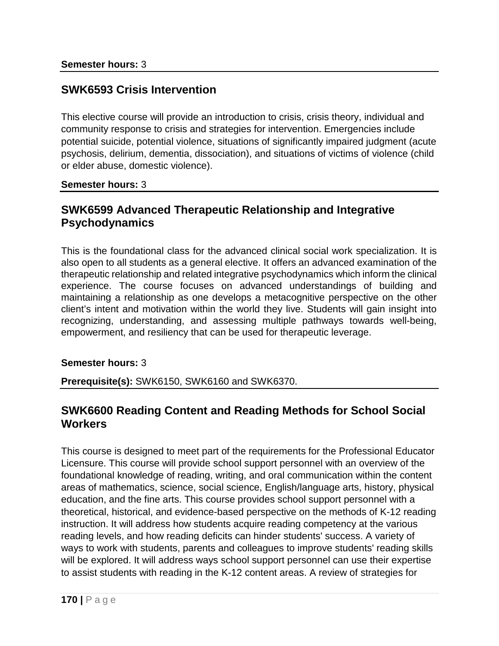### **SWK6593 Crisis Intervention**

This elective course will provide an introduction to crisis, crisis theory, individual and community response to crisis and strategies for intervention. Emergencies include potential suicide, potential violence, situations of significantly impaired judgment (acute psychosis, delirium, dementia, dissociation), and situations of victims of violence (child or elder abuse, domestic violence).

**Semester hours:** 3

### **SWK6599 Advanced Therapeutic Relationship and Integrative Psychodynamics**

This is the foundational class for the advanced clinical social work specialization. It is also open to all students as a general elective. It offers an advanced examination of the therapeutic relationship and related integrative psychodynamics which inform the clinical experience. The course focuses on advanced understandings of building and maintaining a relationship as one develops a metacognitive perspective on the other client's intent and motivation within the world they live. Students will gain insight into recognizing, understanding, and assessing multiple pathways towards well-being, empowerment, and resiliency that can be used for therapeutic leverage.

### **Semester hours:** 3

**Prerequisite(s):** SWK6150, SWK6160 and SWK6370.

### **SWK6600 Reading Content and Reading Methods for School Social Workers**

This course is designed to meet part of the requirements for the Professional Educator Licensure. This course will provide school support personnel with an overview of the foundational knowledge of reading, writing, and oral communication within the content areas of mathematics, science, social science, English/language arts, history, physical education, and the fine arts. This course provides school support personnel with a theoretical, historical, and evidence-based perspective on the methods of K-12 reading instruction. It will address how students acquire reading competency at the various reading levels, and how reading deficits can hinder students' success. A variety of ways to work with students, parents and colleagues to improve students' reading skills will be explored. It will address ways school support personnel can use their expertise to assist students with reading in the K-12 content areas. A review of strategies for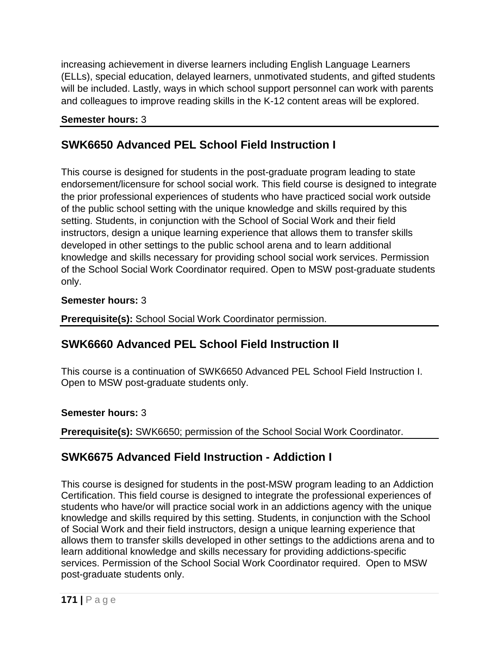increasing achievement in diverse learners including English Language Learners (ELLs), special education, delayed learners, unmotivated students, and gifted students will be included. Lastly, ways in which school support personnel can work with parents and colleagues to improve reading skills in the K-12 content areas will be explored.

### **Semester hours:** 3

# **SWK6650 Advanced PEL School Field Instruction I**

This course is designed for students in the post-graduate program leading to state endorsement/licensure for school social work. This field course is designed to integrate the prior professional experiences of students who have practiced social work outside of the public school setting with the unique knowledge and skills required by this setting. Students, in conjunction with the School of Social Work and their field instructors, design a unique learning experience that allows them to transfer skills developed in other settings to the public school arena and to learn additional knowledge and skills necessary for providing school social work services. Permission of the School Social Work Coordinator required. Open to MSW post-graduate students only.

### **Semester hours:** 3

**Prerequisite(s):** School Social Work Coordinator permission.

# **SWK6660 Advanced PEL School Field Instruction II**

This course is a continuation of SWK6650 Advanced PEL School Field Instruction I. Open to MSW post-graduate students only.

### **Semester hours:** 3

**Prerequisite(s):** SWK6650; permission of the School Social Work Coordinator.

# **SWK6675 Advanced Field Instruction - Addiction I**

This course is designed for students in the post-MSW program leading to an Addiction Certification. This field course is designed to integrate the professional experiences of students who have/or will practice social work in an addictions agency with the unique knowledge and skills required by this setting. Students, in conjunction with the School of Social Work and their field instructors, design a unique learning experience that allows them to transfer skills developed in other settings to the addictions arena and to learn additional knowledge and skills necessary for providing addictions-specific services. Permission of the School Social Work Coordinator required. Open to MSW post-graduate students only.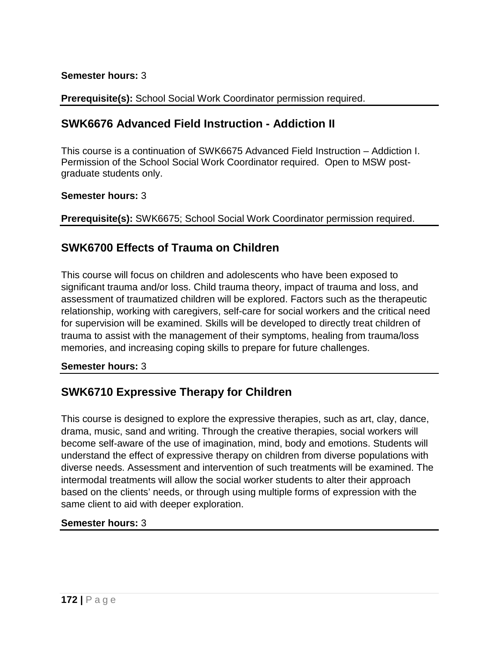### **Semester hours:** 3

**Prerequisite(s):** School Social Work Coordinator permission required.

### **SWK6676 Advanced Field Instruction - Addiction II**

This course is a continuation of SWK6675 Advanced Field Instruction – Addiction I. Permission of the School Social Work Coordinator required. Open to MSW postgraduate students only.

#### **Semester hours:** 3

**Prerequisite(s):** SWK6675; School Social Work Coordinator permission required.

### **SWK6700 Effects of Trauma on Children**

This course will focus on children and adolescents who have been exposed to significant trauma and/or loss. Child trauma theory, impact of trauma and loss, and assessment of traumatized children will be explored. Factors such as the therapeutic relationship, working with caregivers, self-care for social workers and the critical need for supervision will be examined. Skills will be developed to directly treat children of trauma to assist with the management of their symptoms, healing from trauma/loss memories, and increasing coping skills to prepare for future challenges.

#### **Semester hours:** 3

# **SWK6710 Expressive Therapy for Children**

This course is designed to explore the expressive therapies, such as art, clay, dance, drama, music, sand and writing. Through the creative therapies, social workers will become self-aware of the use of imagination, mind, body and emotions. Students will understand the effect of expressive therapy on children from diverse populations with diverse needs. Assessment and intervention of such treatments will be examined. The intermodal treatments will allow the social worker students to alter their approach based on the clients' needs, or through using multiple forms of expression with the same client to aid with deeper exploration.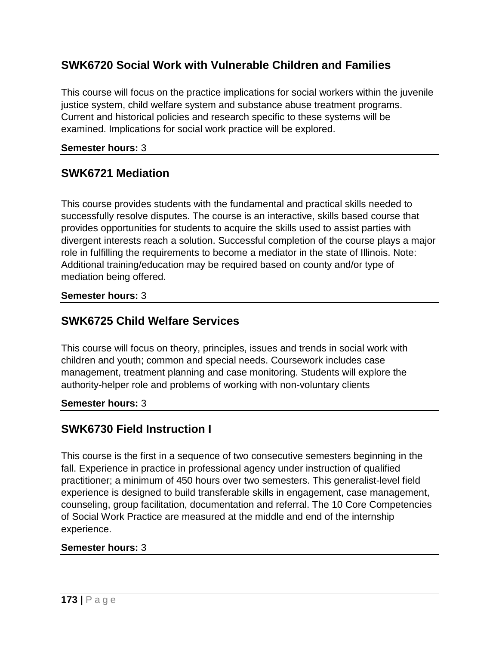# **SWK6720 Social Work with Vulnerable Children and Families**

This course will focus on the practice implications for social workers within the juvenile justice system, child welfare system and substance abuse treatment programs. Current and historical policies and research specific to these systems will be examined. Implications for social work practice will be explored.

### **Semester hours:** 3

## **SWK6721 Mediation**

This course provides students with the fundamental and practical skills needed to successfully resolve disputes. The course is an interactive, skills based course that provides opportunities for students to acquire the skills used to assist parties with divergent interests reach a solution. Successful completion of the course plays a major role in fulfilling the requirements to become a mediator in the state of Illinois. Note: Additional training/education may be required based on county and/or type of mediation being offered.

### **Semester hours:** 3

### **SWK6725 Child Welfare Services**

This course will focus on theory, principles, issues and trends in social work with children and youth; common and special needs. Coursework includes case management, treatment planning and case monitoring. Students will explore the authority-helper role and problems of working with non-voluntary clients

### **Semester hours:** 3

# **SWK6730 Field Instruction I**

This course is the first in a sequence of two consecutive semesters beginning in the fall. Experience in practice in professional agency under instruction of qualified practitioner; a minimum of 450 hours over two semesters. This generalist-level field experience is designed to build transferable skills in engagement, case management, counseling, group facilitation, documentation and referral. The 10 Core Competencies of Social Work Practice are measured at the middle and end of the internship experience.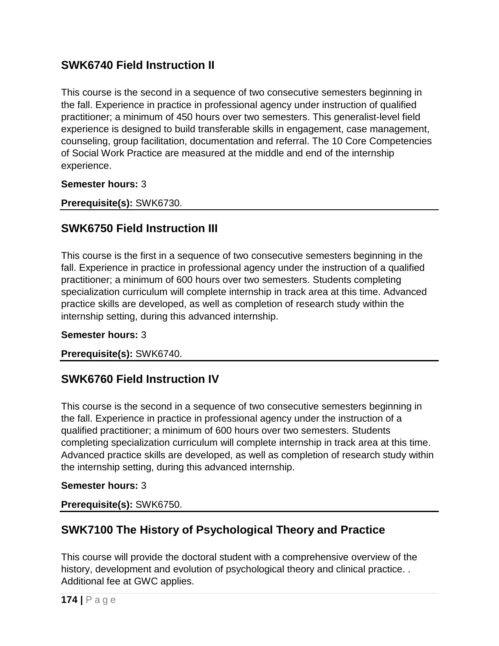# **SWK6740 Field Instruction II**

This course is the second in a sequence of two consecutive semesters beginning in the fall. Experience in practice in professional agency under instruction of qualified practitioner; a minimum of 450 hours over two semesters. This generalist-level field experience is designed to build transferable skills in engagement, case management, counseling, group facilitation, documentation and referral. The 10 Core Competencies of Social Work Practice are measured at the middle and end of the internship experience.

**Semester hours:** 3

**Prerequisite(s):** SWK6730.

# **SWK6750 Field Instruction III**

This course is the first in a sequence of two consecutive semesters beginning in the fall. Experience in practice in professional agency under the instruction of a qualified practitioner; a minimum of 600 hours over two semesters. Students completing specialization curriculum will complete internship in track area at this time. Advanced practice skills are developed, as well as completion of research study within the internship setting, during this advanced internship.

### **Semester hours:** 3

**Prerequisite(s):** SWK6740.

# **SWK6760 Field Instruction IV**

This course is the second in a sequence of two consecutive semesters beginning in the fall. Experience in practice in professional agency under the instruction of a qualified practitioner; a minimum of 600 hours over two semesters. Students completing specialization curriculum will complete internship in track area at this time. Advanced practice skills are developed, as well as completion of research study within the internship setting, during this advanced internship.

### **Semester hours:** 3

**Prerequisite(s):** SWK6750.

# **SWK7100 The History of Psychological Theory and Practice**

This course will provide the doctoral student with a comprehensive overview of the history, development and evolution of psychological theory and clinical practice. . Additional fee at GWC applies.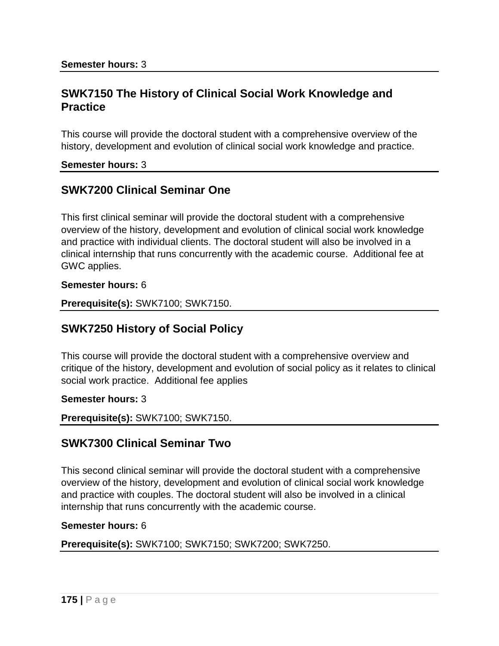### **SWK7150 The History of Clinical Social Work Knowledge and Practice**

This course will provide the doctoral student with a comprehensive overview of the history, development and evolution of clinical social work knowledge and practice.

#### **Semester hours:** 3

### **SWK7200 Clinical Seminar One**

This first clinical seminar will provide the doctoral student with a comprehensive overview of the history, development and evolution of clinical social work knowledge and practice with individual clients. The doctoral student will also be involved in a clinical internship that runs concurrently with the academic course. Additional fee at GWC applies.

**Semester hours:** 6

**Prerequisite(s):** SWK7100; SWK7150.

### **SWK7250 History of Social Policy**

This course will provide the doctoral student with a comprehensive overview and critique of the history, development and evolution of social policy as it relates to clinical social work practice. Additional fee applies

#### **Semester hours:** 3

**Prerequisite(s):** SWK7100; SWK7150.

### **SWK7300 Clinical Seminar Two**

This second clinical seminar will provide the doctoral student with a comprehensive overview of the history, development and evolution of clinical social work knowledge and practice with couples. The doctoral student will also be involved in a clinical internship that runs concurrently with the academic course.

#### **Semester hours:** 6

**Prerequisite(s):** SWK7100; SWK7150; SWK7200; SWK7250.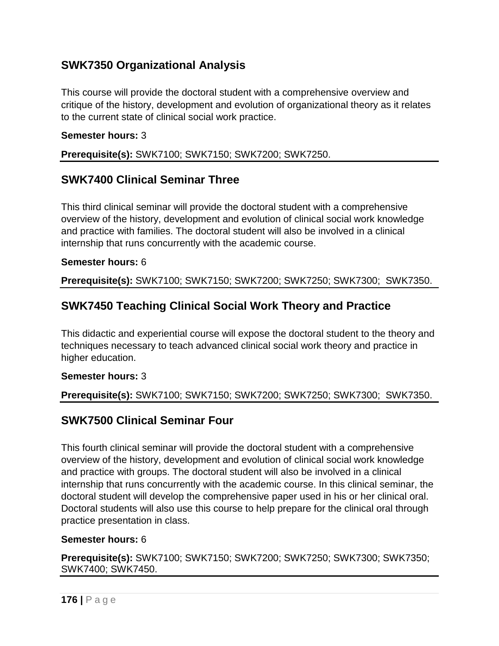# **SWK7350 Organizational Analysis**

This course will provide the doctoral student with a comprehensive overview and critique of the history, development and evolution of organizational theory as it relates to the current state of clinical social work practice.

#### **Semester hours:** 3

### **Prerequisite(s):** SWK7100; SWK7150; SWK7200; SWK7250.

### **SWK7400 Clinical Seminar Three**

This third clinical seminar will provide the doctoral student with a comprehensive overview of the history, development and evolution of clinical social work knowledge and practice with families. The doctoral student will also be involved in a clinical internship that runs concurrently with the academic course.

#### **Semester hours:** 6

**Prerequisite(s):** SWK7100; SWK7150; SWK7200; SWK7250; SWK7300; SWK7350.

## **SWK7450 Teaching Clinical Social Work Theory and Practice**

This didactic and experiential course will expose the doctoral student to the theory and techniques necessary to teach advanced clinical social work theory and practice in higher education.

#### **Semester hours:** 3

### **Prerequisite(s):** SWK7100; SWK7150; SWK7200; SWK7250; SWK7300; SWK7350.

### **SWK7500 Clinical Seminar Four**

This fourth clinical seminar will provide the doctoral student with a comprehensive overview of the history, development and evolution of clinical social work knowledge and practice with groups. The doctoral student will also be involved in a clinical internship that runs concurrently with the academic course. In this clinical seminar, the doctoral student will develop the comprehensive paper used in his or her clinical oral. Doctoral students will also use this course to help prepare for the clinical oral through practice presentation in class.

#### **Semester hours:** 6

**Prerequisite(s):** SWK7100; SWK7150; SWK7200; SWK7250; SWK7300; SWK7350; SWK7400; SWK7450.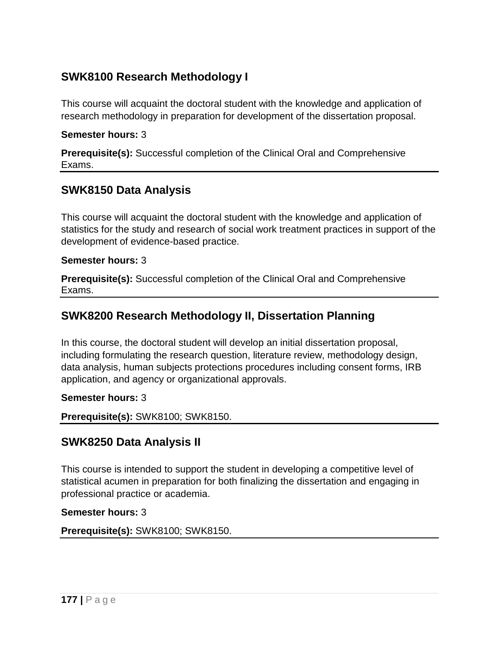# **SWK8100 Research Methodology I**

This course will acquaint the doctoral student with the knowledge and application of research methodology in preparation for development of the dissertation proposal.

#### **Semester hours:** 3

**Prerequisite(s):** Successful completion of the Clinical Oral and Comprehensive Exams.

### **SWK8150 Data Analysis**

This course will acquaint the doctoral student with the knowledge and application of statistics for the study and research of social work treatment practices in support of the development of evidence-based practice.

### **Semester hours:** 3

**Prerequisite(s):** Successful completion of the Clinical Oral and Comprehensive Exams.

## **SWK8200 Research Methodology II, Dissertation Planning**

In this course, the doctoral student will develop an initial dissertation proposal, including formulating the research question, literature review, methodology design, data analysis, human subjects protections procedures including consent forms, IRB application, and agency or organizational approvals.

### **Semester hours:** 3

**Prerequisite(s):** SWK8100; SWK8150.

### **SWK8250 Data Analysis II**

This course is intended to support the student in developing a competitive level of statistical acumen in preparation for both finalizing the dissertation and engaging in professional practice or academia.

#### **Semester hours:** 3

**Prerequisite(s):** SWK8100; SWK8150.